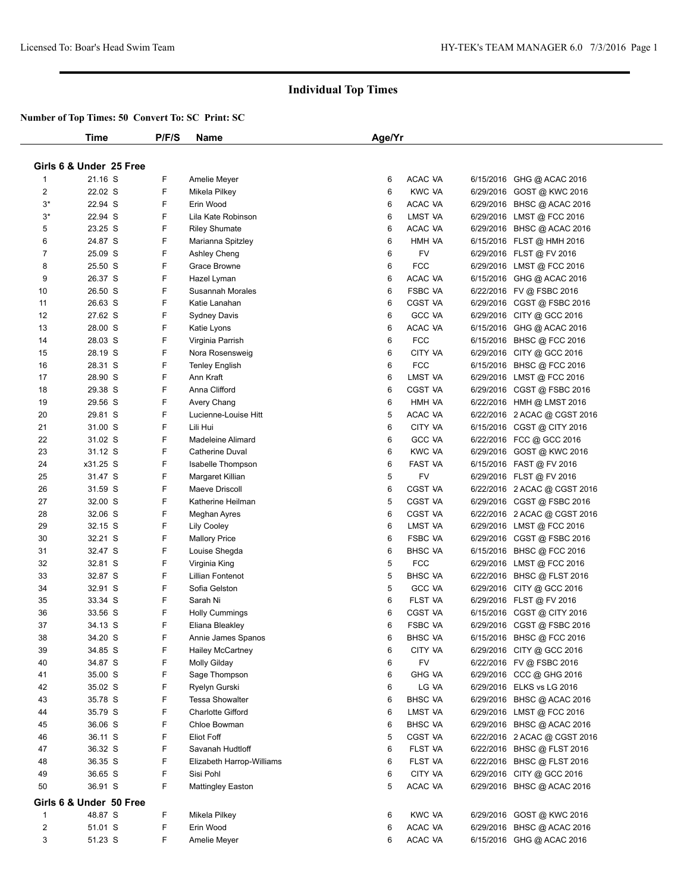|                | Time                    | P/F/S  | Name                      | Age/Yr |                |                              |
|----------------|-------------------------|--------|---------------------------|--------|----------------|------------------------------|
|                |                         |        |                           |        |                |                              |
|                | Girls 6 & Under 25 Free |        |                           |        |                |                              |
| 1              | 21.16 S                 | F      | Amelie Meyer              | 6      | ACAC VA        | 6/15/2016 GHG @ ACAC 2016    |
| 2              | 22.02 S                 | F      | Mikela Pilkey             | 6      | <b>KWC VA</b>  | 6/29/2016 GOST @ KWC 2016    |
| $3*$           | 22.94 S                 | F      | Erin Wood                 | 6      | ACAC VA        | 6/29/2016 BHSC @ ACAC 2016   |
| $3^*$          | 22.94 S                 | F      | Lila Kate Robinson        | 6      | LMST VA        | 6/29/2016 LMST @ FCC 2016    |
| 5              | 23.25 S                 | F      | <b>Riley Shumate</b>      | 6      | ACAC VA        | 6/29/2016 BHSC @ ACAC 2016   |
| 6              | 24.87 S                 | F      | Marianna Spitzley         | 6      | HMH VA         | 6/15/2016 FLST @ HMH 2016    |
| 7              | 25.09 S                 | F      | Ashley Cheng              | 6      | FV             | 6/29/2016 FLST @ FV 2016     |
| 8              | 25.50 S                 | F      | Grace Browne              | 6      | <b>FCC</b>     | 6/29/2016 LMST @ FCC 2016    |
| 9              | 26.37 S                 | F      | Hazel Lyman               | 6      | ACAC VA        | 6/15/2016 GHG @ ACAC 2016    |
| 10             | 26.50 S                 | F      | Susannah Morales          | 6      | <b>FSBC VA</b> | 6/22/2016 FV @ FSBC 2016     |
| 11             | 26.63 S                 | F      | Katie Lanahan             | 6      | <b>CGST VA</b> | 6/29/2016 CGST @ FSBC 2016   |
| 12             | 27.62 S                 | F      | Sydney Davis              | 6      | <b>GCC VA</b>  | 6/29/2016 CITY @ GCC 2016    |
| 13             | 28.00 S                 | F      | Katie Lyons               | 6      | ACAC VA        | 6/15/2016 GHG @ ACAC 2016    |
| 14             | 28.03 S                 | F      | Virginia Parrish          | 6      | <b>FCC</b>     | 6/15/2016 BHSC @ FCC 2016    |
| 15             | 28.19 S                 | F      | Nora Rosensweig           | 6      | CITY VA        | 6/29/2016 CITY @ GCC 2016    |
| 16             | 28.31 S                 | F      | <b>Tenley English</b>     | 6      | <b>FCC</b>     | 6/15/2016 BHSC @ FCC 2016    |
| 17             | 28.90 S                 | F      | Ann Kraft                 | 6      | LMST VA        | 6/29/2016 LMST @ FCC 2016    |
| 18             | 29.38 S                 | F      | Anna Clifford             | 6      | CGST VA        | 6/29/2016 CGST @ FSBC 2016   |
| 19             | 29.56 S                 | F      | Avery Chang               | 6      | HMH VA         | 6/22/2016 HMH @ LMST 2016    |
| 20             | 29.81 S                 | F      | Lucienne-Louise Hitt      | 5      | ACAC VA        | 6/22/2016 2 ACAC @ CGST 2016 |
| 21             | 31.00 S                 | F      | Lili Hui                  | 6      | CITY VA        | 6/15/2016 CGST @ CITY 2016   |
| 22             | 31.02 S                 | F      | Madeleine Alimard         | 6      | GCC VA         | 6/22/2016 FCC @ GCC 2016     |
| 23             | 31.12 S                 | F      | <b>Catherine Duval</b>    | 6      | <b>KWC VA</b>  | 6/29/2016 GOST @ KWC 2016    |
| 24             | x31.25 S                | F      | Isabelle Thompson         | 6      | FAST VA        | 6/15/2016 FAST @ FV 2016     |
| 25             | 31.47 S                 | F      | Margaret Killian          | 5      | <b>FV</b>      | 6/29/2016 FLST @ FV 2016     |
| 26             | 31.59 S                 | F      | Maeve Driscoll            | 6      | <b>CGST VA</b> | 6/22/2016 2 ACAC @ CGST 2016 |
| 27             | 32.00 S                 | F      | Katherine Heilman         | 5      | CGST VA        | 6/29/2016 CGST @ FSBC 2016   |
| 28             | 32.06 S                 | F      | Meghan Ayres              | 6      | CGST VA        | 6/22/2016 2 ACAC @ CGST 2016 |
| 29             | 32.15 S                 | F      | <b>Lily Cooley</b>        | 6      | LMST VA        | 6/29/2016 LMST @ FCC 2016    |
| 30             | 32.21 S                 | F      | <b>Mallory Price</b>      | 6      | <b>FSBC VA</b> | 6/29/2016 CGST @ FSBC 2016   |
| 31             | 32.47 S                 | F      | Louise Shegda             | 6      | <b>BHSC VA</b> | 6/15/2016 BHSC @ FCC 2016    |
| 32             | 32.81 S                 | F      | Virginia King             | 5      | <b>FCC</b>     | 6/29/2016 LMST @ FCC 2016    |
| 33             | 32.87 S                 | F      | Lillian Fontenot          | 5      | <b>BHSC VA</b> | 6/22/2016 BHSC @ FLST 2016   |
| 34             | 32.91 S                 | F      | Sofia Gelston             | 5      | GCC VA         |                              |
| 35             | 33.34 S                 | F      | Sarah Ni                  | 6      | FLST VA        | 6/29/2016 CITY @ GCC 2016    |
| 36             | 33.56 S                 | F      |                           | 6      | CGST VA        | 6/29/2016 FLST @ FV 2016     |
|                |                         |        | <b>Holly Cummings</b>     |        |                | 6/15/2016 CGST @ CITY 2016   |
| 37             | 34.13 S                 | F<br>F | Eliana Bleakley           | 6      | <b>FSBC VA</b> | 6/29/2016 CGST @ FSBC 2016   |
| 38             | 34.20 S                 |        | Annie James Spanos        | 6      | BHSC VA        | 6/15/2016 BHSC @ FCC 2016    |
| 39             | 34.85 S                 | F      | <b>Hailey McCartney</b>   | 6      | CITY VA        | 6/29/2016 CITY @ GCC 2016    |
| 40             | 34.87 S                 | F      | <b>Molly Gilday</b>       | 6      | FV             | 6/22/2016 FV @ FSBC 2016     |
| 41             | 35.00 S                 | F      | Sage Thompson             | 6      | <b>GHG VA</b>  | 6/29/2016 CCC @ GHG 2016     |
| 42             | 35.02 S                 | F      | Ryelyn Gurski             | 6      | LG VA          | 6/29/2016 ELKS vs LG 2016    |
| 43             | 35.78 S                 | F      | <b>Tessa Showalter</b>    | 6      | <b>BHSC VA</b> | 6/29/2016 BHSC @ ACAC 2016   |
| 44             | 35.79 S                 | F      | <b>Charlotte Gifford</b>  | 6      | LMST VA        | 6/29/2016 LMST @ FCC 2016    |
| 45             | 36.06 S                 | F      | Chloe Bowman              | 6      | BHSC VA        | 6/29/2016 BHSC @ ACAC 2016   |
| 46             | 36.11 S                 | F      | Eliot Foff                | 5      | CGST VA        | 6/22/2016 2 ACAC @ CGST 2016 |
| 47             | 36.32 S                 | F      | Savanah Hudtloff          | 6      | FLST VA        | 6/22/2016 BHSC @ FLST 2016   |
| 48             | 36.35 S                 | F      | Elizabeth Harrop-Williams | 6      | FLST VA        | 6/22/2016 BHSC @ FLST 2016   |
| 49             | 36.65 S                 | F      | Sisi Pohl                 | 6      | CITY VA        | 6/29/2016 CITY @ GCC 2016    |
| 50             | 36.91 S                 | F      | <b>Mattingley Easton</b>  | 5      | ACAC VA        | 6/29/2016 BHSC @ ACAC 2016   |
|                | Girls 6 & Under 50 Free |        |                           |        |                |                              |
| 1              | 48.87 S                 | F      | Mikela Pilkey             | 6      | <b>KWC VA</b>  | 6/29/2016 GOST @ KWC 2016    |
| $\overline{2}$ | 51.01 S                 | F      | Erin Wood                 | 6      | ACAC VA        | 6/29/2016 BHSC @ ACAC 2016   |
| 3              | 51.23 S                 | F      | Amelie Meyer              | 6      | ACAC VA        | 6/15/2016 GHG @ ACAC 2016    |
|                |                         |        |                           |        |                |                              |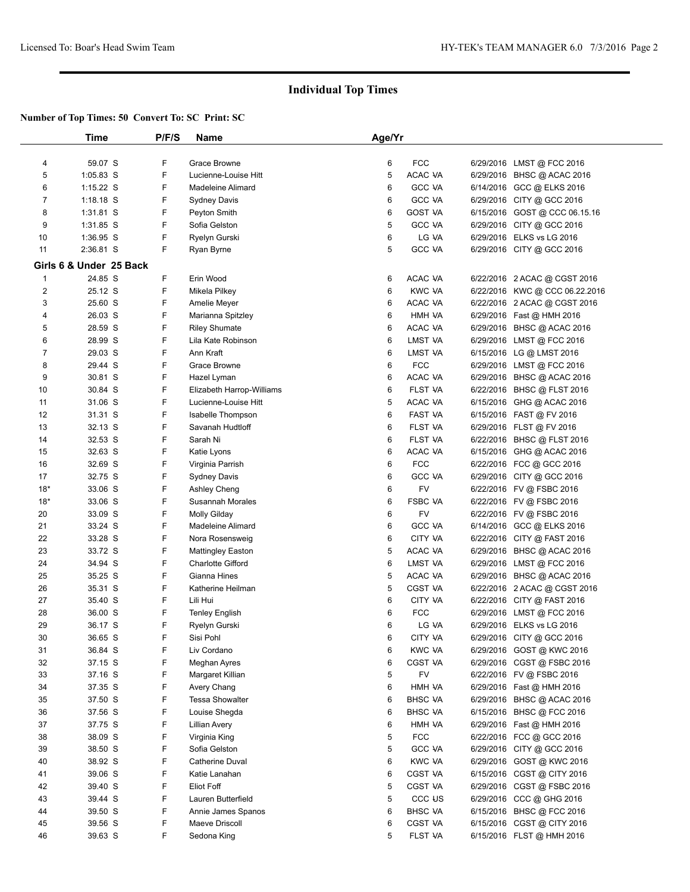|                | Time                    | P/F/S  | Name                                                 | Age/Yr |                     |                                                         |  |
|----------------|-------------------------|--------|------------------------------------------------------|--------|---------------------|---------------------------------------------------------|--|
|                |                         |        |                                                      |        |                     |                                                         |  |
| 4              | 59.07 S                 | F      | Grace Browne                                         | 6      | <b>FCC</b>          | 6/29/2016 LMST @ FCC 2016                               |  |
| 5              | 1:05.83 S               | F      | Lucienne-Louise Hitt                                 | 5      | ACAC VA             | 6/29/2016 BHSC @ ACAC 2016                              |  |
| 6              | $1:15.22$ S             | F      | Madeleine Alimard                                    | 6      | <b>GCC VA</b>       | 6/14/2016 GCC @ ELKS 2016                               |  |
| $\overline{7}$ | $1:18.18$ S             | F      | <b>Sydney Davis</b>                                  | 6      | <b>GCC VA</b>       | 6/29/2016 CITY @ GCC 2016                               |  |
| 8              | 1:31.81 S               | F      | Peyton Smith                                         | 6      | <b>GOST VA</b>      | 6/15/2016 GOST @ CCC 06.15.16                           |  |
| 9              | 1:31.85 S               | F      | Sofia Gelston                                        | 5      | <b>GCC VA</b>       | 6/29/2016 CITY @ GCC 2016                               |  |
| 10             | 1:36.95 S               | F      | Ryelyn Gurski                                        | 6      | LG VA               | 6/29/2016 ELKS vs LG 2016                               |  |
| 11             | 2:36.81 S               | F      | Ryan Byrne                                           | 5      | <b>GCC VA</b>       | 6/29/2016 CITY @ GCC 2016                               |  |
|                | Girls 6 & Under 25 Back |        |                                                      |        |                     |                                                         |  |
| $\mathbf 1$    | 24.85 S                 | F      | Erin Wood                                            | 6      | ACAC VA             | 6/22/2016 2 ACAC @ CGST 2016                            |  |
| 2              | 25.12 S                 | F      | Mikela Pilkey                                        | 6      | <b>KWC VA</b>       | 6/22/2016 KWC @ CCC 06.22.2016                          |  |
| 3              | 25.60 S                 | F      | Amelie Meyer                                         | 6      | ACAC VA             | 6/22/2016 2 ACAC @ CGST 2016                            |  |
| 4              | 26.03 S                 | F      | Marianna Spitzley                                    | 6      | HMH VA              | 6/29/2016 Fast @ HMH 2016                               |  |
| 5              | 28.59 S                 | F      | <b>Riley Shumate</b>                                 | 6      | ACAC VA             | 6/29/2016 BHSC @ ACAC 2016                              |  |
| 6              | 28.99 S                 | F      | Lila Kate Robinson                                   | 6      | LMST VA             | 6/29/2016 LMST @ FCC 2016                               |  |
| 7              | 29.03 S                 | F      | Ann Kraft                                            | 6      | LMST VA             | 6/15/2016 LG @ LMST 2016                                |  |
| 8              | 29.44 S                 | F      | Grace Browne                                         | 6      | <b>FCC</b>          | 6/29/2016 LMST @ FCC 2016                               |  |
| 9              | 30.81 S                 | F      | Hazel Lyman                                          | 6      | ACAC VA             | 6/29/2016 BHSC @ ACAC 2016                              |  |
| 10             | 30.84 S                 | F      | Elizabeth Harrop-Williams                            | 6      | FLST VA             | 6/22/2016 BHSC @ FLST 2016                              |  |
| 11             | 31.06 S                 | F      | Lucienne-Louise Hitt                                 | 5      | ACAC VA             | 6/15/2016 GHG @ ACAC 2016                               |  |
| 12             | 31.31 S                 | F      | Isabelle Thompson                                    | 6      | FAST VA             | 6/15/2016 FAST @ FV 2016                                |  |
| 13             | 32.13 S                 | F      | Savanah Hudtloff                                     | 6      | <b>FLST VA</b>      | 6/29/2016 FLST @ FV 2016                                |  |
| 14             | 32.53 S                 | F      | Sarah Ni                                             | 6      | FLST VA             | 6/22/2016 BHSC @ FLST 2016                              |  |
| 15             | 32.63 S                 | F      | Katie Lyons                                          | 6      | ACAC VA             | 6/15/2016 GHG @ ACAC 2016                               |  |
| 16             | 32.69 S                 | F      | Virginia Parrish                                     | 6      | <b>FCC</b>          | 6/22/2016 FCC @ GCC 2016                                |  |
| 17             | 32.75 S                 | F      |                                                      | 6      | <b>GCC VA</b>       | 6/29/2016 CITY @ GCC 2016                               |  |
| $18*$          | 33.06 S                 | F      | Sydney Davis<br>Ashley Cheng                         | 6      | FV                  | 6/22/2016 FV @ FSBC 2016                                |  |
| $18*$          | 33.06 S                 | F      | Susannah Morales                                     | 6      | <b>FSBC VA</b>      | 6/22/2016 FV @ FSBC 2016                                |  |
| 20             | 33.09 S                 | F      | <b>Molly Gilday</b>                                  | 6      | FV                  | 6/22/2016 FV @ FSBC 2016                                |  |
| 21             | 33.24 S                 | F      | Madeleine Alimard                                    | 6      | <b>GCC VA</b>       | 6/14/2016 GCC @ ELKS 2016                               |  |
| 22             | 33.28 S                 | F      | Nora Rosensweig                                      | 6      | CITY VA             | 6/22/2016 CITY @ FAST 2016                              |  |
| 23             | 33.72 S                 | F      |                                                      | 5      | ACAC VA             |                                                         |  |
| 24             | 34.94 S                 | F      | <b>Mattingley Easton</b><br><b>Charlotte Gifford</b> | 6      | LMST VA             | 6/29/2016 BHSC @ ACAC 2016<br>6/29/2016 LMST @ FCC 2016 |  |
| 25             | 35.25 S                 | F      | Gianna Hines                                         | 5      | ACAC VA             | 6/29/2016 BHSC @ ACAC 2016                              |  |
| 26             | 35.31 S                 | F      | Katherine Heilman                                    | 5      | <b>CGST VA</b>      | 6/22/2016 2 ACAC @ CGST 2016                            |  |
| 27             | 35.40 S                 | F      | Lili Hui                                             | 6      | CITY VA             | 6/22/2016 CITY @ FAST 2016                              |  |
| 28             | 36.00 S                 | F      | Tenley English                                       | 6      | <b>FCC</b>          | 6/29/2016 LMST @ FCC 2016                               |  |
| 29             | 36.17 S                 | F      |                                                      | 6      | LG VA               | 6/29/2016 ELKS vs LG 2016                               |  |
| 30             |                         | F      | Ryelyn Gurski                                        | 6      | CITY VA             |                                                         |  |
| 31             | 36.65 S<br>36.84 S      | F      | Sisi Pohl<br>Liv Cordano                             | 6      | <b>KWC VA</b>       | 6/29/2016 CITY @ GCC 2016                               |  |
| 32             | 37.15 S                 | F      |                                                      | 6      | CGST VA             | 6/29/2016 GOST @ KWC 2016                               |  |
| 33             | 37.16 S                 | F      | Meghan Ayres                                         | 5      | FV                  | 6/29/2016 CGST @ FSBC 2016                              |  |
| 34             |                         | F      | Margaret Killian                                     | 6      | HMH VA              | 6/22/2016 FV @ FSBC 2016                                |  |
|                | 37.35 S                 |        | Avery Chang                                          |        |                     | 6/29/2016 Fast @ HMH 2016                               |  |
| 35             | 37.50 S                 | F<br>F | <b>Tessa Showalter</b>                               | 6      | <b>BHSC VA</b>      | 6/29/2016 BHSC @ ACAC 2016                              |  |
| 36             | 37.56 S<br>37.75 S      | F      | Louise Shegda                                        | 6      | <b>BHSC VA</b>      | 6/15/2016 BHSC @ FCC 2016<br>6/29/2016 Fast @ HMH 2016  |  |
| 37             |                         |        | Lillian Avery                                        | 6      | HMH VA              |                                                         |  |
| 38             | 38.09 S                 | F      | Virginia King<br>Sofia Gelston                       | 5      | <b>FCC</b>          | 6/22/2016 FCC @ GCC 2016                                |  |
| 39             | 38.50 S                 | F      |                                                      | 5      | <b>GCC VA</b>       | 6/29/2016 CITY @ GCC 2016                               |  |
| 40             | 38.92 S                 | F      | <b>Catherine Duval</b>                               | 6      | <b>KWC VA</b>       | 6/29/2016 GOST @ KWC 2016                               |  |
| 41             | 39.06 S                 | F      | Katie Lanahan                                        | 6      | CGST VA             | 6/15/2016 CGST @ CITY 2016                              |  |
| 42             | 39.40 S                 | F      | Eliot Foff                                           | 5      | <b>CGST VA</b>      | 6/29/2016 CGST @ FSBC 2016                              |  |
| 43             | 39.44 S                 | F      | Lauren Butterfield                                   | 5      | CCC <sub>fl</sub> 2 | 6/29/2016 CCC @ GHG 2016                                |  |
| 44             | 39.50 S                 | F      | Annie James Spanos                                   | 6      | <b>BHSC VA</b>      | 6/15/2016 BHSC @ FCC 2016                               |  |
| 45             | 39.56 S                 | F      | Maeve Driscoll                                       | 6      | CGST VA             | 6/15/2016 CGST @ CITY 2016                              |  |
| 46             | 39.63 S                 | F      | Sedona King                                          | 5      | FLST VA             | 6/15/2016 FLST @ HMH 2016                               |  |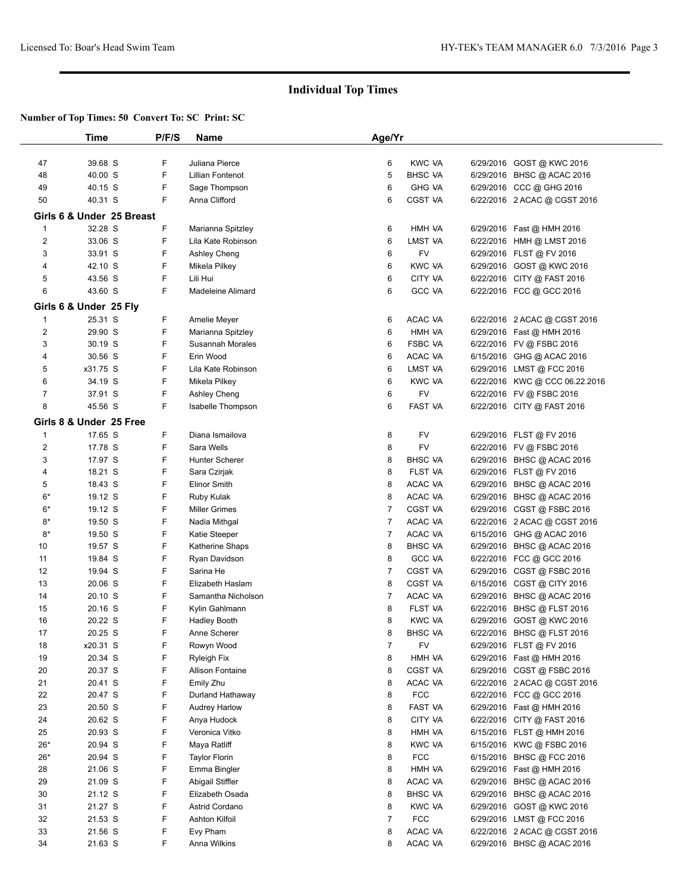|                | Time                      | P/F/S | Name                    | Age/Yr         |                |                                |  |
|----------------|---------------------------|-------|-------------------------|----------------|----------------|--------------------------------|--|
|                |                           |       |                         |                |                |                                |  |
| 47             | 39.68 S                   | F     | Juliana Pierce          | 6              | <b>KWC VA</b>  | 6/29/2016 GOST @ KWC 2016      |  |
| 48             | 40.00 S                   | F     | <b>Lillian Fontenot</b> | 5              | <b>BHSC VA</b> | 6/29/2016 BHSC @ ACAC 2016     |  |
| 49             | 40.15 S                   | F     | Sage Thompson           | 6              | <b>GHG VA</b>  | 6/29/2016 CCC @ GHG 2016       |  |
| 50             | 40.31 S                   | F     | Anna Clifford           | 6              | CGST VA        | 6/22/2016 2 ACAC @ CGST 2016   |  |
|                |                           |       |                         |                |                |                                |  |
|                | Girls 6 & Under 25 Breast |       |                         |                |                |                                |  |
| 1              | 32.28 S                   | F     | Marianna Spitzley       | 6              | HMH VA         | 6/29/2016 Fast @ HMH 2016      |  |
| $\overline{2}$ | 33.06 S                   | F     | Lila Kate Robinson      | 6              | LMST VA        | 6/22/2016 HMH @ LMST 2016      |  |
| 3              | 33.91 S                   | F     | Ashley Cheng            | 6              | FV             | 6/29/2016 FLST @ FV 2016       |  |
| 4              | 42.10 S                   | F     | Mikela Pilkey           | 6              | <b>KWC VA</b>  | 6/29/2016 GOST @ KWC 2016      |  |
| 5              | 43.56 S                   | F     | Lili Hui                | 6              | CITY VA        | 6/22/2016 CITY @ FAST 2016     |  |
| 6              | 43.60 S                   | F     | Madeleine Alimard       | 6              | <b>GCC VA</b>  | 6/22/2016 FCC @ GCC 2016       |  |
|                |                           |       |                         |                |                |                                |  |
|                | Girls 6 & Under 25 Fly    |       |                         |                |                |                                |  |
| 1              | 25.31 S                   | F     | Amelie Meyer            | 6              | ACAC VA        | 6/22/2016 2 ACAC @ CGST 2016   |  |
| $\overline{2}$ | 29.90 S                   | F     | Marianna Spitzley       | 6              | HMH VA         | 6/29/2016 Fast @ HMH 2016      |  |
| 3              | 30.19 S                   | F     | Susannah Morales        | 6              | <b>FSBC VA</b> | 6/22/2016 FV @ FSBC 2016       |  |
| 4              | 30.56 S                   | F     | Erin Wood               | 6              | ACAC VA        | 6/15/2016 GHG @ ACAC 2016      |  |
| 5              | x31.75 S                  | F     | Lila Kate Robinson      | 6              | LMST VA        | 6/29/2016 LMST @ FCC 2016      |  |
| 6              | 34.19 S                   | F     | Mikela Pilkey           | 6              | <b>KWC VA</b>  | 6/22/2016 KWC @ CCC 06.22.2016 |  |
| $\overline{7}$ | 37.91 S                   | F     | Ashley Cheng            | 6              | FV             | 6/22/2016 FV @ FSBC 2016       |  |
| 8              | 45.56 S                   | F     | Isabelle Thompson       | 6              | FAST VA        | 6/22/2016 CITY @ FAST 2016     |  |
|                |                           |       |                         |                |                |                                |  |
|                | Girls 8 & Under 25 Free   |       |                         |                |                |                                |  |
| $\mathbf 1$    | 17.65 S                   | F     | Diana Ismailova         | 8              | FV             | 6/29/2016 FLST @ FV 2016       |  |
| $\overline{2}$ | 17.78 S                   | F     | Sara Wells              | 8              | FV             | 6/22/2016 FV @ FSBC 2016       |  |
| 3              | 17.97 S                   | F     | <b>Hunter Scherer</b>   | 8              | <b>BHSC VA</b> | 6/29/2016 BHSC @ ACAC 2016     |  |
| 4              | 18.21 S                   | F     | Sara Czirjak            | 8              | FLST VA        | 6/29/2016 FLST @ FV 2016       |  |
| 5              | 18.43 S                   | F     | <b>Elinor Smith</b>     | 8              | ACAC VA        | 6/29/2016 BHSC @ ACAC 2016     |  |
| 6*             | 19.12 S                   | F     | Ruby Kulak              | 8              | ACAC VA        | 6/29/2016 BHSC @ ACAC 2016     |  |
| 6*             | 19.12 S                   | F     | <b>Miller Grimes</b>    | 7              | <b>CGST VA</b> | 6/29/2016 CGST @ FSBC 2016     |  |
| $8*$           | 19.50 S                   | F     | Nadia Mithgal           | 7              | ACAC VA        | 6/22/2016 2 ACAC @ CGST 2016   |  |
| $8*$           | 19.50 S                   | F     | Katie Steeper           | 7              | ACAC VA        | 6/15/2016 GHG @ ACAC 2016      |  |
| 10             | 19.57 S                   | F     | Katherine Shaps         | 8              | <b>BHSC VA</b> | 6/29/2016 BHSC @ ACAC 2016     |  |
| 11             |                           | F     |                         | 8              | <b>GCC VA</b>  |                                |  |
|                | 19.84 S                   |       | Ryan Davidson           |                |                | 6/22/2016 FCC @ GCC 2016       |  |
| 12             | 19.94 S                   | F     | Sarina He               | $\overline{7}$ | <b>CGST VA</b> | 6/29/2016 CGST @ FSBC 2016     |  |
| 13             | 20.06 S                   | F     | Elizabeth Haslam        | 8              | <b>CGST VA</b> | 6/15/2016 CGST @ CITY 2016     |  |
| 14             | 20.10 S                   | F     | Samantha Nicholson      | 7              | ACAC VA        | 6/29/2016 BHSC @ ACAC 2016     |  |
| 15             | 20.16 S                   | F     | Kylin Gahlmann          | 8              | FLST VA        | 6/22/2016 BHSC @ FLST 2016     |  |
| 16             | 20.22 S                   | F     | <b>Hadley Booth</b>     | 8              | <b>KWC VA</b>  | 6/29/2016 GOST @ KWC 2016      |  |
| 17             | 20.25 S                   | F     | Anne Scherer            | 8              | <b>BHSC VA</b> | 6/22/2016 BHSC @ FLST 2016     |  |
| 18             | x20.31 S                  | F     | Rowyn Wood              | $\overline{7}$ | FV             | 6/29/2016 FLST @ FV 2016       |  |
| 19             | 20.34 S                   | F     | <b>Ryleigh Fix</b>      | 8              | HMH VA         | 6/29/2016 Fast @ HMH 2016      |  |
| 20             | 20.37 S                   | F     | <b>Allison Fontaine</b> | 8              | CGST VA        | 6/29/2016 CGST @ FSBC 2016     |  |
| 21             | 20.41 S                   | F     | Emily Zhu               | 8              | ACAC VA        | 6/22/2016 2 ACAC @ CGST 2016   |  |
| 22             | 20.47 S                   | F     | Durland Hathaway        | 8              | <b>FCC</b>     | 6/22/2016 FCC @ GCC 2016       |  |
| 23             | 20.50 S                   | F     | <b>Audrey Harlow</b>    | 8              | FAST VA        | 6/29/2016 Fast @ HMH 2016      |  |
| 24             | 20.62 S                   | F     | Anya Hudock             | 8              | CITY VA        | 6/22/2016 CITY @ FAST 2016     |  |
| 25             | 20.93 S                   | F     | Veronica Vitko          | 8              | HMH VA         | 6/15/2016 FLST @ HMH 2016      |  |
| $26*$          | 20.94 S                   | F     | Maya Ratliff            | 8              | <b>KWC VA</b>  | 6/15/2016 KWC @ FSBC 2016      |  |
|                |                           |       |                         |                |                |                                |  |
| $26*$          | 20.94 S                   | F     | <b>Taylor Florin</b>    | 8              | <b>FCC</b>     | 6/15/2016 BHSC @ FCC 2016      |  |
| 28             | 21.06 S                   | F     | Emma Bingler            | 8              | HMH VA         | 6/29/2016 Fast @ HMH 2016      |  |
| 29             | 21.09 S                   | F     | Abigail Stiffler        | 8              | ACAC VA        | 6/29/2016 BHSC @ ACAC 2016     |  |
| 30             | 21.12 S                   | F     | Elizabeth Osada         | 8              | <b>BHSC VA</b> | 6/29/2016 BHSC @ ACAC 2016     |  |
| 31             | 21.27 S                   | F     | Astrid Cordano          | 8              | <b>KWC VA</b>  | 6/29/2016 GOST @ KWC 2016      |  |
| 32             | 21.53 S                   | F     | <b>Ashton Kilfoil</b>   | 7              | <b>FCC</b>     | 6/29/2016 LMST @ FCC 2016      |  |
| 33             | 21.56 S                   | F     | Evy Pham                | 8              | ACAC VA        | 6/22/2016 2 ACAC @ CGST 2016   |  |
| 34             | 21.63 S                   | F     | Anna Wilkins            | 8              | ACAC VA        | 6/29/2016 BHSC @ ACAC 2016     |  |
|                |                           |       |                         |                |                |                                |  |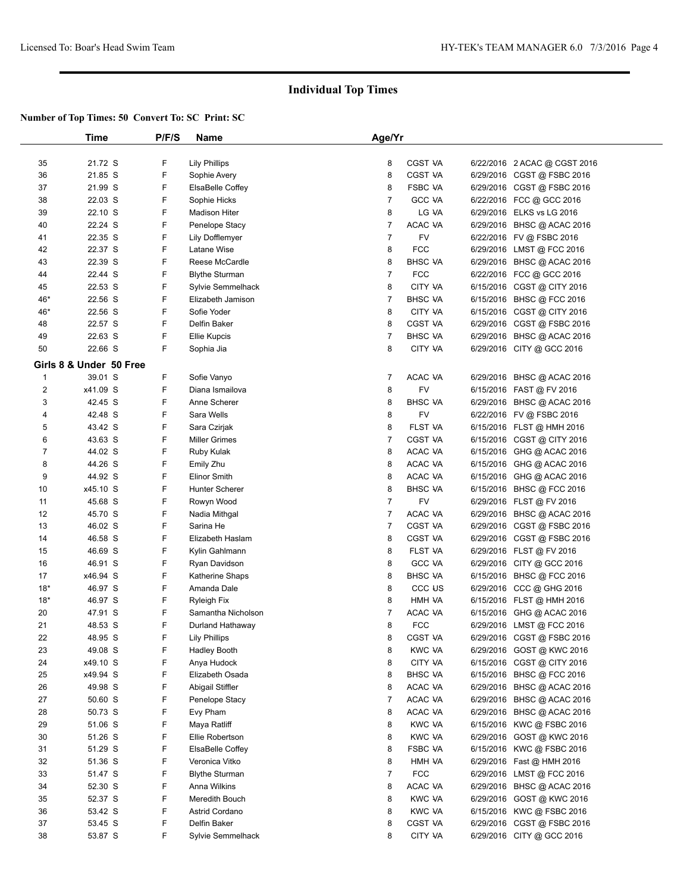|                         | Time     | P/F/S | Name                  | Age/Yr         |                    |           |                                                       |
|-------------------------|----------|-------|-----------------------|----------------|--------------------|-----------|-------------------------------------------------------|
|                         |          |       |                       |                |                    |           |                                                       |
| 35                      | 21.72 S  | F     | <b>Lily Phillips</b>  | 8              | CGST VA            |           | 6/22/2016 2 ACAC @ CGST 2016                          |
| 36                      | 21.85 S  | F     | Sophie Avery          | 8              | <b>CGST VA</b>     |           | 6/29/2016 CGST @ FSBC 2016                            |
| 37                      | 21.99 S  | F     | ElsaBelle Coffey      | 8              | <b>FSBC VA</b>     |           | 6/29/2016 CGST @ FSBC 2016                            |
| 38                      | 22.03 S  | F     | Sophie Hicks          | $\overline{7}$ | <b>GCC VA</b>      |           | 6/22/2016 FCC @ GCC 2016                              |
| 39                      | 22.10 S  | F     | <b>Madison Hiter</b>  | 8              | LG VA              | 6/29/2016 | ELKS vs LG 2016                                       |
| 40                      | 22.24 S  | F     | Penelope Stacy        | $\overline{7}$ | ACAC VA            |           | 6/29/2016 BHSC @ ACAC 2016                            |
| 41                      | 22.35 S  | F     | Lily Dofflemyer       | $\overline{7}$ | FV                 |           | 6/22/2016 FV @ FSBC 2016                              |
| 42                      | 22.37 S  | F     | Latane Wise           | 8              | <b>FCC</b>         | 6/29/2016 | LMST @ FCC 2016                                       |
| 43                      | 22.39 S  | F     | Reese McCardle        | 8              | <b>BHSC VA</b>     | 6/29/2016 | BHSC @ ACAC 2016                                      |
| 44                      | 22.44 S  | F     | <b>Blythe Sturman</b> | $\overline{7}$ | <b>FCC</b>         |           | 6/22/2016 FCC @ GCC 2016                              |
| 45                      | 22.53 S  | F     | Sylvie Semmelhack     | 8              | CITY VA            | 6/15/2016 | CGST @ CITY 2016                                      |
| 46*                     | 22.56 S  | F     | Elizabeth Jamison     | $\overline{7}$ | <b>BHSC VA</b>     |           | 6/15/2016 BHSC @ FCC 2016                             |
| 46*                     | 22.56 S  | F     | Sofie Yoder           | 8              | CITY VA            |           | 6/15/2016 CGST @ CITY 2016                            |
| 48                      | 22.57 S  | F     | Delfin Baker          | 8              | CGST VA            |           | 6/29/2016 CGST @ FSBC 2016                            |
| 49                      | 22.63 S  | F     |                       | $\overline{7}$ | <b>BHSC VA</b>     |           |                                                       |
|                         |          | F     | <b>Ellie Kupcis</b>   | 8              |                    |           | 6/29/2016 BHSC @ ACAC 2016                            |
| 50                      | 22.66 S  |       | Sophia Jia            |                | CITY VA            |           | 6/29/2016 CITY @ GCC 2016                             |
| Girls 8 & Under 50 Free |          |       |                       |                |                    |           |                                                       |
| $\mathbf{1}$            | 39.01 S  | F     | Sofie Vanyo           | 7              | ACAC VA            |           | 6/29/2016 BHSC @ ACAC 2016                            |
| $\boldsymbol{2}$        | x41.09 S | F     | Diana Ismailova       | 8              | <b>FV</b>          |           | 6/15/2016 FAST @ FV 2016                              |
| 3                       | 42.45 S  | F     | Anne Scherer          | 8              | <b>BHSC VA</b>     |           | 6/29/2016 BHSC @ ACAC 2016                            |
| 4                       | 42.48 S  | F     | Sara Wells            | 8              | FV                 |           | 6/22/2016 FV @ FSBC 2016                              |
| 5                       | 43.42 S  | F     | Sara Czirjak          | 8              | FLST VA            |           | 6/15/2016 FLST @ HMH 2016                             |
| 6                       | 43.63 S  | F     | Miller Grimes         | $\overline{7}$ | CGST VA            |           | 6/15/2016 CGST @ CITY 2016                            |
| $\overline{7}$          | 44.02 S  | F     | Ruby Kulak            | 8              | ACAC VA            | 6/15/2016 | GHG @ ACAC 2016                                       |
| 8                       | 44.26 S  | F     | Emily Zhu             | 8              | ACAC VA            | 6/15/2016 | GHG @ ACAC 2016                                       |
| 9                       | 44.92 S  | F     | <b>Elinor Smith</b>   | 8              | ACAC VA            | 6/15/2016 | GHG @ ACAC 2016                                       |
| 10                      | x45.10 S | F     | Hunter Scherer        | 8              | <b>BHSC VA</b>     | 6/15/2016 | BHSC @ FCC 2016                                       |
| 11                      | 45.68 S  | F     | Rowyn Wood            | $\overline{7}$ | FV                 |           | 6/29/2016 FLST @ FV 2016                              |
| 12                      | 45.70 S  | F     | Nadia Mithgal         | $\overline{7}$ | ACAC VA            | 6/29/2016 | BHSC @ ACAC 2016                                      |
| 13                      | 46.02 S  | F     | Sarina He             | $\overline{7}$ | <b>CGST VA</b>     | 6/29/2016 | CGST @ FSBC 2016                                      |
| 14                      | 46.58 S  | F     | Elizabeth Haslam      | 8              | <b>CGST VA</b>     | 6/29/2016 | CGST @ FSBC 2016                                      |
| 15                      | 46.69 S  | F     | Kylin Gahlmann        | 8              | FLST VA            |           | 6/29/2016 FLST @ FV 2016                              |
| 16                      | 46.91 S  | F     | Ryan Davidson         | 8              | <b>GCC VA</b>      | 6/29/2016 | CITY @ GCC 2016                                       |
| 17                      | x46.94 S | F     | Katherine Shaps       | 8              | <b>BHSC VA</b>     |           | 6/15/2016 BHSC @ FCC 2016                             |
| $18*$                   | 46.97 S  | F     | Amanda Dale           | 8              | CCC <sub>U</sub> S |           |                                                       |
| $18*$                   | 46.97 S  | F     |                       | 8              | HMH VA             |           | 6/29/2016 CCC @ GHG 2016<br>6/15/2016 FLST @ HMH 2016 |
|                         |          | F     | <b>Ryleigh Fix</b>    |                |                    |           |                                                       |
| 20                      | 47.91 S  |       | Samantha Nicholson    | $\overline{7}$ | ACAC VA            | 6/15/2016 | GHG @ ACAC 2016                                       |
| 21                      | 48.53 S  | F     | Durland Hathaway      | 8              | <b>FCC</b>         |           | 6/29/2016 LMST @ FCC 2016                             |
| 22                      | 48.95 S  | F     | <b>Lily Phillips</b>  | 8              | CGST VA            |           | 6/29/2016 CGST @ FSBC 2016                            |
| 23                      | 49.08 S  | F     | Hadley Booth          | 8              | KWC VA             |           | 6/29/2016 GOST @ KWC 2016                             |
| 24                      | x49.10 S | F     | Anya Hudock           | 8              | CITY VA            |           | 6/15/2016 CGST @ CITY 2016                            |
| 25                      | x49.94 S | F     | Elizabeth Osada       | 8              | <b>BHSC VA</b>     |           | 6/15/2016 BHSC @ FCC 2016                             |
| 26                      | 49.98 S  | F     | Abigail Stiffler      | 8              | ACAC VA            |           | 6/29/2016 BHSC @ ACAC 2016                            |
| 27                      | 50.60 S  | F     | Penelope Stacy        | $\overline{7}$ | ACAC VA            |           | 6/29/2016 BHSC @ ACAC 2016                            |
| 28                      | 50.73 S  | F     | Evy Pham              | 8              | ACAC VA            |           | 6/29/2016 BHSC @ ACAC 2016                            |
| 29                      | 51.06 S  | F     | Maya Ratliff          | 8              | <b>KWC VA</b>      |           | 6/15/2016 KWC @ FSBC 2016                             |
| 30                      | 51.26 S  | F     | Ellie Robertson       | 8              | <b>KWC VA</b>      | 6/29/2016 | GOST @ KWC 2016                                       |
| 31                      | 51.29 S  | F     | ElsaBelle Coffey      | 8              | <b>FSBC VA</b>     | 6/15/2016 | KWC @ FSBC 2016                                       |
| 32                      | 51.36 S  | F     | Veronica Vitko        | 8              | HMH VA             |           | 6/29/2016 Fast @ HMH 2016                             |
| 33                      | 51.47 S  | F     | <b>Blythe Sturman</b> | $\overline{7}$ | <b>FCC</b>         |           | 6/29/2016 LMST @ FCC 2016                             |
| 34                      | 52.30 S  | F     | Anna Wilkins          | 8              | ACAC VA            |           | 6/29/2016 BHSC @ ACAC 2016                            |
| 35                      | 52.37 S  | F     | Meredith Bouch        | 8              | <b>KWC VA</b>      |           | 6/29/2016 GOST @ KWC 2016                             |
| 36                      | 53.42 S  | F     | Astrid Cordano        | 8              | <b>KWC VA</b>      |           | 6/15/2016 KWC @ FSBC 2016                             |
| 37                      | 53.45 S  | F     | Delfin Baker          | 8              | CGST VA            |           | 6/29/2016 CGST @ FSBC 2016                            |
| 38                      | 53.87 S  | F     | Sylvie Semmelhack     | 8              | CITY VA            |           | 6/29/2016 CITY @ GCC 2016                             |
|                         |          |       |                       |                |                    |           |                                                       |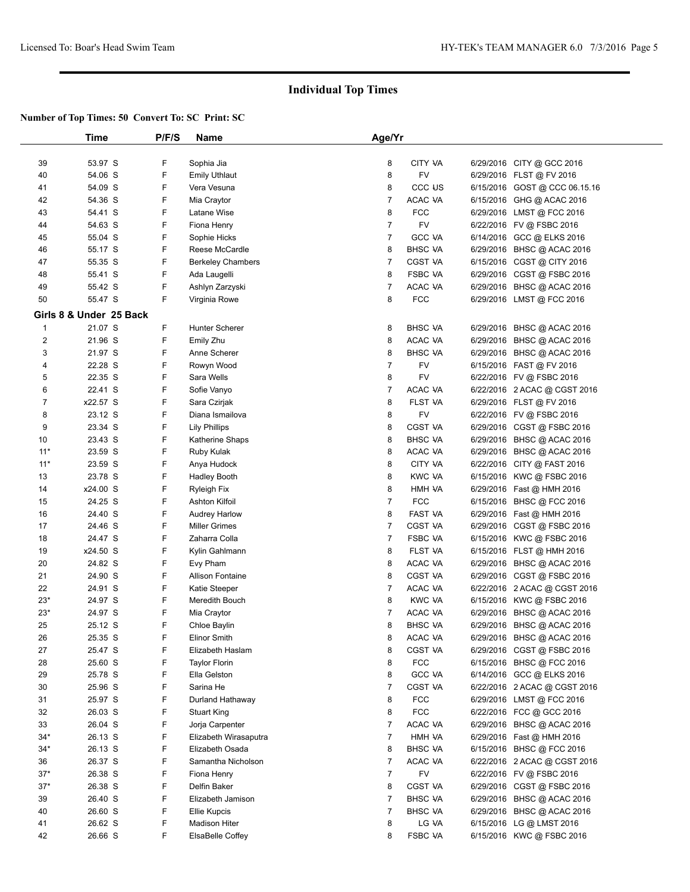|                         | Time                    | P/F/S  | Name                                | Age/Yr         |                       |                                                           |  |
|-------------------------|-------------------------|--------|-------------------------------------|----------------|-----------------------|-----------------------------------------------------------|--|
| 39                      | 53.97 S                 | F      | Sophia Jia                          | 8              | CITY VA               | 6/29/2016 CITY @ GCC 2016                                 |  |
| 40                      | 54.06 S                 | F      | <b>Emily Uthlaut</b>                | 8              | <b>FV</b>             | 6/29/2016 FLST @ FV 2016                                  |  |
| 41                      | 54.09 S                 | F      | Vera Vesuna                         | 8              | CCC US                | 6/15/2016 GOST @ CCC 06.15.16                             |  |
| 42                      | 54.36 S                 | F      | Mia Craytor                         | $\overline{7}$ | ACAC VA               | 6/15/2016 GHG @ ACAC 2016                                 |  |
| 43                      | 54.41 S                 | F      | Latane Wise                         | 8              | <b>FCC</b>            | 6/29/2016 LMST @ FCC 2016                                 |  |
| 44                      | 54.63 S                 | F      | Fiona Henry                         | $\overline{7}$ | <b>FV</b>             | 6/22/2016 FV @ FSBC 2016                                  |  |
| 45                      | 55.04 S                 | F      | Sophie Hicks                        | $\overline{7}$ | <b>GCC VA</b>         | 6/14/2016 GCC @ ELKS 2016                                 |  |
| 46                      | 55.17 S                 | F      | Reese McCardle                      | 8              | <b>BHSC VA</b>        | 6/29/2016 BHSC @ ACAC 2016                                |  |
| 47                      | 55.35 S                 | F      | <b>Berkeley Chambers</b>            | $\overline{7}$ | CGST VA               | 6/15/2016 CGST @ CITY 2016                                |  |
| 48                      | 55.41 S                 | F      | Ada Laugelli                        | 8              | FSBC VA               | 6/29/2016 CGST @ FSBC 2016                                |  |
| 49                      | 55.42 S                 | F      | Ashlyn Zarzyski                     | 7              | ACAC VA               | 6/29/2016 BHSC @ ACAC 2016                                |  |
| 50                      | 55.47 S                 | F      | Virginia Rowe                       | 8              | <b>FCC</b>            | 6/29/2016 LMST@FCC 2016                                   |  |
|                         |                         |        |                                     |                |                       |                                                           |  |
|                         | Girls 8 & Under 25 Back |        |                                     |                |                       |                                                           |  |
| $\mathbf 1$             | 21.07 S                 | F      | <b>Hunter Scherer</b>               | 8              | <b>BHSC VA</b>        | 6/29/2016 BHSC @ ACAC 2016                                |  |
| $\overline{\mathbf{c}}$ | 21.96 S                 | F      | Emily Zhu                           | 8              | ACAC VA               | 6/29/2016 BHSC @ ACAC 2016                                |  |
| 3                       | 21.97 S                 | F      | Anne Scherer                        | 8              | <b>BHSC VA</b>        | 6/29/2016 BHSC @ ACAC 2016                                |  |
| 4                       | 22.28 S                 | F      | Rowyn Wood                          | $\overline{7}$ | <b>FV</b>             | 6/15/2016 FAST @ FV 2016                                  |  |
| 5                       | 22.35 S                 | F      | Sara Wells                          | 8              | <b>FV</b>             | 6/22/2016 FV @ FSBC 2016                                  |  |
| 6                       | 22.41 S                 | F      | Sofie Vanyo                         | 7              | ACAC VA               | 6/22/2016 2 ACAC @ CGST 2016                              |  |
| 7                       | x22.57 S                | F      | Sara Czirjak                        | 8              | FLST VA               | 6/29/2016 FLST @ FV 2016                                  |  |
| 8                       | 23.12 S                 | F      | Diana Ismailova                     | 8              | <b>FV</b>             | 6/22/2016 FV @ FSBC 2016                                  |  |
| 9                       | 23.34 S                 | F      | <b>Lily Phillips</b>                | 8              | <b>CGST VA</b>        | 6/29/2016 CGST @ FSBC 2016                                |  |
| 10                      | 23.43 S                 | F      | Katherine Shaps                     | 8              | <b>BHSC VA</b>        | 6/29/2016 BHSC @ ACAC 2016                                |  |
| $11*$                   | 23.59 S                 | F      | Ruby Kulak                          | 8              | ACAC VA               | 6/29/2016 BHSC @ ACAC 2016                                |  |
| $11*$                   | 23.59 S                 | F      | Anya Hudock                         | 8              | CITY VA               | 6/22/2016 CITY @ FAST 2016                                |  |
| 13                      | 23.78 S                 | F      | <b>Hadley Booth</b>                 | 8              | <b>KWC VA</b>         | 6/15/2016 KWC @ FSBC 2016                                 |  |
| 14                      | x24.00 S                | F      | Ryleigh Fix                         | 8              | HMH VA                | 6/29/2016 Fast @ HMH 2016                                 |  |
| 15                      | 24.25 S                 | F      | Ashton Kilfoil                      | $\overline{7}$ | <b>FCC</b>            | 6/15/2016 BHSC @ FCC 2016                                 |  |
| 16                      | 24.40 S                 | F      | <b>Audrey Harlow</b>                | 8              | <b>FAST VA</b>        | 6/29/2016 Fast @ HMH 2016                                 |  |
| 17                      | 24.46 S                 | F      | <b>Miller Grimes</b>                | 7              | CGST VA               | 6/29/2016 CGST @ FSBC 2016                                |  |
| 18                      | 24.47 S                 | F      | Zaharra Colla                       | 7              | <b>FSBC VA</b>        | 6/15/2016 KWC @ FSBC 2016                                 |  |
| 19                      | x24.50 S                | F      | Kylin Gahlmann                      | 8              | FLST VA               | 6/15/2016 FLST @ HMH 2016                                 |  |
| 20                      | 24.82 S                 | F      | Evy Pham                            | 8              | ACAC VA               | 6/29/2016 BHSC @ ACAC 2016                                |  |
| 21                      | 24.90 S                 | F      | <b>Allison Fontaine</b>             | 8              | CGST VA               | 6/29/2016 CGST @ FSBC 2016                                |  |
| 22                      | 24.91 S                 | F      | Katie Steeper                       | $\overline{7}$ | ACAC VA               | 6/22/2016 2 ACAC @ CGST 2016                              |  |
| $23*$                   | 24.97 S                 | F      | Meredith Bouch                      | 8              | <b>KWC VA</b>         | 6/15/2016 KWC @ FSBC 2016                                 |  |
| $23*$                   | 24.97 S                 | F      | Mia Craytor                         | 7              | ACAC VA               | 6/29/2016 BHSC @ ACAC 2016                                |  |
| 25                      | 25.12 S                 | F<br>F | Chloe Baylin<br><b>Elinor Smith</b> | 8              | <b>BHSC VA</b>        | 6/29/2016 BHSC @ ACAC 2016                                |  |
| 26                      | 25.35 S                 | F      |                                     | 8              | ACAC VA               | 6/29/2016 BHSC @ ACAC 2016                                |  |
| 27                      | 25.47 S                 | F      | Elizabeth Haslam                    | 8              | CGST VA<br><b>FCC</b> | 6/29/2016 CGST @ FSBC 2016<br>6/15/2016 BHSC @ FCC 2016   |  |
| 28                      | 25.60 S                 | F      | <b>Taylor Florin</b>                | 8<br>8         | <b>GCC VA</b>         |                                                           |  |
| 29<br>30                | 25.78 S<br>25.96 S      | F      | Ella Gelston<br>Sarina He           | 7              | CGST VA               | 6/14/2016 GCC @ ELKS 2016                                 |  |
| 31                      | 25.97 S                 | F      | Durland Hathaway                    | 8              | <b>FCC</b>            | 6/22/2016 2 ACAC @ CGST 2016                              |  |
| 32                      | 26.03 S                 | F      | <b>Stuart King</b>                  | 8              | <b>FCC</b>            | 6/29/2016 LMST @ FCC 2016<br>6/22/2016 FCC @ GCC 2016     |  |
| 33                      | 26.04 S                 | F      | Jorja Carpenter                     | 7              | ACAC VA               | 6/29/2016 BHSC @ ACAC 2016                                |  |
| $34*$                   | 26.13 S                 | F      | Elizabeth Wirasaputra               | 7              | HMH VA                |                                                           |  |
| $34*$                   | 26.13 S                 | F      | Elizabeth Osada                     | 8              | <b>BHSC VA</b>        | 6/29/2016 Fast @ HMH 2016                                 |  |
| 36                      | 26.37 S                 | F      | Samantha Nicholson                  | 7              | ACAC VA               | 6/15/2016 BHSC @ FCC 2016<br>6/22/2016 2 ACAC @ CGST 2016 |  |
| $37*$                   | 26.38 S                 | F      | Fiona Henry                         | $\overline{7}$ | <b>FV</b>             | 6/22/2016 FV @ FSBC 2016                                  |  |
| $37*$                   | 26.38 S                 | F      | Delfin Baker                        | 8              | CGST VA               | 6/29/2016 CGST @ FSBC 2016                                |  |
| 39                      | 26.40 S                 | F      | Elizabeth Jamison                   | 7              | <b>BHSC VA</b>        | 6/29/2016 BHSC @ ACAC 2016                                |  |
| 40                      | 26.60 S                 | F      | <b>Ellie Kupcis</b>                 | $\overline{7}$ | <b>BHSC VA</b>        | 6/29/2016 BHSC @ ACAC 2016                                |  |
| 41                      | 26.62 S                 | F      | Madison Hiter                       | 8              | LG VA                 | 6/15/2016 LG @ LMST 2016                                  |  |
| 42                      | 26.66 S                 | F      | ElsaBelle Coffey                    | 8              | <b>FSBC VA</b>        | 6/15/2016 KWC @ FSBC 2016                                 |  |
|                         |                         |        |                                     |                |                       |                                                           |  |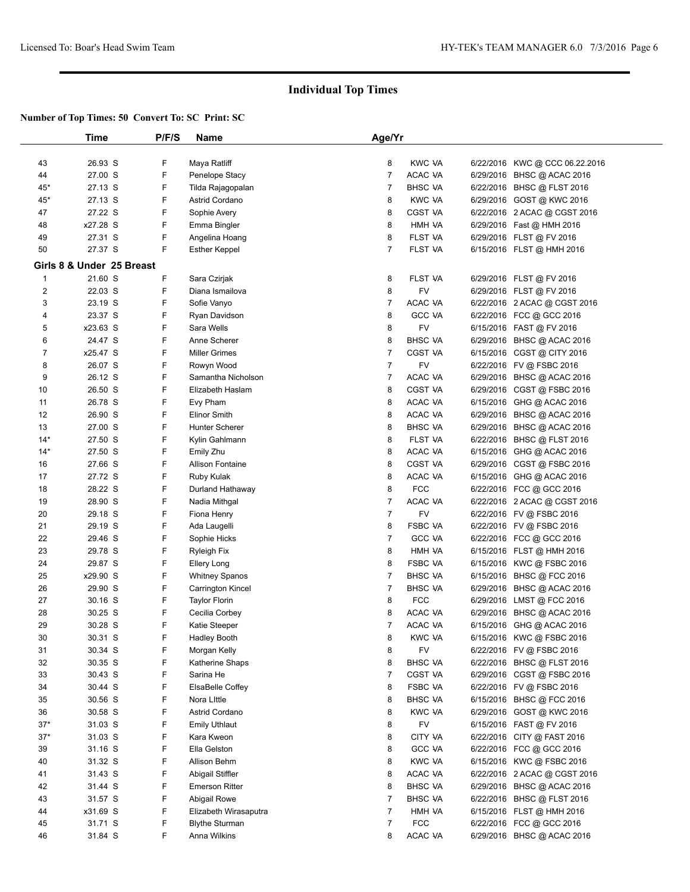|                | Time                      | P/F/S | Name                     | Age/Yr         |                |                                |  |
|----------------|---------------------------|-------|--------------------------|----------------|----------------|--------------------------------|--|
|                |                           |       |                          |                |                |                                |  |
| 43             | 26.93 S                   | F     | Maya Ratliff             | 8              | <b>KWC VA</b>  | 6/22/2016 KWC @ CCC 06.22.2016 |  |
| 44             | 27.00 S                   | F     | Penelope Stacy           | 7              | ACAC VA        | 6/29/2016 BHSC @ ACAC 2016     |  |
| $45*$          | 27.13 S                   | F     | Tilda Rajagopalan        | 7              | <b>BHSC VA</b> | 6/22/2016 BHSC @ FLST 2016     |  |
| $45*$          | 27.13 S                   | F     | Astrid Cordano           | 8              | <b>KWC VA</b>  | 6/29/2016 GOST @ KWC 2016      |  |
| 47             | 27.22 S                   | F     | Sophie Avery             | 8              | CGST VA        | 6/22/2016 2 ACAC @ CGST 2016   |  |
| 48             | x27.28 S                  | F     | Emma Bingler             | 8              | HMH VA         | 6/29/2016 Fast @ HMH 2016      |  |
| 49             | 27.31 S                   | F     | Angelina Hoang           | 8              | FLST VA        | 6/29/2016 FLST @ FV 2016       |  |
| 50             | 27.37 S                   | F     | <b>Esther Keppel</b>     | $\overline{7}$ | FLST VA        | 6/15/2016 FLST @ HMH 2016      |  |
|                | Girls 8 & Under 25 Breast |       |                          |                |                |                                |  |
| $\mathbf 1$    | 21.60 S                   | F     | Sara Czirjak             | 8              | FLST VA        | 6/29/2016 FLST @ FV 2016       |  |
| $\overline{c}$ | 22.03 S                   | F     | Diana Ismailova          | 8              | <b>FV</b>      | 6/29/2016 FLST @ FV 2016       |  |
| 3              | 23.19 S                   | F     | Sofie Vanyo              | 7              | ACAC VA        | 6/22/2016 2 ACAC @ CGST 2016   |  |
| 4              | 23.37 S                   | F     | Ryan Davidson            | 8              | <b>GCC VA</b>  | 6/22/2016 FCC @ GCC 2016       |  |
| 5              | x23.63 S                  | F     | Sara Wells               | 8              | <b>FV</b>      | 6/15/2016 FAST @ FV 2016       |  |
| 6              | 24.47 S                   | F     | Anne Scherer             | 8              | <b>BHSC VA</b> | 6/29/2016 BHSC @ ACAC 2016     |  |
| $\overline{7}$ | x25.47 S                  | F     | <b>Miller Grimes</b>     | 7              | <b>CGST VA</b> | 6/15/2016 CGST @ CITY 2016     |  |
| 8              | 26.07 S                   | F     | Rowyn Wood               | $\overline{7}$ | FV             | 6/22/2016 FV @ FSBC 2016       |  |
| 9              | 26.12 S                   | F     | Samantha Nicholson       | 7              | ACAC VA        | 6/29/2016 BHSC @ ACAC 2016     |  |
| 10             | 26.50 S                   | F     | Elizabeth Haslam         | 8              | <b>CGST VA</b> | 6/29/2016 CGST @ FSBC 2016     |  |
| 11             | 26.78 S                   | F     | Evy Pham                 | 8              | ACAC VA        | 6/15/2016 GHG @ ACAC 2016      |  |
| 12             | 26.90 S                   | F     | <b>Elinor Smith</b>      | 8              | ACAC VA        | 6/29/2016 BHSC @ ACAC 2016     |  |
| 13             | 27.00 S                   | F     | Hunter Scherer           | 8              | <b>BHSC VA</b> | 6/29/2016 BHSC @ ACAC 2016     |  |
| $14*$          | 27.50 S                   | F     | Kylin Gahlmann           | 8              | FLST VA        | 6/22/2016 BHSC @ FLST 2016     |  |
| $14*$          | 27.50 S                   | F     | Emily Zhu                | 8              | ACAC VA        | 6/15/2016 GHG @ ACAC 2016      |  |
| 16             | 27.66 S                   | F     | <b>Allison Fontaine</b>  | 8              | <b>CGST VA</b> | 6/29/2016 CGST @ FSBC 2016     |  |
| 17             | 27.72 S                   | F     | Ruby Kulak               | 8              | ACAC VA        | 6/15/2016 GHG @ ACAC 2016      |  |
| 18             | 28.22 S                   | F     | Durland Hathaway         | 8              | <b>FCC</b>     | 6/22/2016 FCC @ GCC 2016       |  |
| 19             | 28.90 S                   | F     | Nadia Mithgal            | 7              | ACAC VA        | 6/22/2016 2 ACAC @ CGST 2016   |  |
| 20             | 29.18 S                   | F     | Fiona Henry              | $\overline{7}$ | <b>FV</b>      | 6/22/2016 FV @ FSBC 2016       |  |
| 21             | 29.19 S                   | F     | Ada Laugelli             | 8              | <b>FSBC VA</b> | 6/22/2016 FV @ FSBC 2016       |  |
| 22             | 29.46 S                   | F     | Sophie Hicks             | 7              | <b>GCC VA</b>  | 6/22/2016 FCC @ GCC 2016       |  |
| 23             | 29.78 S                   | F     | Ryleigh Fix              | 8              | HMH VA         | 6/15/2016 FLST @ HMH 2016      |  |
| 24             | 29.87 S                   | F     | <b>Ellery Long</b>       | 8              | <b>FSBC VA</b> | 6/15/2016 KWC @ FSBC 2016      |  |
| 25             | x29.90 S                  | F     | <b>Whitney Spanos</b>    | 7              | <b>BHSC VA</b> | 6/15/2016 BHSC @ FCC 2016      |  |
| 26             | 29.90 S                   | F     | <b>Carrington Kincel</b> | $\overline{7}$ | <b>BHSC VA</b> | 6/29/2016 BHSC @ ACAC 2016     |  |
| 27             | 30.16 S                   | F     | <b>Taylor Florin</b>     | 8              | <b>FCC</b>     | 6/29/2016 LMST @ FCC 2016      |  |
| 28             | 30.25 S                   | F     | Cecilia Corbey           | 8              | ACAC VA        | 6/29/2016 BHSC @ ACAC 2016     |  |
| 29             | 30.28 S                   | F     | Katie Steeper            | 7              | ACAC VA        | 6/15/2016 GHG @ ACAC 2016      |  |
| 30             | 30.31 S                   | F     | Hadley Booth             | 8              | <b>KWC VA</b>  | 6/15/2016 KWC @ FSBC 2016      |  |
| 31             | 30.34 S                   | F     | Morgan Kelly             | 8              | FV             | 6/22/2016 FV @ FSBC 2016       |  |
| 32             | 30.35 S                   | F     | Katherine Shaps          | 8              | BHSC VA        | 6/22/2016 BHSC @ FLST 2016     |  |
| 33             | 30.43 S                   | F     | Sarina He                | 7              | CGST VA        | 6/29/2016 CGST @ FSBC 2016     |  |
| 34             | 30.44 S                   | F     | ElsaBelle Coffey         | 8              | <b>FSBC VA</b> | 6/22/2016 FV @ FSBC 2016       |  |
| 35             | 30.56 S                   | F     | Nora Little              | 8              | <b>BHSC VA</b> | 6/15/2016 BHSC @ FCC 2016      |  |
| 36             | 30.58 S                   | F     | Astrid Cordano           | 8              | <b>KWC VA</b>  | 6/29/2016 GOST @ KWC 2016      |  |
| $37*$          | 31.03 S                   | F     | <b>Emily Uthlaut</b>     | 8              | FV             | 6/15/2016 FAST @ FV 2016       |  |
| $37*$          | 31.03 S                   | F     | Kara Kweon               | 8              | CITY VA        | 6/22/2016 CITY @ FAST 2016     |  |
| 39             | 31.16 S                   | F     | Ella Gelston             | 8              | <b>GCC VA</b>  | 6/22/2016 FCC @ GCC 2016       |  |
| 40             | 31.32 S                   | F     | Allison Behm             | 8              | <b>KWC VA</b>  | 6/15/2016 KWC @ FSBC 2016      |  |
| 41             | 31.43 S                   | F     | Abigail Stiffler         | 8              | ACAC VA        | 6/22/2016 2 ACAC @ CGST 2016   |  |
| 42             | 31.44 S                   | F     | <b>Emerson Ritter</b>    | 8              | <b>BHSC VA</b> | 6/29/2016 BHSC @ ACAC 2016     |  |
| 43             | 31.57 S                   | F     | Abigail Rowe             | 7              | BHSC VA        | 6/22/2016 BHSC @ FLST 2016     |  |
| 44             | x31.69 S                  | F     | Elizabeth Wirasaputra    | 7              | HMH VA         | 6/15/2016 FLST @ HMH 2016      |  |
| 45             | 31.71 S                   | F     | <b>Blythe Sturman</b>    | 7              | <b>FCC</b>     | 6/22/2016 FCC @ GCC 2016       |  |
| 46             | 31.84 S                   | F     | Anna Wilkins             | 8              | ACAC VA        | 6/29/2016 BHSC @ ACAC 2016     |  |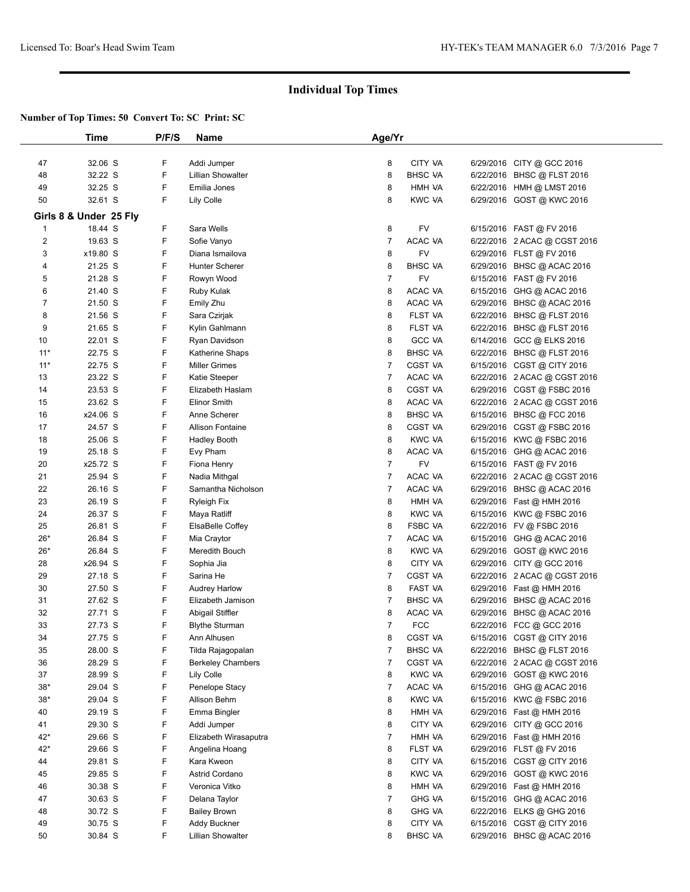|          | <b>Time</b>            | P/F/S  | Name                             | Age/Yr              |                             |           |                                                            |  |
|----------|------------------------|--------|----------------------------------|---------------------|-----------------------------|-----------|------------------------------------------------------------|--|
| 47       | 32.06 S                | F.     | Addi Jumper                      | 8                   | CITY VA                     |           | 6/29/2016 CITY @ GCC 2016                                  |  |
| 48       | 32.22 S                | F      | <b>Lillian Showalter</b>         | 8                   | <b>BHSC VA</b>              |           | 6/22/2016 BHSC @ FLST 2016                                 |  |
| 49       | 32.25 S                | F      | Emilia Jones                     | 8                   | HMH VA                      |           | 6/22/2016 HMH @ LMST 2016                                  |  |
| 50       | 32.61 S                | F      | Lily Colle                       | 8                   | <b>KWC VA</b>               |           | 6/29/2016 GOST @ KWC 2016                                  |  |
|          | Girls 8 & Under 25 Fly |        |                                  |                     |                             |           |                                                            |  |
|          |                        |        |                                  |                     |                             |           |                                                            |  |
| 1<br>2   | 18.44 S<br>19.63 S     | F<br>F | Sara Wells<br>Sofie Vanyo        | 8<br>7              | FV<br>ACAC VA               |           | 6/15/2016 FAST @ FV 2016                                   |  |
|          |                        | F      | Diana Ismailova                  |                     | <b>FV</b>                   |           | 6/22/2016 2 ACAC @ CGST 2016                               |  |
| 3        | x19.80 S               | F      |                                  | 8                   |                             |           | 6/29/2016 FLST @ FV 2016                                   |  |
| 4<br>5   | 21.25 S                | F      | Hunter Scherer                   | 8<br>$\overline{7}$ | <b>BHSC VA</b><br><b>FV</b> |           | 6/29/2016 BHSC @ ACAC 2016                                 |  |
|          | 21.28 S                | F      | Rowyn Wood                       | 8                   |                             |           | 6/15/2016 FAST @ FV 2016                                   |  |
| 6<br>7   | 21.40 S<br>21.50 S     | F      | Ruby Kulak                       | 8                   | ACAC VA<br>ACAC VA          |           | 6/15/2016 GHG @ ACAC 2016                                  |  |
| 8        | 21.56 S                | F      | Emily Zhu<br>Sara Czirjak        | 8                   | FLST VA                     |           | 6/29/2016 BHSC @ ACAC 2016<br>6/22/2016 BHSC @ FLST 2016   |  |
| 9        |                        | F      |                                  | 8                   | FLST VA                     |           |                                                            |  |
| 10       | 21.65 S<br>22.01 S     | F      | Kylin Gahlmann                   | 8                   | <b>GCC VA</b>               |           | 6/22/2016 BHSC @ FLST 2016                                 |  |
| $11*$    | 22.75 S                | F      | Ryan Davidson<br>Katherine Shaps | 8                   | <b>BHSC VA</b>              |           | 6/14/2016 GCC @ ELKS 2016<br>6/22/2016 BHSC @ FLST 2016    |  |
| $11*$    | 22.75 S                | F      | <b>Miller Grimes</b>             | 7                   | CGST VA                     |           | 6/15/2016 CGST @ CITY 2016                                 |  |
| 13       | 23.22 S                | F      | Katie Steeper                    | 7                   | ACAC VA                     |           |                                                            |  |
| 14       | 23.53 S                | F      | Elizabeth Haslam                 | 8                   | CGST VA                     |           | 6/22/2016 2 ACAC @ CGST 2016                               |  |
|          | 23.62 S                | F      | <b>Elinor Smith</b>              | 8                   | ACAC VA                     |           | 6/29/2016 CGST @ FSBC 2016<br>6/22/2016 2 ACAC @ CGST 2016 |  |
| 15<br>16 | x24.06 S               | F      | Anne Scherer                     | 8                   | <b>BHSC VA</b>              |           |                                                            |  |
| 17       | 24.57 S                | F      | <b>Allison Fontaine</b>          | 8                   | <b>CGST VA</b>              |           | 6/15/2016 BHSC @ FCC 2016<br>6/29/2016 CGST @ FSBC 2016    |  |
|          |                        | F      |                                  | 8                   |                             |           |                                                            |  |
| 18       | 25.06 S<br>25.18 S     | F      | <b>Hadley Booth</b>              | 8                   | <b>KWC VA</b><br>ACAC VA    |           | 6/15/2016 KWC @ FSBC 2016                                  |  |
| 19<br>20 | x25.72 S               | F      | Evy Pham                         | 7                   | FV                          |           | 6/15/2016 GHG @ ACAC 2016                                  |  |
|          |                        | F      | Fiona Henry                      | 7                   |                             |           | 6/15/2016 FAST @ FV 2016                                   |  |
| 21       | 25.94 S<br>26.16 S     | F      | Nadia Mithgal                    | 7                   | ACAC VA                     |           | 6/22/2016 2 ACAC @ CGST 2016                               |  |
| 22<br>23 | 26.19 S                | F      | Samantha Nicholson               | 8                   | ACAC VA<br>HMH VA           |           | 6/29/2016 BHSC @ ACAC 2016                                 |  |
|          |                        | F      | Ryleigh Fix                      | 8                   | <b>KWC VA</b>               |           | 6/29/2016 Fast @ HMH 2016                                  |  |
| 24<br>25 | 26.37 S<br>26.81 S     | F      | Maya Ratliff<br>ElsaBelle Coffey | 8                   | <b>FSBC VA</b>              |           | 6/15/2016 KWC @ FSBC 2016<br>6/22/2016 FV @ FSBC 2016      |  |
| $26*$    | 26.84 S                | F      | Mia Craytor                      | 7                   | ACAC VA                     |           | 6/15/2016 GHG @ ACAC 2016                                  |  |
| $26*$    | 26.84 S                | F      | Meredith Bouch                   | 8                   | <b>KWC VA</b>               |           | 6/29/2016 GOST @ KWC 2016                                  |  |
| 28       | x26.94 S               | F      | Sophia Jia                       | 8                   | <b>CITY VA</b>              |           | 6/29/2016 CITY @ GCC 2016                                  |  |
| 29       | 27.18 S                | F      | Sarina He                        | 7                   | CGST VA                     |           | 6/22/2016 2 ACAC @ CGST 2016                               |  |
| 30       | 27.50 S                | F      | <b>Audrey Harlow</b>             | 8                   | FAST VA                     |           | 6/29/2016 Fast @ HMH 2016                                  |  |
| 31       | 27.62 S                | F      | Elizabeth Jamison                | 7                   | <b>BHSC VA</b>              |           | 6/29/2016 BHSC @ ACAC 2016                                 |  |
| 32       | 27.71 S                | F      | Abigail Stiffler                 | 8                   | ACAC VA                     |           | 6/29/2016 BHSC @ ACAC 2016                                 |  |
| 33       | 27.73 S                | F      | <b>Blythe Sturman</b>            | $\overline{7}$      | <b>FCC</b>                  |           | 6/22/2016 FCC @ GCC 2016                                   |  |
| 34       | 27.75 S                | F      | Ann Alhusen                      | 8                   | CGST VA                     |           | 6/15/2016 CGST @ CITY 2016                                 |  |
| 35       | 28.00 S                | F      | Tilda Rajagopalan                | 7                   | <b>BHSC VA</b>              |           | 6/22/2016 BHSC @ FLST 2016                                 |  |
| 36       | 28.29 S                | F      | <b>Berkeley Chambers</b>         | 7                   | <b>CGST VA</b>              |           | 6/22/2016 2 ACAC @ CGST 2016                               |  |
| 37       | 28.99 S                | F      | Lily Colle                       | 8                   | <b>KWC VA</b>               |           | 6/29/2016 GOST @ KWC 2016                                  |  |
| $38*$    | 29.04 S                | F      | Penelope Stacy                   | 7                   | ACAC VA                     | 6/15/2016 | GHG @ ACAC 2016                                            |  |
| $38*$    | 29.04 S                | F      | Allison Behm                     | 8                   | <b>KWC VA</b>               | 6/15/2016 | KWC @ FSBC 2016                                            |  |
| 40       | 29.19 S                | F      | Emma Bingler                     | 8                   | HMH VA                      |           | 6/29/2016 Fast @ HMH 2016                                  |  |
| 41       | 29.30 S                | F      | Addi Jumper                      | 8                   | CITY VA                     |           | 6/29/2016 CITY @ GCC 2016                                  |  |
| 42*      | 29.66 S                | F      | Elizabeth Wirasaputra            | 7                   | HMH VA                      |           | 6/29/2016 Fast @ HMH 2016                                  |  |
| 42*      | 29.66 S                | F      | Angelina Hoang                   | 8                   | FLST VA                     |           | 6/29/2016 FLST @ FV 2016                                   |  |
| 44       | 29.81 S                | F      | Kara Kweon                       | 8                   | CITY VA                     |           | 6/15/2016 CGST @ CITY 2016                                 |  |
| 45       | 29.85 S                | F      | Astrid Cordano                   | 8                   | <b>KWC VA</b>               | 6/29/2016 | GOST @ KWC 2016                                            |  |
| 46       | 30.38 S                | F      | Veronica Vitko                   | 8                   | HMH VA                      |           | 6/29/2016 Fast @ HMH 2016                                  |  |
| 47       | 30.63 S                | F      | Delana Taylor                    | 7                   | <b>GHG VA</b>               | 6/15/2016 | GHG @ ACAC 2016                                            |  |
| 48       | 30.72 S                | F      | <b>Bailey Brown</b>              | 8                   | <b>GHG VA</b>               |           | 6/22/2016 ELKS @ GHG 2016                                  |  |
| 49       | 30.75 S                | F      | Addy Buckner                     | 8                   | CITY VA                     | 6/15/2016 | CGST @ CITY 2016                                           |  |
| 50       | 30.84 S                | F      | Lillian Showalter                | 8                   | <b>BHSC VA</b>              |           | 6/29/2016 BHSC @ ACAC 2016                                 |  |
|          |                        |        |                                  |                     |                             |           |                                                            |  |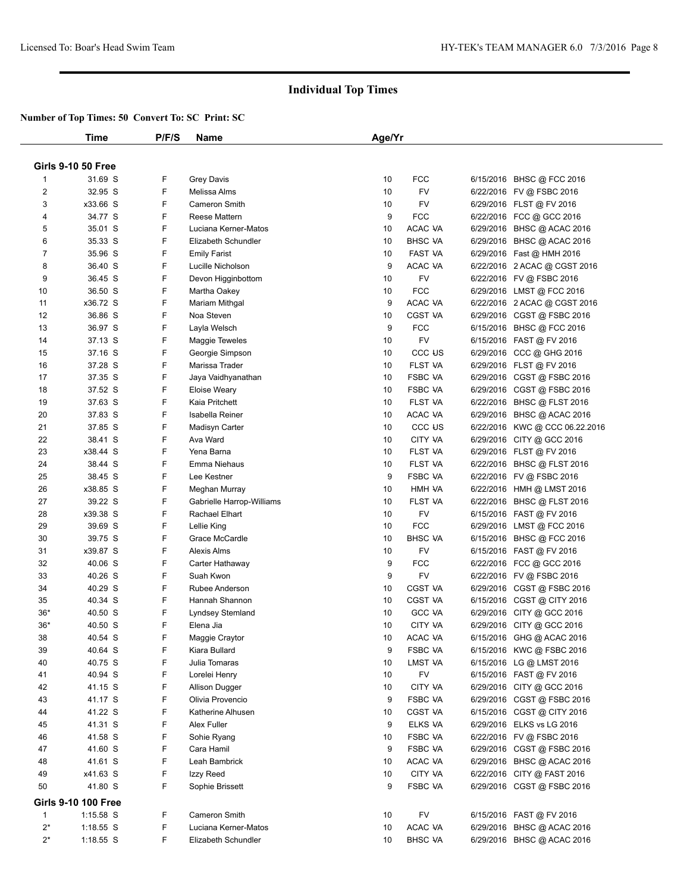|                         | Time                      | P/F/S | <b>Name</b>               | Age/Yr |                    |                                |  |
|-------------------------|---------------------------|-------|---------------------------|--------|--------------------|--------------------------------|--|
|                         |                           |       |                           |        |                    |                                |  |
|                         | <b>Girls 9-10 50 Free</b> |       |                           |        |                    |                                |  |
| 1                       | 31.69 S                   | F     | <b>Grey Davis</b>         | 10     | <b>FCC</b>         | 6/15/2016 BHSC @ FCC 2016      |  |
| $\overline{\mathbf{c}}$ | 32.95 S                   | F     | Melissa Alms              | 10     | FV                 | 6/22/2016 FV @ FSBC 2016       |  |
| 3                       | x33.66 S                  | F     | Cameron Smith             | 10     | FV                 | 6/29/2016 FLST @ FV 2016       |  |
| 4                       | 34.77 S                   | F     | <b>Reese Mattern</b>      | 9      | <b>FCC</b>         | 6/22/2016 FCC @ GCC 2016       |  |
| 5                       | 35.01 S                   | F     | Luciana Kerner-Matos      | 10     | ACAC VA            | 6/29/2016 BHSC @ ACAC 2016     |  |
| 6                       | 35.33 S                   | F     | Elizabeth Schundler       | 10     | <b>BHSC VA</b>     | 6/29/2016 BHSC @ ACAC 2016     |  |
| 7                       | 35.96 S                   | F     | <b>Emily Farist</b>       | 10     | <b>FAST VA</b>     | 6/29/2016 Fast @ HMH 2016      |  |
| 8                       | 36.40 S                   | F     | Lucille Nicholson         | 9      | ACAC VA            | 6/22/2016 2 ACAC @ CGST 2016   |  |
| 9                       | 36.45 S                   | F     | Devon Higginbottom        | 10     | FV                 | 6/22/2016 FV @ FSBC 2016       |  |
| 10                      | 36.50 S                   | F     | Martha Oakey              | 10     | <b>FCC</b>         | 6/29/2016 LMST @ FCC 2016      |  |
| 11                      | x36.72 S                  | F     | Mariam Mithgal            | 9      | ACAC VA            | 6/22/2016 2 ACAC @ CGST 2016   |  |
| 12                      | 36.86 S                   | F     | Noa Steven                | 10     | <b>CGST VA</b>     | 6/29/2016 CGST @ FSBC 2016     |  |
| 13                      | 36.97 S                   | F     | Layla Welsch              | 9      | <b>FCC</b>         | 6/15/2016 BHSC @ FCC 2016      |  |
| 14                      | 37.13 S                   | F     | Maggie Teweles            | 10     | FV                 | 6/15/2016 FAST @ FV 2016       |  |
| 15                      | 37.16 S                   | F     | Georgie Simpson           | 10     | CCC <sub>US</sub>  | 6/29/2016 CCC @ GHG 2016       |  |
| 16                      | 37.28 S                   | F     | Marissa Trader            | 10     | FLST VA            | 6/29/2016 FLST @ FV 2016       |  |
| 17                      | 37.35 S                   | F     | Jaya Vaidhyanathan        | 10     | <b>FSBC VA</b>     | 6/29/2016 CGST @ FSBC 2016     |  |
| 18                      | 37.52 S                   | F     | <b>Eloise Weary</b>       | 10     | <b>FSBC VA</b>     | 6/29/2016 CGST @ FSBC 2016     |  |
| 19                      | 37.63 S                   | F     | Kaia Pritchett            | 10     | FLST VA            | 6/22/2016 BHSC @ FLST 2016     |  |
| 20                      | 37.83 S                   | F     | Isabella Reiner           | 10     | ACAC VA            | 6/29/2016 BHSC @ ACAC 2016     |  |
| 21                      | 37.85 S                   | F     | Madisyn Carter            | 10     | CCC <sub>U</sub> S | 6/22/2016 KWC @ CCC 06.22.2016 |  |
| 22                      | 38.41 S                   | F     | Ava Ward                  | 10     | CITY VA            | 6/29/2016 CITY @ GCC 2016      |  |
| 23                      | x38.44 S                  | F     | Yena Barna                | 10     | FLST VA            | 6/29/2016 FLST @ FV 2016       |  |
| 24                      | 38.44 S                   | F     | Emma Niehaus              | 10     | <b>FLST VA</b>     | 6/22/2016 BHSC @ FLST 2016     |  |
| 25                      | 38.45 S                   | F     | Lee Kestner               | 9      | <b>FSBC VA</b>     | 6/22/2016 FV @ FSBC 2016       |  |
| 26                      | x38.85 S                  | F     | Meghan Murray             | 10     | HMH VA             | 6/22/2016 HMH @ LMST 2016      |  |
| 27                      | 39.22 S                   | F     | Gabrielle Harrop-Williams | 10     | <b>FLST VA</b>     | 6/22/2016 BHSC @ FLST 2016     |  |
| 28                      | x39.38 S                  | F     | Rachael Elhart            | 10     | FV                 | 6/15/2016 FAST @ FV 2016       |  |
| 29                      | 39.69 S                   | F     | Lellie King               | 10     | <b>FCC</b>         | 6/29/2016 LMST @ FCC 2016      |  |
| 30                      | 39.75 S                   | F     | Grace McCardle            | 10     | <b>BHSC VA</b>     | 6/15/2016 BHSC @ FCC 2016      |  |
| 31                      | x39.87 S                  | F     | Alexis Alms               | 10     | FV                 | 6/15/2016 FAST @ FV 2016       |  |
| 32                      | 40.06 S                   | F     | Carter Hathaway           | 9      | <b>FCC</b>         | 6/22/2016 FCC @ GCC 2016       |  |
| 33                      | 40.26 S                   | F     | Suah Kwon                 | 9      | FV                 | 6/22/2016 FV @ FSBC 2016       |  |
| 34                      | 40.29 S                   | F     | Rubee Anderson            | 10     | <b>CGST VA</b>     | 6/29/2016 CGST @ FSBC 2016     |  |
| 35                      | 40.34 S                   | F     | Hannah Shannon            | 10     | CGST VA            | 6/15/2016 CGST @ CITY 2016     |  |
| $36*$                   | 40.50 S                   | F     | <b>Lyndsey Stemland</b>   | 10     | <b>GCC VA</b>      | 6/29/2016 CITY @ GCC 2016      |  |
| $36*$                   | 40.50 S                   | F     | Elena Jia                 | 10     | <b>CITY VA</b>     | 6/29/2016 CITY @ GCC 2016      |  |
| 38                      | 40.54 S                   | F     | Maggie Craytor            | 10     | ACAC VA            | 6/15/2016 GHG @ ACAC 2016      |  |
| 39                      | 40.64 S                   | F     | Kiara Bullard             | 9      | <b>FSBC VA</b>     | 6/15/2016 KWC @ FSBC 2016      |  |
| 40                      | 40.75 S                   | F     | Julia Tomaras             | 10     | LMST VA            | 6/15/2016 LG @ LMST 2016       |  |
| 41                      | 40.94 S                   | F     | Lorelei Henry             | 10     | FV                 | 6/15/2016 FAST @ FV 2016       |  |
| 42                      | 41.15 S                   | F     | Allison Dugger            | 10     | CITY VA            | 6/29/2016 CITY @ GCC 2016      |  |
| 43                      | 41.17 S                   | F     | Olivia Provencio          | 9      | <b>FSBC VA</b>     | 6/29/2016 CGST @ FSBC 2016     |  |
| 44                      | 41.22 S                   | F     | Katherine Alhusen         | 10     | CGST VA            | 6/15/2016 CGST @ CITY 2016     |  |
| 45                      | 41.31 S                   | F     | Alex Fuller               | 9      | ELKS VA            | 6/29/2016 ELKS vs LG 2016      |  |
| 46                      | 41.58 S                   | F     | Sohie Ryang               | 10     | FSBC VA            | 6/22/2016 FV @ FSBC 2016       |  |
| 47                      | 41.60 S                   | F     | Cara Hamil                | 9      | <b>FSBC VA</b>     | 6/29/2016 CGST @ FSBC 2016     |  |
| 48                      | 41.61 S                   | F     | Leah Bambrick             | 10     | ACAC VA            | 6/29/2016 BHSC @ ACAC 2016     |  |
| 49                      | x41.63 S                  | F     | Izzy Reed                 | 10     | CITY VA            | 6/22/2016 CITY @ FAST 2016     |  |
| 50                      | 41.80 S                   | F.    | Sophie Brissett           | 9      | <b>FSBC VA</b>     | 6/29/2016 CGST @ FSBC 2016     |  |
|                         | Girls 9-10 100 Free       |       |                           |        |                    |                                |  |
| $\mathbf{1}$            | $1:15.58$ S               | F     | Cameron Smith             | 10     | <b>FV</b>          | 6/15/2016 FAST @ FV 2016       |  |
| $2^*$                   | 1:18.55 S                 | F     | Luciana Kerner-Matos      | 10     | ACAC VA            | 6/29/2016 BHSC @ ACAC 2016     |  |
| $2^*$                   | $1:18.55$ S               | F.    | Elizabeth Schundler       | 10     | <b>BHSC VA</b>     | 6/29/2016 BHSC @ ACAC 2016     |  |
|                         |                           |       |                           |        |                    |                                |  |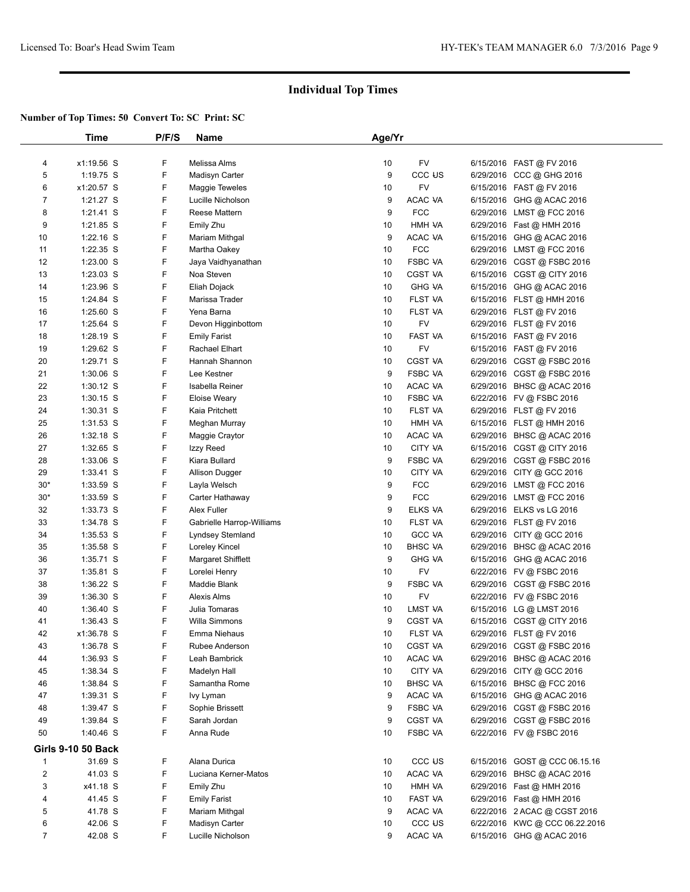|                | Time               | P/F/S | Name                      | Age/Yr |                    |                                |  |
|----------------|--------------------|-------|---------------------------|--------|--------------------|--------------------------------|--|
|                |                    |       |                           |        |                    |                                |  |
| 4              | x1:19.56 S         | F     | Melissa Alms              | 10     | FV                 | 6/15/2016 FAST @ FV 2016       |  |
| 5              | 1:19.75 S          | F     | Madisyn Carter            | 9      | CCC US             | 6/29/2016 CCC @ GHG 2016       |  |
| 6              | x1:20.57 S         | F     | Maggie Teweles            | 10     | FV                 | 6/15/2016 FAST @ FV 2016       |  |
| $\overline{7}$ | 1:21.27 S          | F     | Lucille Nicholson         | 9      | ACAC VA            | 6/15/2016 GHG @ ACAC 2016      |  |
| 8              | 1:21.41 S          | F     | <b>Reese Mattern</b>      | 9      | <b>FCC</b>         | 6/29/2016 LMST@FCC 2016        |  |
| 9              | 1:21.85 S          | F     | Emily Zhu                 | 10     | HMH VA             | 6/29/2016 Fast @ HMH 2016      |  |
| 10             | $1:22.16$ S        | F     | Mariam Mithgal            | 9      | ACAC VA            | 6/15/2016 GHG @ ACAC 2016      |  |
| 11             | 1:22.35 S          | F     | Martha Oakey              | 10     | <b>FCC</b>         | 6/29/2016 LMST @ FCC 2016      |  |
| 12             | 1:23.00 S          | F     | Jaya Vaidhyanathan        | 10     | FSBC VA            | 6/29/2016 CGST @ FSBC 2016     |  |
| 13             | 1:23.03 S          | F     | Noa Steven                | 10     | CGST VA            | 6/15/2016 CGST @ CITY 2016     |  |
| 14             | 1:23.96 S          | F     | Eliah Dojack              | 10     | <b>GHG VA</b>      | 6/15/2016 GHG @ ACAC 2016      |  |
| 15             | 1:24.84 S          | F     | Marissa Trader            | 10     | FLST VA            | 6/15/2016 FLST @ HMH 2016      |  |
| 16             | $1:25.60$ S        | F     | Yena Barna                | 10     | FLST VA            | 6/29/2016 FLST@FV 2016         |  |
| 17             | $1:25.64$ S        | F     | Devon Higginbottom        | 10     | FV                 | 6/29/2016 FLST @ FV 2016       |  |
| 18             | $1:28.19$ S        | F     | <b>Emily Farist</b>       | 10     | FAST VA            | 6/15/2016 FAST @ FV 2016       |  |
| 19             | 1:29.62 S          | F     | Rachael Elhart            | 10     | FV                 | 6/15/2016 FAST @ FV 2016       |  |
| 20             | 1:29.71 S          | F     | Hannah Shannon            | 10     | CGST VA            | 6/29/2016 CGST @ FSBC 2016     |  |
| 21             | 1:30.06 S          | F     | Lee Kestner               | 9      | <b>FSBC VA</b>     | 6/29/2016 CGST@FSBC 2016       |  |
| 22             | $1:30.12$ S        | F     | Isabella Reiner           | 10     | ACAC VA            | 6/29/2016 BHSC @ ACAC 2016     |  |
| 23             | $1:30.15$ S        | F     | <b>Eloise Weary</b>       | 10     | <b>FSBC VA</b>     | 6/22/2016 FV @ FSBC 2016       |  |
| 24             | $1:30.31$ S        | F     | Kaia Pritchett            | 10     | FLST VA            | 6/29/2016 FLST @ FV 2016       |  |
| 25             | 1:31.53 S          | F     | Meghan Murray             | 10     | HMH VA             | 6/15/2016 FLST @ HMH 2016      |  |
| 26             | $1:32.18$ S        | F     | Maggie Craytor            | 10     | ACAC VA            | 6/29/2016 BHSC @ ACAC 2016     |  |
| 27             | 1:32.65 S          | F     | Izzy Reed                 | 10     | CITY VA            | 6/15/2016 CGST @ CITY 2016     |  |
| 28             | $1:33.06$ S        | F     | Kiara Bullard             | 9      | FSBC VA            | 6/29/2016 CGST @ FSBC 2016     |  |
| 29             | $1:33.41$ S        | F     | Allison Dugger            | 10     | CITY VA            | 6/29/2016 CITY @ GCC 2016      |  |
| $30*$          | 1:33.59 S          | F     | Layla Welsch              | 9      | <b>FCC</b>         | 6/29/2016 LMST @ FCC 2016      |  |
| $30*$          | 1:33.59 S          | F     | Carter Hathaway           | 9      | <b>FCC</b>         | 6/29/2016 LMST @ FCC 2016      |  |
| 32             | 1:33.73 S          | F     | Alex Fuller               | 9      | ELKS VA            | 6/29/2016 ELKS vs LG 2016      |  |
| 33             | 1:34.78 S          | F     | Gabrielle Harrop-Williams | 10     | FLST VA            | 6/29/2016 FLST @ FV 2016       |  |
| 34             | $1:35.53$ S        | F     | Lyndsey Stemland          | 10     | <b>GCC VA</b>      | 6/29/2016 CITY @ GCC 2016      |  |
| 35             | 1:35.58 S          | F     | Loreley Kincel            | 10     | <b>BHSC VA</b>     | 6/29/2016 BHSC @ ACAC 2016     |  |
| 36             | 1:35.71 S          | F     | Margaret Shifflett        | 9      | <b>GHG VA</b>      | 6/15/2016 GHG @ ACAC 2016      |  |
| 37             | 1:35.81 S          | F     | Lorelei Henry             | 10     | FV                 | 6/22/2016 FV @ FSBC 2016       |  |
| 38             | 1:36.22 S          | F     | Maddie Blank              | 9      | <b>FSBC VA</b>     | 6/29/2016 CGST @ FSBC 2016     |  |
| 39             | $1:36.30$ S        | F     | Alexis Alms               | 10     | FV                 | 6/22/2016 FV @ FSBC 2016       |  |
| 40             | $1:36.40$ S        | F     | Julia Tomaras             | 10     | LMST VA            | 6/15/2016 LG @ LMST 2016       |  |
| 41             | $1:36.43$ S        | F     | Willa Simmons             | 9      | CGST VA            | 6/15/2016 CGST @ CITY 2016     |  |
| 42             | x1:36.78 S         | F     | Emma Niehaus              | 10     | <b>FLST VA</b>     | 6/29/2016 FLST @ FV 2016       |  |
| 43             | 1:36.78 S          | F     | Rubee Anderson            | 10     | CGST VA            | 6/29/2016 CGST @ FSBC 2016     |  |
| 44             | 1:36.93 S          | F     | Leah Bambrick             | 10     | ACAC VA            | 6/29/2016 BHSC @ ACAC 2016     |  |
| 45             | 1:38.34 S          | F     | Madelyn Hall              | 10     | CITY VA            | 6/29/2016 CITY @ GCC 2016      |  |
| 46             | 1:38.84 S          | F     | Samantha Rome             | 10     | <b>BHSC VA</b>     | 6/15/2016 BHSC @ FCC 2016      |  |
| 47             | $1:39.31$ S        | F     | lvy Lyman                 | 9      | ACAC VA            | 6/15/2016 GHG @ ACAC 2016      |  |
| 48             | 1:39.47 S          | F     | Sophie Brissett           | 9      | <b>FSBC VA</b>     | 6/29/2016 CGST @ FSBC 2016     |  |
| 49             | 1:39.84 S          | F     | Sarah Jordan              | 9      | CGST VA            |                                |  |
| 50             | 1:40.46 S          | F     | Anna Rude                 |        | <b>FSBC VA</b>     | 6/29/2016 CGST @ FSBC 2016     |  |
|                |                    |       |                           | 10     |                    | 6/22/2016 FV @ FSBC 2016       |  |
|                | Girls 9-10 50 Back |       |                           |        |                    |                                |  |
| $\mathbf{1}$   | 31.69 S            | F     | Alana Durica              | 10     | CCC <sub>US</sub>  | 6/15/2016 GOST @ CCC 06.15.16  |  |
| $\overline{2}$ | 41.03 S            | F     | Luciana Kerner-Matos      | 10     | ACAC VA            | 6/29/2016 BHSC @ ACAC 2016     |  |
| 3              | x41.18 S           | F     | Emily Zhu                 | 10     | HMH VA             | 6/29/2016 Fast @ HMH 2016      |  |
| 4              | 41.45 S            | F     | <b>Emily Farist</b>       | 10     | FAST VA            | 6/29/2016  Fast @ HMH 2016     |  |
| 5              | 41.78 S            | F     | Mariam Mithgal            | 9      | ACAC VA            | 6/22/2016 2 ACAC @ CGST 2016   |  |
| 6              | 42.06 S            | F     | Madisyn Carter            | 10     | CCC <sub>U</sub> S | 6/22/2016 KWC @ CCC 06.22.2016 |  |
| 7              | 42.08 S            | F     | Lucille Nicholson         | 9      | ACAC VA            | 6/15/2016 GHG @ ACAC 2016      |  |
|                |                    |       |                           |        |                    |                                |  |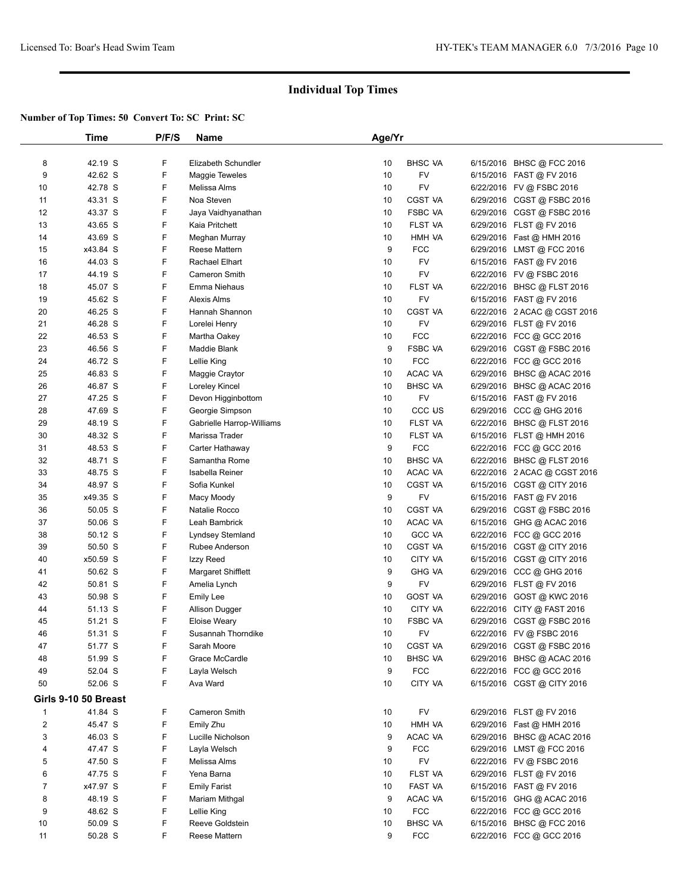|                | Time                 | P/F/S | Name                                         | Age/Yr |                    |           |                                              |  |
|----------------|----------------------|-------|----------------------------------------------|--------|--------------------|-----------|----------------------------------------------|--|
|                |                      |       |                                              |        |                    |           |                                              |  |
| 8              | 42.19 S              | F     | Elizabeth Schundler                          | 10     | <b>BHSC VA</b>     |           | 6/15/2016 BHSC @ FCC 2016                    |  |
| 9              | 42.62 S              | F     | <b>Maggie Teweles</b>                        | 10     | FV                 |           | 6/15/2016 FAST @ FV 2016                     |  |
| 10             | 42.78 S              | F     | Melissa Alms                                 | 10     | FV                 |           | 6/22/2016 FV @ FSBC 2016                     |  |
| 11             | 43.31 S              | F     | Noa Steven                                   | 10     | <b>CGST VA</b>     |           | 6/29/2016 CGST @ FSBC 2016                   |  |
| 12             | 43.37 S              | F     | Jaya Vaidhyanathan                           | 10     | <b>FSBC VA</b>     |           | 6/29/2016 CGST @ FSBC 2016                   |  |
| 13             | 43.65 S              | F     | Kaia Pritchett                               | 10     | <b>FLST VA</b>     |           | 6/29/2016 FLST @ FV 2016                     |  |
| 14             | 43.69 S              | F     | Meghan Murray                                | 10     | HMH VA             |           | 6/29/2016 Fast @ HMH 2016                    |  |
| 15             | x43.84 S             | F     | Reese Mattern                                | 9      | <b>FCC</b>         |           | 6/29/2016 LMST @ FCC 2016                    |  |
| 16             | 44.03 S              | F     | Rachael Elhart                               | 10     | <b>FV</b>          |           | 6/15/2016 FAST @ FV 2016                     |  |
| 17             | 44.19 S              | F     | <b>Cameron Smith</b>                         | 10     | FV                 |           | 6/22/2016 FV @ FSBC 2016                     |  |
| 18             | 45.07 S              | F     | Emma Niehaus                                 | 10     | FLST VA            |           | 6/22/2016 BHSC @ FLST 2016                   |  |
| 19             | 45.62 S              | F     | <b>Alexis Alms</b>                           | 10     | FV                 |           | 6/15/2016 FAST @ FV 2016                     |  |
| 20             | 46.25 S              | F     | Hannah Shannon                               | 10     | CGST VA            |           | 6/22/2016 2 ACAC @ CGST 2016                 |  |
| 21             | 46.28 S              | F     | Lorelei Henry                                | 10     | FV                 |           | 6/29/2016 FLST@FV 2016                       |  |
| 22             | 46.53 S              | F     | Martha Oakey                                 | 10     | <b>FCC</b>         |           | 6/22/2016 FCC @ GCC 2016                     |  |
| 23             | 46.56 S              | F     | Maddie Blank                                 | 9      | <b>FSBC VA</b>     |           | 6/29/2016 CGST @ FSBC 2016                   |  |
| 24             | 46.72 S              | F     | Lellie King                                  | 10     | <b>FCC</b>         |           | 6/22/2016 FCC @ GCC 2016                     |  |
| 25             | 46.83 S              | F     | Maggie Craytor                               | 10     | ACAC VA            |           | 6/29/2016 BHSC @ ACAC 2016                   |  |
| 26             | 46.87 S              | F     | Loreley Kincel                               | 10     | <b>BHSC VA</b>     |           | 6/29/2016 BHSC @ ACAC 2016                   |  |
| 27             | 47.25 S              | F     | Devon Higginbottom                           | 10     | FV                 |           | 6/15/2016 FAST @ FV 2016                     |  |
| 28             | 47.69 S              | F     | Georgie Simpson                              | 10     | CCC <sub>U</sub> S |           | 6/29/2016 CCC @ GHG 2016                     |  |
| 29             | 48.19 S              | F     | Gabrielle Harrop-Williams                    | 10     | <b>FLST VA</b>     |           | 6/22/2016 BHSC @ FLST 2016                   |  |
| 30             | 48.32 S              | F     | Marissa Trader                               | 10     | FLST VA            |           | 6/15/2016 FLST @ HMH 2016                    |  |
| 31             | 48.53 S              | F     | Carter Hathaway                              | 9      | <b>FCC</b>         |           | 6/22/2016 FCC @ GCC 2016                     |  |
| 32             | 48.71 S              | F     | Samantha Rome                                | 10     | <b>BHSC VA</b>     |           | 6/22/2016 BHSC @ FLST 2016                   |  |
| 33             | 48.75 S              | F     | Isabella Reiner                              | 10     | ACAC VA            |           | 6/22/2016 2 ACAC @ CGST 2016                 |  |
| 34             | 48.97 S              | F     | Sofia Kunkel                                 | 10     | <b>CGST VA</b>     |           | 6/15/2016 CGST @ CITY 2016                   |  |
| 35             | x49.35 S             | F     | Macy Moody                                   | 9      | FV                 |           | 6/15/2016 FAST @ FV 2016                     |  |
| 36             | 50.05 S              | F     | Natalie Rocco                                | 10     | <b>CGST VA</b>     |           | 6/29/2016 CGST @ FSBC 2016                   |  |
| 37             | 50.06 S              | F     | Leah Bambrick                                | 10     | ACAC VA            |           | 6/15/2016 GHG @ ACAC 2016                    |  |
| 38             | 50.12 S              | F     | <b>Lyndsey Stemland</b>                      | 10     | <b>GCC VA</b>      |           | 6/22/2016 FCC @ GCC 2016                     |  |
| 39             | 50.50 S              | F     | Rubee Anderson                               | 10     | CGST VA            |           | 6/15/2016 CGST @ CITY 2016                   |  |
| 40             | x50.59 S             | F     |                                              | 10     | CITY VA            | 6/15/2016 |                                              |  |
| 41             | 50.62 S              | F     | Izzy Reed<br>Margaret Shifflett              | 9      | <b>GHG VA</b>      |           | CGST @ CITY 2016<br>6/29/2016 CCC @ GHG 2016 |  |
| 42             | 50.81 S              | F     |                                              | 9      | <b>FV</b>          |           |                                              |  |
| 43             | 50.98 S              | F     | Amelia Lynch                                 | 10     | <b>GOST VA</b>     |           | 6/29/2016 FLST @ FV 2016                     |  |
| 44             | 51.13 S              | F     | <b>Emily Lee</b>                             | 10     | CITY VA            |           | 6/29/2016 GOST @ KWC 2016                    |  |
| 45             | 51.21 S              | F     | <b>Allison Dugger</b><br><b>Eloise Weary</b> | 10     | <b>FSBC VA</b>     | 6/29/2016 | 6/22/2016 CITY @ FAST 2016                   |  |
| 46             |                      | F     |                                              | 10     | FV                 |           | CGST @ FSBC 2016                             |  |
|                | 51.31 S              | F     | Susannah Thorndike                           |        |                    |           | 6/22/2016 FV @ FSBC 2016                     |  |
| 47             | 51.77 S              | F     | Sarah Moore<br>Grace McCardle                | 10     | <b>CGST VA</b>     |           | 6/29/2016 CGST @ FSBC 2016                   |  |
| 48             | 51.99 S              |       |                                              | 10     | <b>BHSC VA</b>     |           | 6/29/2016 BHSC @ ACAC 2016                   |  |
| 49             | 52.04 S              | F     | Layla Welsch                                 | 9      | <b>FCC</b>         |           | 6/22/2016 FCC @ GCC 2016                     |  |
| 50             | 52.06 S              | F     | Ava Ward                                     | 10     | CITY VA            |           | 6/15/2016 CGST @ CITY 2016                   |  |
|                | Girls 9-10 50 Breast |       |                                              |        |                    |           |                                              |  |
| $\mathbf{1}$   | 41.84 S              | F     | Cameron Smith                                | 10     | FV                 |           | 6/29/2016 FLST @ FV 2016                     |  |
| $\overline{2}$ | 45.47 S              | F     | Emily Zhu                                    | 10     | HMH VA             |           | 6/29/2016 Fast @ HMH 2016                    |  |
| 3              | 46.03 S              | F     | Lucille Nicholson                            | 9      | ACAC VA            |           | 6/29/2016 BHSC @ ACAC 2016                   |  |
| 4              | 47.47 S              | F     | Layla Welsch                                 | 9      | <b>FCC</b>         |           | 6/29/2016 LMST @ FCC 2016                    |  |
| 5              | 47.50 S              | F     | Melissa Alms                                 | 10     | <b>FV</b>          |           | 6/22/2016 FV @ FSBC 2016                     |  |
| 6              | 47.75 S              | F     | Yena Barna                                   | 10     | <b>FLST VA</b>     |           | 6/29/2016 FLST @ FV 2016                     |  |
| $\overline{7}$ | x47.97 S             | F     | <b>Emily Farist</b>                          | 10     | FAST VA            |           | 6/15/2016 FAST @ FV 2016                     |  |
| 8              | 48.19 S              | F     | Mariam Mithgal                               | 9      | ACAC VA            |           | 6/15/2016 GHG @ ACAC 2016                    |  |
| 9              | 48.62 S              | F     | Lellie King                                  | 10     | <b>FCC</b>         |           | 6/22/2016 FCC @ GCC 2016                     |  |
| 10             | 50.09 S              | F     | Reeve Goldstein                              | 10     | <b>BHSC VA</b>     |           | 6/15/2016 BHSC @ FCC 2016                    |  |
| 11             | 50.28 S              | F     | Reese Mattern                                | 9      | FCC                |           | 6/22/2016 FCC @ GCC 2016                     |  |
|                |                      |       |                                              |        |                    |           |                                              |  |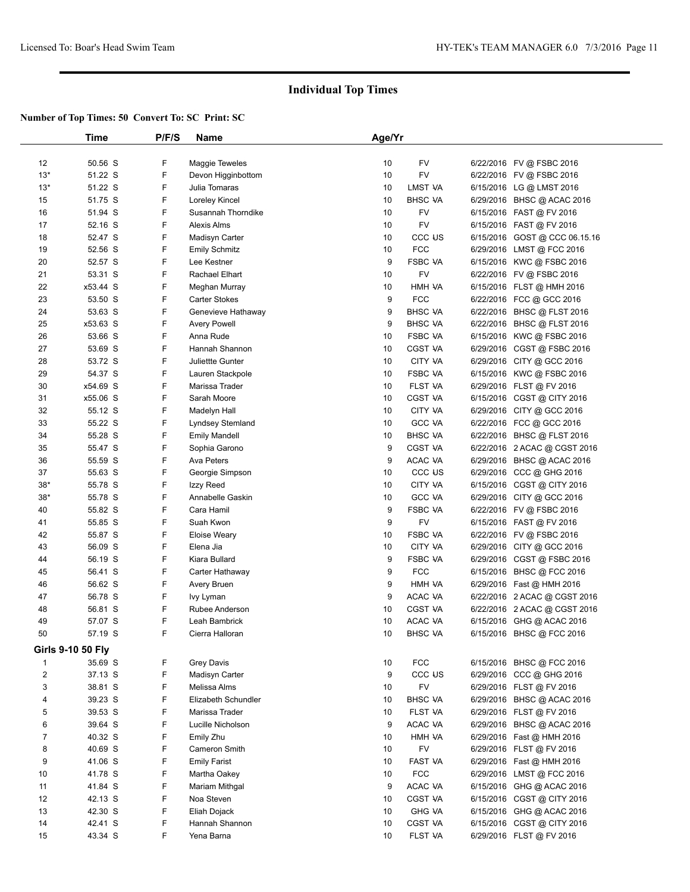|                         | Time                     | P/F/S | Name                    | Age/Yr |                    |           |                               |  |
|-------------------------|--------------------------|-------|-------------------------|--------|--------------------|-----------|-------------------------------|--|
|                         |                          |       |                         |        |                    |           |                               |  |
| 12                      | 50.56 S                  | F     | <b>Maggie Teweles</b>   | 10     | FV                 |           | 6/22/2016 FV @ FSBC 2016      |  |
| $13*$                   | 51.22 S                  | F     | Devon Higginbottom      | 10     | <b>FV</b>          |           | 6/22/2016 FV @ FSBC 2016      |  |
| $13*$                   | 51.22 S                  | F     | Julia Tomaras           | 10     | LMST VA            |           | 6/15/2016 LG @ LMST 2016      |  |
| 15                      | 51.75 S                  | F     | Loreley Kincel          | 10     | <b>BHSC VA</b>     |           | 6/29/2016 BHSC @ ACAC 2016    |  |
| 16                      | 51.94 S                  | F     | Susannah Thorndike      | 10     | FV                 |           | 6/15/2016 FAST @ FV 2016      |  |
| 17                      | 52.16 S                  | F     | Alexis Alms             | 10     | FV                 |           | 6/15/2016 FAST @ FV 2016      |  |
| 18                      | 52.47 S                  | F     | Madisyn Carter          | 10     | CCC <sub>U</sub> S |           | 6/15/2016 GOST @ CCC 06.15.16 |  |
| 19                      | 52.56 S                  | F     | <b>Emily Schmitz</b>    | 10     | <b>FCC</b>         |           | 6/29/2016 LMST @ FCC 2016     |  |
| 20                      | 52.57 S                  | F     | Lee Kestner             | 9      | <b>FSBC VA</b>     |           | 6/15/2016 KWC @ FSBC 2016     |  |
| 21                      | 53.31 S                  | F     | Rachael Elhart          | 10     | <b>FV</b>          |           | 6/22/2016 FV @ FSBC 2016      |  |
| 22                      | x53.44 S                 | F     | Meghan Murray           | 10     | HMH VA             |           | 6/15/2016 FLST @ HMH 2016     |  |
| 23                      | 53.50 S                  | F     | <b>Carter Stokes</b>    | 9      | <b>FCC</b>         |           |                               |  |
| 24                      | 53.63 S                  | F     |                         | 9      | <b>BHSC VA</b>     |           | 6/22/2016 FCC @ GCC 2016      |  |
|                         |                          | F     | Genevieve Hathaway      |        |                    |           | 6/22/2016 BHSC @ FLST 2016    |  |
| 25                      | x53.63 S                 |       | <b>Avery Powell</b>     | 9      | <b>BHSC VA</b>     |           | 6/22/2016 BHSC @ FLST 2016    |  |
| 26                      | 53.66 S                  | F     | Anna Rude               | 10     | <b>FSBC VA</b>     |           | 6/15/2016 KWC @ FSBC 2016     |  |
| 27                      | 53.69 S                  | F     | Hannah Shannon          | 10     | <b>CGST VA</b>     |           | 6/29/2016 CGST @ FSBC 2016    |  |
| 28                      | 53.72 S                  | F     | <b>Juliettte Gunter</b> | 10     | CITY VA            |           | 6/29/2016 CITY @ GCC 2016     |  |
| 29                      | 54.37 S                  | F     | Lauren Stackpole        | 10     | <b>FSBC VA</b>     |           | 6/15/2016 KWC @ FSBC 2016     |  |
| 30                      | x54.69 S                 | F     | Marissa Trader          | 10     | FLST VA            |           | 6/29/2016 FLST @ FV 2016      |  |
| 31                      | x55.06 S                 | F     | Sarah Moore             | 10     | <b>CGST VA</b>     |           | 6/15/2016 CGST @ CITY 2016    |  |
| 32                      | 55.12 S                  | F     | Madelyn Hall            | 10     | <b>CITY VA</b>     |           | 6/29/2016 CITY @ GCC 2016     |  |
| 33                      | 55.22 S                  | F     | Lyndsey Stemland        | 10     | <b>GCC VA</b>      |           | 6/22/2016 FCC @ GCC 2016      |  |
| 34                      | 55.28 S                  | F     | <b>Emily Mandell</b>    | 10     | <b>BHSC VA</b>     |           | 6/22/2016 BHSC @ FLST 2016    |  |
| 35                      | 55.47 S                  | F     | Sophia Garono           | 9      | <b>CGST VA</b>     |           | 6/22/2016 2 ACAC @ CGST 2016  |  |
| 36                      | 55.59 S                  | F     | Ava Peters              | 9      | ACAC VA            |           | 6/29/2016 BHSC @ ACAC 2016    |  |
| 37                      | 55.63 S                  | F     | Georgie Simpson         | 10     | CCC <sub>U</sub> S |           | 6/29/2016 CCC @ GHG 2016      |  |
| $38*$                   | 55.78 S                  | F     | Izzy Reed               | 10     | <b>CITY VA</b>     |           | 6/15/2016 CGST @ CITY 2016    |  |
| $38*$                   | 55.78 S                  | F     | Annabelle Gaskin        | 10     | <b>GCC VA</b>      |           | 6/29/2016 CITY @ GCC 2016     |  |
| 40                      | 55.82 S                  | F     | Cara Hamil              | 9      | <b>FSBC VA</b>     |           | 6/22/2016 FV @ FSBC 2016      |  |
| 41                      | 55.85 S                  | F     | Suah Kwon               | 9      | FV                 |           | 6/15/2016 FAST @ FV 2016      |  |
| 42                      | 55.87 S                  | F     | <b>Eloise Weary</b>     | 10     | <b>FSBC VA</b>     |           | 6/22/2016 FV @ FSBC 2016      |  |
| 43                      | 56.09 S                  | F     | Elena Jia               | 10     | <b>CITY VA</b>     |           | 6/29/2016 CITY @ GCC 2016     |  |
| 44                      | 56.19 S                  | F     | Kiara Bullard           | 9      | <b>FSBC VA</b>     |           | 6/29/2016 CGST @ FSBC 2016    |  |
| 45                      | 56.41 S                  | F     | Carter Hathaway         | 9      | <b>FCC</b>         | 6/15/2016 | BHSC @ FCC 2016               |  |
| 46                      | 56.62 S                  | F     | Avery Bruen             | 9      | HMH VA             |           | 6/29/2016 Fast @ HMH 2016     |  |
| 47                      | 56.78 S                  | F     | lvy Lyman               | 9      | ACAC VA            |           | 6/22/2016 2 ACAC @ CGST 2016  |  |
|                         |                          | F     | Rubee Anderson          |        | <b>CGST VA</b>     |           |                               |  |
| 48                      | 56.81 S                  | F     |                         | 10     | <b>ACAC VA</b>     |           | 6/22/2016 2 ACAC @ CGST 2016  |  |
| 49                      | 57.07 S                  |       | Leah Bambrick           | 10     |                    |           | 6/15/2016 GHG @ ACAC 2016     |  |
| 50                      | 57.19 S                  | F     | Cierra Halloran         | 10     | <b>BHSC VA</b>     |           | 6/15/2016 BHSC @ FCC 2016     |  |
|                         | <b>Girls 9-10 50 Fly</b> |       |                         |        |                    |           |                               |  |
| 1                       | 35.69 S                  | F     | <b>Grey Davis</b>       | 10     | <b>FCC</b>         |           | 6/15/2016 BHSC @ FCC 2016     |  |
| $\overline{\mathbf{c}}$ | 37.13 S                  | F     | Madisyn Carter          | 9      | CCC <sub>US</sub>  |           | 6/29/2016 CCC @ GHG 2016      |  |
| 3                       | 38.81 S                  | F     | Melissa Alms            | 10     | <b>FV</b>          |           | 6/29/2016 FLST @ FV 2016      |  |
| 4                       | 39.23 S                  | F     | Elizabeth Schundler     | 10     | <b>BHSC VA</b>     |           | 6/29/2016 BHSC @ ACAC 2016    |  |
| 5                       | 39.53 S                  | F     | Marissa Trader          | 10     | FLST VA            |           | 6/29/2016 FLST @ FV 2016      |  |
| 6                       | 39.64 S                  | F     | Lucille Nicholson       | 9      | ACAC VA            |           | 6/29/2016 BHSC @ ACAC 2016    |  |
| $\overline{7}$          | 40.32 S                  | F     | Emily Zhu               | 10     | HMH VA             |           | 6/29/2016 Fast @ HMH 2016     |  |
| 8                       | 40.69 S                  | F     | Cameron Smith           | 10     | <b>FV</b>          |           | 6/29/2016 FLST @ FV 2016      |  |
| 9                       | 41.06 S                  | F     | <b>Emily Farist</b>     | 10     | FAST VA            |           | 6/29/2016 Fast @ HMH 2016     |  |
| 10                      | 41.78 S                  | F     | Martha Oakey            | 10     | <b>FCC</b>         |           | 6/29/2016 LMST @ FCC 2016     |  |
| 11                      | 41.84 S                  | F     | Mariam Mithgal          | 9      | ACAC VA            |           | 6/15/2016 GHG @ ACAC 2016     |  |
| 12                      | 42.13 S                  | F     | Noa Steven              | 10     | <b>CGST VA</b>     |           | 6/15/2016 CGST @ CITY 2016    |  |
| 13                      | 42.30 S                  | F     | Eliah Dojack            | 10     | <b>GHG VA</b>      |           |                               |  |
|                         |                          | F     |                         |        |                    |           | 6/15/2016 GHG @ ACAC 2016     |  |
| 14                      | 42.41 S                  |       | Hannah Shannon          | 10     | <b>CGST VA</b>     |           | 6/15/2016 CGST @ CITY 2016    |  |
| 15                      | 43.34 S                  | F     | Yena Barna              | 10     | FLST VA            |           | 6/29/2016 FLST @ FV 2016      |  |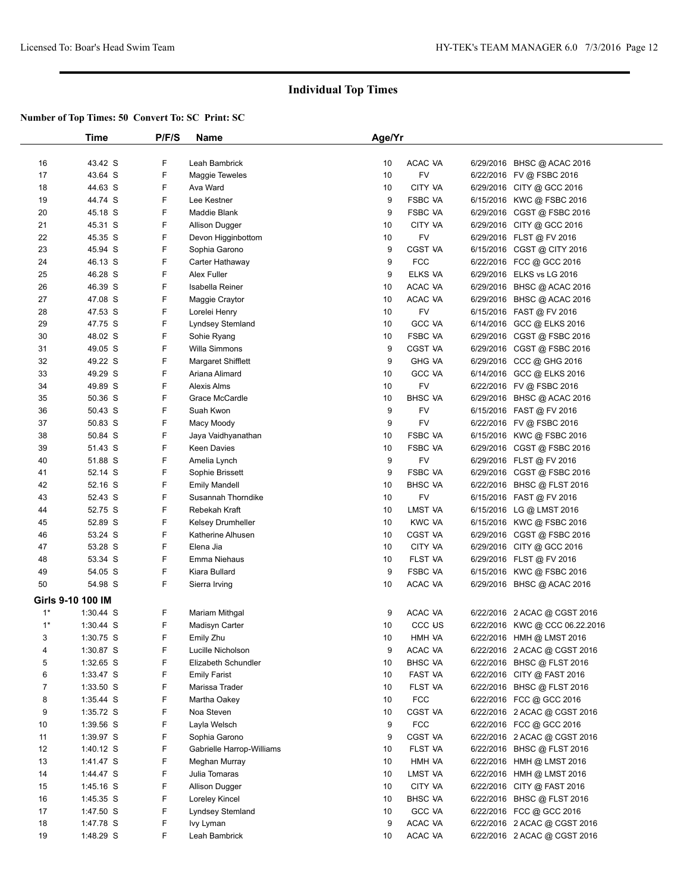|                | Time              | P/F/S | <b>Name</b>               | Age/Yr |                    |                                |  |
|----------------|-------------------|-------|---------------------------|--------|--------------------|--------------------------------|--|
|                |                   |       |                           |        |                    |                                |  |
| 16             | 43.42 S           | F     | Leah Bambrick             | 10     | ACAC VA            | 6/29/2016 BHSC @ ACAC 2016     |  |
| 17             | 43.64 S           | F     | <b>Maggie Teweles</b>     | 10     | FV                 | 6/22/2016 FV @ FSBC 2016       |  |
| 18             | 44.63 S           | F     | Ava Ward                  | 10     | <b>CITY VA</b>     | 6/29/2016 CITY @ GCC 2016      |  |
| 19             | 44.74 S           | F     | Lee Kestner               | 9      | <b>FSBC VA</b>     | 6/15/2016 KWC @ FSBC 2016      |  |
| 20             | 45.18 S           | F     | Maddie Blank              | 9      | <b>FSBC VA</b>     | 6/29/2016 CGST @ FSBC 2016     |  |
| 21             | 45.31 S           | F     | Allison Dugger            | 10     | CITY VA            | 6/29/2016 CITY @ GCC 2016      |  |
| 22             | 45.35 S           | F     | Devon Higginbottom        | 10     | FV                 | 6/29/2016 FLST @ FV 2016       |  |
| 23             | 45.94 S           | F     | Sophia Garono             | 9      | <b>CGST VA</b>     | 6/15/2016 CGST @ CITY 2016     |  |
| 24             | 46.13 S           | F     | Carter Hathaway           | 9      | <b>FCC</b>         | 6/22/2016 FCC @ GCC 2016       |  |
| 25             | 46.28 S           | F     | Alex Fuller               | 9      | ELKS VA            | 6/29/2016 ELKS vs LG 2016      |  |
| 26             | 46.39 S           | F     | <b>Isabella Reiner</b>    | 10     | ACAC VA            | 6/29/2016 BHSC @ ACAC 2016     |  |
| 27             | 47.08 S           | F     | Maggie Craytor            | 10     | ACAC VA            | 6/29/2016 BHSC @ ACAC 2016     |  |
| 28             | 47.53 S           | F     | Lorelei Henry             | 10     | FV                 | 6/15/2016 FAST @ FV 2016       |  |
| 29             | 47.75 S           | F     | Lyndsey Stemland          | 10     | <b>GCC VA</b>      | 6/14/2016 GCC @ ELKS 2016      |  |
| 30             | 48.02 S           | F     | Sohie Ryang               | 10     | <b>FSBC VA</b>     | 6/29/2016 CGST @ FSBC 2016     |  |
| 31             | 49.05 S           | F     | <b>Willa Simmons</b>      | 9      | <b>CGST VA</b>     | 6/29/2016 CGST @ FSBC 2016     |  |
| 32             | 49.22 S           | F     | Margaret Shifflett        | 9      | <b>GHG VA</b>      | 6/29/2016 CCC @ GHG 2016       |  |
| 33             | 49.29 S           | F     | Ariana Alimard            | 10     | <b>GCC VA</b>      | 6/14/2016 GCC @ ELKS 2016      |  |
| 34             | 49.89 S           | F     | <b>Alexis Alms</b>        | 10     | FV                 | 6/22/2016 FV @ FSBC 2016       |  |
| 35             | 50.36 S           | F     | Grace McCardle            | 10     | <b>BHSC VA</b>     | 6/29/2016 BHSC @ ACAC 2016     |  |
| 36             | 50.43 S           | F     | Suah Kwon                 | 9      | FV                 | 6/15/2016 FAST @ FV 2016       |  |
| 37             | 50.83 S           | F     | Macy Moody                | 9      | <b>FV</b>          | 6/22/2016 FV @ FSBC 2016       |  |
| 38             | 50.84 S           | F     | Jaya Vaidhyanathan        | 10     | <b>FSBC VA</b>     | 6/15/2016 KWC @ FSBC 2016      |  |
| 39             | 51.43 S           | F     | Keen Davies               | 10     | <b>FSBC VA</b>     | 6/29/2016 CGST @ FSBC 2016     |  |
| 40             | 51.88 S           | F     | Amelia Lynch              | 9      | FV                 | 6/29/2016 FLST @ FV 2016       |  |
| 41             | 52.14 S           | F     | Sophie Brissett           | 9      | <b>FSBC VA</b>     | 6/29/2016 CGST @ FSBC 2016     |  |
| 42             | 52.16 S           | F     | <b>Emily Mandell</b>      | 10     | <b>BHSC VA</b>     | 6/22/2016 BHSC @ FLST 2016     |  |
| 43             | 52.43 S           | F     | Susannah Thorndike        | 10     | FV                 | 6/15/2016 FAST @ FV 2016       |  |
| 44             | 52.75 S           | F     | Rebekah Kraft             | 10     | LMST VA            | 6/15/2016 LG @ LMST 2016       |  |
| 45             | 52.89 S           | F     | <b>Kelsey Drumheller</b>  | 10     | <b>KWC VA</b>      | 6/15/2016 KWC @ FSBC 2016      |  |
| 46             | 53.24 S           | F     | Katherine Alhusen         | 10     | <b>CGST VA</b>     | 6/29/2016 CGST @ FSBC 2016     |  |
| 47             | 53.28 S           | F     | Elena Jia                 | 10     | CITY VA            | 6/29/2016 CITY @ GCC 2016      |  |
| 48             | 53.34 S           | F     | Emma Niehaus              | 10     | FLST VA            | 6/29/2016 FLST @ FV 2016       |  |
| 49             | 54.05 S           | F     | Kiara Bullard             | 9      | <b>FSBC VA</b>     | 6/15/2016 KWC @ FSBC 2016      |  |
| 50             | 54.98 S           | F     | Sierra Irving             | 10     | ACAC VA            | 6/29/2016 BHSC @ ACAC 2016     |  |
|                | Girls 9-10 100 IM |       |                           |        |                    |                                |  |
| $1^*$          | $1:30.44$ S       | F     | Mariam Mithgal            | 9      | ACAC VA            | 6/22/2016 2 ACAC @ CGST 2016   |  |
| $1^*$          | $1:30.44$ S       | F     | Madisyn Carter            | 10     | CCC <sub>U</sub> S | 6/22/2016 KWC @ CCC 06.22.2016 |  |
| 3              | 1:30.75 S         | F     | Emily Zhu                 | 10     | HMH VA             | 6/22/2016 HMH @ LMST 2016      |  |
| 4              | 1:30.87 S         | F     | Lucille Nicholson         | 9      | ACAC VA            | 6/22/2016 2 ACAC @ CGST 2016   |  |
| 5              | $1:32.65$ S       | F     | Elizabeth Schundler       | 10     | <b>BHSC VA</b>     | 6/22/2016 BHSC @ FLST 2016     |  |
| 6              | 1:33.47 S         | F     | <b>Emily Farist</b>       | 10     | FAST VA            | 6/22/2016 CITY @ FAST 2016     |  |
| $\overline{7}$ | $1:33.50$ S       | F     | Marissa Trader            | 10     | FLST VA            | 6/22/2016 BHSC @ FLST 2016     |  |
| 8              | 1:35.44 S         | F     | Martha Oakey              | 10     | <b>FCC</b>         | 6/22/2016 FCC @ GCC 2016       |  |
| 9              | 1:35.72 S         | F     | Noa Steven                | 10     | <b>CGST VA</b>     | 6/22/2016 2 ACAC @ CGST 2016   |  |
| 10             | 1:39.56 S         | F     | Layla Welsch              | 9      | <b>FCC</b>         | 6/22/2016 FCC @ GCC 2016       |  |
| 11             | 1:39.97 S         | F     | Sophia Garono             | 9      | CGST VA            | 6/22/2016 2 ACAC @ CGST 2016   |  |
| 12             | $1:40.12$ S       | F     | Gabrielle Harrop-Williams | 10     | FLST VA            | 6/22/2016 BHSC @ FLST 2016     |  |
| 13             | 1:41.47 S         | F     | Meghan Murray             | 10     | HMH VA             | 6/22/2016 HMH @ LMST 2016      |  |
| 14             | 1:44.47 S         | F     | Julia Tomaras             | 10     | LMST VA            | 6/22/2016 HMH @ LMST 2016      |  |
| 15             | 1:45.16 S         | F     | Allison Dugger            | 10     | CITY VA            | 6/22/2016 CITY @ FAST 2016     |  |
| 16             | 1:45.35 S         | F     | Loreley Kincel            | 10     | <b>BHSC VA</b>     | 6/22/2016 BHSC @ FLST 2016     |  |
| 17             | 1:47.50 S         | F     | Lyndsey Stemland          | 10     | <b>GCC VA</b>      | 6/22/2016 FCC @ GCC 2016       |  |
| 18             | 1:47.78 S         | F     | lvy Lyman                 | 9      | ACAC VA            | 6/22/2016 2 ACAC @ CGST 2016   |  |
| 19             | 1:48.29 S         | F     | Leah Bambrick             | 10     | ACAC VA            | 6/22/2016 2 ACAC @ CGST 2016   |  |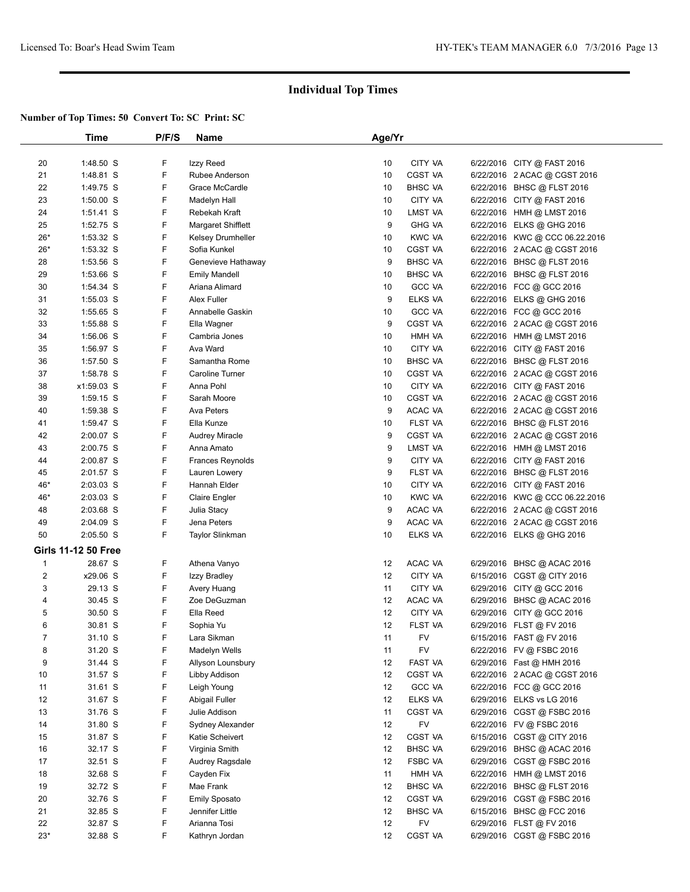|                | Time                       | P/F/S | Name                    | Age/Yr |                |                                |  |
|----------------|----------------------------|-------|-------------------------|--------|----------------|--------------------------------|--|
|                |                            |       |                         |        |                |                                |  |
| 20             | 1:48.50 S                  | F     | Izzy Reed               | 10     | CITY VA        | 6/22/2016 CITY @ FAST 2016     |  |
| 21             | 1:48.81 S                  | F     | Rubee Anderson          | 10     | <b>CGST VA</b> | 6/22/2016 2 ACAC @ CGST 2016   |  |
| 22             | 1:49.75 S                  | F     | Grace McCardle          | 10     | <b>BHSC VA</b> | 6/22/2016 BHSC @ FLST 2016     |  |
| 23             | $1:50.00$ S                | F     | Madelyn Hall            | 10     | CITY VA        | 6/22/2016 CITY @ FAST 2016     |  |
| 24             | $1:51.41$ S                | F     | Rebekah Kraft           | 10     | LMST VA        | 6/22/2016 HMH @ LMST 2016      |  |
| 25             | 1:52.75 S                  | F     | Margaret Shifflett      | 9      | <b>GHG VA</b>  | 6/22/2016 ELKS @ GHG 2016      |  |
| $26*$          | 1:53.32 S                  | F     | Kelsey Drumheller       | 10     | <b>KWC VA</b>  | 6/22/2016 KWC @ CCC 06.22.2016 |  |
| $26*$          | 1:53.32 S                  | F     | Sofia Kunkel            | 10     | <b>CGST VA</b> | 6/22/2016 2 ACAC @ CGST 2016   |  |
| 28             | 1:53.56 S                  | F     | Genevieve Hathaway      | 9      | <b>BHSC VA</b> | 6/22/2016 BHSC @ FLST 2016     |  |
| 29             | 1:53.66 S                  | F     | <b>Emily Mandell</b>    | 10     | <b>BHSC VA</b> | 6/22/2016 BHSC @ FLST 2016     |  |
| 30             | 1:54.34 S                  | F     | Ariana Alimard          | 10     | <b>GCC VA</b>  | 6/22/2016 FCC @ GCC 2016       |  |
| 31             | 1:55.03 S                  | F     | Alex Fuller             | 9      | ELKS VA        | 6/22/2016 ELKS @ GHG 2016      |  |
| 32             | 1:55.65 S                  | F     | Annabelle Gaskin        | 10     | <b>GCC VA</b>  | 6/22/2016 FCC @ GCC 2016       |  |
| 33             | 1:55.88 S                  | F     | Ella Wagner             | 9      | CGST VA        | 6/22/2016 2 ACAC @ CGST 2016   |  |
| 34             | $1:56.06$ S                | F     | Cambria Jones           | 10     | HMH VA         | 6/22/2016 HMH @ LMST 2016      |  |
| 35             | 1:56.97 S                  | F     | Ava Ward                | 10     | CITY VA        | 6/22/2016 CITY @ FAST 2016     |  |
| 36             | 1:57.50 S                  | F     | Samantha Rome           | 10     | <b>BHSC VA</b> | 6/22/2016 BHSC @ FLST 2016     |  |
| 37             | 1:58.78 S                  | F     | Caroline Turner         | 10     | CGST VA        | 6/22/2016 2 ACAC @ CGST 2016   |  |
| 38             | x1:59.03 S                 | F     | Anna Pohl               | 10     | CITY VA        | 6/22/2016 CITY @ FAST 2016     |  |
| 39             | $1:59.15$ S                | F     | Sarah Moore             | 10     | CGST VA        | 6/22/2016 2 ACAC @ CGST 2016   |  |
| 40             | 1:59.38 S                  | F     | Ava Peters              | 9      | ACAC VA        | 6/22/2016 2 ACAC @ CGST 2016   |  |
| 41             | 1:59.47 S                  | F     | Ella Kunze              | 10     | FLST VA        | 6/22/2016 BHSC @ FLST 2016     |  |
| 42             | 2:00.07 S                  | F     | <b>Audrey Miracle</b>   | 9      | CGST VA        | 6/22/2016 2 ACAC @ CGST 2016   |  |
| 43             |                            | F     | Anna Amato              | 9      | LMST VA        |                                |  |
|                | 2:00.75 S                  | F     | <b>Frances Reynolds</b> | 9      | CITY VA        | 6/22/2016 HMH @ LMST 2016      |  |
| 44             | 2:00.87 S                  | F     |                         |        |                | 6/22/2016 CITY @ FAST 2016     |  |
| 45             | 2:01.57 S                  |       | Lauren Lowery           | 9      | FLST VA        | 6/22/2016 BHSC @ FLST 2016     |  |
| 46*            | $2:03.03$ S                | F     | Hannah Elder            | 10     | CITY VA        | 6/22/2016 CITY @ FAST 2016     |  |
| 46*            | $2:03.03$ S                | F     | Claire Engler           | 10     | <b>KWC VA</b>  | 6/22/2016 KWC @ CCC 06.22.2016 |  |
| 48             | 2:03.68 S                  | F     | Julia Stacy             | 9      | ACAC VA        | 6/22/2016 2 ACAC @ CGST 2016   |  |
| 49             | 2:04.09 S                  | F     | Jena Peters             | 9      | ACAC VA        | 6/22/2016 2 ACAC @ CGST 2016   |  |
| 50             | 2:05.50 S                  | F     | Taylor Slinkman         | 10     | ELKS VA        | 6/22/2016 ELKS @ GHG 2016      |  |
|                | <b>Girls 11-12 50 Free</b> |       |                         |        |                |                                |  |
| $\mathbf{1}$   | 28.67 S                    | F     | Athena Vanyo            | 12     | ACAC VA        | 6/29/2016 BHSC @ ACAC 2016     |  |
| $\overline{c}$ | x29.06 S                   | F     | Izzy Bradley            | 12     | CITY VA        | 6/15/2016 CGST @ CITY 2016     |  |
| 3              | 29.13 S                    | F     | Avery Huang             | 11     | CITY VA        | 6/29/2016 CITY @ GCC 2016      |  |
| 4              | 30.45 S                    | F     | Zoe DeGuzman            | 12     | ACAC VA        | 6/29/2016 BHSC @ ACAC 2016     |  |
| 5              | 30.50 S                    | F     | Ella Reed               | 12     | CITY VA        | 6/29/2016 CITY @ GCC 2016      |  |
| 6              | 30.81 S                    | F     | Sophia Yu               | 12     | FLST VA        | 6/29/2016 FLST @ FV 2016       |  |
| 7              | 31.10 S                    | F     | Lara Sikman             | 11     | <b>FV</b>      | 6/15/2016 FAST @ FV 2016       |  |
| 8              | 31.20 S                    | F     | Madelyn Wells           | 11     | FV             | 6/22/2016 FV @ FSBC 2016       |  |
| 9              | 31.44 S                    | F     | Allyson Lounsbury       | 12     | FAST VA        | 6/29/2016 Fast @ HMH 2016      |  |
| 10             | 31.57 S                    | F     | Libby Addison           | 12     | CGST VA        | 6/22/2016 2 ACAC @ CGST 2016   |  |
| 11             | 31.61 S                    | F     | Leigh Young             | 12     | <b>GCC VA</b>  | 6/22/2016 FCC @ GCC 2016       |  |
| 12             | 31.67 S                    | F     | Abigail Fuller          | 12     | ELKS VA        | 6/29/2016 ELKS vs LG 2016      |  |
| 13             | 31.76 S                    | F     | Julie Addison           | 11     | CGST VA        | 6/29/2016 CGST @ FSBC 2016     |  |
| 14             | 31.80 S                    | F     | Sydney Alexander        | 12     | FV             | 6/22/2016 FV @ FSBC 2016       |  |
| 15             | 31.87 S                    | F     | Katie Scheivert         | 12     | CGST VA        | 6/15/2016 CGST @ CITY 2016     |  |
| 16             | 32.17 S                    | F     | Virginia Smith          | 12     | <b>BHSC VA</b> | 6/29/2016 BHSC @ ACAC 2016     |  |
| 17             | 32.51 S                    | F     | Audrey Ragsdale         | 12     | FSBC VA        | 6/29/2016 CGST @ FSBC 2016     |  |
| 18             | 32.68 S                    | F     | Cayden Fix              | 11     | HMH VA         | 6/22/2016 HMH @ LMST 2016      |  |
| 19             | 32.72 S                    | F     | Mae Frank               | 12     | <b>BHSC VA</b> | 6/22/2016 BHSC @ FLST 2016     |  |
| 20             | 32.76 S                    | F     | <b>Emily Sposato</b>    | 12     | CGST VA        | 6/29/2016 CGST@FSBC 2016       |  |
| 21             | 32.85 S                    | F     | Jennifer Little         | 12     | <b>BHSC VA</b> | 6/15/2016 BHSC @ FCC 2016      |  |
| 22             | 32.87 S                    | F     | Arianna Tosi            | 12     | <b>FV</b>      | 6/29/2016 FLST @ FV 2016       |  |
| $23*$          | 32.88 S                    | F     | Kathryn Jordan          | 12     | CGST VA        | 6/29/2016 CGST @ FSBC 2016     |  |
|                |                            |       |                         |        |                |                                |  |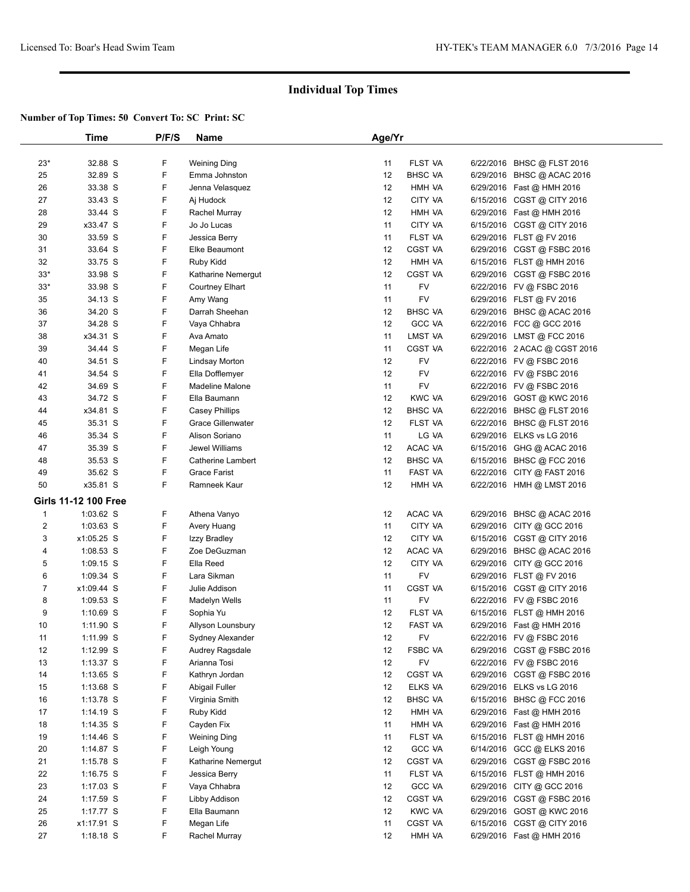|                  | Time                        | P/F/S | Name                     | Age/Yr |                |                              |  |
|------------------|-----------------------------|-------|--------------------------|--------|----------------|------------------------------|--|
|                  |                             |       |                          |        |                |                              |  |
| $23*$            | 32.88 S                     | F     | <b>Weining Ding</b>      | 11     | FLST VA        | 6/22/2016 BHSC @ FLST 2016   |  |
| 25               | 32.89 S                     | F     | Emma Johnston            | 12     | <b>BHSC VA</b> | 6/29/2016 BHSC @ ACAC 2016   |  |
| 26               | 33.38 S                     | F     | Jenna Velasquez          | 12     | HMH VA         | 6/29/2016 Fast @ HMH 2016    |  |
| 27               | 33.43 S                     | F     | Aj Hudock                | 12     | CITY VA        | 6/15/2016 CGST @ CITY 2016   |  |
| 28               | 33.44 S                     | F     | Rachel Murray            | 12     | HMH VA         | 6/29/2016 Fast @ HMH 2016    |  |
| 29               | x33.47 S                    | F     | Jo Jo Lucas              | 11     | CITY VA        | 6/15/2016 CGST @ CITY 2016   |  |
| 30               | 33.59 S                     | F     | Jessica Berry            | 11     | FLST VA        | 6/29/2016 FLST @ FV 2016     |  |
| 31               | 33.64 S                     | F     | Elke Beaumont            | 12     | <b>CGST VA</b> | 6/29/2016 CGST @ FSBC 2016   |  |
| 32               | 33.75 S                     | F     | Ruby Kidd                | 12     | HMH VA         | 6/15/2016 FLST @ HMH 2016    |  |
| $33*$            | 33.98 S                     | F     | Katharine Nemergut       | 12     | <b>CGST VA</b> | 6/29/2016 CGST @ FSBC 2016   |  |
| $33*$            | 33.98 S                     | F     | <b>Courtney Elhart</b>   | 11     | <b>FV</b>      | 6/22/2016 FV @ FSBC 2016     |  |
| 35               | 34.13 S                     | F     | Amy Wang                 | 11     | FV             | 6/29/2016 FLST @ FV 2016     |  |
| 36               | 34.20 S                     | F     | Darrah Sheehan           | 12     | <b>BHSC VA</b> | 6/29/2016 BHSC @ ACAC 2016   |  |
| 37               | 34.28 S                     | F     | Vaya Chhabra             | 12     | <b>GCC VA</b>  | 6/22/2016 FCC @ GCC 2016     |  |
| 38               | x34.31 S                    | F     | Ava Amato                | 11     | LMST VA        | 6/29/2016 LMST @ FCC 2016    |  |
| 39               | 34.44 S                     | F     | Megan Life               | 11     | <b>CGST VA</b> | 6/22/2016 2 ACAC @ CGST 2016 |  |
| 40               | 34.51 S                     | F     | Lindsay Morton           | 12     | FV             | 6/22/2016 FV @ FSBC 2016     |  |
| 41               | 34.54 S                     | F     | Ella Dofflemyer          | 12     | FV             | 6/22/2016 FV @ FSBC 2016     |  |
| 42               | 34.69 S                     | F     | <b>Madeline Malone</b>   | 11     | FV             | 6/22/2016 FV @ FSBC 2016     |  |
| 43               | 34.72 S                     | F     | Ella Baumann             | 12     | <b>KWC VA</b>  | 6/29/2016 GOST @ KWC 2016    |  |
| 44               | x34.81 S                    | F     | <b>Casey Phillips</b>    | 12     | <b>BHSC VA</b> | 6/22/2016 BHSC @ FLST 2016   |  |
| 45               | 35.31 S                     | F     | <b>Grace Gillenwater</b> | 12     | FLST VA        | 6/22/2016 BHSC @ FLST 2016   |  |
| 46               | 35.34 S                     | F     | Alison Soriano           | 11     | LG VA          | 6/29/2016 ELKS vs LG 2016    |  |
| 47               | 35.39 S                     | F     | <b>Jewel Williams</b>    | 12     | ACAC VA        | 6/15/2016 GHG @ ACAC 2016    |  |
| 48               | 35.53 S                     | F     | <b>Catherine Lambert</b> | 12     | <b>BHSC VA</b> | 6/15/2016 BHSC @ FCC 2016    |  |
| 49               | 35.62 S                     | F     | <b>Grace Farist</b>      | 11     | FAST VA        | 6/22/2016 CITY @ FAST 2016   |  |
| 50               | x35.81 S                    | F     | Ramneek Kaur             | 12     | HMH VA         | 6/22/2016 HMH @ LMST 2016    |  |
|                  | <b>Girls 11-12 100 Free</b> |       |                          |        |                |                              |  |
| $\mathbf{1}$     | $1:03.62$ S                 | F     | Athena Vanyo             | 12     | ACAC VA        | 6/29/2016 BHSC @ ACAC 2016   |  |
| $\boldsymbol{2}$ | $1:03.63$ S                 | F     | Avery Huang              | 11     | CITY VA        | 6/29/2016 CITY @ GCC 2016    |  |
| 3                | x1:05.25 S                  | F     | Izzy Bradley             | 12     | CITY VA        | 6/15/2016 CGST @ CITY 2016   |  |
| 4                | $1:08.53$ S                 | F     | Zoe DeGuzman             | 12     | ACAC VA        | 6/29/2016 BHSC @ ACAC 2016   |  |
| 5                | $1:09.15$ S                 | F     | Ella Reed                | 12     | CITY VA        | 6/29/2016 CITY @ GCC 2016    |  |
| 6                | $1:09.34$ S                 | F     | Lara Sikman              | 11     | FV             | 6/29/2016 FLST @ FV 2016     |  |
| $\overline{7}$   | x1:09.44 S                  | F     | Julie Addison            | 11     | CGST VA        | 6/15/2016 CGST @ CITY 2016   |  |
| 8                | $1:09.53$ S                 | F     | Madelyn Wells            | 11     | FV             | 6/22/2016 FV @ FSBC 2016     |  |
| 9                | $1:10.69$ S                 | F     | Sophia Yu                | 12     | FLST VA        | 6/15/2016 FLST @ HMH 2016    |  |
| 10               | $1:11.90$ S                 | F     | Allyson Lounsbury        | 12     | FAST VA        | 6/29/2016 Fast @ HMH 2016    |  |
| 11               | 1:11.99 S                   | F     | Sydney Alexander         | 12     | <b>FV</b>      | 6/22/2016 FV @ FSBC 2016     |  |
| 12               | $1:12.99$ S                 | F     | Audrey Ragsdale          | 12     | FSBC VA        | 6/29/2016 CGST @ FSBC 2016   |  |
| 13               | $1:13.37$ S                 | F     | Arianna Tosi             | 12     | <b>FV</b>      | 6/22/2016 FV @ FSBC 2016     |  |
| 14               | $1:13.65$ S                 | F     | Kathryn Jordan           | 12     | CGST VA        | 6/29/2016 CGST @ FSBC 2016   |  |
| 15               | $1:13.68$ S                 | F     | Abigail Fuller           | 12     | ELKS VA        | 6/29/2016 ELKS vs LG 2016    |  |
| 16               | 1:13.78 S                   | F     | Virginia Smith           | 12     | <b>BHSC VA</b> | 6/15/2016 BHSC @ FCC 2016    |  |
| 17               | 1:14.19 S                   | F     | Ruby Kidd                | 12     | HMH VA         | 6/29/2016 Fast @ HMH 2016    |  |
| 18               | $1:14.35$ S                 | F     | Cayden Fix               | 11     | HMH VA         | 6/29/2016 Fast @ HMH 2016    |  |
| 19               | $1:14.46$ S                 | F     | <b>Weining Ding</b>      | 11     | FLST VA        | 6/15/2016 FLST @ HMH 2016    |  |
| 20               | $1:14.87$ S                 | F     | Leigh Young              | 12     | <b>GCC VA</b>  | 6/14/2016 GCC @ ELKS 2016    |  |
| 21               | $1:15.78$ S                 | F     | Katharine Nemergut       | 12     | CGST VA        | 6/29/2016 CGST @ FSBC 2016   |  |
| 22               | $1:16.75$ S                 | F     | Jessica Berry            | 11     | FLST VA        | 6/15/2016 FLST @ HMH 2016    |  |
| 23               | $1:17.03$ S                 | F     | Vaya Chhabra             | 12     | <b>GCC VA</b>  | 6/29/2016 CITY @ GCC 2016    |  |
| 24               | 1:17.59 S                   | F     | Libby Addison            | 12     | CGST VA        | 6/29/2016 CGST@FSBC 2016     |  |
| 25               | 1:17.77 S                   | F     | Ella Baumann             | 12     | <b>KWC VA</b>  | 6/29/2016 GOST @ KWC 2016    |  |
| 26               | x1:17.91 S                  | F     | Megan Life               | 11     | CGST VA        | 6/15/2016 CGST @ CITY 2016   |  |
| 27               | $1:18.18$ S                 | F     | Rachel Murray            | 12     | HMH VA         | 6/29/2016 Fast @ HMH 2016    |  |
|                  |                             |       |                          |        |                |                              |  |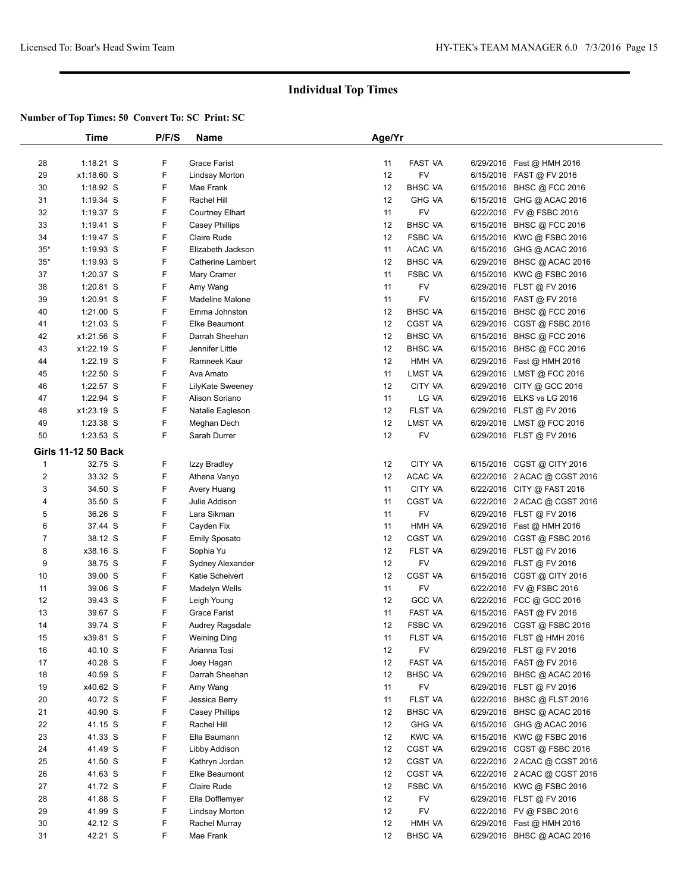|              | Time                       | P/F/S | <b>Name</b>           | Age/Yr |                |                              |  |
|--------------|----------------------------|-------|-----------------------|--------|----------------|------------------------------|--|
|              |                            |       |                       |        |                |                              |  |
| 28           | $1:18.21$ S                | F     | Grace Farist          | 11     | FAST VA        | 6/29/2016 Fast @ HMH 2016    |  |
| 29           | x1:18.60 S                 | F     | <b>Lindsay Morton</b> | 12     | FV             | 6/15/2016 FAST @ FV 2016     |  |
| 30           | $1:18.92$ S                | F     | Mae Frank             | 12     | <b>BHSC VA</b> | 6/15/2016 BHSC @ FCC 2016    |  |
| 31           | $1:19.34$ S                | F     | Rachel Hill           | 12     | <b>GHG VA</b>  | 6/15/2016 GHG @ ACAC 2016    |  |
| 32           | $1:19.37$ S                | F     | Courtney Elhart       | 11     | <b>FV</b>      | 6/22/2016 FV @ FSBC 2016     |  |
| 33           | $1:19.41$ S                | F     | <b>Casey Phillips</b> | 12     | <b>BHSC VA</b> | 6/15/2016 BHSC @ FCC 2016    |  |
| 34           | 1:19.47 $S$                | F     | <b>Claire Rude</b>    | 12     | <b>FSBC VA</b> | 6/15/2016 KWC @ FSBC 2016    |  |
| $35*$        | $1:19.93$ S                | F     | Elizabeth Jackson     | 11     | ACAC VA        | 6/15/2016 GHG @ ACAC 2016    |  |
| $35*$        | $1:19.93$ S                | F     | Catherine Lambert     | 12     | <b>BHSC VA</b> | 6/29/2016 BHSC @ ACAC 2016   |  |
| 37           | 1:20.37 S                  | F     | Mary Cramer           | 11     | <b>FSBC VA</b> | 6/15/2016 KWC @ FSBC 2016    |  |
| 38           | $1:20.81$ S                | F     | Amy Wang              | 11     | FV             | 6/29/2016 FLST @ FV 2016     |  |
| 39           | $1:20.91$ S                | F     | Madeline Malone       | 11     | FV             | 6/15/2016 FAST @ FV 2016     |  |
| 40           | $1:21.00$ S                | F     | Emma Johnston         | 12     | <b>BHSC VA</b> | 6/15/2016 BHSC @ FCC 2016    |  |
| 41           | $1:21.03$ S                | F     | Elke Beaumont         | 12     | CGST VA        | 6/29/2016 CGST @ FSBC 2016   |  |
| 42           | x1:21.56 S                 | F     | Darrah Sheehan        | 12     | <b>BHSC VA</b> | 6/15/2016 BHSC @ FCC 2016    |  |
| 43           | x1:22.19 S                 | F     | Jennifer Little       | 12     | <b>BHSC VA</b> | 6/15/2016 BHSC @ FCC 2016    |  |
| 44           | 1:22.19 S                  | F     | Ramneek Kaur          | 12     | HMH VA         | 6/29/2016 Fast @ HMH 2016    |  |
| 45           | 1:22.50 S                  | F     | Ava Amato             | 11     | LMST VA        | 6/29/2016 LMST @ FCC 2016    |  |
| 46           | 1:22.57 S                  | F     | LilyKate Sweeney      | 12     | CITY VA        | 6/29/2016 CITY @ GCC 2016    |  |
| 47           | 1:22.94 S                  | F     | Alison Soriano        | 11     | LG VA          | 6/29/2016 ELKS vs LG 2016    |  |
| 48           | x1:23.19 S                 | F     | Natalie Eagleson      | 12     | FLST VA        | 6/29/2016 FLST @ FV 2016     |  |
| 49           | 1:23.38 S                  | F     | Meghan Dech           | 12     | LMST VA        | 6/29/2016 LMST @ FCC 2016    |  |
| 50           | 1:23.53 S                  | F     | Sarah Durrer          | 12     | <b>FV</b>      | 6/29/2016 FLST @ FV 2016     |  |
|              | <b>Girls 11-12 50 Back</b> |       |                       |        |                |                              |  |
| $\mathbf{1}$ | 32.75 S                    | F     | Izzy Bradley          | 12     | CITY VA        | 6/15/2016 CGST @ CITY 2016   |  |
| 2            | 33.32 S                    | F     | Athena Vanyo          | 12     | ACAC VA        | 6/22/2016 2 ACAC @ CGST 2016 |  |
| 3            | 34.50 S                    | F     | Avery Huang           | 11     | CITY VA        | 6/22/2016 CITY @ FAST 2016   |  |
| 4            | 35.50 S                    | F     | Julie Addison         | 11     | CGST VA        | 6/22/2016 2 ACAC @ CGST 2016 |  |
| 5            | 36.26 S                    | F     | Lara Sikman           | 11     | <b>FV</b>      | 6/29/2016 FLST @ FV 2016     |  |
| 6            | 37.44 S                    | F     | Cayden Fix            | 11     | HMH VA         | 6/29/2016 Fast @ HMH 2016    |  |
| 7            | 38.12 S                    | F     | <b>Emily Sposato</b>  | 12     | <b>CGST VA</b> | 6/29/2016 CGST @ FSBC 2016   |  |
| 8            | x38.16 S                   | F     | Sophia Yu             | 12     | <b>FLST VA</b> | 6/29/2016 FLST @ FV 2016     |  |
| 9            | 38.75 S                    | F     | Sydney Alexander      | 12     | FV             | 6/29/2016 FLST @ FV 2016     |  |
| 10           | 39.00 S                    | F     | Katie Scheivert       | 12     | <b>CGST VA</b> | 6/15/2016 CGST @ CITY 2016   |  |
| 11           | 39.06 S                    | F     | Madelyn Wells         | 11     | FV             | 6/22/2016 FV @ FSBC 2016     |  |
| 12           | 39.43 S                    | F     | Leigh Young           | 12     | <b>GCC VA</b>  | 6/22/2016 FCC @ GCC 2016     |  |
| 13           | 39.67 S                    | F     | <b>Grace Farist</b>   | 11     | <b>FAST VA</b> | 6/15/2016 FAST @ FV 2016     |  |
| 14           | 39.74 S                    | F     | Audrey Ragsdale       | 12     | <b>FSBC VA</b> | 6/29/2016 CGST @ FSBC 2016   |  |
| 15           | x39.81 S                   | F     | <b>Weining Ding</b>   | 11     | FLST VA        | 6/15/2016 FLST @ HMH 2016    |  |
| 16           | 40.10 S                    | F     | Arianna Tosi          | 12     | FV             | 6/29/2016 FLST @ FV 2016     |  |
| 17           | 40.28 S                    | F     | Joey Hagan            | 12     | FAST VA        | 6/15/2016 FAST @ FV 2016     |  |
| 18           | 40.59 S                    | F     | Darrah Sheehan        | 12     | <b>BHSC VA</b> | 6/29/2016 BHSC @ ACAC 2016   |  |
| 19           | x40.62 S                   | F     | Amy Wang              | 11     | <b>FV</b>      | 6/29/2016 FLST @ FV 2016     |  |
| 20           | 40.72 S                    | F     | Jessica Berry         | 11     | FLST VA        | 6/22/2016 BHSC @ FLST 2016   |  |
| 21           | 40.90 S                    | F     | <b>Casey Phillips</b> | 12     | <b>BHSC VA</b> | 6/29/2016 BHSC @ ACAC 2016   |  |
| 22           | 41.15 S                    | F     | Rachel Hill           | 12     | <b>GHG VA</b>  | 6/15/2016 GHG @ ACAC 2016    |  |
| 23           | 41.33 S                    | F     | Ella Baumann          | 12     | <b>KWC VA</b>  | 6/15/2016 KWC @ FSBC 2016    |  |
| 24           | 41.49 S                    | F     | Libby Addison         | 12     | CGST VA        | 6/29/2016 CGST @ FSBC 2016   |  |
| 25           | 41.50 S                    | F     | Kathryn Jordan        | 12     | CGST VA        | 6/22/2016 2 ACAC @ CGST 2016 |  |
| 26           | 41.63 S                    | F     | Elke Beaumont         | 12     | CGST VA        | 6/22/2016 2 ACAC @ CGST 2016 |  |
| 27           | 41.72 S                    | F     | Claire Rude           | 12     | <b>FSBC VA</b> | 6/15/2016 KWC @ FSBC 2016    |  |
| 28           | 41.88 S                    | F     | Ella Dofflemyer       | 12     | FV             | 6/29/2016 FLST @ FV 2016     |  |
| 29           | 41.99 S                    | F     | <b>Lindsay Morton</b> | 12     | FV             | 6/22/2016 FV @ FSBC 2016     |  |
| 30           | 42.12 S                    | F     | Rachel Murray         | 12     | HMH VA         | 6/29/2016 Fast @ HMH 2016    |  |
| 31           | 42.21 S                    | F     | Mae Frank             | 12     | <b>BHSC VA</b> | 6/29/2016 BHSC @ ACAC 2016   |  |
|              |                            |       |                       |        |                |                              |  |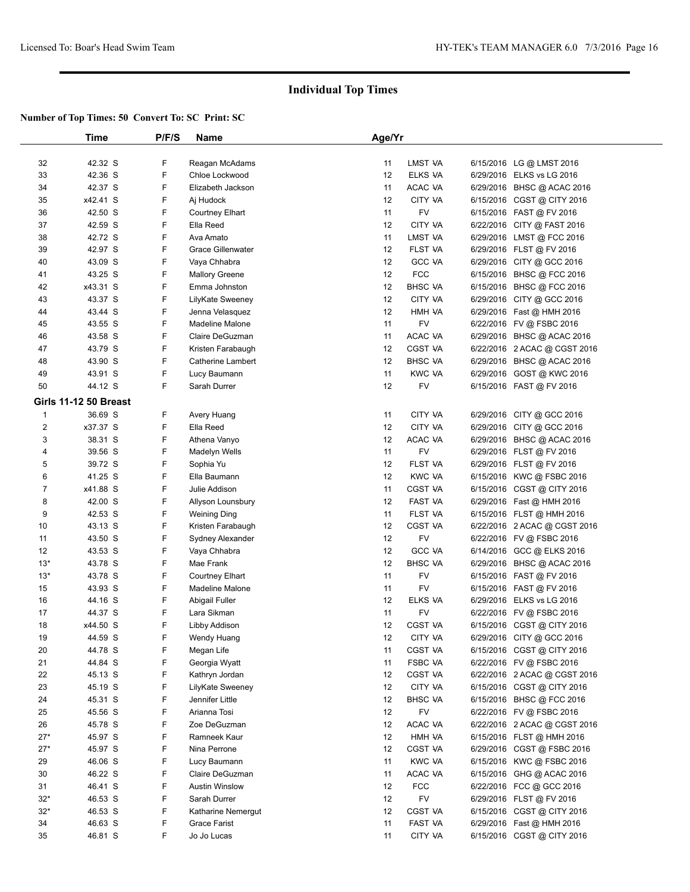|                | Time                         | P/F/S | <b>Name</b>              | Age/Yr            |                |                              |  |
|----------------|------------------------------|-------|--------------------------|-------------------|----------------|------------------------------|--|
|                |                              |       |                          |                   |                |                              |  |
| 32             | 42.32 S                      | F     | Reagan McAdams           | 11                | LMST VA        | 6/15/2016 LG @ LMST 2016     |  |
| 33             | 42.36 S                      | F     | Chloe Lockwood           | 12                | ELKS VA        | 6/29/2016 ELKS vs LG 2016    |  |
| 34             | 42.37 S                      | F     | Elizabeth Jackson        | 11                | ACAC VA        | 6/29/2016 BHSC @ ACAC 2016   |  |
| 35             | x42.41 S                     | F     | Aj Hudock                | 12                | CITY VA        | 6/15/2016 CGST @ CITY 2016   |  |
| 36             | 42.50 S                      | F     | <b>Courtney Elhart</b>   | 11                | <b>FV</b>      | 6/15/2016 FAST @ FV 2016     |  |
| 37             | 42.59 S                      | F     | Ella Reed                | 12                | CITY VA        | 6/22/2016 CITY @ FAST 2016   |  |
| 38             | 42.72 S                      | F     | Ava Amato                | 11                | LMST VA        | 6/29/2016 LMST @ FCC 2016    |  |
| 39             | 42.97 S                      | F     | Grace Gillenwater        | 12                | FLST VA        | 6/29/2016 FLST @ FV 2016     |  |
| 40             | 43.09 S                      | F     | Vaya Chhabra             | 12                | <b>GCC VA</b>  | 6/29/2016 CITY @ GCC 2016    |  |
| 41             | 43.25 S                      | F     | <b>Mallory Greene</b>    | 12                | <b>FCC</b>     | 6/15/2016 BHSC @ FCC 2016    |  |
| 42             | x43.31 S                     | F     | Emma Johnston            | 12                | <b>BHSC VA</b> | 6/15/2016 BHSC @ FCC 2016    |  |
| 43             | 43.37 S                      | F     | LilyKate Sweeney         | 12                | CITY VA        | 6/29/2016 CITY @ GCC 2016    |  |
| 44             | 43.44 S                      | F     | Jenna Velasquez          | 12                | HMH VA         | 6/29/2016 Fast @ HMH 2016    |  |
| 45             | 43.55 S                      | F     | <b>Madeline Malone</b>   | 11                | <b>FV</b>      | 6/22/2016 FV @ FSBC 2016     |  |
| 46             | 43.58 S                      | F     | Claire DeGuzman          | 11                | ACAC VA        | 6/29/2016 BHSC @ ACAC 2016   |  |
| 47             | 43.79 S                      | F     | Kristen Farabaugh        | 12                | CGST VA        | 6/22/2016 2 ACAC @ CGST 2016 |  |
| 48             | 43.90 S                      | F     | <b>Catherine Lambert</b> | 12                | <b>BHSC VA</b> | 6/29/2016 BHSC @ ACAC 2016   |  |
| 49             | 43.91 S                      | F     | Lucy Baumann             | 11                | <b>KWC VA</b>  | 6/29/2016 GOST @ KWC 2016    |  |
| 50             | 44.12 S                      | F.    | Sarah Durrer             | $12 \overline{ }$ | FV             | 6/15/2016 FAST @ FV 2016     |  |
|                |                              |       |                          |                   |                |                              |  |
|                | <b>Girls 11-12 50 Breast</b> |       |                          |                   |                |                              |  |
| $\mathbf{1}$   | 36.69 S                      | F     | Avery Huang              | 11                | CITY VA        | 6/29/2016 CITY @ GCC 2016    |  |
| $\overline{c}$ | x37.37 S                     | F     | Ella Reed                | 12                | CITY VA        | 6/29/2016 CITY @ GCC 2016    |  |
| 3              | 38.31 S                      | F     | Athena Vanyo             | 12                | ACAC VA        | 6/29/2016 BHSC @ ACAC 2016   |  |
| 4              | 39.56 S                      | F     | Madelyn Wells            | 11                | <b>FV</b>      | 6/29/2016 FLST @ FV 2016     |  |
| 5              | 39.72 S                      | F     | Sophia Yu                | 12                | FLST VA        | 6/29/2016 FLST @ FV 2016     |  |
| 6              | 41.25 S                      | F     | Ella Baumann             | 12                | <b>KWC VA</b>  | 6/15/2016 KWC @ FSBC 2016    |  |
| $\overline{7}$ | x41.88 S                     | F     | Julie Addison            | 11                | CGST VA        | 6/15/2016 CGST @ CITY 2016   |  |
| 8              | 42.00 S                      | F     | Allyson Lounsbury        | 12                | <b>FAST VA</b> | 6/29/2016 Fast @ HMH 2016    |  |
| 9              | 42.53 S                      | F     | <b>Weining Ding</b>      | 11                | FLST VA        | 6/15/2016 FLST @ HMH 2016    |  |
| 10             | 43.13 S                      | F     | Kristen Farabaugh        | 12                | CGST VA        | 6/22/2016 2 ACAC @ CGST 2016 |  |
| 11             | 43.50 S                      | F     | Sydney Alexander         | 12                | <b>FV</b>      | 6/22/2016 FV @ FSBC 2016     |  |
| 12             | 43.53 S                      | F     | Vaya Chhabra             | 12                | <b>GCC VA</b>  | 6/14/2016 GCC @ ELKS 2016    |  |
| $13*$          | 43.78 S                      | F     | Mae Frank                | 12                | <b>BHSC VA</b> | 6/29/2016 BHSC @ ACAC 2016   |  |
| $13*$          | 43.78 S                      | F     | <b>Courtney Elhart</b>   | 11                | FV             | 6/15/2016 FAST @ FV 2016     |  |
| 15             | 43.93 S                      | F     | <b>Madeline Malone</b>   | 11                | FV             | 6/15/2016 FAST @ FV 2016     |  |
| 16             | 44.16 S                      | F     | Abigail Fuller           | 12                | ELKS VA        | 6/29/2016 ELKS vs LG 2016    |  |
| 17             | 44.37 S                      | F     | Lara Sikman              | 11                | <b>FV</b>      | 6/22/2016 FV @ FSBC 2016     |  |
| 18             | x44.50 S                     | F     | Libby Addison            | 12                | CGST VA        | 6/15/2016 CGST @ CITY 2016   |  |
| 19             | 44.59 S                      | F     | Wendy Huang              | 12                | CITY VA        | 6/29/2016 CITY @ GCC 2016    |  |
| 20             | 44.78 S                      | F     | Megan Life               | 11                | CGST VA        | 6/15/2016 CGST @ CITY 2016   |  |
| 21             | 44.84 S                      | F     | Georgia Wyatt            | 11                | FSBC VA        | 6/22/2016 FV @ FSBC 2016     |  |
| 22             | 45.13 S                      | F     | Kathryn Jordan           | 12                | CGST VA        | 6/22/2016 2 ACAC @ CGST 2016 |  |
| 23             | 45.19 S                      | F     | LilyKate Sweeney         | 12                | CITY VA        | 6/15/2016 CGST @ CITY 2016   |  |
| 24             | 45.31 S                      | F     | Jennifer Little          | 12                | <b>BHSC VA</b> | 6/15/2016 BHSC @ FCC 2016    |  |
| 25             | 45.56 S                      | F     | Arianna Tosi             | 12                | FV             | 6/22/2016 FV @ FSBC 2016     |  |
| 26             | 45.78 S                      | F     | Zoe DeGuzman             | 12                | ACAC VA        | 6/22/2016 2 ACAC @ CGST 2016 |  |
| $27*$          | 45.97 S                      | F     | Ramneek Kaur             | 12                | HMH VA         | 6/15/2016 FLST @ HMH 2016    |  |
| $27*$          | 45.97 S                      | F     | Nina Perrone             | 12                | CGST VA        | 6/29/2016 CGST @ FSBC 2016   |  |
| 29             | 46.06 S                      | F     | Lucy Baumann             | 11                | <b>KWC VA</b>  | 6/15/2016 KWC @ FSBC 2016    |  |
| 30             | 46.22 S                      | F     | Claire DeGuzman          | 11                | ACAC VA        | 6/15/2016 GHG @ ACAC 2016    |  |
| 31             | 46.41 S                      | F     | <b>Austin Winslow</b>    | 12                | <b>FCC</b>     | 6/22/2016 FCC @ GCC 2016     |  |
| $32*$          | 46.53 S                      | F     | Sarah Durrer             | 12                | FV             | 6/29/2016 FLST @ FV 2016     |  |
| $32*$          | 46.53 S                      | F     | Katharine Nemergut       | 12                | CGST VA        | 6/15/2016 CGST @ CITY 2016   |  |
| 34             | 46.63 S                      | F     | Grace Farist             | 11                | FAST VA        | 6/29/2016 Fast @ HMH 2016    |  |
| 35             | 46.81 S                      | F     | Jo Jo Lucas              | 11                | CITY VA        | 6/15/2016 CGST @ CITY 2016   |  |
|                |                              |       |                          |                   |                |                              |  |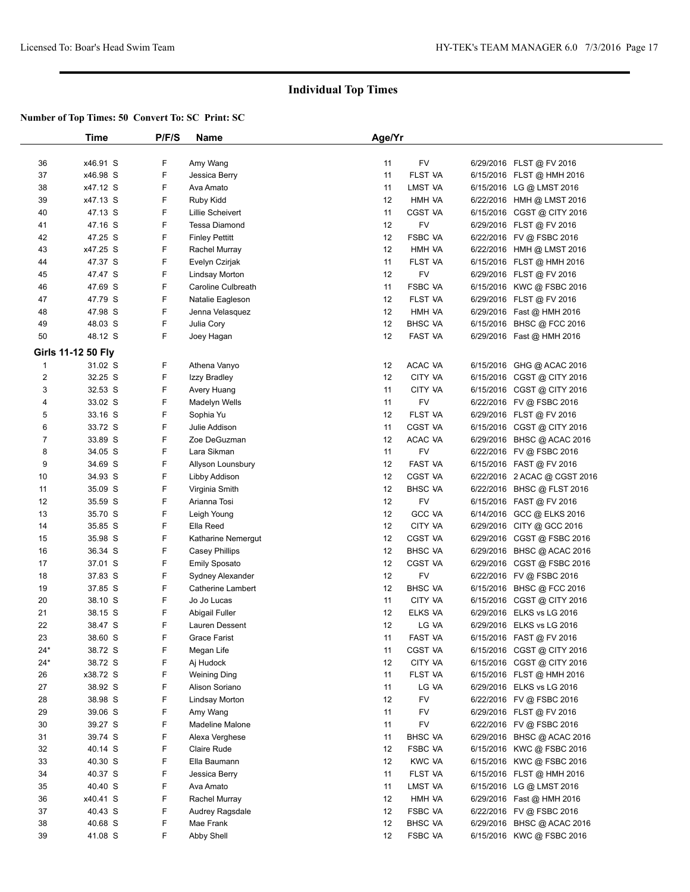|                         | Time                      | P/F/S | Name                     | Age/Yr |                |           |                              |  |
|-------------------------|---------------------------|-------|--------------------------|--------|----------------|-----------|------------------------------|--|
|                         |                           |       |                          |        |                |           |                              |  |
| 36                      | x46.91 S                  | F     | Amy Wang                 | 11     | FV             |           | 6/29/2016 FLST @ FV 2016     |  |
| 37                      | x46.98 S                  | F     | Jessica Berry            | 11     | FLST VA        |           | 6/15/2016 FLST @ HMH 2016    |  |
| 38                      | x47.12 S                  | F     | Ava Amato                | 11     | LMST VA        |           | 6/15/2016 LG @ LMST 2016     |  |
| 39                      | x47.13 S                  | F     | Ruby Kidd                | 12     | HMH VA         |           | 6/22/2016 HMH @ LMST 2016    |  |
| 40                      | 47.13 S                   | F     | Lillie Scheivert         | 11     | CGST VA        |           | 6/15/2016 CGST @ CITY 2016   |  |
| 41                      | 47.16 S                   | F     | Tessa Diamond            | 12     | FV             |           | 6/29/2016 FLST @ FV 2016     |  |
| 42                      | 47.25 S                   | F     | <b>Finley Pettitt</b>    | 12     | <b>FSBC VA</b> |           | 6/22/2016 FV @ FSBC 2016     |  |
| 43                      | x47.25 S                  | F     | Rachel Murray            | 12     | HMH VA         |           | 6/22/2016 HMH @ LMST 2016    |  |
| 44                      | 47.37 S                   | F     | Evelyn Czirjak           | 11     | FLST VA        |           | 6/15/2016 FLST @ HMH 2016    |  |
| 45                      | 47.47 S                   | F     | <b>Lindsay Morton</b>    | 12     | <b>FV</b>      |           | 6/29/2016 FLST @ FV 2016     |  |
| 46                      | 47.69 S                   | F     | Caroline Culbreath       | 11     | <b>FSBC VA</b> |           | 6/15/2016 KWC @ FSBC 2016    |  |
| 47                      | 47.79 S                   | F     | Natalie Eagleson         | 12     | FLST VA        |           | 6/29/2016 FLST @ FV 2016     |  |
| 48                      | 47.98 S                   | F     | Jenna Velasquez          | 12     | HMH VA         |           | 6/29/2016 Fast @ HMH 2016    |  |
| 49                      | 48.03 S                   | F     | Julia Cory               | 12     | <b>BHSC VA</b> |           | 6/15/2016 BHSC @ FCC 2016    |  |
| 50                      | 48.12 S                   | F     | Joey Hagan               | 12     | FAST VA        |           | 6/29/2016 Fast @ HMH 2016    |  |
|                         |                           |       |                          |        |                |           |                              |  |
|                         | <b>Girls 11-12 50 Fly</b> |       |                          |        |                |           |                              |  |
| $\mathbf{1}$            | 31.02 S                   | F     | Athena Vanyo             | 12     | ACAC VA        |           | 6/15/2016 GHG @ ACAC 2016    |  |
| $\overline{\mathbf{c}}$ | 32.25 S                   | F     | Izzy Bradley             | 12     | CITY VA        |           | 6/15/2016 CGST @ CITY 2016   |  |
| 3                       | 32.53 S                   | F     | Avery Huang              | 11     | CITY VA        |           | 6/15/2016 CGST @ CITY 2016   |  |
| 4                       | 33.02 S                   | F     | Madelyn Wells            | 11     | FV             |           | 6/22/2016 FV @ FSBC 2016     |  |
| 5                       | 33.16 S                   | F     | Sophia Yu                | 12     | FLST VA        |           | 6/29/2016 FLST @ FV 2016     |  |
| 6                       | 33.72 S                   | F     | Julie Addison            | 11     | CGST VA        |           | 6/15/2016 CGST @ CITY 2016   |  |
| $\overline{7}$          | 33.89 S                   | F     | Zoe DeGuzman             | 12     | ACAC VA        | 6/29/2016 | BHSC @ ACAC 2016             |  |
| 8                       | 34.05 S                   | F     | Lara Sikman              | 11     | <b>FV</b>      |           | 6/22/2016 FV @ FSBC 2016     |  |
| 9                       | 34.69 S                   | F     | Allyson Lounsbury        | 12     | <b>FAST VA</b> |           | 6/15/2016 FAST @ FV 2016     |  |
| 10                      | 34.93 S                   | F     | Libby Addison            | 12     | CGST VA        |           | 6/22/2016 2 ACAC @ CGST 2016 |  |
| 11                      | 35.09 S                   | F     | Virginia Smith           | 12     | <b>BHSC VA</b> | 6/22/2016 | <b>BHSC @ FLST 2016</b>      |  |
| 12                      | 35.59 S                   | F     | Arianna Tosi             | 12     | FV             |           | 6/15/2016 FAST @ FV 2016     |  |
| 13                      | 35.70 S                   | F     | Leigh Young              | 12     | <b>GCC VA</b>  | 6/14/2016 | GCC @ ELKS 2016              |  |
| 14                      | 35.85 S                   | F     | Ella Reed                | 12     | CITY VA        | 6/29/2016 | CITY @ GCC 2016              |  |
| 15                      | 35.98 S                   | F     | Katharine Nemergut       | 12     | <b>CGST VA</b> |           | 6/29/2016 CGST @ FSBC 2016   |  |
| 16                      | 36.34 S                   | F     | <b>Casey Phillips</b>    | 12     | <b>BHSC VA</b> | 6/29/2016 | BHSC @ ACAC 2016             |  |
| 17                      | 37.01 S                   | F     | <b>Emily Sposato</b>     | 12     | CGST VA        | 6/29/2016 | CGST @ FSBC 2016             |  |
| 18                      | 37.83 S                   | F     | Sydney Alexander         | 12     | FV             |           | 6/22/2016 FV @ FSBC 2016     |  |
| 19                      | 37.85 S                   | F     | <b>Catherine Lambert</b> | 12     | <b>BHSC VA</b> |           | 6/15/2016 BHSC @ FCC 2016    |  |
| 20                      | 38.10 S                   | F     | Jo Jo Lucas              | 11     | CITY VA        | 6/15/2016 | CGST @ CITY 2016             |  |
| 21                      | 38.15 S                   | F     | Abigail Fuller           | 12     | ELKS VA        |           | 6/29/2016 ELKS vs LG 2016    |  |
| 22                      | 38.47 S                   | F     | Lauren Dessent           | 12     | LG VA          |           | 6/29/2016 ELKS vs LG 2016    |  |
| 23                      | 38.60 S                   | F     | <b>Grace Farist</b>      | 11     | FAST VA        |           | 6/15/2016 FAST @ FV 2016     |  |
| 24*                     | 38.72 S                   | F     | Megan Life               | 11     | CGST VA        |           | 6/15/2016 CGST @ CITY 2016   |  |
| $24*$                   | 38.72 S                   | F     | Aj Hudock                | 12     | CITY VA        |           | 6/15/2016 CGST @ CITY 2016   |  |
| 26                      | x38.72 S                  | F     | <b>Weining Ding</b>      | 11     | FLST VA        |           | 6/15/2016 FLST @ HMH 2016    |  |
| 27                      | 38.92 S                   | F     | Alison Soriano           | 11     | LG VA          |           | 6/29/2016 ELKS vs LG 2016    |  |
| 28                      | 38.98 S                   | F     | <b>Lindsay Morton</b>    | 12     | FV             |           | 6/22/2016 FV @ FSBC 2016     |  |
| 29                      | 39.06 S                   | F     | Amy Wang                 | 11     | FV             |           | 6/29/2016 FLST @ FV 2016     |  |
| 30                      | 39.27 S                   | F     | Madeline Malone          | 11     | FV             |           | 6/22/2016 FV @ FSBC 2016     |  |
| 31                      | 39.74 S                   | F     | Alexa Verghese           | 11     | <b>BHSC VA</b> |           | 6/29/2016 BHSC @ ACAC 2016   |  |
| 32                      | 40.14 S                   | F     | Claire Rude              | 12     | FSBC VA        |           | 6/15/2016 KWC @ FSBC 2016    |  |
| 33                      | 40.30 S                   | F     | Ella Baumann             | 12     | <b>KWC VA</b>  |           | 6/15/2016 KWC @ FSBC 2016    |  |
|                         |                           | F     |                          |        | FLST VA        |           |                              |  |
| 34                      | 40.37 S<br>40.40 S        | F     | Jessica Berry            | 11     |                |           | 6/15/2016 FLST @ HMH 2016    |  |
| 35                      |                           |       | Ava Amato                | 11     | LMST VA        |           | 6/15/2016 LG @ LMST 2016     |  |
| 36                      | x40.41 S                  | F     | Rachel Murray            | 12     | HMH VA         |           | 6/29/2016 Fast @ HMH 2016    |  |
| 37                      | 40.43 S                   | F     | Audrey Ragsdale          | 12     | FSBC VA        |           | 6/22/2016 FV @ FSBC 2016     |  |
| 38                      | 40.68 S                   | F     | Mae Frank                | 12     | <b>BHSC VA</b> |           | 6/29/2016 BHSC @ ACAC 2016   |  |
| 39                      | 41.08 S                   | F     | Abby Shell               | 12     | FSBC VA        |           | 6/15/2016 KWC @ FSBC 2016    |  |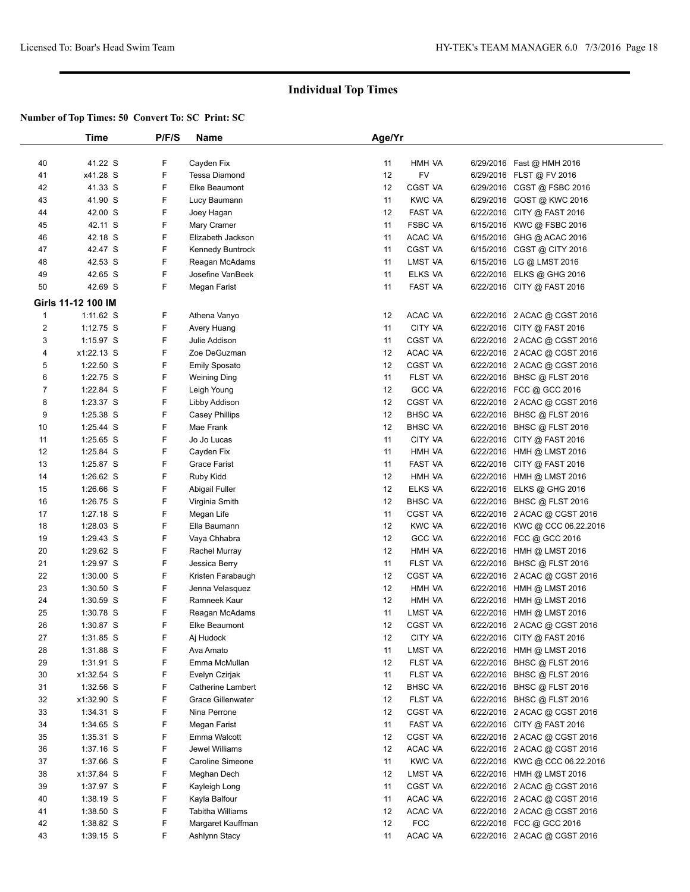|              | Time               | P/F/S | Name                     | Age/Yr |                |           |                                |  |
|--------------|--------------------|-------|--------------------------|--------|----------------|-----------|--------------------------------|--|
|              |                    |       |                          |        |                |           |                                |  |
| 40           | 41.22 S            | F     | Cayden Fix               | 11     | HMH VA         |           | 6/29/2016 Fast @ HMH 2016      |  |
| 41           | x41.28 S           | F     | <b>Tessa Diamond</b>     | 12     | <b>FV</b>      |           | 6/29/2016 FLST @ FV 2016       |  |
| 42           | 41.33 S            | F     | Elke Beaumont            | 12     | CGST VA        |           | 6/29/2016 CGST @ FSBC 2016     |  |
| 43           | 41.90 S            | F     | Lucy Baumann             | 11     | <b>KWC VA</b>  |           | 6/29/2016 GOST @ KWC 2016      |  |
| 44           | 42.00 S            | F     | Joey Hagan               | 12     | FAST VA        |           | 6/22/2016 CITY @ FAST 2016     |  |
| 45           | 42.11 S            | F     | Mary Cramer              | 11     | <b>FSBC VA</b> |           | 6/15/2016 KWC @ FSBC 2016      |  |
| 46           | 42.18 S            | F     | Elizabeth Jackson        | 11     | ACAC VA        |           | 6/15/2016 GHG @ ACAC 2016      |  |
| 47           | 42.47 S            | F     | Kennedy Buntrock         | 11     | CGST VA        |           | 6/15/2016 CGST @ CITY 2016     |  |
| 48           | 42.53 S            | F     | Reagan McAdams           | 11     | LMST VA        |           | 6/15/2016 LG @ LMST 2016       |  |
| 49           | 42.65 S            | F     | Josefine VanBeek         | 11     | ELKS VA        |           | 6/22/2016 ELKS @ GHG 2016      |  |
| 50           | 42.69 S            | F     | Megan Farist             | 11     | <b>FAST VA</b> |           | 6/22/2016 CITY @ FAST 2016     |  |
|              | Girls 11-12 100 IM |       |                          |        |                |           |                                |  |
| $\mathbf{1}$ | 1:11.62 S          | F     | Athena Vanyo             | 12     | ACAC VA        |           | 6/22/2016 2 ACAC @ CGST 2016   |  |
| $\sqrt{2}$   | $1:12.75$ S        | F     | Avery Huang              | 11     | CITY VA        |           | 6/22/2016 CITY @ FAST 2016     |  |
| 3            | 1:15.97 S          | F     | Julie Addison            | 11     | CGST VA        |           | 6/22/2016 2 ACAC @ CGST 2016   |  |
| 4            | x1:22.13 S         | F     | Zoe DeGuzman             | 12     | ACAC VA        |           | 6/22/2016 2 ACAC @ CGST 2016   |  |
| 5            | $1:22.50$ S        | F     | <b>Emily Sposato</b>     | 12     | CGST VA        |           | 6/22/2016 2 ACAC @ CGST 2016   |  |
| 6            | 1:22.75 S          | F     | <b>Weining Ding</b>      | 11     | FLST VA        | 6/22/2016 | BHSC @ FLST 2016               |  |
| 7            | 1:22.84 S          | F     | Leigh Young              | 12     | <b>GCC VA</b>  |           | 6/22/2016 FCC @ GCC 2016       |  |
| 8            | 1:23.37 S          | F     | Libby Addison            | 12     | CGST VA        |           | 6/22/2016 2 ACAC @ CGST 2016   |  |
| 9            | $1:25.38$ S        | F     | <b>Casey Phillips</b>    | 12     | <b>BHSC VA</b> |           | 6/22/2016 BHSC @ FLST 2016     |  |
| 10           | 1:25.44 S          | F     | Mae Frank                | 12     | <b>BHSC VA</b> |           | 6/22/2016 BHSC @ FLST 2016     |  |
| 11           | $1:25.65$ S        | F     | Jo Jo Lucas              | 11     | CITY VA        | 6/22/2016 | CITY @ FAST 2016               |  |
| 12           | 1:25.84 S          | F     | Cayden Fix               | 11     | HMH VA         | 6/22/2016 | HMH @ LMST 2016                |  |
| 13           | 1:25.87 S          | F     | Grace Farist             | 11     | <b>FAST VA</b> |           | 6/22/2016 CITY @ FAST 2016     |  |
| 14           | $1:26.62$ S        | F     | Ruby Kidd                | 12     | HMH VA         | 6/22/2016 | HMH @ LMST 2016                |  |
| 15           | 1:26.66 S          | F     | Abigail Fuller           | 12     | ELKS VA        | 6/22/2016 | ELKS @ GHG 2016                |  |
| 16           | 1:26.75 S          | F     | Virginia Smith           | 12     | <b>BHSC VA</b> |           | 6/22/2016 BHSC @ FLST 2016     |  |
| 17           | $1:27.18$ S        | F     | Megan Life               | 11     | CGST VA        |           | 6/22/2016 2 ACAC @ CGST 2016   |  |
| 18           | $1:28.03$ S        | F     | Ella Baumann             | 12     | <b>KWC VA</b>  | 6/22/2016 | KWC @ CCC 06.22.2016           |  |
| 19           | $1:29.43$ S        | F     | Vaya Chhabra             | 12     | <b>GCC VA</b>  |           | 6/22/2016 FCC @ GCC 2016       |  |
| 20           | 1:29.62 S          | F     | Rachel Murray            | 12     | HMH VA         | 6/22/2016 | HMH @ LMST 2016                |  |
| 21           | 1:29.97 S          | F     | Jessica Berry            | 11     | FLST VA        | 6/22/2016 | BHSC @ FLST 2016               |  |
| 22           | $1:30.00$ S        | F     | Kristen Farabaugh        | 12     | CGST VA        |           | 6/22/2016 2 ACAC @ CGST 2016   |  |
| 23           | $1:30.50$ S        | F     | Jenna Velasquez          | 12     | HMH VA         | 6/22/2016 | HMH @ LMST 2016                |  |
| 24           | $1:30.59$ S        | F     | Ramneek Kaur             | 12     | HMH VA         | 6/22/2016 | HMH @ LMST 2016                |  |
| 25           | 1:30.78 S          | F     | Reagan McAdams           | 11     | LMST VA        |           | 6/22/2016 HMH @ LMST 2016      |  |
| 26           | 1:30.87 S          | F     | Elke Beaumont            | 12     | CGST VA        |           | 6/22/2016 2 ACAC @ CGST 2016   |  |
| 27           | 1:31.85 S          | F     | Aj Hudock                | 12     | CITY VA        |           | 6/22/2016 CITY @ FAST 2016     |  |
| 28           | 1:31.88 S          | F     | Ava Amato                | 11     | LMST VA        |           | 6/22/2016 HMH @ LMST 2016      |  |
| 29           | $1:31.91$ S        | F     | Emma McMullan            | 12     | FLST VA        |           | 6/22/2016 BHSC @ FLST 2016     |  |
| 30           | x1:32.54 S         | F     | Evelyn Czirjak           | 11     | FLST VA        |           | 6/22/2016 BHSC @ FLST 2016     |  |
| 31           | 1:32.56 S          | F     | <b>Catherine Lambert</b> | 12     | <b>BHSC VA</b> |           | 6/22/2016 BHSC @ FLST 2016     |  |
| 32           | x1:32.90 S         | F     | <b>Grace Gillenwater</b> | 12     | FLST VA        |           | 6/22/2016 BHSC @ FLST 2016     |  |
| 33           | $1:34.31$ S        | F     | Nina Perrone             | 12     | CGST VA        |           | 6/22/2016 2 ACAC @ CGST 2016   |  |
| 34           | 1:34.65 S          | F     | Megan Farist             | 11     | FAST VA        |           | 6/22/2016 CITY @ FAST 2016     |  |
| 35           | $1:35.31$ S        | F     | Emma Walcott             | 12     | CGST VA        |           | 6/22/2016 2 ACAC @ CGST 2016   |  |
| 36           | 1:37.16 S          | F     | Jewel Williams           | 12     | ACAC VA        |           | 6/22/2016 2 ACAC @ CGST 2016   |  |
| 37           | 1:37.66 S          | F     | Caroline Simeone         | 11     | <b>KWC VA</b>  |           | 6/22/2016 KWC @ CCC 06.22.2016 |  |
| 38           | x1:37.84 S         | F     | Meghan Dech              | 12     | LMST VA        |           | 6/22/2016 HMH @ LMST 2016      |  |
| 39           | 1:37.97 S          | F     | Kayleigh Long            | 11     | CGST VA        |           | 6/22/2016 2 ACAC @ CGST 2016   |  |
| 40           | $1:38.19$ S        | F     | Kayla Balfour            | 11     | ACAC VA        |           | 6/22/2016 2 ACAC @ CGST 2016   |  |
| 41           | 1:38.50 S          | F     | <b>Tabitha Williams</b>  | 12     | ACAC VA        |           | 6/22/2016 2 ACAC @ CGST 2016   |  |
| 42           | 1:38.82 S          | F     | Margaret Kauffman        | 12     | <b>FCC</b>     |           | 6/22/2016 FCC @ GCC 2016       |  |
| 43           | $1:39.15$ S        | F     | Ashlynn Stacy            | 11     | ACAC VA        |           | 6/22/2016 2 ACAC @ CGST 2016   |  |
|              |                    |       |                          |        |                |           |                                |  |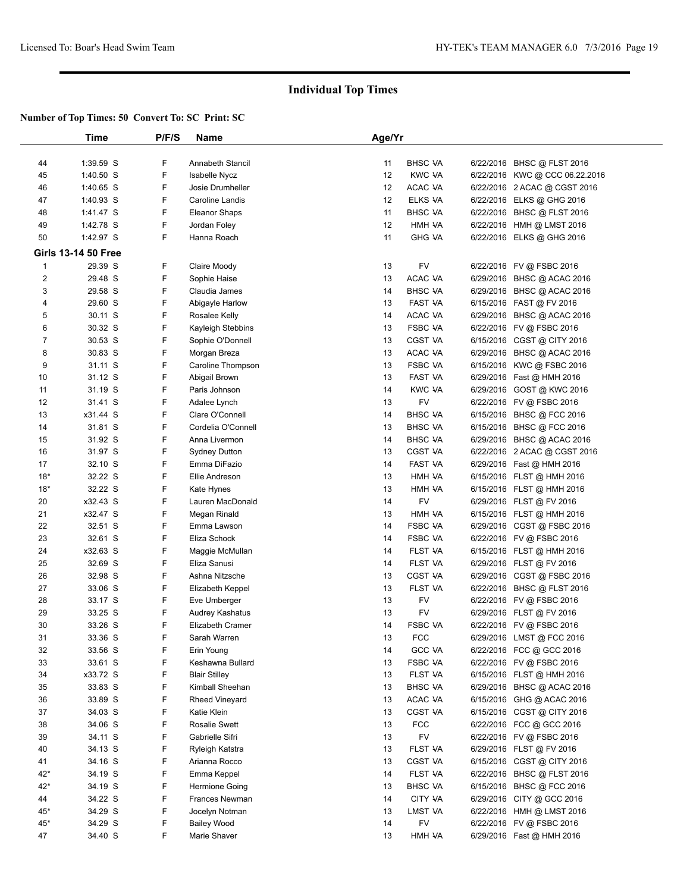|                | Time                       | P/F/S  | <b>Name</b>                      | Age/Yr            |                           |           |                                                        |  |
|----------------|----------------------------|--------|----------------------------------|-------------------|---------------------------|-----------|--------------------------------------------------------|--|
|                |                            |        |                                  |                   |                           |           |                                                        |  |
| 44             | 1:39.59 S                  | F      | Annabeth Stancil                 | 11                | <b>BHSC VA</b>            |           | 6/22/2016 BHSC @ FLST 2016                             |  |
| 45             | 1:40.50 S                  | F      | Isabelle Nycz                    | $12 \overline{ }$ | <b>KWC VA</b>             |           | 6/22/2016 KWC @ CCC 06.22.2016                         |  |
| 46             | 1:40.65 S                  | F      | Josie Drumheller                 | 12                | ACAC VA                   |           | 6/22/2016 2 ACAC @ CGST 2016                           |  |
| 47             | 1:40.93 S                  | F      | Caroline Landis                  | 12                | <b>ELKS VA</b>            |           | 6/22/2016 ELKS @ GHG 2016                              |  |
| 48             | 1:41.47 S                  | F      | <b>Eleanor Shaps</b>             | 11                | <b>BHSC VA</b>            |           | 6/22/2016 BHSC @ FLST 2016                             |  |
| 49             | 1:42.78 S                  | F      | Jordan Foley                     | 12                | HMH VA                    |           | 6/22/2016 HMH @ LMST 2016                              |  |
| 50             | 1:42.97 S                  | F      | Hanna Roach                      | 11                | <b>GHG VA</b>             |           | 6/22/2016 ELKS @ GHG 2016                              |  |
|                | <b>Girls 13-14 50 Free</b> |        |                                  |                   |                           |           |                                                        |  |
| $\mathbf{1}$   | 29.39 S                    | F      | Claire Moody                     | 13                | FV                        |           | 6/22/2016 FV @ FSBC 2016                               |  |
| $\overline{2}$ | 29.48 S                    | F      | Sophie Haise                     | 13                | ACAC VA                   |           | 6/29/2016 BHSC @ ACAC 2016                             |  |
| 3              | 29.58 S                    | F      | Claudia James                    | 14                | <b>BHSC VA</b>            |           | 6/29/2016 BHSC @ ACAC 2016                             |  |
| 4              | 29.60 S                    | F      | Abigayle Harlow                  | 13                | FAST VA                   |           | 6/15/2016 FAST @ FV 2016                               |  |
| 5              | 30.11 S                    | F      | Rosalee Kelly                    | 14                | ACAC VA                   |           | 6/29/2016 BHSC @ ACAC 2016                             |  |
| 6              | 30.32 S                    | F      | Kayleigh Stebbins                | 13                | <b>FSBC VA</b>            | 6/22/2016 | FV @ FSBC 2016                                         |  |
| 7              | 30.53 S                    | F      | Sophie O'Donnell                 | 13                | <b>CGST VA</b>            |           | 6/15/2016 CGST @ CITY 2016                             |  |
| 8              | 30.83 S                    | F      | Morgan Breza                     | 13                | ACAC VA                   |           | 6/29/2016 BHSC @ ACAC 2016                             |  |
| 9              | 31.11 S                    | F      | Caroline Thompson                | 13                | <b>FSBC VA</b>            | 6/15/2016 | KWC @ FSBC 2016                                        |  |
| 10             | 31.12 S                    | F      | Abigail Brown                    | 13                | <b>FAST VA</b>            | 6/29/2016 | Fast @ HMH 2016                                        |  |
| 11             | 31.19 S                    | F      | Paris Johnson                    | 14                | <b>KWC VA</b>             | 6/29/2016 | GOST @ KWC 2016                                        |  |
| 12             | 31.41 S                    | F      | Adalee Lynch                     | 13                | <b>FV</b>                 |           | 6/22/2016 FV @ FSBC 2016                               |  |
| 13             | x31.44 S                   | F      | Clare O'Connell                  | 14                | <b>BHSC VA</b>            |           | 6/15/2016 BHSC @ FCC 2016                              |  |
| 14             | 31.81 S                    | F      | Cordelia O'Connell               | 13                | <b>BHSC VA</b>            |           | 6/15/2016 BHSC @ FCC 2016                              |  |
| 15             | 31.92 S                    | F      | Anna Livermon                    | 14                | <b>BHSC VA</b>            |           | 6/29/2016 BHSC @ ACAC 2016                             |  |
| 16             | 31.97 S                    | F      | <b>Sydney Dutton</b>             | 13                | CGST VA                   | 6/22/2016 | 2 ACAC @ CGST 2016                                     |  |
| 17             | 32.10 S                    | F      | Emma DiFazio                     | 14                | <b>FAST VA</b>            |           | 6/29/2016 Fast @ HMH 2016                              |  |
| $18*$          | 32.22 S                    | F      | Ellie Andreson                   | 13                | HMH VA                    |           | 6/15/2016 FLST @ HMH 2016                              |  |
| $18*$          | 32.22 S                    | F      | Kate Hynes                       | 13                | HMH VA                    |           | 6/15/2016 FLST @ HMH 2016                              |  |
| 20             | x32.43 S                   | F      | Lauren MacDonald                 | 14                | <b>FV</b>                 |           | 6/29/2016 FLST @ FV 2016                               |  |
| 21             | x32.47 S                   | F      | Megan Rinald                     | 13                | HMH VA                    |           | 6/15/2016 FLST @ HMH 2016                              |  |
| 22             | 32.51 S                    | F      | Emma Lawson                      | 14                | <b>FSBC VA</b>            |           | 6/29/2016 CGST @ FSBC 2016                             |  |
| 23             | 32.61 S                    | F      | Eliza Schock                     | 14                | <b>FSBC VA</b>            |           | 6/22/2016 FV @ FSBC 2016                               |  |
| 24             | x32.63 S                   | F      | Maggie McMullan                  | 14                | FLST VA                   |           | 6/15/2016 FLST @ HMH 2016                              |  |
| 25<br>26       | 32.69 S<br>32.98 S         | F<br>F | Eliza Sanusi<br>Ashna Nitzsche   | 14<br>13          | FLST VA<br><b>CGST VA</b> |           | 6/29/2016 FLST @ FV 2016                               |  |
| 27             | 33.06 S                    | F      |                                  | 13                | <b>FLST VA</b>            |           | 6/29/2016 CGST @ FSBC 2016                             |  |
| 28             | 33.17 S                    | F      | Elizabeth Keppel<br>Eve Umberger | 13                | <b>FV</b>                 |           | 6/22/2016 BHSC @ FLST 2016<br>6/22/2016 FV @ FSBC 2016 |  |
| 29             | 33.25 S                    | F      | Audrey Kashatus                  | 13                | <b>FV</b>                 |           | 6/29/2016 FLST @ FV 2016                               |  |
| 30             | 33.26 S                    | F      | Elizabeth Cramer                 | 14                | <b>FSBC VA</b>            |           | 6/22/2016 FV @ FSBC 2016                               |  |
| 31             | 33.36 S                    | F      | Sarah Warren                     | 13                | <b>FCC</b>                |           | 6/29/2016 LMST @ FCC 2016                              |  |
| 32             | 33.56 S                    | F      | Erin Young                       | 14                | <b>GCC VA</b>             |           | 6/22/2016 FCC @ GCC 2016                               |  |
| 33             | 33.61 S                    | F      | Keshawna Bullard                 | 13                | FSBC VA                   |           | 6/22/2016 FV @ FSBC 2016                               |  |
| 34             | x33.72 S                   | F      | <b>Blair Stilley</b>             | 13                | FLST VA                   |           | 6/15/2016 FLST @ HMH 2016                              |  |
| 35             | 33.83 S                    | F      | Kimball Sheehan                  | 13                | <b>BHSC VA</b>            |           | 6/29/2016 BHSC @ ACAC 2016                             |  |
| 36             | 33.89 S                    | F      | <b>Rheed Vineyard</b>            | 13                | ACAC VA                   |           | 6/15/2016 GHG @ ACAC 2016                              |  |
| 37             | 34.03 S                    | F      | Katie Klein                      | 13                | CGST VA                   |           | 6/15/2016 CGST @ CITY 2016                             |  |
| 38             | 34.06 S                    | F      | <b>Rosalie Swett</b>             | 13                | <b>FCC</b>                |           | 6/22/2016 FCC @ GCC 2016                               |  |
| 39             | 34.11 S                    | F      | Gabrielle Sifri                  | 13                | FV                        |           | 6/22/2016 FV @ FSBC 2016                               |  |
| 40             | 34.13 S                    | F      | Ryleigh Katstra                  | 13                | FLST VA                   |           | 6/29/2016 FLST @ FV 2016                               |  |
| 41             | 34.16 S                    | F      | Arianna Rocco                    | 13                | CGST VA                   |           | 6/15/2016 CGST @ CITY 2016                             |  |
| $42*$          | 34.19 S                    | F      | Emma Keppel                      | 14                | FLST VA                   |           | 6/22/2016 BHSC @ FLST 2016                             |  |
| $42*$          | 34.19 S                    | F      | Hermione Going                   | 13                | <b>BHSC VA</b>            |           | 6/15/2016 BHSC @ FCC 2016                              |  |
| 44             | 34.22 S                    | F      | Frances Newman                   | 14                | CITY VA                   |           | 6/29/2016 CITY @ GCC 2016                              |  |
| $45*$          | 34.29 S                    | F      | Jocelyn Notman                   | 13                | LMST VA                   |           | 6/22/2016 HMH @ LMST 2016                              |  |
| $45*$          | 34.29 S                    | F      | <b>Bailey Wood</b>               | 14                | <b>FV</b>                 |           | 6/22/2016 FV @ FSBC 2016                               |  |
| 47             | 34.40 S                    | F      | Marie Shaver                     | 13                | HMH VA                    |           | 6/29/2016 Fast @ HMH 2016                              |  |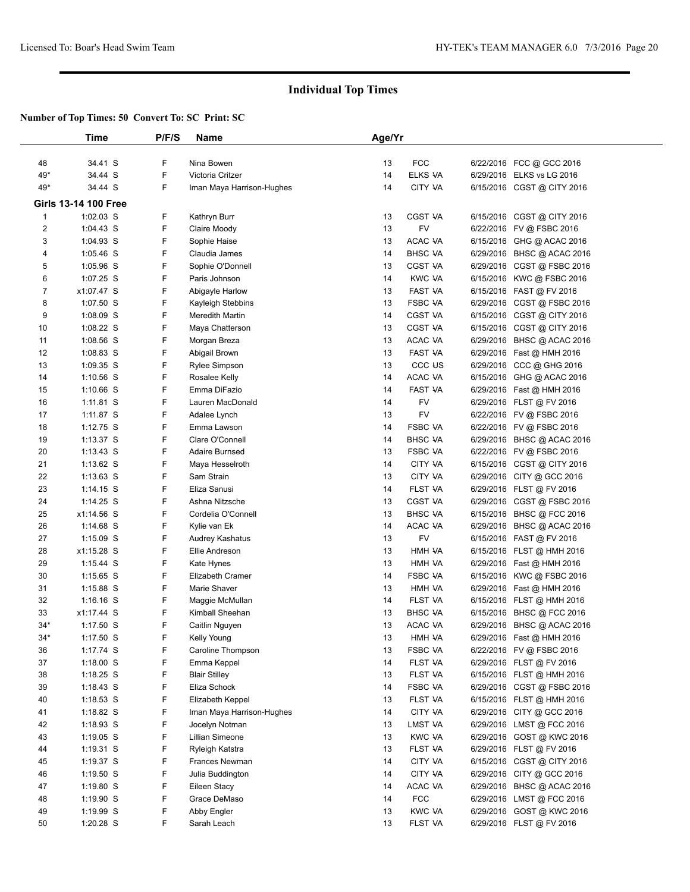|                | Time                        | P/F/S | <b>Name</b>               | Age/Yr |                   |                            |  |
|----------------|-----------------------------|-------|---------------------------|--------|-------------------|----------------------------|--|
|                |                             |       |                           |        |                   |                            |  |
| 48             | 34.41 S                     | F     | Nina Bowen                | 13     | <b>FCC</b>        | 6/22/2016 FCC @ GCC 2016   |  |
| 49*            | 34.44 S                     | F     | Victoria Critzer          | 14     | <b>ELKS VA</b>    | 6/29/2016 ELKS vs LG 2016  |  |
| $49*$          | 34.44 S                     | F     | Iman Maya Harrison-Hughes | 14     | CITY VA           | 6/15/2016 CGST @ CITY 2016 |  |
|                | <b>Girls 13-14 100 Free</b> |       |                           |        |                   |                            |  |
| $\mathbf{1}$   | 1:02.03 S                   | F     | Kathryn Burr              | 13     | <b>CGST VA</b>    | 6/15/2016 CGST @ CITY 2016 |  |
| $\overline{2}$ | $1:04.43$ S                 | F     | Claire Moody              | 13     | FV                | 6/22/2016 FV @ FSBC 2016   |  |
| 3              | 1:04.93 S                   | F     | Sophie Haise              | 13     | ACAC VA           | 6/15/2016 GHG @ ACAC 2016  |  |
| 4              | $1:05.46$ S                 | F     | Claudia James             | 14     | <b>BHSC VA</b>    | 6/29/2016 BHSC @ ACAC 2016 |  |
| 5              | 1:05.96 S                   | F     | Sophie O'Donnell          | 13     | <b>CGST VA</b>    | 6/29/2016 CGST @ FSBC 2016 |  |
| 6              | 1:07.25 S                   | F     | Paris Johnson             | 14     | <b>KWC VA</b>     | 6/15/2016 KWC @ FSBC 2016  |  |
| $\overline{7}$ | x1:07.47 S                  | F     | Abigayle Harlow           | 13     | FAST VA           | 6/15/2016 FAST @ FV 2016   |  |
| 8              | 1:07.50 S                   | F     | Kayleigh Stebbins         | 13     | <b>FSBC VA</b>    | 6/29/2016 CGST @ FSBC 2016 |  |
| 9              | 1:08.09 S                   | F     | Meredith Martin           | 14     | CGST VA           | 6/15/2016 CGST @ CITY 2016 |  |
| 10             | $1:08.22$ S                 | F     | Maya Chatterson           | 13     | <b>CGST VA</b>    | 6/15/2016 CGST @ CITY 2016 |  |
| 11             | 1:08.56 S                   | F     | Morgan Breza              | 13     | ACAC VA           | 6/29/2016 BHSC @ ACAC 2016 |  |
| 12             | 1:08.83 S                   | F     | Abigail Brown             | 13     | FAST VA           | 6/29/2016 Fast @ HMH 2016  |  |
| 13             | $1:09.35$ S                 | F     | <b>Rylee Simpson</b>      | 13     | CCC <sub>US</sub> | 6/29/2016 CCC @ GHG 2016   |  |
| 14             | $1:10.56$ S                 | F     | Rosalee Kelly             | 14     | ACAC VA           | 6/15/2016 GHG @ ACAC 2016  |  |
| 15             | $1:10.66$ S                 | F     | Emma DiFazio              | 14     | FAST VA           | 6/29/2016 Fast @ HMH 2016  |  |
| 16             | $1:11.81$ S                 | F     | Lauren MacDonald          | 14     | <b>FV</b>         | 6/29/2016 FLST @ FV 2016   |  |
| 17             | 1:11.87 S                   | F     | Adalee Lynch              | 13     | <b>FV</b>         | 6/22/2016 FV @ FSBC 2016   |  |
| 18             | $1:12.75$ S                 | F     | Emma Lawson               | 14     | <b>FSBC VA</b>    | 6/22/2016 FV @ FSBC 2016   |  |
| 19             | $1:13.37$ S                 | F     | Clare O'Connell           | 14     | <b>BHSC VA</b>    | 6/29/2016 BHSC @ ACAC 2016 |  |
| 20             | 1:13.43 S                   | F     | Adaire Burnsed            | 13     | <b>FSBC VA</b>    | 6/22/2016 FV @ FSBC 2016   |  |
| 21             | 1:13.62 S                   | F     | Maya Hesselroth           | 14     | CITY VA           | 6/15/2016 CGST @ CITY 2016 |  |
| 22             | 1:13.63 S                   | F     | Sam Strain                | 13     | CITY VA           | 6/29/2016 CITY @ GCC 2016  |  |
| 23             | $1:14.15$ S                 | F     | Eliza Sanusi              | 14     | FLST VA           | 6/29/2016 FLST @ FV 2016   |  |
| 24             | 1:14.25 S                   | F     | Ashna Nitzsche            | 13     | CGST VA           | 6/29/2016 CGST @ FSBC 2016 |  |
| 25             | x1:14.56 S                  | F     | Cordelia O'Connell        | 13     | <b>BHSC VA</b>    | 6/15/2016 BHSC @ FCC 2016  |  |
| 26             | $1:14.68$ S                 | F     | Kylie van Ek              | 14     | ACAC VA           | 6/29/2016 BHSC @ ACAC 2016 |  |
| 27             | $1:15.09$ S                 | F     | Audrey Kashatus           | 13     | <b>FV</b>         | 6/15/2016 FAST @ FV 2016   |  |
| 28             | x1:15.28 S                  | F     | Ellie Andreson            | 13     | HMH VA            | 6/15/2016 FLST @ HMH 2016  |  |
| 29             | 1:15.44 S                   | F     | Kate Hynes                | 13     | HMH VA            | 6/29/2016 Fast @ HMH 2016  |  |
| 30             | $1:15.65$ S                 | F     | Elizabeth Cramer          | 14     | <b>FSBC VA</b>    | 6/15/2016 KWC @ FSBC 2016  |  |
| 31             | $1:15.88$ S                 | F     | Marie Shaver              | 13     | HMH VA            | 6/29/2016 Fast @ HMH 2016  |  |
| 32             | $1:16.16$ S                 | F     | Maggie McMullan           | 14     | FLST VA           | 6/15/2016 FLST @ HMH 2016  |  |
| 33             | x1:17.44 S                  | F     | Kimball Sheehan           | 13     | <b>BHSC VA</b>    | 6/15/2016 BHSC @ FCC 2016  |  |
| $34*$          | $1:17.50$ S                 | F     | Caitlin Nguyen            | 13     | ACAC VA           | 6/29/2016 BHSC @ ACAC 2016 |  |
| $34*$          | 1:17.50 S                   | F     | Kelly Young               | 13     | HMH VA            | 6/29/2016 Fast @ HMH 2016  |  |
| 36             | 1:17.74 S                   | F     | Caroline Thompson         | 13     | FSBC VA           | 6/22/2016 FV @ FSBC 2016   |  |
| 37             | $1:18.00$ S                 | F     | Emma Keppel               | 14     | FLST VA           | 6/29/2016 FLST @ FV 2016   |  |
| 38             | $1:18.25$ S                 | F     | <b>Blair Stilley</b>      | 13     | FLST VA           | 6/15/2016 FLST @ HMH 2016  |  |
| 39             | $1:18.43$ S                 | F     | Eliza Schock              | 14     | FSBC VA           | 6/29/2016 CGST @ FSBC 2016 |  |
| 40             | $1:18.53$ S                 | F     | Elizabeth Keppel          | 13     | FLST VA           | 6/15/2016 FLST @ HMH 2016  |  |
| 41             | 1:18.82 S                   | F     | Iman Maya Harrison-Hughes | 14     | CITY VA           | 6/29/2016 CITY @ GCC 2016  |  |
| 42             | $1:18.93$ S                 | F     | Jocelyn Notman            | 13     | LMST VA           | 6/29/2016 LMST @ FCC 2016  |  |
| 43             | $1:19.05$ S                 | F     | Lillian Simeone           | 13     | <b>KWC VA</b>     | 6/29/2016 GOST @ KWC 2016  |  |
| 44             | 1:19.31 S                   | F     | Ryleigh Katstra           | 13     | FLST VA           | 6/29/2016 FLST @ FV 2016   |  |
| 45             | 1:19.37 $S$                 | F     | Frances Newman            | 14     | CITY VA           | 6/15/2016 CGST @ CITY 2016 |  |
| 46             | $1:19.50$ S                 | F     | Julia Buddington          | 14     | CITY VA           | 6/29/2016 CITY @ GCC 2016  |  |
| 47             | $1:19.80$ S                 | F     | Eileen Stacy              | 14     | ACAC VA           | 6/29/2016 BHSC @ ACAC 2016 |  |
| 48             | $1:19.90$ S                 | F     | Grace DeMaso              | 14     | <b>FCC</b>        | 6/29/2016 LMST @ FCC 2016  |  |
| 49             | $1:19.99$ S                 | F     | Abby Engler               | 13     | <b>KWC VA</b>     | 6/29/2016 GOST @ KWC 2016  |  |
| 50             | $1:20.28$ S                 | F     | Sarah Leach               | 13     | FLST VA           | 6/29/2016 FLST @ FV 2016   |  |
|                |                             |       |                           |        |                   |                            |  |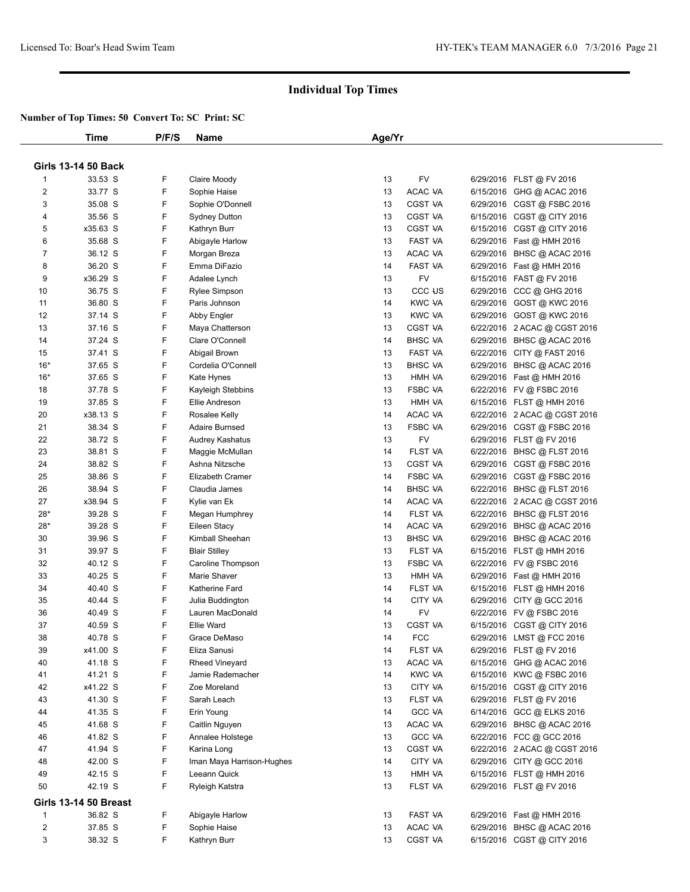|                | Time                         | P/F/S | Name                      | Age/Yr |                    |                              |
|----------------|------------------------------|-------|---------------------------|--------|--------------------|------------------------------|
|                |                              |       |                           |        |                    |                              |
|                | <b>Girls 13-14 50 Back</b>   |       |                           |        |                    |                              |
| 1              | 33.53 S                      | F     | Claire Moody              | 13     | FV                 | 6/29/2016 FLST @ FV 2016     |
| 2              | 33.77 S                      | F     | Sophie Haise              | 13     | ACAC VA            | 6/15/2016 GHG @ ACAC 2016    |
| 3              | 35.08 S                      | F     | Sophie O'Donnell          | 13     | CGST VA            | 6/29/2016 CGST @ FSBC 2016   |
| 4              | 35.56 S                      | F     | Sydney Dutton             | 13     | CGST VA            | 6/15/2016 CGST @ CITY 2016   |
| 5              | x35.63 S                     | F     | Kathryn Burr              | 13     | CGST VA            | 6/15/2016 CGST @ CITY 2016   |
| 6              | 35.68 S                      | F     | Abigayle Harlow           | 13     | FAST VA            | 6/29/2016 Fast @ HMH 2016    |
| $\overline{7}$ | 36.12 S                      | F     | Morgan Breza              | 13     | ACAC VA            | 6/29/2016 BHSC @ ACAC 2016   |
| 8              | 36.20 S                      | F     | Emma DiFazio              | 14     | FAST VA            | 6/29/2016 Fast @ HMH 2016    |
| 9              | x36.29 S                     | F     | Adalee Lynch              | 13     | <b>FV</b>          | 6/15/2016 FAST @ FV 2016     |
| 10             | 36.75 S                      | F     | Rylee Simpson             | 13     | CCC <sub>U</sub> S | 6/29/2016 CCC @ GHG 2016     |
| 11             | 36.80 S                      | F     | Paris Johnson             | 14     | <b>KWC VA</b>      | 6/29/2016 GOST @ KWC 2016    |
| 12             | 37.14 S                      | F     | Abby Engler               | 13     | <b>KWC VA</b>      | 6/29/2016 GOST @ KWC 2016    |
| 13             | 37.16 S                      | F     | Maya Chatterson           | 13     | CGST VA            | 6/22/2016 2 ACAC @ CGST 2016 |
| 14             | 37.24 S                      | F     | Clare O'Connell           | 14     | <b>BHSC VA</b>     | 6/29/2016 BHSC @ ACAC 2016   |
| 15             | 37.41 S                      | F     | Abigail Brown             | 13     | FAST VA            | 6/22/2016 CITY @ FAST 2016   |
| $16*$          | 37.65 S                      | F     | Cordelia O'Connell        | 13     | <b>BHSC VA</b>     | 6/29/2016 BHSC @ ACAC 2016   |
| $16*$          | 37.65 S                      | F     | Kate Hynes                | 13     | HMH VA             | 6/29/2016 Fast @ HMH 2016    |
| 18             | 37.78 S                      | F     | Kayleigh Stebbins         | 13     | FSBC VA            | 6/22/2016 FV @ FSBC 2016     |
| 19             | 37.85 S                      | F     | Ellie Andreson            | 13     | HMH VA             | 6/15/2016 FLST @ HMH 2016    |
| 20             | x38.13 S                     | F     | Rosalee Kelly             | 14     | ACAC VA            | 6/22/2016 2 ACAC @ CGST 2016 |
| 21             | 38.34 S                      | F     | Adaire Burnsed            | 13     | <b>FSBC VA</b>     | 6/29/2016 CGST @ FSBC 2016   |
| 22             | 38.72 S                      | F     | Audrey Kashatus           | 13     | FV                 | 6/29/2016 FLST @ FV 2016     |
| 23             | 38.81 S                      | F     | Maggie McMullan           | 14     | FLST VA            | 6/22/2016 BHSC @ FLST 2016   |
| 24             | 38.82 S                      | F     | Ashna Nitzsche            | 13     | CGST VA            | 6/29/2016 CGST @ FSBC 2016   |
| 25             | 38.86 S                      | F     | <b>Elizabeth Cramer</b>   | 14     | <b>FSBC VA</b>     | 6/29/2016 CGST @ FSBC 2016   |
| 26             | 38.94 S                      | F     | Claudia James             | 14     | <b>BHSC VA</b>     | 6/22/2016 BHSC @ FLST 2016   |
| 27             | x38.94 S                     | F     | Kylie van Ek              | 14     | ACAC VA            | 6/22/2016 2 ACAC @ CGST 2016 |
| $28*$          | 39.28 S                      | F     | Megan Humphrey            | 14     | FLST VA            | 6/22/2016 BHSC @ FLST 2016   |
| $28*$          | 39.28 S                      | F     | Eileen Stacy              | 14     | ACAC VA            | 6/29/2016 BHSC @ ACAC 2016   |
| 30             | 39.96 S                      | F     | Kimball Sheehan           | 13     | <b>BHSC VA</b>     | 6/29/2016 BHSC @ ACAC 2016   |
| 31             | 39.97 S                      | F     | <b>Blair Stilley</b>      | 13     | FLST VA            | 6/15/2016 FLST @ HMH 2016    |
| 32             | 40.12 S                      | F     | Caroline Thompson         | 13     | FSBC VA            | 6/22/2016 FV @ FSBC 2016     |
| 33             | 40.25 S                      | F     | Marie Shaver              | 13     | HMH VA             | 6/29/2016 Fast @ HMH 2016    |
| 34             | 40.40 S                      | F     | Katherine Fard            | 14     | FLST VA            | 6/15/2016 FLST @ HMH 2016    |
| 35             | 40.44 S                      | F     | Julia Buddington          | 14     | CITY VA            | 6/29/2016 CITY @ GCC 2016    |
| 36             | 40.49 S                      | F     | Lauren MacDonald          | 14     | FV                 | 6/22/2016 FV @ FSBC 2016     |
| 37             | 40.59 S                      | F     | Ellie Ward                | 13     | <b>CGST VA</b>     | 6/15/2016 CGST @ CITY 2016   |
| 38             | 40.78 S                      | F     | Grace DeMaso              | 14     | <b>FCC</b>         | 6/29/2016 LMST @ FCC 2016    |
| 39             | x41.00 S                     | F     | Eliza Sanusi              | 14     | FLST VA            | 6/29/2016 FLST @ FV 2016     |
| 40             | 41.18 S                      | F     | <b>Rheed Vineyard</b>     | 13     | ACAC VA            | 6/15/2016 GHG @ ACAC 2016    |
| 41             | 41.21 S                      | F     | Jamie Rademacher          | 14     | <b>KWC VA</b>      | 6/15/2016 KWC @ FSBC 2016    |
| 42             | x41.22 S                     | F     | Zoe Moreland              | 13     | CITY VA            | 6/15/2016 CGST @ CITY 2016   |
| 43             | 41.30 S                      | F     | Sarah Leach               | 13     | FLST VA            | 6/29/2016 FLST @ FV 2016     |
| 44             | 41.35 S                      | F     | Erin Young                | 14     | <b>GCC VA</b>      | 6/14/2016 GCC @ ELKS 2016    |
| 45             | 41.68 S                      | F     | Caitlin Nguyen            | 13     | ACAC VA            | 6/29/2016 BHSC @ ACAC 2016   |
| 46             | 41.82 S                      | F     | Annalee Holstege          | 13     | GCC VA             | 6/22/2016 FCC @ GCC 2016     |
| 47             | 41.94 S                      | F     | Karina Long               | 13     | CGST VA            | 6/22/2016 2 ACAC @ CGST 2016 |
| 48             | 42.00 S                      | F     | Iman Maya Harrison-Hughes | 14     | CITY VA            | 6/29/2016 CITY @ GCC 2016    |
| 49             | 42.15 S                      | F     | Leeann Quick              | 13     | HMH VA             | 6/15/2016 FLST @ HMH 2016    |
| 50             | 42.19 S                      | F     | Ryleigh Katstra           | 13     | FLST VA            | 6/29/2016 FLST @ FV 2016     |
|                |                              |       |                           |        |                    |                              |
|                | <b>Girls 13-14 50 Breast</b> |       |                           |        |                    |                              |
| 1              | 36.82 S                      | F.    | Abigayle Harlow           | 13     | FAST VA            | 6/29/2016 Fast @ HMH 2016    |
| 2              | 37.85 S                      | F     | Sophie Haise              | 13     | ACAC VA            | 6/29/2016 BHSC @ ACAC 2016   |
| 3              | 38.32 S                      | F.    | Kathryn Burr              | 13     | CGST VA            | 6/15/2016 CGST @ CITY 2016   |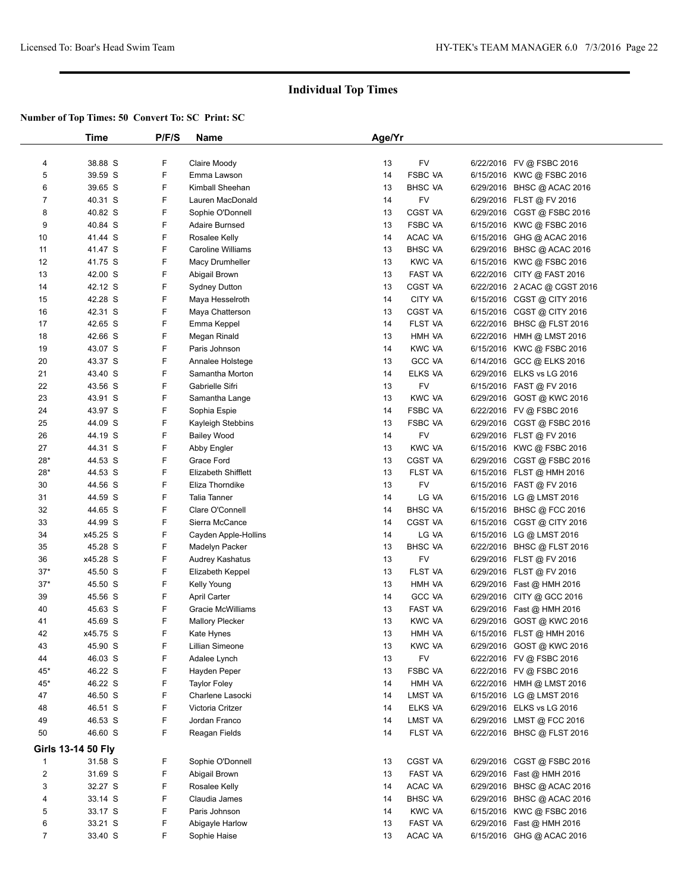|                         | Time                      | P/F/S | Name                   | Age/Yr |                |                              |  |
|-------------------------|---------------------------|-------|------------------------|--------|----------------|------------------------------|--|
|                         |                           |       |                        |        |                |                              |  |
| 4                       | 38.88 S                   | F     | Claire Moody           | 13     | FV             | 6/22/2016 FV @ FSBC 2016     |  |
| 5                       | 39.59 S                   | F     | Emma Lawson            | 14     | <b>FSBC VA</b> | 6/15/2016 KWC @ FSBC 2016    |  |
| 6                       | 39.65 S                   | F     | Kimball Sheehan        | 13     | <b>BHSC VA</b> | 6/29/2016 BHSC @ ACAC 2016   |  |
| 7                       | 40.31 S                   | F     | Lauren MacDonald       | 14     | FV             | 6/29/2016 FLST @ FV 2016     |  |
| 8                       | 40.82 S                   | F     | Sophie O'Donnell       | 13     | <b>CGST VA</b> | 6/29/2016 CGST @ FSBC 2016   |  |
| 9                       | 40.84 S                   | F     | <b>Adaire Burnsed</b>  | 13     | <b>FSBC VA</b> | 6/15/2016 KWC @ FSBC 2016    |  |
| 10                      | 41.44 S                   | F     | Rosalee Kelly          | 14     | ACAC VA        | 6/15/2016 GHG @ ACAC 2016    |  |
| 11                      | 41.47 S                   | F     | Caroline Williams      | 13     | <b>BHSC VA</b> | 6/29/2016 BHSC @ ACAC 2016   |  |
| 12                      | 41.75 S                   | F     | Macy Drumheller        | 13     | <b>KWC VA</b>  | 6/15/2016 KWC @ FSBC 2016    |  |
| 13                      | 42.00 S                   | F     | Abigail Brown          | 13     | <b>FAST VA</b> | 6/22/2016 CITY @ FAST 2016   |  |
| 14                      | 42.12 S                   | F     | <b>Sydney Dutton</b>   | 13     | <b>CGST VA</b> | 6/22/2016 2 ACAC @ CGST 2016 |  |
| 15                      | 42.28 S                   | F     | Maya Hesselroth        | 14     | CITY VA        | 6/15/2016 CGST @ CITY 2016   |  |
| 16                      | 42.31 S                   | F     | Maya Chatterson        | 13     | <b>CGST VA</b> | 6/15/2016 CGST @ CITY 2016   |  |
| 17                      | 42.65 S                   | F     | Emma Keppel            | 14     | FLST VA        | 6/22/2016 BHSC @ FLST 2016   |  |
| 18                      | 42.66 S                   | F     | Megan Rinald           | 13     | HMH VA         | 6/22/2016 HMH @ LMST 2016    |  |
| 19                      | 43.07 S                   | F     | Paris Johnson          | 14     | <b>KWC VA</b>  | 6/15/2016 KWC @ FSBC 2016    |  |
| 20                      | 43.37 S                   | F     | Annalee Holstege       | 13     | <b>GCC VA</b>  | 6/14/2016 GCC @ ELKS 2016    |  |
| 21                      | 43.40 S                   | F     | Samantha Morton        | 14     | ELKS VA        | 6/29/2016 ELKS vs LG 2016    |  |
| 22                      | 43.56 S                   | F     | Gabrielle Sifri        | 13     | FV             | 6/15/2016 FAST @ FV 2016     |  |
| 23                      | 43.91 S                   | F     | Samantha Lange         | 13     | <b>KWC VA</b>  | 6/29/2016 GOST @ KWC 2016    |  |
| 24                      | 43.97 S                   | F     | Sophia Espie           | 14     | <b>FSBC VA</b> | 6/22/2016 FV @ FSBC 2016     |  |
| 25                      | 44.09 S                   | F     | Kayleigh Stebbins      | 13     | <b>FSBC VA</b> | 6/29/2016 CGST @ FSBC 2016   |  |
| 26                      | 44.19 S                   | F     | <b>Bailey Wood</b>     | 14     | FV             | 6/29/2016 FLST @ FV 2016     |  |
| 27                      | 44.31 S                   | F     | Abby Engler            | 13     | <b>KWC VA</b>  | 6/15/2016 KWC @ FSBC 2016    |  |
| 28*                     | 44.53 S                   | F     | Grace Ford             | 13     | <b>CGST VA</b> | 6/29/2016 CGST @ FSBC 2016   |  |
| 28*                     | 44.53 S                   | F     | Elizabeth Shifflett    | 13     | FLST VA        | 6/15/2016 FLST @ HMH 2016    |  |
| 30                      | 44.56 S                   | F     | Eliza Thorndike        | 13     | FV             | 6/15/2016 FAST @ FV 2016     |  |
| 31                      | 44.59 S                   | F     | <b>Talia Tanner</b>    | 14     | LG VA          | 6/15/2016 LG @ LMST 2016     |  |
| 32                      | 44.65 S                   | F     | Clare O'Connell        | 14     | <b>BHSC VA</b> | 6/15/2016 BHSC @ FCC 2016    |  |
| 33                      | 44.99 S                   | F     | Sierra McCance         | 14     | CGST VA        | 6/15/2016 CGST @ CITY 2016   |  |
| 34                      | x45.25 S                  | F     | Cayden Apple-Hollins   | 14     | LG VA          | 6/15/2016 LG @ LMST 2016     |  |
| 35                      | 45.28 S                   | F     | Madelyn Packer         | 13     | <b>BHSC VA</b> | 6/22/2016 BHSC @ FLST 2016   |  |
| 36                      | x45.28 S                  | F     | Audrey Kashatus        | 13     | FV             | 6/29/2016 FLST @ FV 2016     |  |
| $37*$                   | 45.50 S                   | F     | Elizabeth Keppel       | 13     | FLST VA        | 6/29/2016 FLST @ FV 2016     |  |
| $37*$                   | 45.50 S                   | F     | Kelly Young            | 13     | HMH VA         | 6/29/2016 Fast @ HMH 2016    |  |
| 39                      | 45.56 S                   | F     | <b>April Carter</b>    | 14     | <b>GCC VA</b>  | 6/29/2016 CITY @ GCC 2016    |  |
| 40                      | 45.63 S                   | F     | Gracie McWilliams      | 13     | FAST VA        | 6/29/2016 Fast @ HMH 2016    |  |
| 41                      | 45.69 S                   | F     | <b>Mallory Plecker</b> | 13     | KWC VA         | 6/29/2016 GOST @ KWC 2016    |  |
| 42                      | x45.75 S                  | F     | Kate Hynes             | 13     | HMH VA         | 6/15/2016 FLST @ HMH 2016    |  |
| 43                      | 45.90 S                   | F     | Lillian Simeone        | 13     | <b>KWC VA</b>  | 6/29/2016 GOST @ KWC 2016    |  |
| 44                      | 46.03 S                   | F     | Adalee Lynch           | 13     | <b>FV</b>      | 6/22/2016 FV @ FSBC 2016     |  |
| 45*                     | 46.22 S                   | F     | Hayden Peper           | 13     | <b>FSBC VA</b> | 6/22/2016 FV @ FSBC 2016     |  |
| 45*                     | 46.22 S                   | F     | <b>Taylor Foley</b>    | 14     | HMH VA         | 6/22/2016 HMH @ LMST 2016    |  |
| 47                      | 46.50 S                   | F     | Charlene Lasocki       | 14     | LMST VA        | 6/15/2016 LG @ LMST 2016     |  |
| 48                      | 46.51 S                   | F     | Victoria Critzer       | 14     | ELKS VA        | 6/29/2016 ELKS vs LG 2016    |  |
| 49                      | 46.53 S                   | F     | Jordan Franco          | 14     | LMST VA        | 6/29/2016 LMST @ FCC 2016    |  |
| 50                      | 46.60 S                   | F     | Reagan Fields          | 14     | FLST VA        | 6/22/2016 BHSC @ FLST 2016   |  |
|                         | <b>Girls 13-14 50 Fly</b> |       |                        |        |                |                              |  |
|                         |                           |       |                        |        |                |                              |  |
| 1                       | 31.58 S                   | F     | Sophie O'Donnell       | 13     | <b>CGST VA</b> | 6/29/2016 CGST @ FSBC 2016   |  |
| $\overline{\mathbf{c}}$ | 31.69 S                   | F     | Abigail Brown          | 13     | FAST VA        | 6/29/2016 Fast @ HMH 2016    |  |
| 3                       | 32.27 S                   | F     | Rosalee Kelly          | 14     | ACAC VA        | 6/29/2016 BHSC @ ACAC 2016   |  |
| 4                       | 33.14 S                   | F     | Claudia James          | 14     | <b>BHSC VA</b> | 6/29/2016 BHSC @ ACAC 2016   |  |
| 5                       | 33.17 S                   | F     | Paris Johnson          | 14     | <b>KWC VA</b>  | 6/15/2016 KWC @ FSBC 2016    |  |
| 6                       | 33.21 S                   | F     | Abigayle Harlow        | 13     | FAST VA        | 6/29/2016 Fast @ HMH 2016    |  |
| $\overline{7}$          | 33.40 S                   | F     | Sophie Haise           | 13     | ACAC VA        | 6/15/2016 GHG @ ACAC 2016    |  |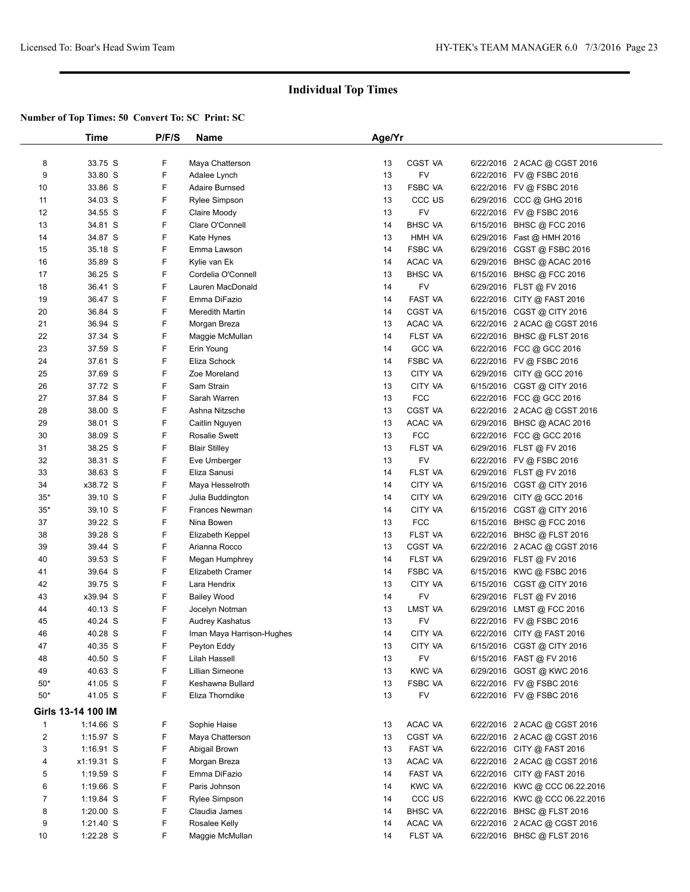|                | Time               | P/F/S | Name                      | Age/Yr   |                    |                                |  |
|----------------|--------------------|-------|---------------------------|----------|--------------------|--------------------------------|--|
|                |                    |       |                           |          |                    |                                |  |
| 8              | 33.75 S            | F     | Maya Chatterson           | 13       | <b>CGST VA</b>     | 6/22/2016 2 ACAC @ CGST 2016   |  |
| 9              | 33.80 S            | F     | Adalee Lynch              | 13       | <b>FV</b>          | 6/22/2016 FV @ FSBC 2016       |  |
| 10             | 33.86 S            | F     | <b>Adaire Burnsed</b>     | 13       | <b>FSBC VA</b>     | 6/22/2016 FV @ FSBC 2016       |  |
| 11             | 34.03 S            | F     | <b>Rylee Simpson</b>      | 13       | CCC <sub>U</sub> S | 6/29/2016 CCC @ GHG 2016       |  |
| 12             | 34.55 S            | F     | Claire Moody              | 13       | FV                 | 6/22/2016 FV @ FSBC 2016       |  |
| 13             | 34.81 S            | F     | Clare O'Connell           | 14       | <b>BHSC VA</b>     | 6/15/2016 BHSC @ FCC 2016      |  |
| 14             | 34.87 S            | F     | Kate Hynes                | 13       | HMH VA             | 6/29/2016 Fast @ HMH 2016      |  |
| 15             | 35.18 S            | F     | Emma Lawson               | 14       | <b>FSBC VA</b>     | 6/29/2016 CGST @ FSBC 2016     |  |
| 16             | 35.89 S            | F     | Kylie van Ek              | 14       | ACAC VA            | 6/29/2016 BHSC @ ACAC 2016     |  |
| 17             | 36.25 S            | F     | Cordelia O'Connell        | 13       | <b>BHSC VA</b>     | 6/15/2016 BHSC @ FCC 2016      |  |
| 18             | 36.41 S            | F     | Lauren MacDonald          | 14       | <b>FV</b>          | 6/29/2016 FLST @ FV 2016       |  |
| 19             | 36.47 S            | F     | Emma DiFazio              | 14       | FAST VA            | 6/22/2016 CITY @ FAST 2016     |  |
| 20             | 36.84 S            | F     | <b>Meredith Martin</b>    | 14       | <b>CGST VA</b>     | 6/15/2016 CGST @ CITY 2016     |  |
| 21             | 36.94 S            | F     |                           | 13       | ACAC VA            | 6/22/2016 2 ACAC @ CGST 2016   |  |
|                |                    |       | Morgan Breza              |          |                    |                                |  |
| 22             | 37.34 S            | F     | Maggie McMullan           | 14       | FLST VA            | 6/22/2016 BHSC @ FLST 2016     |  |
| 23             | 37.59 S            | F     | Erin Young                | 14       | <b>GCC VA</b>      | 6/22/2016 FCC @ GCC 2016       |  |
| 24             | 37.61 S            | F     | Eliza Schock              | 14       | <b>FSBC VA</b>     | 6/22/2016 FV @ FSBC 2016       |  |
| 25             | 37.69 S            | F     | Zoe Moreland              | 13       | CITY VA            | 6/29/2016 CITY @ GCC 2016      |  |
| 26             | 37.72 S            | F     | Sam Strain                | 13       | CITY VA            | 6/15/2016 CGST @ CITY 2016     |  |
| 27             | 37.84 S            | F     | Sarah Warren              | 13       | <b>FCC</b>         | 6/22/2016 FCC @ GCC 2016       |  |
| 28             | 38.00 S            | F     | Ashna Nitzsche            | 13       | <b>CGST VA</b>     | 6/22/2016 2 ACAC @ CGST 2016   |  |
| 29             | 38.01 S            | F     | Caitlin Nguyen            | 13       | ACAC VA            | 6/29/2016 BHSC @ ACAC 2016     |  |
| 30             | 38.09 S            | F     | <b>Rosalie Swett</b>      | 13       | <b>FCC</b>         | 6/22/2016 FCC @ GCC 2016       |  |
| 31             | 38.25 S            | F     | <b>Blair Stilley</b>      | 13       | FLST VA            | 6/29/2016 FLST @ FV 2016       |  |
| 32             | 38.31 S            | F     | Eve Umberger              | 13       | FV                 | 6/22/2016 FV @ FSBC 2016       |  |
| 33             | 38.63 S            | F     | Eliza Sanusi              | 14       | FLST VA            | 6/29/2016 FLST @ FV 2016       |  |
| 34             | x38.72 S           | F     | Maya Hesselroth           | 14       | CITY VA            | 6/15/2016 CGST @ CITY 2016     |  |
| $35*$          | 39.10 S            | F     | Julia Buddington          | 14       | CITY VA            | 6/29/2016 CITY @ GCC 2016      |  |
| $35*$          | 39.10 S            | F     | <b>Frances Newman</b>     | 14       | CITY VA            | 6/15/2016 CGST @ CITY 2016     |  |
| 37             | 39.22 S            | F     | Nina Bowen                | 13       | <b>FCC</b>         | 6/15/2016 BHSC @ FCC 2016      |  |
| 38             | 39.28 S            | F     | Elizabeth Keppel          | 13       | FLST VA            | 6/22/2016 BHSC @ FLST 2016     |  |
| 39             | 39.44 S            | F     | Arianna Rocco             | 13       | <b>CGST VA</b>     | 6/22/2016 2 ACAC @ CGST 2016   |  |
| 40             | 39.53 S            | F     | Megan Humphrey            | 14       | FLST VA            | 6/29/2016 FLST @ FV 2016       |  |
| 41             | 39.64 S            | F     | <b>Elizabeth Cramer</b>   | 14       | <b>FSBC VA</b>     | 6/15/2016 KWC @ FSBC 2016      |  |
| 42             | 39.75 S            | F     | Lara Hendrix              | 13       | <b>CITY VA</b>     | 6/15/2016 CGST @ CITY 2016     |  |
| 43             | x39.94 S           | F     | <b>Bailey Wood</b>        | 14       | FV                 | 6/29/2016 FLST @ FV 2016       |  |
|                |                    | F     |                           |          | LMST VA            |                                |  |
| 44             | 40.13 S            | F     | Jocelyn Notman            | 13<br>13 | <b>FV</b>          | 6/29/2016 LMST @ FCC 2016      |  |
| 45             | 40.24 S            |       | Audrey Kashatus           |          |                    | 6/22/2016 FV @ FSBC 2016       |  |
| 46             | 40.28 S            | F     | Iman Maya Harrison-Hughes | 14       | CITY VA            | 6/22/2016 CITY @ FAST 2016     |  |
| 47             | 40.35 S            | F     | Peyton Eddy               | 13       | <b>CITY VA</b>     | 6/15/2016 CGST @ CITY 2016     |  |
| 48             | 40.50 S            | F     | Lilah Hassell             | 13       | <b>FV</b>          | 6/15/2016 FAST @ FV 2016       |  |
| 49             | 40.63 S            | F     | Lillian Simeone           | 13       | <b>KWC VA</b>      | 6/29/2016 GOST @ KWC 2016      |  |
| $50*$          | 41.05 S            | F     | Keshawna Bullard          | 13       | <b>FSBC VA</b>     | 6/22/2016 FV @ FSBC 2016       |  |
| $50*$          | 41.05 S            | F     | Eliza Thorndike           | 13       | FV                 | 6/22/2016 FV @ FSBC 2016       |  |
|                | Girls 13-14 100 IM |       |                           |          |                    |                                |  |
| $\mathbf{1}$   | $1:14.66$ S        | F     | Sophie Haise              | 13       | ACAC VA            | 6/22/2016 2 ACAC @ CGST 2016   |  |
| $\overline{c}$ | $1:15.97$ S        | F     | Maya Chatterson           | 13       | CGST VA            | 6/22/2016 2 ACAC @ CGST 2016   |  |
| 3              | 1:16.91 S          | F     | Abigail Brown             | 13       | FAST VA            | 6/22/2016 CITY @ FAST 2016     |  |
| 4              | x1:19.31 S         | F     | Morgan Breza              | 13       | ACAC VA            | 6/22/2016 2 ACAC @ CGST 2016   |  |
| 5              | $1:19.59$ S        | F     | Emma DiFazio              | 14       | FAST VA            | 6/22/2016 CITY @ FAST 2016     |  |
| 6              | 1:19.66 S          | F     | Paris Johnson             | 14       | <b>KWC VA</b>      | 6/22/2016 KWC @ CCC 06.22.2016 |  |
| $\overline{7}$ | $1:19.84$ S        | F     | Rylee Simpson             | 14       | CCC <sub>U</sub> S | 6/22/2016 KWC @ CCC 06.22.2016 |  |
| 8              | $1:20.00$ S        | F     | Claudia James             | 14       | <b>BHSC VA</b>     | 6/22/2016 BHSC @ FLST 2016     |  |
| 9              | 1:21.40 S          | F     | Rosalee Kelly             | 14       | ACAC VA            | 6/22/2016 2 ACAC @ CGST 2016   |  |
|                |                    |       |                           |          |                    |                                |  |
| 10             | 1:22.28 S          | F     | Maggie McMullan           | 14       | FLST VA            | 6/22/2016 BHSC @ FLST 2016     |  |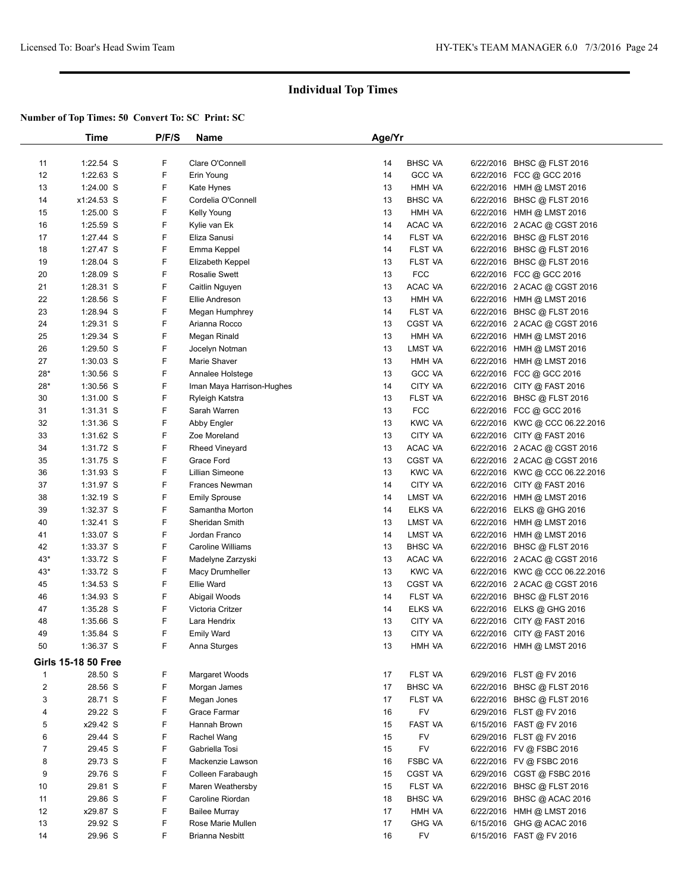|                         | Time                       | P/F/S | <b>Name</b>               | Age/Yr |                |                                |  |
|-------------------------|----------------------------|-------|---------------------------|--------|----------------|--------------------------------|--|
|                         |                            |       |                           |        |                |                                |  |
| 11                      | 1:22.54 S                  | F     | Clare O'Connell           | 14     | <b>BHSC VA</b> | 6/22/2016 BHSC @ FLST 2016     |  |
| 12                      | 1:22.63 S                  | F     | Erin Young                | 14     | <b>GCC VA</b>  | 6/22/2016 FCC @ GCC 2016       |  |
| 13                      | $1:24.00$ S                | F     | Kate Hynes                | 13     | HMH VA         | 6/22/2016 HMH @ LMST 2016      |  |
| 14                      | x1:24.53 S                 | F     | Cordelia O'Connell        | 13     | <b>BHSC VA</b> | 6/22/2016 BHSC @ FLST 2016     |  |
| 15                      | 1:25.00 S                  | F     | Kelly Young               | 13     | HMH VA         | 6/22/2016 HMH @ LMST 2016      |  |
| 16                      | $1:25.59$ S                | F     | Kylie van Ek              | 14     | ACAC VA        | 6/22/2016 2 ACAC @ CGST 2016   |  |
| 17                      | 1:27.44 S                  | F     | Eliza Sanusi              | 14     | FLST VA        | 6/22/2016 BHSC @ FLST 2016     |  |
| 18                      | 1:27.47 S                  | F     | Emma Keppel               | 14     | FLST VA        | 6/22/2016 BHSC @ FLST 2016     |  |
| 19                      | 1:28.04 S                  | F     | Elizabeth Keppel          | 13     | FLST VA        | 6/22/2016 BHSC @ FLST 2016     |  |
| 20                      | 1:28.09 S                  | F     | <b>Rosalie Swett</b>      | 13     | <b>FCC</b>     | 6/22/2016 FCC @ GCC 2016       |  |
| 21                      | 1:28.31 S                  | F     | Caitlin Nguyen            | 13     | ACAC VA        | 6/22/2016 2 ACAC @ CGST 2016   |  |
| 22                      | 1:28.56 S                  | F     | Ellie Andreson            | 13     | HMH VA         | 6/22/2016 HMH @ LMST 2016      |  |
| 23                      | 1:28.94 S                  | F     | Megan Humphrey            | 14     | FLST VA        | 6/22/2016 BHSC @ FLST 2016     |  |
| 24                      | 1:29.31 S                  | F     | Arianna Rocco             | 13     | <b>CGST VA</b> | 6/22/2016 2 ACAC @ CGST 2016   |  |
| 25                      | 1:29.34 S                  | F     | Megan Rinald              | 13     | HMH VA         | 6/22/2016 HMH @ LMST 2016      |  |
| 26                      | $1:29.50$ S                | F     | Jocelyn Notman            | 13     | LMST VA        | 6/22/2016 HMH @ LMST 2016      |  |
| 27                      | $1:30.03$ S                | F     | Marie Shaver              | 13     | <b>HMH VA</b>  | 6/22/2016 HMH @ LMST 2016      |  |
| $28*$                   | $1:30.56$ S                | F     | Annalee Holstege          | 13     | <b>GCC VA</b>  | 6/22/2016 FCC @ GCC 2016       |  |
| $28*$                   | $1:30.56$ S                | F     | Iman Maya Harrison-Hughes | 14     | CITY VA        | 6/22/2016 CITY @ FAST 2016     |  |
| 30                      | $1:31.00$ S                | F     | Ryleigh Katstra           | 13     | FLST VA        | 6/22/2016 BHSC @ FLST 2016     |  |
| 31                      | $1:31.31$ S                | F     | Sarah Warren              | 13     | <b>FCC</b>     | 6/22/2016 FCC @ GCC 2016       |  |
| 32                      | 1:31.36 S                  | F     | Abby Engler               | 13     | <b>KWC VA</b>  | 6/22/2016 KWC @ CCC 06.22.2016 |  |
| 33                      | 1:31.62 S                  | F     | Zoe Moreland              | 13     | CITY VA        | 6/22/2016 CITY @ FAST 2016     |  |
| 34                      | 1:31.72 S                  | F     | <b>Rheed Vineyard</b>     | 13     | ACAC VA        | 6/22/2016 2 ACAC @ CGST 2016   |  |
| 35                      | 1:31.75 S                  | F     | Grace Ford                | 13     | <b>CGST VA</b> | 6/22/2016 2 ACAC @ CGST 2016   |  |
| 36                      | $1:31.93$ S                | F     | Lillian Simeone           | 13     | <b>KWC VA</b>  | 6/22/2016 KWC @ CCC 06.22.2016 |  |
| 37                      | 1:31.97 S                  | F     | Frances Newman            | 14     | CITY VA        | 6/22/2016 CITY @ FAST 2016     |  |
| 38                      | $1:32.19$ S                | F     | <b>Emily Sprouse</b>      | 14     | LMST VA        | 6/22/2016 HMH @ LMST 2016      |  |
| 39                      | $1:32.37$ S                | F     | Samantha Morton           | 14     | ELKS VA        | 6/22/2016 ELKS @ GHG 2016      |  |
| 40                      | $1:32.41$ S                | F     | Sheridan Smith            | 13     | LMST VA        | 6/22/2016 HMH @ LMST 2016      |  |
| 41                      | 1:33.07 S                  | F     | Jordan Franco             | 14     | LMST VA        | 6/22/2016 HMH @ LMST 2016      |  |
| 42                      | 1:33.37 S                  | F     | Caroline Williams         | 13     | <b>BHSC VA</b> | 6/22/2016 BHSC @ FLST 2016     |  |
| $43*$                   | 1:33.72 S                  | F     | Madelyne Zarzyski         | 13     | ACAC VA        | 6/22/2016 2 ACAC @ CGST 2016   |  |
| $43*$                   | 1:33.72 S                  | F     | Macy Drumheller           | 13     | <b>KWC VA</b>  | 6/22/2016 KWC @ CCC 06.22.2016 |  |
| 45                      | 1:34.53 S                  | F     | <b>Ellie Ward</b>         | 13     | <b>CGST VA</b> | 6/22/2016 2 ACAC @ CGST 2016   |  |
| 46                      | 1:34.93 S                  | F     | Abigail Woods             | 14     | FLST VA        | 6/22/2016 BHSC @ FLST 2016     |  |
| 47                      | 1:35.28 S                  | F     | Victoria Critzer          | 14     | ELKS VA        | 6/22/2016 ELKS @ GHG 2016      |  |
| 48                      | 1:35.66 S                  | F     | Lara Hendrix              | 13     | CITY VA        | 6/22/2016 CITY @ FAST 2016     |  |
| 49                      | 1:35.84 S                  | F     | <b>Emily Ward</b>         | 13     | <b>CITY VA</b> | 6/22/2016 CITY @ FAST 2016     |  |
| 50                      | 1:36.37 S                  | F     | Anna Sturges              | 13     | HMH VA         | 6/22/2016 HMH @ LMST 2016      |  |
|                         |                            |       |                           |        |                |                                |  |
|                         | <b>Girls 15-18 50 Free</b> |       |                           |        |                |                                |  |
| $\mathbf{1}$            | 28.50 S                    | F     | Margaret Woods            | 17     | FLST VA        | 6/29/2016 FLST @ FV 2016       |  |
| $\overline{\mathbf{c}}$ | 28.56 S                    | F     | Morgan James              | 17     | <b>BHSC VA</b> | 6/22/2016 BHSC @ FLST 2016     |  |
| 3                       | 28.71 S                    | F     | Megan Jones               | 17     | FLST VA        | 6/22/2016 BHSC @ FLST 2016     |  |
| 4                       | 29.22 S                    | F     | Grace Farmar              | 16     | <b>FV</b>      | 6/29/2016 FLST @ FV 2016       |  |
| 5                       | x29.42 S                   | F     | Hannah Brown              | 15     | FAST VA        | 6/15/2016 FAST @ FV 2016       |  |
| 6                       | 29.44 S                    | F     | Rachel Wang               | 15     | FV             | 6/29/2016 FLST @ FV 2016       |  |
| $\overline{7}$          | 29.45 S                    | F     | Gabriella Tosi            | 15     | <b>FV</b>      | 6/22/2016 FV @ FSBC 2016       |  |
| 8                       | 29.73 S                    | F     | Mackenzie Lawson          | 16     | <b>FSBC VA</b> | 6/22/2016 FV @ FSBC 2016       |  |
| 9                       | 29.76 S                    | F     | Colleen Farabaugh         | 15     | <b>CGST VA</b> | 6/29/2016 CGST @ FSBC 2016     |  |
| 10                      | 29.81 S                    | F     | Maren Weathersby          | 15     | FLST VA        | 6/22/2016 BHSC @ FLST 2016     |  |
| 11                      | 29.86 S                    | F     | Caroline Riordan          | 18     | <b>BHSC VA</b> | 6/29/2016 BHSC @ ACAC 2016     |  |
| 12                      | x29.87 S                   | F     | <b>Bailee Murray</b>      | 17     | HMH VA         | 6/22/2016 HMH @ LMST 2016      |  |
| 13                      | 29.92 S                    | F     | Rose Marie Mullen         | 17     | <b>GHG VA</b>  | 6/15/2016 GHG @ ACAC 2016      |  |
| 14                      | 29.96 S                    | F     | <b>Brianna Nesbitt</b>    | 16     | <b>FV</b>      | 6/15/2016 FAST @ FV 2016       |  |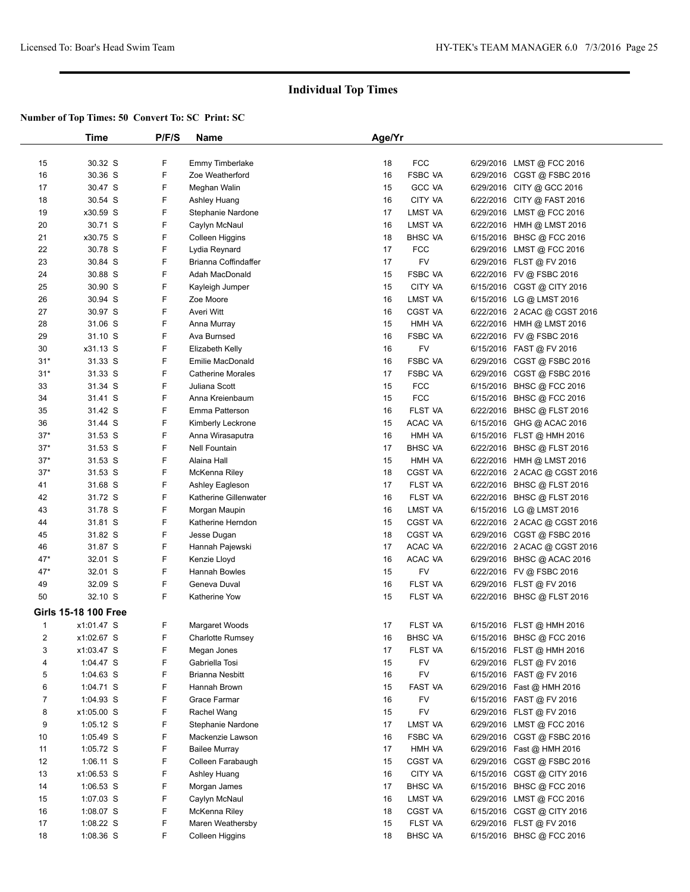|                | Time                        | P/F/S | <b>Name</b>              | Age/Yr |                |                              |  |
|----------------|-----------------------------|-------|--------------------------|--------|----------------|------------------------------|--|
|                |                             |       |                          |        |                |                              |  |
| 15             | 30.32 S                     | F     | <b>Emmy Timberlake</b>   | 18     | <b>FCC</b>     | 6/29/2016 LMST @ FCC 2016    |  |
| 16             | 30.36 S                     | F     | Zoe Weatherford          | 16     | <b>FSBC VA</b> | 6/29/2016 CGST @ FSBC 2016   |  |
| 17             | 30.47 S                     | F     | Meghan Walin             | 15     | <b>GCC VA</b>  | 6/29/2016 CITY @ GCC 2016    |  |
| 18             | 30.54 S                     | F     | Ashley Huang             | 16     | CITY VA        | 6/22/2016 CITY @ FAST 2016   |  |
| 19             | x30.59 S                    | F     | Stephanie Nardone        | 17     | LMST VA        | 6/29/2016 LMST @ FCC 2016    |  |
| 20             | 30.71 S                     | F     | Caylyn McNaul            | 16     | LMST VA        | 6/22/2016 HMH @ LMST 2016    |  |
| 21             | x30.75 S                    | F     | Colleen Higgins          | 18     | <b>BHSC VA</b> | 6/15/2016 BHSC @ FCC 2016    |  |
| 22             | 30.78 S                     | F     | Lydia Reynard            | 17     | <b>FCC</b>     | 6/29/2016 LMST @ FCC 2016    |  |
| 23             | 30.84 S                     | F     | Brianna Coffindaffer     | 17     | <b>FV</b>      | 6/29/2016 FLST @ FV 2016     |  |
| 24             | 30.88 S                     | F     | Adah MacDonald           | 15     | <b>FSBC VA</b> | 6/22/2016 FV @ FSBC 2016     |  |
| 25             | 30.90 S                     | F     | Kayleigh Jumper          | 15     | CITY VA        | 6/15/2016 CGST @ CITY 2016   |  |
| 26             | 30.94 S                     | F     | Zoe Moore                | 16     | LMST VA        | 6/15/2016 LG @ LMST 2016     |  |
| 27             | 30.97 S                     | F     | Averi Witt               | 16     | CGST VA        | 6/22/2016 2 ACAC @ CGST 2016 |  |
| 28             | 31.06 S                     | F     | Anna Murray              | 15     | HMH VA         | 6/22/2016 HMH @ LMST 2016    |  |
| 29             | 31.10 S                     | F     | Ava Burnsed              | 16     | <b>FSBC VA</b> | 6/22/2016 FV @ FSBC 2016     |  |
| 30             | x31.13 S                    | F     | Elizabeth Kelly          | 16     | FV             | 6/15/2016 FAST @ FV 2016     |  |
| $31*$          | 31.33 S                     | F     | <b>Emilie MacDonald</b>  | 16     | <b>FSBC VA</b> | 6/29/2016 CGST @ FSBC 2016   |  |
| $31*$          | 31.33 S                     | F     | <b>Catherine Morales</b> | 17     | <b>FSBC VA</b> | 6/29/2016 CGST @ FSBC 2016   |  |
| 33             | 31.34 S                     | F     | Juliana Scott            | 15     | <b>FCC</b>     | 6/15/2016 BHSC @ FCC 2016    |  |
| 34             | 31.41 S                     | F     | Anna Kreienbaum          | 15     | <b>FCC</b>     | 6/15/2016 BHSC @ FCC 2016    |  |
| 35             | 31.42 S                     | F     | Emma Patterson           | 16     | FLST VA        | 6/22/2016 BHSC @ FLST 2016   |  |
| 36             | 31.44 S                     | F     | Kimberly Leckrone        | 15     | ACAC VA        | 6/15/2016 GHG @ ACAC 2016    |  |
| $37*$          | 31.53 S                     | F     | Anna Wirasaputra         | 16     | HMH VA         | 6/15/2016 FLST @ HMH 2016    |  |
| $37*$          | 31.53 S                     | F     | <b>Nell Fountain</b>     | 17     | <b>BHSC VA</b> | 6/22/2016 BHSC @ FLST 2016   |  |
| $37*$          | 31.53 S                     | F     | Alaina Hall              | 15     | HMH VA         | 6/22/2016 HMH @ LMST 2016    |  |
| $37*$          | 31.53 S                     | F     | McKenna Riley            | 18     | CGST VA        | 6/22/2016 2 ACAC @ CGST 2016 |  |
| 41             | 31.68 S                     | F     | Ashley Eagleson          | 17     | FLST VA        | 6/22/2016 BHSC @ FLST 2016   |  |
| 42             | 31.72 S                     | F     | Katherine Gillenwater    | 16     | FLST VA        | 6/22/2016 BHSC @ FLST 2016   |  |
| 43             | 31.78 S                     | F     | Morgan Maupin            | 16     | LMST VA        | 6/15/2016 LG @ LMST 2016     |  |
| 44             | 31.81 S                     | F     | Katherine Herndon        | 15     | <b>CGST VA</b> | 6/22/2016 2 ACAC @ CGST 2016 |  |
| 45             | 31.82 S                     | F     | Jesse Dugan              | 18     | CGST VA        | 6/29/2016 CGST @ FSBC 2016   |  |
| 46             | 31.87 S                     | F     | Hannah Pajewski          | 17     | ACAC VA        | 6/22/2016 2 ACAC @ CGST 2016 |  |
| $47*$          | 32.01 S                     | F     | Kenzie Lloyd             | 16     | ACAC VA        | 6/29/2016 BHSC @ ACAC 2016   |  |
| $47*$          | 32.01 S                     | F     | <b>Hannah Bowles</b>     | 15     | <b>FV</b>      | 6/22/2016 FV @ FSBC 2016     |  |
| 49             | 32.09 S                     | F     | Geneva Duval             | 16     | FLST VA        | 6/29/2016 FLST @ FV 2016     |  |
| 50             | 32.10 S                     | F     | Katherine Yow            | 15     | FLST VA        | 6/22/2016 BHSC @ FLST 2016   |  |
|                | <b>Girls 15-18 100 Free</b> |       |                          |        |                |                              |  |
| $\mathbf{1}$   | x1:01.47 S                  | F     | Margaret Woods           | 17     | FLST VA        | 6/15/2016 FLST @ HMH 2016    |  |
| 2              | x1:02.67 S                  | F     | Charlotte Rumsey         | 16     | <b>BHSC VA</b> | 6/15/2016 BHSC @ FCC 2016    |  |
| 3              | x1:03.47 S                  | F     | Megan Jones              | 17     | FLST VA        | 6/15/2016 FLST @ HMH 2016    |  |
| 4              | $1:04.47$ S                 | F     | Gabriella Tosi           | 15     | FV             | 6/29/2016 FLST @ FV 2016     |  |
| 5              | $1:04.63$ S                 | F     | <b>Brianna Nesbitt</b>   | 16     | <b>FV</b>      | 6/15/2016 FAST @ FV 2016     |  |
| 6              | 1:04.71 S                   | F     | Hannah Brown             | 15     | <b>FAST VA</b> | 6/29/2016 Fast @ HMH 2016    |  |
| $\overline{7}$ | $1:04.93$ S                 | F     | Grace Farmar             | 16     | <b>FV</b>      | 6/15/2016 FAST @ FV 2016     |  |
| 8              | x1:05.00 S                  | F     | Rachel Wang              | 15     | FV             | 6/29/2016 FLST @ FV 2016     |  |
| 9              | $1:05.12$ S                 | F     | Stephanie Nardone        | 17     | LMST VA        | 6/29/2016 LMST @ FCC 2016    |  |
| 10             | $1:05.49$ S                 | F     | Mackenzie Lawson         | 16     | FSBC VA        | 6/29/2016 CGST @ FSBC 2016   |  |
| 11             | 1:05.72 S                   | F     | <b>Bailee Murray</b>     | 17     | HMH VA         | 6/29/2016 Fast @ HMH 2016    |  |
| 12             | $1:06.11$ S                 | F     | Colleen Farabaugh        | 15     | CGST VA        | 6/29/2016 CGST @ FSBC 2016   |  |
| 13             | x1:06.53 S                  | F     | Ashley Huang             | 16     | CITY VA        | 6/15/2016 CGST @ CITY 2016   |  |
| 14             | $1:06.53$ S                 | F     | Morgan James             | 17     | <b>BHSC VA</b> | 6/15/2016 BHSC @ FCC 2016    |  |
| 15             | $1:07.03$ S                 | F     | Caylyn McNaul            | 16     | LMST VA        | 6/29/2016 LMST @ FCC 2016    |  |
| 16             | 1:08.07 S                   | F     | McKenna Riley            | 18     | CGST VA        | 6/15/2016 CGST @ CITY 2016   |  |
| 17             | $1:08.22$ S                 | F     | Maren Weathersby         | 15     | FLST VA        | 6/29/2016 FLST @ FV 2016     |  |
| 18             | 1:08.36 S                   | F     | Colleen Higgins          | 18     | <b>BHSC VA</b> | 6/15/2016 BHSC @ FCC 2016    |  |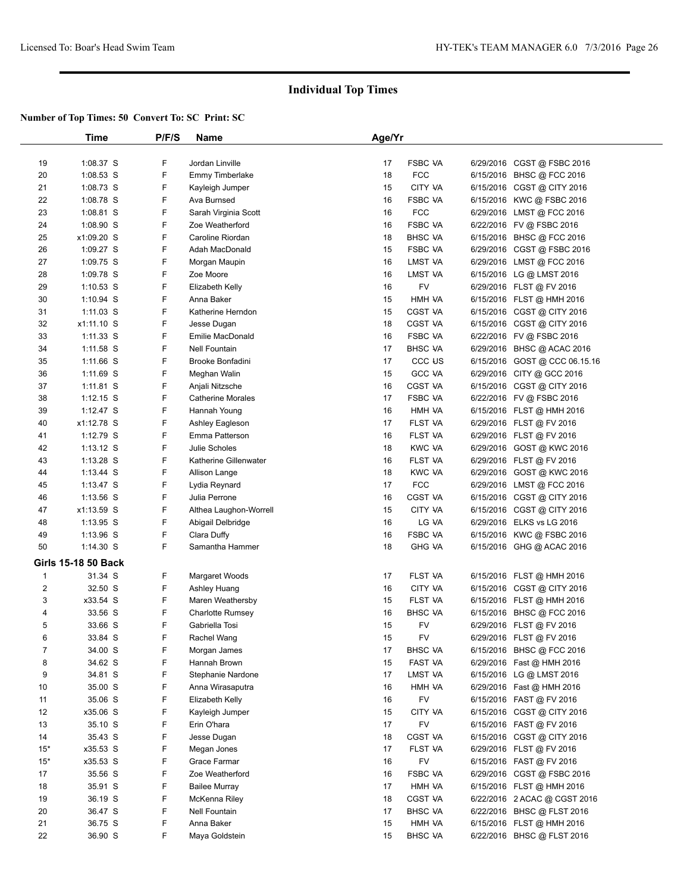|                | Time                       | P/F/S | Name                     | Age/Yr |                    |           |                               |  |
|----------------|----------------------------|-------|--------------------------|--------|--------------------|-----------|-------------------------------|--|
|                |                            |       |                          |        |                    |           |                               |  |
| 19             | 1:08.37 S                  | F     | Jordan Linville          | 17     | <b>FSBC VA</b>     |           | 6/29/2016 CGST @ FSBC 2016    |  |
| 20             | 1:08.53 S                  | F     | <b>Emmy Timberlake</b>   | 18     | <b>FCC</b>         |           | 6/15/2016 BHSC @ FCC 2016     |  |
| 21             | $1:08.73$ S                | F     | Kayleigh Jumper          | 15     | CITY VA            |           | 6/15/2016 CGST @ CITY 2016    |  |
| 22             | 1:08.78 S                  | F     | Ava Burnsed              | 16     | <b>FSBC VA</b>     |           | 6/15/2016 KWC @ FSBC 2016     |  |
| 23             | 1:08.81 S                  | F     | Sarah Virginia Scott     | 16     | <b>FCC</b>         |           | 6/29/2016 LMST @ FCC 2016     |  |
| 24             | $1:08.90$ S                | F     | Zoe Weatherford          | 16     | <b>FSBC VA</b>     |           | 6/22/2016 FV @ FSBC 2016      |  |
| 25             | x1:09.20 S                 | F     | Caroline Riordan         | 18     | <b>BHSC VA</b>     |           | 6/15/2016 BHSC @ FCC 2016     |  |
| 26             | 1:09.27 S                  | F     | Adah MacDonald           | 15     | <b>FSBC VA</b>     | 6/29/2016 | CGST @ FSBC 2016              |  |
| 27             | 1:09.75 S                  | F     | Morgan Maupin            | 16     | LMST VA            |           | 6/29/2016 LMST @ FCC 2016     |  |
| 28             | 1:09.78 S                  | F     | Zoe Moore                | 16     | LMST VA            |           | 6/15/2016 LG @ LMST 2016      |  |
| 29             | $1:10.53$ S                | F     | Elizabeth Kelly          | 16     | <b>FV</b>          |           | 6/29/2016 FLST @ FV 2016      |  |
| 30             | 1:10.94 S                  | F     | Anna Baker               | 15     | HMH VA             |           | 6/15/2016 FLST @ HMH 2016     |  |
| 31             | $1:11.03$ S                | F     | Katherine Herndon        | 15     | CGST VA            |           | 6/15/2016 CGST @ CITY 2016    |  |
| 32             | x1:11.10 S                 | F     | Jesse Dugan              | 18     | CGST VA            |           | 6/15/2016 CGST @ CITY 2016    |  |
| 33             | 1:11.33 S                  | F     | Emilie MacDonald         | 16     | <b>FSBC VA</b>     |           | 6/22/2016 FV @ FSBC 2016      |  |
| 34             | 1:11.58 S                  | F     | Nell Fountain            | 17     | <b>BHSC VA</b>     |           | 6/29/2016 BHSC @ ACAC 2016    |  |
| 35             | 1:11.66 S                  | F     | Brooke Bonfadini         | 17     | CCC <sub>U</sub> S |           | 6/15/2016 GOST @ CCC 06.15.16 |  |
| 36             | 1:11.69 S                  | F     | Meghan Walin             | 15     | <b>GCC VA</b>      |           | 6/29/2016 CITY @ GCC 2016     |  |
| 37             | $1:11.81$ S                | F     | Anjali Nitzsche          | 16     | CGST VA            |           | 6/15/2016 CGST @ CITY 2016    |  |
| 38             | $1:12.15$ S                | F     | <b>Catherine Morales</b> | 17     | <b>FSBC VA</b>     |           | 6/22/2016 FV @ FSBC 2016      |  |
|                | 1:12.47 S                  | F     |                          | 16     | HMH VA             |           |                               |  |
| 39             |                            | F     | Hannah Young             | 17     | FLST VA            |           | 6/15/2016 FLST @ HMH 2016     |  |
| 40             | x1:12.78 S                 | F     | Ashley Eagleson          |        |                    |           | 6/29/2016 FLST @ FV 2016      |  |
| 41             | 1:12.79 S                  |       | Emma Patterson           | 16     | FLST VA            |           | 6/29/2016 FLST @ FV 2016      |  |
| 42             | $1:13.12$ S                | F     | Julie Scholes            | 18     | <b>KWC VA</b>      |           | 6/29/2016 GOST @ KWC 2016     |  |
| 43             | 1:13.28 S                  | F     | Katherine Gillenwater    | 16     | FLST VA            |           | 6/29/2016 FLST @ FV 2016      |  |
| 44             | 1:13.44 S                  | F     | Allison Lange            | 18     | <b>KWC VA</b>      |           | 6/29/2016 GOST @ KWC 2016     |  |
| 45             | $1:13.47$ S                | F     | Lydia Reynard            | 17     | <b>FCC</b>         |           | 6/29/2016 LMST @ FCC 2016     |  |
| 46             | 1:13.56 S                  | F     | Julia Perrone            | 16     | CGST VA            |           | 6/15/2016 CGST @ CITY 2016    |  |
| 47             | x1:13.59 S                 | F     | Althea Laughon-Worrell   | 15     | CITY VA            |           | 6/15/2016 CGST @ CITY 2016    |  |
| 48             | 1:13.95 S                  | F     | Abigail Delbridge        | 16     | LG VA              |           | 6/29/2016 ELKS vs LG 2016     |  |
| 49             | 1:13.96 S                  | F     | Clara Duffy              | 16     | <b>FSBC VA</b>     |           | 6/15/2016 KWC@FSBC 2016       |  |
| 50             | 1:14.30 S                  | F     | Samantha Hammer          | 18     | <b>GHG VA</b>      |           | 6/15/2016 GHG @ ACAC 2016     |  |
|                | <b>Girls 15-18 50 Back</b> |       |                          |        |                    |           |                               |  |
| 1              | 31.34 S                    | F     | Margaret Woods           | 17     | FLST VA            |           | 6/15/2016 FLST @ HMH 2016     |  |
| $\overline{2}$ | 32.50 S                    | F     | Ashley Huang             | 16     | CITY VA            |           | 6/15/2016 CGST @ CITY 2016    |  |
| 3              | x33.54 S                   | F     | Maren Weathersby         | 15     | FLST VA            |           | 6/15/2016 FLST @ HMH 2016     |  |
| 4              | 33.56 S                    | F     | <b>Charlotte Rumsey</b>  | 16     | <b>BHSC VA</b>     |           | 6/15/2016 BHSC @ FCC 2016     |  |
| 5              | 33.66 S                    | F     | Gabriella Tosi           | 15     | FV                 |           | 6/29/2016 FLST @ FV 2016      |  |
| 6              | 33.84 S                    | F     | Rachel Wang              | 15     | <b>FV</b>          |           | 6/29/2016 FLST @ FV 2016      |  |
| $\overline{7}$ | 34.00 S                    | F     | Morgan James             | 17     | <b>BHSC VA</b>     |           | 6/15/2016 BHSC @ FCC 2016     |  |
| 8              | 34.62 S                    | F     | Hannah Brown             | 15     | FAST VA            |           | 6/29/2016 Fast @ HMH 2016     |  |
| 9              | 34.81 S                    | F     | Stephanie Nardone        | 17     | LMST VA            |           | 6/15/2016 LG @ LMST 2016      |  |
| 10             | 35.00 S                    | F     | Anna Wirasaputra         | 16     | HMH VA             |           | 6/29/2016 Fast @ HMH 2016     |  |
| 11             | 35.06 S                    | F     | Elizabeth Kelly          | 16     | FV                 |           | 6/15/2016 FAST @ FV 2016      |  |
| 12             | x35.06 S                   | F     | Kayleigh Jumper          | 15     | CITY VA            |           | 6/15/2016 CGST @ CITY 2016    |  |
| 13             | 35.10 S                    | F     | Erin O'hara              | 17     | FV                 |           | 6/15/2016 FAST @ FV 2016      |  |
| 14             | 35.43 S                    | F     | Jesse Dugan              | 18     | <b>CGST VA</b>     |           | 6/15/2016 CGST @ CITY 2016    |  |
| $15*$          | x35.53 S                   | F     | Megan Jones              | 17     | FLST VA            |           | 6/29/2016 FLST @ FV 2016      |  |
| $15*$          | x35.53 S                   | F     | Grace Farmar             | 16     | FV                 |           | 6/15/2016 FAST @ FV 2016      |  |
| 17             | 35.56 S                    | F     | Zoe Weatherford          | 16     | FSBC VA            |           | 6/29/2016 CGST @ FSBC 2016    |  |
| 18             | 35.91 S                    | F     | <b>Bailee Murray</b>     | 17     | HMH VA             |           | 6/15/2016 FLST @ HMH 2016     |  |
| 19             | 36.19 S                    | F     | McKenna Riley            | 18     | CGST VA            |           | 6/22/2016 2 ACAC @ CGST 2016  |  |
| 20             | 36.47 S                    | F     | Nell Fountain            | 17     | <b>BHSC VA</b>     |           | 6/22/2016 BHSC @ FLST 2016    |  |
| 21             | 36.75 S                    | F     | Anna Baker               | 15     | HMH VA             |           | 6/15/2016 FLST @ HMH 2016     |  |
| 22             | 36.90 S                    | F     | Maya Goldstein           | 15     | <b>BHSC VA</b>     |           | 6/22/2016 BHSC @ FLST 2016    |  |
|                |                            |       |                          |        |                    |           |                               |  |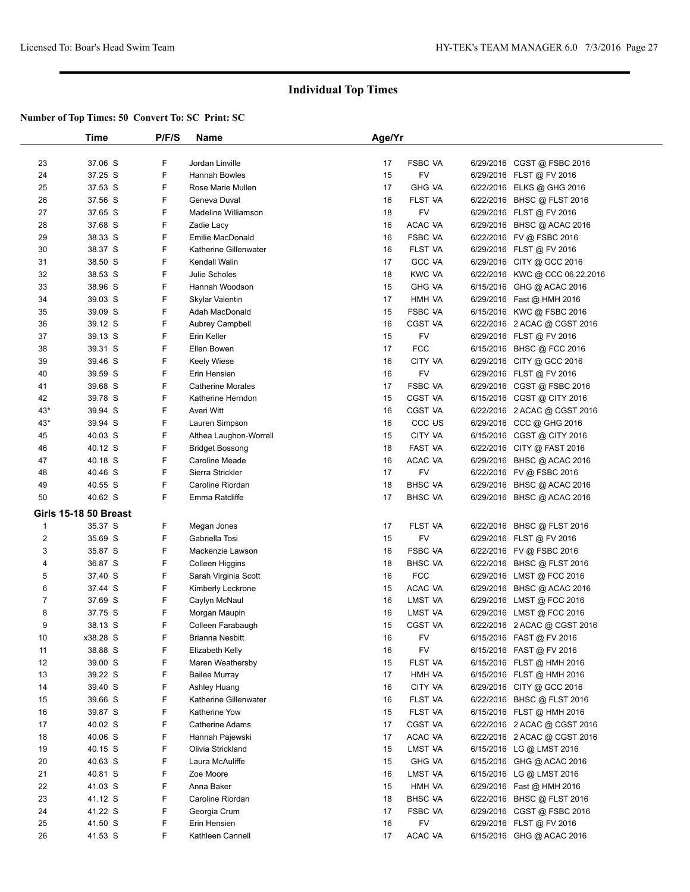|                | Time                         | P/F/S | Name                     | Age/Yr |                    |                                |
|----------------|------------------------------|-------|--------------------------|--------|--------------------|--------------------------------|
| 23             | 37.06 S                      | F     | Jordan Linville          | 17     | <b>FSBC VA</b>     | 6/29/2016 CGST @ FSBC 2016     |
| 24             | 37.25 S                      | F     | Hannah Bowles            | 15     | <b>FV</b>          | 6/29/2016 FLST @ FV 2016       |
| 25             | 37.53 S                      | F     | Rose Marie Mullen        | 17     | <b>GHG VA</b>      | 6/22/2016 ELKS @ GHG 2016      |
| 26             | 37.56 S                      | F     | Geneva Duval             | 16     | FLST VA            | 6/22/2016 BHSC @ FLST 2016     |
| 27             | 37.65 S                      | F     | Madeline Williamson      | 18     | FV                 | 6/29/2016 FLST @ FV 2016       |
| 28             | 37.68 S                      | F     | Zadie Lacy               | 16     | ACAC VA            | 6/29/2016 BHSC @ ACAC 2016     |
| 29             | 38.33 S                      | F     | Emilie MacDonald         | 16     | <b>FSBC VA</b>     | 6/22/2016 FV @ FSBC 2016       |
| 30             | 38.37 S                      | F     | Katherine Gillenwater    | 16     | FLST VA            | 6/29/2016 FLST@FV 2016         |
| 31             | 38.50 S                      | F     | Kendall Walin            | 17     | <b>GCC VA</b>      | 6/29/2016 CITY @ GCC 2016      |
| 32             | 38.53 S                      | F     | Julie Scholes            | 18     | <b>KWC VA</b>      | 6/22/2016 KWC @ CCC 06.22.2016 |
| 33             | 38.96 S                      | F     | Hannah Woodson           | 15     | <b>GHG VA</b>      | 6/15/2016 GHG @ ACAC 2016      |
| 34             | 39.03 S                      | F     | Skylar Valentin          | 17     | HMH VA             | 6/29/2016 Fast @ HMH 2016      |
| 35             | 39.09 S                      | F     | Adah MacDonald           | 15     | FSBC VA            | 6/15/2016 KWC @ FSBC 2016      |
| 36             | 39.12 S                      | F     | Aubrey Campbell          | 16     | <b>CGST VA</b>     | 6/22/2016 2 ACAC @ CGST 2016   |
| 37             | 39.13 S                      | F     | Erin Keller              | 15     | <b>FV</b>          | 6/29/2016 FLST @ FV 2016       |
| 38             | 39.31 S                      | F     | Ellen Bowen              | 17     | <b>FCC</b>         | 6/15/2016 BHSC @ FCC 2016      |
| 39             | 39.46 S                      | F     | Keely Wiese              | 16     | CITY VA            | 6/29/2016 CITY @ GCC 2016      |
| 40             | 39.59 S                      | F     | Erin Hensien             | 16     | <b>FV</b>          | 6/29/2016 FLST @ FV 2016       |
| 41             | 39.68 S                      | F     | <b>Catherine Morales</b> | 17     | <b>FSBC VA</b>     | 6/29/2016 CGST @ FSBC 2016     |
| 42             | 39.78 S                      | F     | Katherine Herndon        | 15     | <b>CGST VA</b>     | 6/15/2016 CGST @ CITY 2016     |
| $43*$          | 39.94 S                      | F     | Averi Witt               | 16     | <b>CGST VA</b>     | 6/22/2016 2 ACAC @ CGST 2016   |
| $43*$          | 39.94 S                      | F     | Lauren Simpson           | 16     | CCC <sub>U</sub> S | 6/29/2016 CCC @ GHG 2016       |
| 45             | 40.03 S                      | F     | Althea Laughon-Worrell   | 15     | CITY VA            | 6/15/2016 CGST @ CITY 2016     |
| 46             | 40.12 S                      | F     | <b>Bridget Bossong</b>   | 18     | FAST VA            | 6/22/2016 CITY @ FAST 2016     |
| 47             | 40.18 S                      | F     | Caroline Meade           | 16     | ACAC VA            | 6/29/2016 BHSC @ ACAC 2016     |
| 48             | 40.46 S                      | F     | Sierra Strickler         | 17     | FV                 | 6/22/2016 FV @ FSBC 2016       |
| 49             | 40.55 S                      | F     | Caroline Riordan         | 18     | <b>BHSC VA</b>     | 6/29/2016 BHSC @ ACAC 2016     |
| 50             | 40.62 S                      | F.    | Emma Ratcliffe           | 17     | <b>BHSC VA</b>     | 6/29/2016 BHSC @ ACAC 2016     |
|                | <b>Girls 15-18 50 Breast</b> |       |                          |        |                    |                                |
| $\mathbf{1}$   | 35.37 S                      | F     | Megan Jones              | 17     | FLST VA            | 6/22/2016 BHSC @ FLST 2016     |
| $\overline{2}$ | 35.69 S                      | F     | Gabriella Tosi           | 15     | FV                 | 6/29/2016 FLST @ FV 2016       |
| 3              | 35.87 S                      | F     | Mackenzie Lawson         | 16     | <b>FSBC VA</b>     | 6/22/2016 FV @ FSBC 2016       |
| 4              | 36.87 S                      | F     | Colleen Higgins          | 18     | <b>BHSC VA</b>     | 6/22/2016 BHSC @ FLST 2016     |
| 5              | 37.40 S                      | F     | Sarah Virginia Scott     | 16     | <b>FCC</b>         | 6/29/2016 LMST @ FCC 2016      |
| 6              | 37.44 S                      | F     | Kimberly Leckrone        | 15     | ACAC VA            | 6/29/2016 BHSC @ ACAC 2016     |
| $\overline{7}$ | 37.69 S                      | F     | Caylyn McNaul            | 16     | LMST VA            | 6/29/2016 LMST@FCC 2016        |
| 8              | 37.75 S                      | F     | Morgan Maupin            | 16     | LMST VA            | 6/29/2016 LMST @ FCC 2016      |
| 9              | 38.13 S                      | F     | Colleen Farabaugh        | 15     | <b>CGST VA</b>     | 6/22/2016 2 ACAC @ CGST 2016   |
| $10$           | x38.28 S                     | F     | <b>Brianna Nesbitt</b>   | 16     | <b>FV</b>          | 6/15/2016 FAST @ FV 2016       |
| 11             | 38.88 S                      | F     | Elizabeth Kelly          | 16     | <b>FV</b>          | 6/15/2016 FAST @ FV 2016       |
| 12             | 39.00 S                      | F     | Maren Weathersby         | 15     | FLST VA            | 6/15/2016 FLST @ HMH 2016      |
| 13             | 39.22 S                      | F     | <b>Bailee Murray</b>     | 17     | HMH VA             | 6/15/2016 FLST @ HMH 2016      |
| 14             | 39.40 S                      | F     | Ashley Huang             | 16     | CITY VA            | 6/29/2016 CITY @ GCC 2016      |
| 15             | 39.66 S                      | F     | Katherine Gillenwater    | 16     | FLST VA            | 6/22/2016 BHSC @ FLST 2016     |
| 16             | 39.87 S                      | F     | Katherine Yow            | 15     | FLST VA            | 6/15/2016 FLST @ HMH 2016      |
| 17             | 40.02 S                      | F     | Catherine Adams          | 17     | CGST VA            | 6/22/2016 2 ACAC @ CGST 2016   |
| 18             | 40.06 S                      | F     | Hannah Pajewski          | 17     | ACAC VA            | 6/22/2016 2 ACAC @ CGST 2016   |
| 19             | 40.15 S                      | F     | Olivia Strickland        | 15     | LMST VA            | 6/15/2016 LG @ LMST 2016       |
| 20             | 40.63 S                      | F     | Laura McAuliffe          | 15     | <b>GHG VA</b>      | 6/15/2016 GHG @ ACAC 2016      |
| 21             | 40.81 S                      | F     | Zoe Moore                | 16     | LMST VA            | 6/15/2016 LG @ LMST 2016       |
| 22             | 41.03 S                      | F     | Anna Baker               | 15     | HMH VA             | 6/29/2016 Fast @ HMH 2016      |
| 23             | 41.12 S                      | F     | Caroline Riordan         | 18     | <b>BHSC VA</b>     | 6/22/2016 BHSC @ FLST 2016     |
| 24             | 41.22 S                      | F     | Georgia Crum             | 17     | <b>FSBC VA</b>     | 6/29/2016 CGST @ FSBC 2016     |
| 25             | 41.50 S                      | F     | Erin Hensien             | 16     | <b>FV</b>          | 6/29/2016 FLST @ FV 2016       |
| 26             | 41.53 S                      | F     | Kathleen Cannell         | 17     | ACAC VA            | 6/15/2016 GHG @ ACAC 2016      |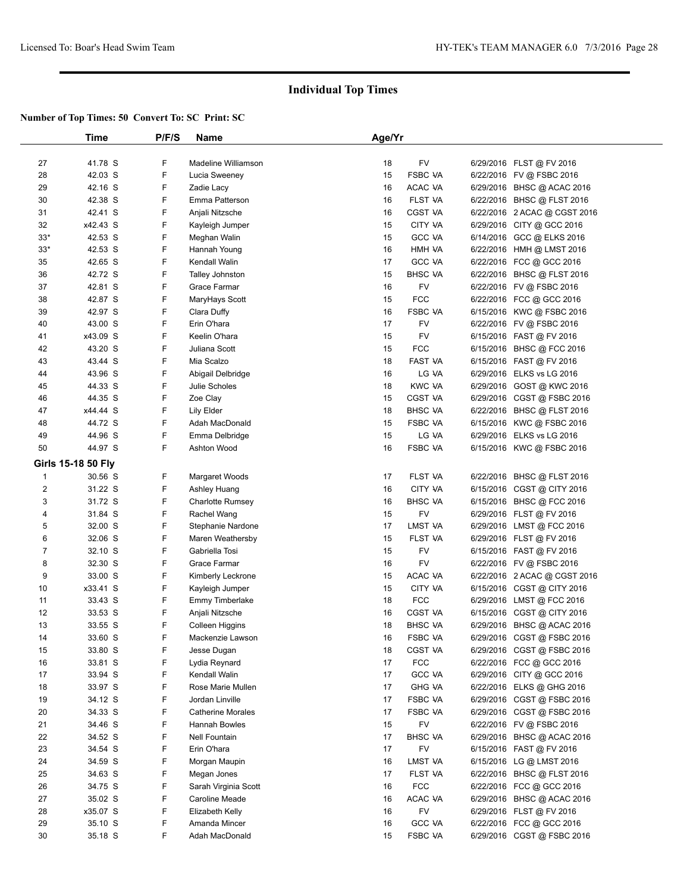|                         | Time               | P/F/S | <b>Name</b>              | Age/Yr |                |                              |  |
|-------------------------|--------------------|-------|--------------------------|--------|----------------|------------------------------|--|
|                         |                    |       |                          |        |                |                              |  |
| 27                      | 41.78 S            | F     | Madeline Williamson      | 18     | <b>FV</b>      | 6/29/2016 FLST @ FV 2016     |  |
| 28                      | 42.03 S            | F     | Lucia Sweeney            | 15     | <b>FSBC VA</b> | 6/22/2016 FV @ FSBC 2016     |  |
| 29                      | 42.16 S            | F     | Zadie Lacy               | 16     | ACAC VA        | 6/29/2016 BHSC @ ACAC 2016   |  |
| 30                      | 42.38 S            | F     | Emma Patterson           | 16     | FLST VA        | 6/22/2016 BHSC @ FLST 2016   |  |
| 31                      | 42.41 S            | F     | Anjali Nitzsche          | 16     | CGST VA        | 6/22/2016 2 ACAC @ CGST 2016 |  |
| 32                      | x42.43 S           | F     | Kayleigh Jumper          | 15     | CITY VA        | 6/29/2016 CITY @ GCC 2016    |  |
| $33*$                   | 42.53 S            | F     | Meghan Walin             | 15     | <b>GCC VA</b>  | 6/14/2016 GCC @ ELKS 2016    |  |
| $33*$                   | 42.53 S            | F     | Hannah Young             | 16     | HMH VA         | 6/22/2016 HMH @ LMST 2016    |  |
| 35                      | 42.65 S            | F     | Kendall Walin            | 17     | <b>GCC VA</b>  | 6/22/2016 FCC @ GCC 2016     |  |
| 36                      | 42.72 S            | F     | Talley Johnston          | 15     | <b>BHSC VA</b> | 6/22/2016 BHSC @ FLST 2016   |  |
| 37                      | 42.81 S            | F     | Grace Farmar             | 16     | <b>FV</b>      | 6/22/2016 FV @ FSBC 2016     |  |
| 38                      | 42.87 S            | F     | MaryHays Scott           | 15     | <b>FCC</b>     | 6/22/2016 FCC @ GCC 2016     |  |
| 39                      | 42.97 S            | F     | Clara Duffy              | 16     | <b>FSBC VA</b> | 6/15/2016 KWC @ FSBC 2016    |  |
| 40                      | 43.00 S            | F     | Erin O'hara              | 17     | FV             | 6/22/2016 FV @ FSBC 2016     |  |
| 41                      | x43.09 S           | F     | Keelin O'hara            | 15     | FV             | 6/15/2016 FAST @ FV 2016     |  |
| 42                      | 43.20 S            | F     | Juliana Scott            | 15     | <b>FCC</b>     | 6/15/2016 BHSC @ FCC 2016    |  |
| 43                      | 43.44 S            | F     | Mia Scalzo               | 18     | <b>FAST VA</b> | 6/15/2016 FAST @ FV 2016     |  |
| 44                      | 43.96 S            | F     | Abigail Delbridge        | 16     | LG VA          | 6/29/2016 ELKS vs LG 2016    |  |
| 45                      | 44.33 S            | F     | Julie Scholes            | 18     | <b>KWC VA</b>  | 6/29/2016 GOST @ KWC 2016    |  |
| 46                      | 44.35 S            | F     | Zoe Clay                 | 15     | <b>CGST VA</b> | 6/29/2016 CGST @ FSBC 2016   |  |
| 47                      | x44.44 S           | F     | Lily Elder               | 18     | <b>BHSC VA</b> | 6/22/2016 BHSC @ FLST 2016   |  |
| 48                      | 44.72 S            | F     | Adah MacDonald           | 15     | <b>FSBC VA</b> | 6/15/2016 KWC @ FSBC 2016    |  |
| 49                      | 44.96 S            | F     | Emma Delbridge           | 15     | LG VA          | 6/29/2016 ELKS vs LG 2016    |  |
| 50                      | 44.97 S            | F     | Ashton Wood              | 16     | <b>FSBC VA</b> | 6/15/2016 KWC @ FSBC 2016    |  |
|                         | Girls 15-18 50 Fly |       |                          |        |                |                              |  |
| $\mathbf{1}$            | 30.56 S            | F     | Margaret Woods           | 17     | FLST VA        | 6/22/2016 BHSC @ FLST 2016   |  |
| $\overline{\mathbf{c}}$ | 31.22 S            | F     | Ashley Huang             | 16     | CITY VA        | 6/15/2016 CGST @ CITY 2016   |  |
| 3                       | 31.72 S            | F     | Charlotte Rumsey         | 16     | <b>BHSC VA</b> | 6/15/2016 BHSC @ FCC 2016    |  |
| 4                       | 31.84 S            | F     | Rachel Wang              | 15     | FV             | 6/29/2016 FLST @ FV 2016     |  |
| 5                       | 32.00 S            | F     | Stephanie Nardone        | 17     | LMST VA        | 6/29/2016 LMST @ FCC 2016    |  |
| 6                       | 32.06 S            | F     | Maren Weathersby         | 15     | FLST VA        | 6/29/2016 FLST @ FV 2016     |  |
| $\overline{7}$          | 32.10 S            | F     | Gabriella Tosi           | 15     | FV             | 6/15/2016 FAST @ FV 2016     |  |
| 8                       | 32.30 S            | F     | Grace Farmar             | 16     | FV             | 6/22/2016 FV @ FSBC 2016     |  |
| 9                       | 33.00 S            | F     | Kimberly Leckrone        | 15     | ACAC VA        | 6/22/2016 2 ACAC @ CGST 2016 |  |
| 10                      | x33.41 S           | F     | Kayleigh Jumper          | 15     | CITY VA        | 6/15/2016 CGST @ CITY 2016   |  |
| 11                      | 33.43 S            | F     | Emmy Timberlake          | 18     | <b>FCC</b>     | 6/29/2016 LMST @ FCC 2016    |  |
| 12                      | 33.53 S            | F     | Anjali Nitzsche          | 16     | CGST VA        | 6/15/2016 CGST @ CITY 2016   |  |
| 13                      | 33.55 S            | F     | Colleen Higgins          | 18     | <b>BHSC VA</b> | 6/29/2016 BHSC @ ACAC 2016   |  |
| 14                      | 33.60 S            | F     | Mackenzie Lawson         | 16     | FSBC VA        | 6/29/2016 CGST @ FSBC 2016   |  |
| 15                      | 33.80 S            | F     | Jesse Dugan              | 18     | CGST VA        | 6/29/2016 CGST @ FSBC 2016   |  |
| 16                      | 33.81 S            | F     | Lydia Reynard            | 17     | <b>FCC</b>     | 6/22/2016 FCC @ GCC 2016     |  |
| 17                      | 33.94 S            | F     | Kendall Walin            | 17     | <b>GCC VA</b>  | 6/29/2016 CITY @ GCC 2016    |  |
| 18                      | 33.97 S            | F     | Rose Marie Mullen        | 17     | <b>GHG VA</b>  | 6/22/2016 ELKS @ GHG 2016    |  |
| 19                      | 34.12 S            | F     | Jordan Linville          | 17     | <b>FSBC VA</b> | 6/29/2016 CGST @ FSBC 2016   |  |
| 20                      | 34.33 S            | F     | <b>Catherine Morales</b> | 17     | <b>FSBC VA</b> | 6/29/2016 CGST @ FSBC 2016   |  |
| 21                      | 34.46 S            | F     | Hannah Bowles            | 15     | FV             | 6/22/2016 FV @ FSBC 2016     |  |
| 22                      | 34.52 S            | F     | <b>Nell Fountain</b>     | 17     | <b>BHSC VA</b> | 6/29/2016 BHSC @ ACAC 2016   |  |
| 23                      | 34.54 S            | F     | Erin O'hara              | 17     | FV             | 6/15/2016 FAST @ FV 2016     |  |
| 24                      | 34.59 S            | F     | Morgan Maupin            | 16     | LMST VA        | 6/15/2016 LG @ LMST 2016     |  |
| 25                      | 34.63 S            | F     | Megan Jones              | 17     | FLST VA        | 6/22/2016 BHSC @ FLST 2016   |  |
| 26                      | 34.75 S            | F     | Sarah Virginia Scott     | 16     | <b>FCC</b>     | 6/22/2016 FCC @ GCC 2016     |  |
| 27                      | 35.02 S            | F     | Caroline Meade           | 16     | ACAC VA        | 6/29/2016 BHSC @ ACAC 2016   |  |
| 28                      | x35.07 S           | F     | Elizabeth Kelly          | 16     | FV             | 6/29/2016 FLST @ FV 2016     |  |
| 29                      | 35.10 S            | F     | Amanda Mincer            | 16     | <b>GCC VA</b>  | 6/22/2016 FCC @ GCC 2016     |  |
| 30                      | 35.18 S            | F     | Adah MacDonald           | 15     | <b>FSBC VA</b> | 6/29/2016 CGST @ FSBC 2016   |  |
|                         |                    |       |                          |        |                |                              |  |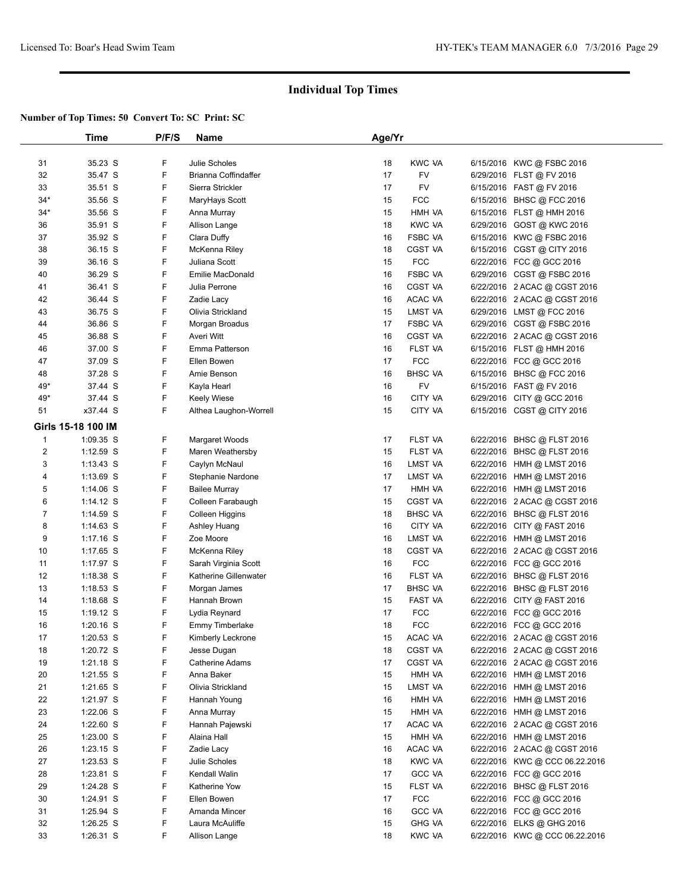|       | Time               | P/F/S  | <b>Name</b>            | Age/Yr |                |                                |  |
|-------|--------------------|--------|------------------------|--------|----------------|--------------------------------|--|
|       |                    |        |                        |        |                |                                |  |
| 31    | 35.23 S            | F      | Julie Scholes          | 18     | <b>KWC VA</b>  | 6/15/2016 KWC @ FSBC 2016      |  |
| 32    | 35.47 S            | F      | Brianna Coffindaffer   | 17     | <b>FV</b>      | 6/29/2016 FLST @ FV 2016       |  |
| 33    | 35.51 S            | F      | Sierra Strickler       | 17     | FV             | 6/15/2016 FAST @ FV 2016       |  |
| $34*$ | 35.56 S            | F      | MaryHays Scott         | 15     | <b>FCC</b>     | 6/15/2016 BHSC @ FCC 2016      |  |
| $34*$ | 35.56 S            | F      | Anna Murray            | 15     | HMH VA         | 6/15/2016 FLST @ HMH 2016      |  |
| 36    | 35.91 S            | F      | Allison Lange          | 18     | <b>KWC VA</b>  | 6/29/2016 GOST @ KWC 2016      |  |
| 37    | 35.92 S            | F      | Clara Duffy            | 16     | <b>FSBC VA</b> | 6/15/2016 KWC @ FSBC 2016      |  |
| 38    | 36.15 S            | F      | McKenna Riley          | 18     | CGST VA        | 6/15/2016 CGST @ CITY 2016     |  |
| 39    | 36.16 S            | F      | Juliana Scott          | 15     | <b>FCC</b>     | 6/22/2016 FCC @ GCC 2016       |  |
| 40    | 36.29 S            | F      | Emilie MacDonald       | 16     | <b>FSBC VA</b> | 6/29/2016 CGST @ FSBC 2016     |  |
| 41    | 36.41 S            | F      | Julia Perrone          | 16     | <b>CGST VA</b> | 6/22/2016 2 ACAC @ CGST 2016   |  |
| 42    | 36.44 S            | F      | Zadie Lacy             | 16     | ACAC VA        | 6/22/2016 2 ACAC @ CGST 2016   |  |
| 43    | 36.75 S            | F      | Olivia Strickland      | 15     | LMST VA        | 6/29/2016 LMST @ FCC 2016      |  |
| 44    | 36.86 S            | F      | Morgan Broadus         | 17     | <b>FSBC VA</b> | 6/29/2016 CGST @ FSBC 2016     |  |
| 45    | 36.88 S            | F      | Averi Witt             | 16     | CGST VA        | 6/22/2016 2 ACAC @ CGST 2016   |  |
| 46    | 37.00 S            | F      | Emma Patterson         | 16     | FLST VA        | 6/15/2016 FLST @ HMH 2016      |  |
| 47    | 37.09 S            | F      | Ellen Bowen            | 17     | <b>FCC</b>     | 6/22/2016 FCC @ GCC 2016       |  |
| 48    | 37.28 S            | F      | Amie Benson            | 16     | <b>BHSC VA</b> | 6/15/2016 BHSC @ FCC 2016      |  |
| 49*   | 37.44 S            | F      | Kayla Hearl            | 16     | FV             | 6/15/2016 FAST @ FV 2016       |  |
| 49*   | 37.44 S            | F      | <b>Keely Wiese</b>     | 16     | CITY VA        | 6/29/2016 CITY @ GCC 2016      |  |
| 51    | x37.44 S           | F      | Althea Laughon-Worrell | 15     | CITY VA        | 6/15/2016 CGST @ CITY 2016     |  |
|       | Girls 15-18 100 IM |        |                        |        |                |                                |  |
| 1     | $1:09.35$ S        | F      | Margaret Woods         | 17     | FLST VA        | 6/22/2016 BHSC @ FLST 2016     |  |
| 2     | 1:12.59 S          | F      | Maren Weathersby       | 15     | FLST VA        | 6/22/2016 BHSC @ FLST 2016     |  |
| 3     | $1:13.43$ S        | F      | Caylyn McNaul          | 16     | LMST VA        | 6/22/2016 HMH @ LMST 2016      |  |
| 4     | 1:13.69 S          | F      | Stephanie Nardone      | 17     | LMST VA        | 6/22/2016 HMH @ LMST 2016      |  |
| 5     | 1:14.06 S          | F      | <b>Bailee Murray</b>   | 17     | HMH VA         | 6/22/2016 HMH @ LMST 2016      |  |
| 6     | 1:14.12 S          | F      | Colleen Farabaugh      | 15     | CGST VA        | 6/22/2016 2 ACAC @ CGST 2016   |  |
| 7     | 1:14.59 S          | F      | Colleen Higgins        | 18     | <b>BHSC VA</b> | 6/22/2016 BHSC @ FLST 2016     |  |
| 8     | 1:14.63 S          | F      | Ashley Huang           | 16     | CITY VA        | 6/22/2016 CITY @ FAST 2016     |  |
| 9     | $1:17.16$ S        | F      | Zoe Moore              | 16     | LMST VA        | 6/22/2016 HMH @ LMST 2016      |  |
| 10    | $1:17.65$ S        | F      | McKenna Riley          | 18     | CGST VA        | 6/22/2016 2 ACAC @ CGST 2016   |  |
| 11    | 1:17.97 S          | F      | Sarah Virginia Scott   | 16     | <b>FCC</b>     | 6/22/2016 FCC @ GCC 2016       |  |
| 12    | $1:18.38$ S        | F      | Katherine Gillenwater  | 16     | FLST VA        | 6/22/2016 BHSC @ FLST 2016     |  |
| 13    | $1:18.53$ S        | F      | Morgan James           | 17     | BHSC VA        | 6/22/2016 BHSC @ FLST 2016     |  |
| 14    | $1:18.68$ S        | F      | Hannah Brown           | 15     | FAST VA        | 6/22/2016 CITY @ FAST 2016     |  |
| 15    | $1:19.12$ S        | F      | Lydia Reynard          | 17     | <b>FCC</b>     | 6/22/2016 FCC @ GCC 2016       |  |
| 16    | $1:20.16$ S        | F      | Emmy Timberlake        | 18     | <b>FCC</b>     | 6/22/2016 FCC @ GCC 2016       |  |
| 17    | 1:20.53 S          | F      | Kimberly Leckrone      | 15     | ACAC VA        | 6/22/2016 2 ACAC @ CGST 2016   |  |
| 18    | 1:20.72 S          | F      | Jesse Dugan            | 18     | CGST VA        | 6/22/2016 2 ACAC @ CGST 2016   |  |
| 19    | $1:21.18$ S        | F      | Catherine Adams        | 17     | CGST VA        | 6/22/2016 2 ACAC @ CGST 2016   |  |
| 20    | 1:21.55 S          | F      | Anna Baker             | 15     | HMH VA         | 6/22/2016 HMH @ LMST 2016      |  |
| 21    | 1:21.65 S          | F      | Olivia Strickland      | 15     | LMST VA        | 6/22/2016 HMH @ LMST 2016      |  |
| 22    | 1:21.97 S          | F      | Hannah Young           | 16     | HMH VA         | 6/22/2016 HMH @ LMST 2016      |  |
| 23    | 1:22.06 S          | F      | Anna Murray            | 15     | HMH VA         | 6/22/2016 HMH @ LMST 2016      |  |
| 24    | $1:22.60$ S        | F      | Hannah Pajewski        | 17     | ACAC VA        | 6/22/2016 2 ACAC @ CGST 2016   |  |
| 25    | $1:23.00$ S        | F      | Alaina Hall            | 15     | HMH VA         | 6/22/2016 HMH @ LMST 2016      |  |
| 26    | $1:23.15$ S        | F      | Zadie Lacy             | 16     | ACAC VA        | 6/22/2016 2 ACAC @ CGST 2016   |  |
| 27    | $1:23.53$ S        | F      | Julie Scholes          | 18     | <b>KWC VA</b>  | 6/22/2016 KWC @ CCC 06.22.2016 |  |
| 28    | 1:23.81 S          | F      | Kendall Walin          | 17     | <b>GCC VA</b>  | 6/22/2016 FCC @ GCC 2016       |  |
| 29    | 1:24.28 S          | F      | Katherine Yow          | 15     | FLST VA        | 6/22/2016 BHSC @ FLST 2016     |  |
| 30    | 1:24.91 S          | F      | Ellen Bowen            | 17     | <b>FCC</b>     | 6/22/2016 FCC @ GCC 2016       |  |
| 31    | 1:25.94 S          | F      | Amanda Mincer          | 16     | <b>GCC VA</b>  | 6/22/2016 FCC @ GCC 2016       |  |
| 32    | $1:26.25$ S        | F<br>F | Laura McAuliffe        | 15     | <b>GHG VA</b>  | 6/22/2016 ELKS @ GHG 2016      |  |
| 33    | 1:26.31 S          |        | Allison Lange          | 18     | <b>KWC VA</b>  | 6/22/2016 KWC @ CCC 06.22.2016 |  |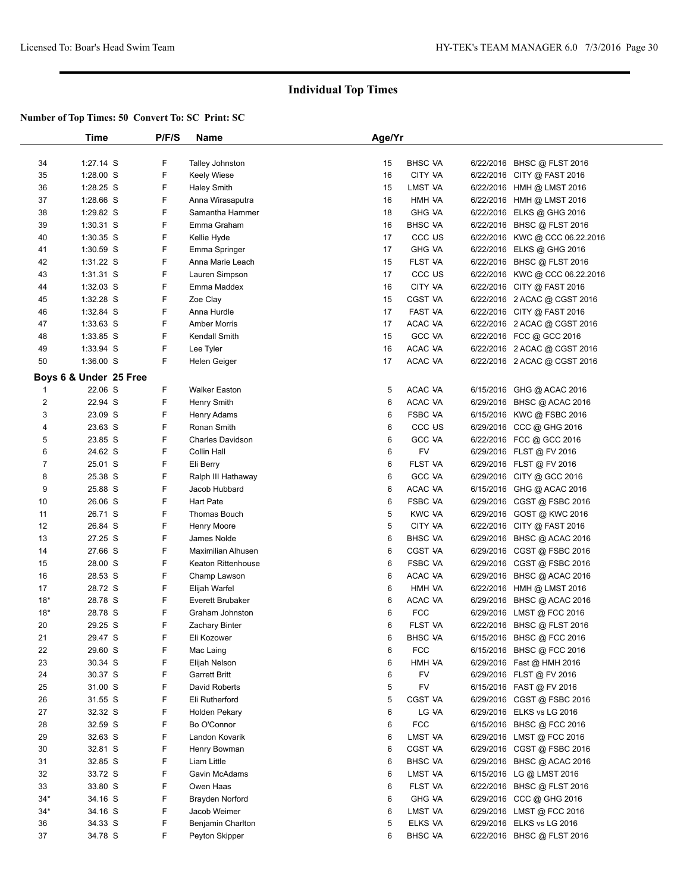|              | Time                   | P/F/S | Name                    | Age/Yr |                    |                                |  |
|--------------|------------------------|-------|-------------------------|--------|--------------------|--------------------------------|--|
|              |                        |       |                         |        |                    |                                |  |
| 34           | 1:27.14 S              | F     | Talley Johnston         | 15     | <b>BHSC VA</b>     | 6/22/2016 BHSC @ FLST 2016     |  |
| 35           | 1:28.00 S              | F     | <b>Keely Wiese</b>      | 16     | CITY VA            | 6/22/2016 CITY @ FAST 2016     |  |
| 36           | $1:28.25$ S            | F     | <b>Haley Smith</b>      | 15     | LMST VA            | 6/22/2016 HMH @ LMST 2016      |  |
| 37           | 1:28.66 S              | F     | Anna Wirasaputra        | 16     | HMH VA             | 6/22/2016 HMH @ LMST 2016      |  |
| 38           | 1:29.82 S              | F     | Samantha Hammer         | 18     | <b>GHG VA</b>      | 6/22/2016 ELKS @ GHG 2016      |  |
| 39           | $1:30.31$ S            | F     | Emma Graham             | 16     | <b>BHSC VA</b>     | 6/22/2016 BHSC @ FLST 2016     |  |
| 40           | $1:30.35$ S            | F     | Kellie Hyde             | 17     | CCC <sub>U</sub> S | 6/22/2016 KWC @ CCC 06.22.2016 |  |
| 41           | $1:30.59$ S            | F     | Emma Springer           | 17     | <b>GHG VA</b>      | 6/22/2016 ELKS @ GHG 2016      |  |
| 42           | $1:31.22$ S            | F     | Anna Marie Leach        | 15     | FLST VA            | 6/22/2016 BHSC @ FLST 2016     |  |
| 43           | $1:31.31$ S            | F     | Lauren Simpson          | 17     | CCC US             | 6/22/2016 KWC @ CCC 06.22.2016 |  |
| 44           | 1:32.03 S              | F     | Emma Maddex             | 16     | CITY VA            | 6/22/2016 CITY @ FAST 2016     |  |
| 45           | $1:32.28$ S            | F     | Zoe Clay                | 15     | CGST VA            | 6/22/2016 2 ACAC @ CGST 2016   |  |
| 46           | 1:32.84 S              | F     | Anna Hurdle             | 17     | FAST VA            | 6/22/2016 CITY @ FAST 2016     |  |
| 47           | $1:33.63$ S            | F     | <b>Amber Morris</b>     | 17     | ACAC VA            | 6/22/2016 2 ACAC @ CGST 2016   |  |
| 48           | 1:33.85 S              | F     | Kendall Smith           | 15     | <b>GCC VA</b>      | 6/22/2016 FCC @ GCC 2016       |  |
| 49           | 1:33.94 S              | F     | Lee Tyler               | 16     | ACAC VA            | 6/22/2016 2 ACAC @ CGST 2016   |  |
| 50           | 1:36.00 S              | F     | Helen Geiger            | 17     | ACAC VA            | 6/22/2016 2 ACAC @ CGST 2016   |  |
|              | Boys 6 & Under 25 Free |       |                         |        |                    |                                |  |
| $\mathbf{1}$ | 22.06 S                | F     | <b>Walker Easton</b>    | 5      | ACAC VA            | 6/15/2016 GHG @ ACAC 2016      |  |
| 2            | 22.94 S                | F     | Henry Smith             | 6      | ACAC VA            | 6/29/2016 BHSC @ ACAC 2016     |  |
| 3            | 23.09 S                | F     | Henry Adams             | 6      | <b>FSBC VA</b>     | 6/15/2016 KWC @ FSBC 2016      |  |
| 4            | 23.63 S                | F     | Ronan Smith             | 6      | CCC US             | 6/29/2016 CCC @ GHG 2016       |  |
| 5            | 23.85 S                | F     | <b>Charles Davidson</b> | 6      | <b>GCC VA</b>      | 6/22/2016 FCC @ GCC 2016       |  |
| 6            | 24.62 S                | F     | Collin Hall             | 6      | FV                 | 6/29/2016 FLST @ FV 2016       |  |
| 7            | 25.01 S                | F     | Eli Berry               | 6      | FLST VA            | 6/29/2016 FLST @ FV 2016       |  |
| 8            | 25.38 S                | F     | Ralph III Hathaway      | 6      | <b>GCC VA</b>      | 6/29/2016 CITY @ GCC 2016      |  |
| 9            | 25.88 S                | F     | Jacob Hubbard           | 6      | ACAC VA            | 6/15/2016 GHG @ ACAC 2016      |  |
| 10           | 26.06 S                | F     | Hart Pate               | 6      | <b>FSBC VA</b>     | 6/29/2016 CGST @ FSBC 2016     |  |
| 11           | 26.71 S                | F     | Thomas Bouch            | 5      | KWC VA             | 6/29/2016 GOST @ KWC 2016      |  |
| 12           | 26.84 S                | F     | Henry Moore             | 5      | CITY VA            | 6/22/2016 CITY @ FAST 2016     |  |
| 13           | 27.25 S                | F     | James Nolde             | 6      | <b>BHSC VA</b>     | 6/29/2016 BHSC @ ACAC 2016     |  |
| 14           | 27.66 S                | F     | Maximilian Alhusen      | 6      | CGST VA            | 6/29/2016 CGST @ FSBC 2016     |  |
| 15           | 28.00 S                | F     | Keaton Rittenhouse      | 6      | <b>FSBC VA</b>     | 6/29/2016 CGST @ FSBC 2016     |  |
| 16           | 28.53 S                | F     | Champ Lawson            | 6      | ACAC VA            | 6/29/2016 BHSC @ ACAC 2016     |  |
| 17           | 28.72 S                | F     | Elijah Warfel           | 6      | HMH VA             | 6/22/2016 HMH @ LMST 2016      |  |
| $18*$        | 28.78 S                | F     | <b>Everett Brubaker</b> | 6      | ACAC VA            | 6/29/2016 BHSC @ ACAC 2016     |  |
| $18*$        | 28.78 S                | F     | Graham Johnston         | 6      | <b>FCC</b>         | 6/29/2016 LMST @ FCC 2016      |  |
| 20           | 29.25 S                | F     | Zachary Binter          | 6      | FLST VA            | 6/22/2016 BHSC @ FLST 2016     |  |
| 21           | 29.47 S                | F     | Eli Kozower             | 6      | <b>BHSC VA</b>     | 6/15/2016 BHSC @ FCC 2016      |  |
| 22           | 29.60 S                | F     | Mac Laing               | 6      | <b>FCC</b>         | 6/15/2016 BHSC @ FCC 2016      |  |
| 23           | 30.34 S                | F     | Elijah Nelson           | 6      | HMH VA             | 6/29/2016 Fast @ HMH 2016      |  |
| 24           | 30.37 S                | F     | <b>Garrett Britt</b>    | 6      | <b>FV</b>          | 6/29/2016 FLST @ FV 2016       |  |
| 25           | 31.00 S                | F     | David Roberts           | 5      | FV                 | 6/15/2016 FAST @ FV 2016       |  |
| 26           | 31.55 S                | F     | Eli Rutherford          | 5      | <b>CGST VA</b>     | 6/29/2016 CGST @ FSBC 2016     |  |
| 27           | 32.32 S                | F     | Holden Pekary           | 6      | LG VA              | 6/29/2016 ELKS vs LG 2016      |  |
| 28           | 32.59 S                | F     | Bo O'Connor             | 6      | <b>FCC</b>         | 6/15/2016 BHSC @ FCC 2016      |  |
| 29           | 32.63 S                | F     | Landon Kovarik          | 6      | LMST VA            | 6/29/2016 LMST @ FCC 2016      |  |
| 30           | 32.81 S                | F     | Henry Bowman            | 6      | CGST VA            | 6/29/2016 CGST @ FSBC 2016     |  |
| 31           | 32.85 S                | F     | Liam Little             | 6      | <b>BHSC VA</b>     | 6/29/2016 BHSC @ ACAC 2016     |  |
| 32           | 33.72 S                | F     | Gavin McAdams           | 6      | LMST VA            | 6/15/2016 LG @ LMST 2016       |  |
| 33           | 33.80 S                | F     | Owen Haas               | 6      | FLST VA            | 6/22/2016 BHSC @ FLST 2016     |  |
| $34*$        | 34.16 S                | F     | Brayden Norford         | 6      | <b>GHG VA</b>      | 6/29/2016 CCC @ GHG 2016       |  |
| 34*          | 34.16 S                | F     | Jacob Weimer            | 6      | LMST VA            | 6/29/2016 LMST @ FCC 2016      |  |
| 36           | 34.33 S                | F     | Benjamin Charlton       | 5      | ELKS VA            | 6/29/2016 ELKS vs LG 2016      |  |
| 37           | 34.78 S                | F     | Peyton Skipper          | 6      | <b>BHSC VA</b>     | 6/22/2016 BHSC @ FLST 2016     |  |
|              |                        |       |                         |        |                    |                                |  |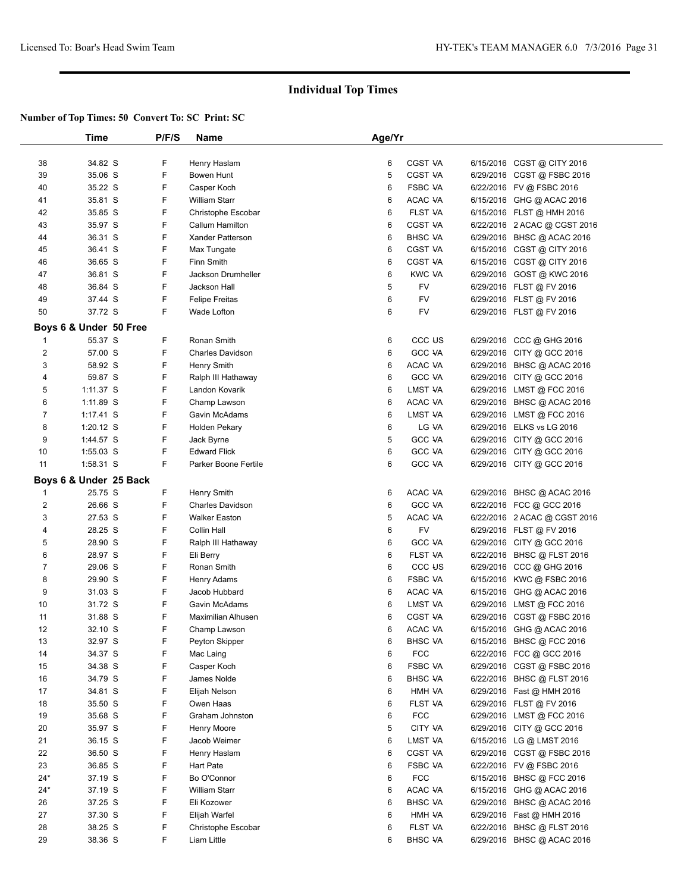|                | Time                   | P/F/S | Name                      | Age/Yr |                    |                              |  |
|----------------|------------------------|-------|---------------------------|--------|--------------------|------------------------------|--|
|                |                        |       |                           |        |                    |                              |  |
| 38             | 34.82 S                | F     | Henry Haslam              | 6      | <b>CGST VA</b>     | 6/15/2016 CGST @ CITY 2016   |  |
| 39             | 35.06 S                | F     | Bowen Hunt                | 5      | <b>CGST VA</b>     | 6/29/2016 CGST @ FSBC 2016   |  |
| 40             | 35.22 S                | F     | Casper Koch               | 6      | <b>FSBC VA</b>     | 6/22/2016 FV @ FSBC 2016     |  |
| 41             | 35.81 S                | F     | <b>William Starr</b>      | 6      | ACAC VA            | 6/15/2016 GHG @ ACAC 2016    |  |
| 42             | 35.85 S                | F     | Christophe Escobar        | 6      | FLST VA            | 6/15/2016 FLST @ HMH 2016    |  |
| 43             | 35.97 S                | F     | Callum Hamilton           | 6      | CGST VA            | 6/22/2016 2 ACAC @ CGST 2016 |  |
| 44             | 36.31 S                | F     | <b>Xander Patterson</b>   | 6      | <b>BHSC VA</b>     | 6/29/2016 BHSC @ ACAC 2016   |  |
| 45             | 36.41 S                | F     | Max Tungate               | 6      | <b>CGST VA</b>     | 6/15/2016 CGST @ CITY 2016   |  |
| 46             | 36.65 S                | F     | Finn Smith                | 6      | <b>CGST VA</b>     | 6/15/2016 CGST @ CITY 2016   |  |
| 47             | 36.81 S                | F     | Jackson Drumheller        | 6      | <b>KWC VA</b>      | 6/29/2016 GOST @ KWC 2016    |  |
| 48             | 36.84 S                | F     | Jackson Hall              | 5      | FV                 | 6/29/2016 FLST @ FV 2016     |  |
| 49             | 37.44 S                | F     | <b>Felipe Freitas</b>     | 6      | FV                 | 6/29/2016 FLST @ FV 2016     |  |
| 50             | 37.72 S                | F     | Wade Lofton               | 6      | FV                 | 6/29/2016 FLST @ FV 2016     |  |
|                |                        |       |                           |        |                    |                              |  |
|                | Boys 6 & Under 50 Free |       |                           |        |                    |                              |  |
| 1              | 55.37 S                | F     | Ronan Smith               | 6      | CCC <sub>U</sub> S | 6/29/2016 CCC @ GHG 2016     |  |
| $\overline{2}$ | 57.00 S                | F     | <b>Charles Davidson</b>   | 6      | <b>GCC VA</b>      | 6/29/2016 CITY @ GCC 2016    |  |
| 3              | 58.92 S                | F     | Henry Smith               | 6      | ACAC VA            | 6/29/2016 BHSC @ ACAC 2016   |  |
| 4              | 59.87 S                | F     | Ralph III Hathaway        | 6      | <b>GCC VA</b>      | 6/29/2016 CITY @ GCC 2016    |  |
| 5              | $1:11.37$ S            | F     | Landon Kovarik            | 6      | <b>LMST VA</b>     | 6/29/2016 LMST @ FCC 2016    |  |
| 6              | $1:11.89$ S            | F     | Champ Lawson              | 6      | ACAC VA            | 6/29/2016 BHSC @ ACAC 2016   |  |
| 7              | $1:17.41$ S            | F     | Gavin McAdams             | 6      | LMST VA            | 6/29/2016 LMST @ FCC 2016    |  |
| 8              | 1:20.12 S              | F     | <b>Holden Pekary</b>      | 6      | LG VA              | 6/29/2016 ELKS vs LG 2016    |  |
| 9              | 1:44.57 S              | F     | Jack Byrne                | 5      | <b>GCC VA</b>      | 6/29/2016 CITY @ GCC 2016    |  |
| 10             | $1:55.03$ S            | F     | <b>Edward Flick</b>       | 6      | <b>GCC VA</b>      | 6/29/2016 CITY @ GCC 2016    |  |
| 11             | 1:58.31 S              | F     | Parker Boone Fertile      | 6      | <b>GCC VA</b>      | 6/29/2016 CITY @ GCC 2016    |  |
|                | Boys 6 & Under 25 Back |       |                           |        |                    |                              |  |
| -1             | 25.75 S                | F     | <b>Henry Smith</b>        | 6      | ACAC VA            | 6/29/2016 BHSC @ ACAC 2016   |  |
| $\sqrt{2}$     | 26.66 S                | F     | <b>Charles Davidson</b>   | 6      | <b>GCC VA</b>      | 6/22/2016 FCC @ GCC 2016     |  |
| 3              | 27.53 S                | F     | <b>Walker Easton</b>      | 5      | ACAC VA            | 6/22/2016 2 ACAC @ CGST 2016 |  |
| 4              | 28.25 S                | F     | Collin Hall               | 6      | FV                 | 6/29/2016 FLST @ FV 2016     |  |
| 5              | 28.90 S                | F     | Ralph III Hathaway        | 6      | <b>GCC VA</b>      | 6/29/2016 CITY @ GCC 2016    |  |
| 6              | 28.97 S                | F     | Eli Berry                 | 6      | FLST VA            | 6/22/2016 BHSC @ FLST 2016   |  |
| $\overline{7}$ | 29.06 S                | F     | Ronan Smith               | 6      | CCC <sub>U</sub> S | 6/29/2016 CCC @ GHG 2016     |  |
| 8              | 29.90 S                | F     | Henry Adams               | 6      | <b>FSBC VA</b>     | 6/15/2016 KWC @ FSBC 2016    |  |
| 9              | 31.03 S                | F     | Jacob Hubbard             | 6      | ACAC VA            | 6/15/2016 GHG @ ACAC 2016    |  |
| 10             | 31.72 S                | F     | Gavin McAdams             | 6      | LMST VA            | 6/29/2016 LMST @ FCC 2016    |  |
| 11             | 31.88 S                | F     | <b>Maximilian Alhusen</b> | 6      | CGST VA            | 6/29/2016 CGST @ FSBC 2016   |  |
| 12             | 32.10 S                | F     | Champ Lawson              | 6      | ACAC VA            | 6/15/2016 GHG @ ACAC 2016    |  |
| 13             | 32.97 S                | ۲     | Peyton Skipper            | 6      | <b>BHSC VA</b>     | 6/15/2016 BHSC @ FCC 2016    |  |
| 14             | 34.37 S                | F     | Mac Laing                 | 6      | <b>FCC</b>         | 6/22/2016 FCC @ GCC 2016     |  |
| 15             | 34.38 S                | F     | Casper Koch               | 6      | <b>FSBC VA</b>     | 6/29/2016 CGST @ FSBC 2016   |  |
| 16             | 34.79 S                | F     | James Nolde               | 6      | <b>BHSC VA</b>     | 6/22/2016 BHSC @ FLST 2016   |  |
| 17             | 34.81 S                | F     | Elijah Nelson             | 6      | HMH VA             | 6/29/2016 Fast @ HMH 2016    |  |
| 18             | 35.50 S                | F     | Owen Haas                 | 6      | FLST VA            | 6/29/2016 FLST @ FV 2016     |  |
| 19             | 35.68 S                | F     | Graham Johnston           | 6      | <b>FCC</b>         | 6/29/2016 LMST @ FCC 2016    |  |
| 20             | 35.97 S                | F     | Henry Moore               | 5      | CITY VA            | 6/29/2016 CITY @ GCC 2016    |  |
| 21             | 36.15 S                | F     | Jacob Weimer              | 6      | LMST VA            | 6/15/2016 LG @ LMST 2016     |  |
| 22             | 36.50 S                | F     | Henry Haslam              | 6      | <b>CGST VA</b>     | 6/29/2016 CGST @ FSBC 2016   |  |
| 23             | 36.85 S                | F     | Hart Pate                 | 6      | <b>FSBC VA</b>     | 6/22/2016 FV @ FSBC 2016     |  |
| $24*$          | 37.19 S                | F     | Bo O'Connor               | 6      | <b>FCC</b>         | 6/15/2016 BHSC @ FCC 2016    |  |
| $24*$          | 37.19 S                | F     | <b>William Starr</b>      | 6      | ACAC VA            | 6/15/2016 GHG @ ACAC 2016    |  |
| 26             | 37.25 S                | F     | Eli Kozower               | 6      | <b>BHSC VA</b>     | 6/29/2016 BHSC @ ACAC 2016   |  |
| 27             | 37.30 S                | F     | Elijah Warfel             | 6      | HMH VA             | 6/29/2016 Fast @ HMH 2016    |  |
| 28             | 38.25 S                | F     | Christophe Escobar        | 6      | FLST VA            | 6/22/2016 BHSC @ FLST 2016   |  |
| 29             | 38.36 S                | F     | Liam Little               | 6      | <b>BHSC VA</b>     | 6/29/2016 BHSC @ ACAC 2016   |  |
|                |                        |       |                           |        |                    |                              |  |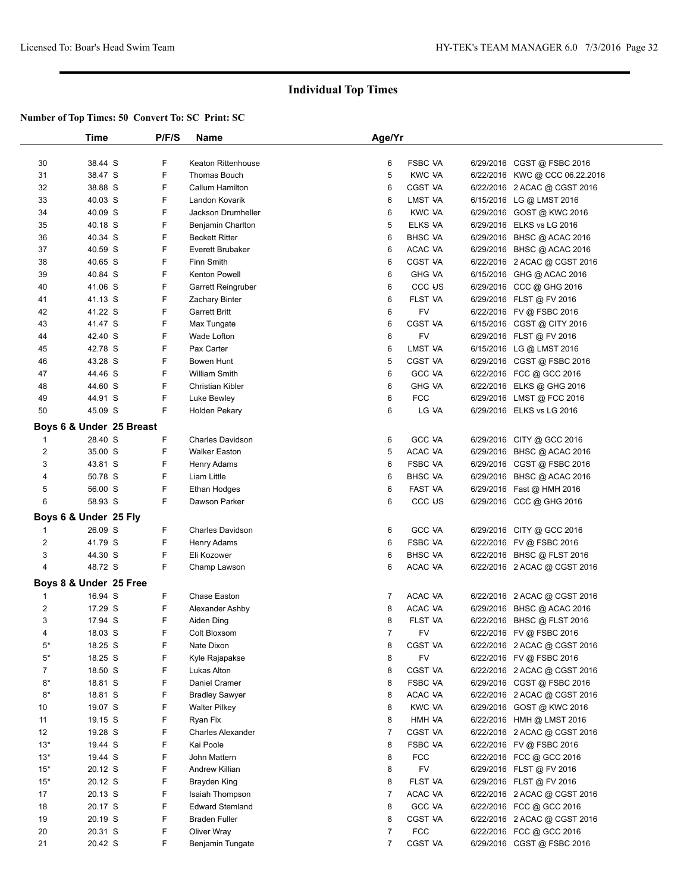|                | Time                     | P/F/S | <b>Name</b>             | Age/Yr         |                   |                                |  |
|----------------|--------------------------|-------|-------------------------|----------------|-------------------|--------------------------------|--|
|                |                          |       |                         |                |                   |                                |  |
| 30             | 38.44 S                  | F     | Keaton Rittenhouse      | 6              | <b>FSBC VA</b>    | 6/29/2016 CGST @ FSBC 2016     |  |
| 31             | 38.47 S                  | F     | Thomas Bouch            | 5              | <b>KWC VA</b>     | 6/22/2016 KWC @ CCC 06.22.2016 |  |
| 32             | 38.88 S                  | F     | Callum Hamilton         | 6              | CGST VA           | 6/22/2016 2 ACAC @ CGST 2016   |  |
| 33             | 40.03 S                  | F     | Landon Kovarik          | 6              | LMST VA           | 6/15/2016 LG @ LMST 2016       |  |
| 34             | 40.09 S                  | F     | Jackson Drumheller      | 6              | <b>KWC VA</b>     | 6/29/2016 GOST @ KWC 2016      |  |
| 35             | 40.18 S                  | F     | Benjamin Charlton       | 5              | ELKS VA           | 6/29/2016 ELKS vs LG 2016      |  |
| 36             | 40.34 S                  | F     | <b>Beckett Ritter</b>   | 6              | <b>BHSC VA</b>    | 6/29/2016 BHSC @ ACAC 2016     |  |
| 37             | 40.59 S                  | F     | Everett Brubaker        | 6              | ACAC VA           | 6/29/2016 BHSC @ ACAC 2016     |  |
| 38             | 40.65 S                  | F     | Finn Smith              | 6              | <b>CGST VA</b>    | 6/22/2016 2 ACAC @ CGST 2016   |  |
| 39             | 40.84 S                  | F     | Kenton Powell           | 6              | <b>GHG VA</b>     | 6/15/2016 GHG @ ACAC 2016      |  |
| 40             | 41.06 S                  | F     | Garrett Reingruber      | 6              | CCC <sub>US</sub> | 6/29/2016 CCC @ GHG 2016       |  |
| 41             | 41.13 S                  | F     | Zachary Binter          | 6              | FLST VA           | 6/29/2016 FLST @ FV 2016       |  |
| 42             | 41.22 S                  | F     | <b>Garrett Britt</b>    | 6              | FV                | 6/22/2016 FV @ FSBC 2016       |  |
| 43             | 41.47 S                  | F     | Max Tungate             | 6              | <b>CGST VA</b>    | 6/15/2016 CGST @ CITY 2016     |  |
| 44             | 42.40 S                  | F     | Wade Lofton             | 6              | FV                | 6/29/2016 FLST @ FV 2016       |  |
| 45             | 42.78 S                  | F     | Pax Carter              | 6              | LMST VA           | 6/15/2016 LG @ LMST 2016       |  |
| 46             | 43.28 S                  | F     | Bowen Hunt              | 5              | CGST VA           | 6/29/2016 CGST @ FSBC 2016     |  |
| 47             | 44.46 S                  | F     | William Smith           | 6              | <b>GCC VA</b>     | 6/22/2016 FCC @ GCC 2016       |  |
| 48             | 44.60 S                  | F     | Christian Kibler        | 6              | <b>GHG VA</b>     | 6/22/2016 ELKS @ GHG 2016      |  |
| 49             | 44.91 S                  | F     | Luke Bewley             | 6              | <b>FCC</b>        | 6/29/2016 LMST @ FCC 2016      |  |
| 50             | 45.09 S                  | F     | Holden Pekary           | 6              | LG VA             | 6/29/2016 ELKS vs LG 2016      |  |
|                |                          |       |                         |                |                   |                                |  |
|                | Boys 6 & Under 25 Breast |       |                         |                |                   |                                |  |
| $\mathbf 1$    | 28.40 S                  | F     | <b>Charles Davidson</b> | 6              | <b>GCC VA</b>     | 6/29/2016 CITY @ GCC 2016      |  |
| $\overline{2}$ | 35.00 S                  | F     | <b>Walker Easton</b>    | 5              | ACAC VA           | 6/29/2016 BHSC @ ACAC 2016     |  |
| 3              | 43.81 S                  | F     | Henry Adams             | 6              | <b>FSBC VA</b>    | 6/29/2016 CGST @ FSBC 2016     |  |
| 4              | 50.78 S                  | F     | Liam Little             | 6              | <b>BHSC VA</b>    | 6/29/2016 BHSC @ ACAC 2016     |  |
| 5              | 56.00 S                  | F     | Ethan Hodges            | 6              | FAST VA           | 6/29/2016 Fast @ HMH 2016      |  |
| 6              | 58.93 S                  | F     | Dawson Parker           | 6              | CCC <sub>US</sub> | 6/29/2016 CCC @ GHG 2016       |  |
|                | Boys 6 & Under 25 Fly    |       |                         |                |                   |                                |  |
| $\mathbf{1}$   | 26.09 S                  | F     | <b>Charles Davidson</b> | 6              | <b>GCC VA</b>     | 6/29/2016 CITY @ GCC 2016      |  |
| $\overline{c}$ | 41.79 S                  | F     | Henry Adams             | 6              | <b>FSBC VA</b>    | 6/22/2016 FV @ FSBC 2016       |  |
| 3              | 44.30 S                  | F     | Eli Kozower             | 6              | <b>BHSC VA</b>    | 6/22/2016 BHSC @ FLST 2016     |  |
| $\overline{4}$ | 48.72 S                  | F     | Champ Lawson            | 6              | ACAC VA           | 6/22/2016 2 ACAC @ CGST 2016   |  |
|                | Boys 8 & Under 25 Free   |       |                         |                |                   |                                |  |
| $\mathbf 1$    | 16.94 S                  | F     | Chase Easton            | 7              | ACAC VA           | 6/22/2016 2 ACAC @ CGST 2016   |  |
| $\overline{2}$ | 17.29 S                  | F     | Alexander Ashby         | 8              | ACAC VA           | 6/29/2016 BHSC @ ACAC 2016     |  |
| 3              | 17.94 S                  | F     | Aiden Ding              | 8              | FLST VA           | 6/22/2016 BHSC @ FLST 2016     |  |
| 4              | 18.03 S                  | F     | Colt Bloxsom            | $\overline{7}$ | FV                | 6/22/2016 FV @ FSBC 2016       |  |
| $5^*$          | 18.25 S                  | F     | Nate Dixon              | 8              | <b>CGST VA</b>    | 6/22/2016 2 ACAC @ CGST 2016   |  |
| $5*$           | 18.25 S                  | F     | Kyle Rajapakse          | 8              | <b>FV</b>         | 6/22/2016 FV @ FSBC 2016       |  |
| 7              | 18.50 S                  | F     | Lukas Alton             | 8              | CGST VA           | 6/22/2016 2 ACAC @ CGST 2016   |  |
| $8*$           | 18.81 S                  | F     | Daniel Cramer           | 8              | FSBC VA           | 6/29/2016 CGST @ FSBC 2016     |  |
| $8*$           | 18.81 S                  | F     | <b>Bradley Sawyer</b>   | 8              | ACAC VA           | 6/22/2016 2 ACAC @ CGST 2016   |  |
| 10             | 19.07 S                  | F     | <b>Walter Pilkey</b>    | 8              | <b>KWC VA</b>     | 6/29/2016 GOST @ KWC 2016      |  |
| 11             | 19.15 S                  | F     | Ryan Fix                | 8              | HMH VA            | 6/22/2016 HMH @ LMST 2016      |  |
| 12             | 19.28 S                  | F     | Charles Alexander       | $\overline{7}$ | CGST VA           | 6/22/2016 2 ACAC @ CGST 2016   |  |
| $13*$          | 19.44 S                  | F     | Kai Poole               | 8              | <b>FSBC VA</b>    | 6/22/2016 FV @ FSBC 2016       |  |
| $13*$          | 19.44 S                  | F     | John Mattern            | 8              | <b>FCC</b>        | 6/22/2016 FCC @ GCC 2016       |  |
| $15*$          | 20.12 S                  | F     | <b>Andrew Killian</b>   | 8              | <b>FV</b>         | 6/29/2016 FLST @ FV 2016       |  |
| $15*$          | 20.12 S                  | F     | Brayden King            | 8              | FLST VA           | 6/29/2016 FLST @ FV 2016       |  |
| 17             | 20.13 S                  | F     | Isaiah Thompson         | $\overline{7}$ | ACAC VA           | 6/22/2016 2 ACAC @ CGST 2016   |  |
| 18             | 20.17 S                  | F     | <b>Edward Stemland</b>  | 8              | <b>GCC VA</b>     | 6/22/2016 FCC @ GCC 2016       |  |
| 19             | 20.19 S                  | F     | <b>Braden Fuller</b>    | 8              | CGST VA           | 6/22/2016 2 ACAC @ CGST 2016   |  |
| 20             | 20.31 S                  | F     | Oliver Wray             | 7              | <b>FCC</b>        | 6/22/2016 FCC @ GCC 2016       |  |
| 21             | 20.42 S                  | F     | Benjamin Tungate        | 7              | <b>CGST VA</b>    | 6/29/2016 CGST @ FSBC 2016     |  |
|                |                          |       |                         |                |                   |                                |  |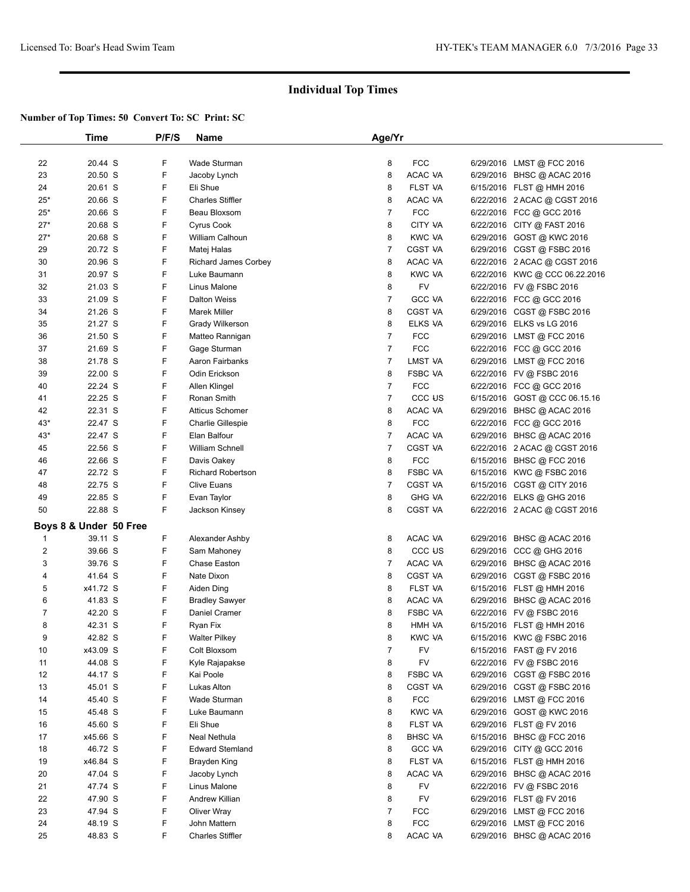|                        | Time     | P/F/S | Name                        | Age/Yr         |                    |                                |
|------------------------|----------|-------|-----------------------------|----------------|--------------------|--------------------------------|
|                        |          |       |                             |                |                    |                                |
| 22                     | 20.44 S  | F     | Wade Sturman                | 8              | <b>FCC</b>         | 6/29/2016 LMST @ FCC 2016      |
| 23                     | 20.50 S  | F     | Jacoby Lynch                | 8              | ACAC VA            | 6/29/2016 BHSC @ ACAC 2016     |
| 24                     | 20.61 S  | F     | Eli Shue                    | 8              | FLST VA            | 6/15/2016 FLST @ HMH 2016      |
| $25*$                  | 20.66 S  | F     | <b>Charles Stiffler</b>     | 8              | ACAC VA            | 6/22/2016 2 ACAC @ CGST 2016   |
| $25*$                  | 20.66 S  | F     | Beau Bloxsom                | $\overline{7}$ | <b>FCC</b>         | 6/22/2016 FCC @ GCC 2016       |
| $27*$                  | 20.68 S  | F     | <b>Cyrus Cook</b>           | 8              | CITY VA            | 6/22/2016 CITY @ FAST 2016     |
| $27*$                  | 20.68 S  | F     | William Calhoun             | 8              | KWC VA             | 6/29/2016 GOST @ KWC 2016      |
| 29                     | 20.72 S  | F     | Matej Halas                 | $\overline{7}$ | <b>CGST VA</b>     | 6/29/2016 CGST @ FSBC 2016     |
| 30                     | 20.96 S  | F     | <b>Richard James Corbey</b> | 8              | ACAC VA            | 6/22/2016 2 ACAC @ CGST 2016   |
| 31                     | 20.97 S  | F     | Luke Baumann                | 8              | <b>KWC VA</b>      | 6/22/2016 KWC @ CCC 06.22.2016 |
| 32                     | 21.03 S  | F     | Linus Malone                | 8              | FV                 | 6/22/2016 FV @ FSBC 2016       |
| 33                     | 21.09 S  | F     | <b>Dalton Weiss</b>         | $\overline{7}$ | <b>GCC VA</b>      | 6/22/2016 FCC @ GCC 2016       |
| 34                     | 21.26 S  | F     | <b>Marek Miller</b>         | 8              | CGST VA            | 6/29/2016 CGST@FSBC 2016       |
| 35                     | 21.27 S  | F     | Grady Wilkerson             | 8              | ELKS VA            | 6/29/2016 ELKS vs LG 2016      |
| 36                     | 21.50 S  | F     | Matteo Rannigan             | $\overline{7}$ | <b>FCC</b>         | 6/29/2016 LMST @ FCC 2016      |
| 37                     | 21.69 S  | F     | Gage Sturman                | $\overline{7}$ | <b>FCC</b>         | 6/22/2016 FCC @ GCC 2016       |
| 38                     | 21.78 S  | F     | Aaron Fairbanks             | $\overline{7}$ | LMST VA            | 6/29/2016 LMST @ FCC 2016      |
| 39                     | 22.00 S  | F     | Odin Erickson               | 8              | FSBC VA            | 6/22/2016 FV @ FSBC 2016       |
| 40                     | 22.24 S  | F     | Allen Klingel               | $\overline{7}$ | <b>FCC</b>         | 6/22/2016 FCC @ GCC 2016       |
| 41                     | 22.25 S  | F     | Ronan Smith                 | $\overline{7}$ | CCC <sub>U</sub> S | 6/15/2016 GOST @ CCC 06.15.16  |
| 42                     | 22.31 S  | F     | <b>Atticus Schomer</b>      | 8              | ACAC VA            | 6/29/2016 BHSC @ ACAC 2016     |
| $43*$                  | 22.47 S  | F     | <b>Charlie Gillespie</b>    | 8              | <b>FCC</b>         | 6/22/2016 FCC @ GCC 2016       |
| $43*$                  | 22.47 S  | F     | Elan Balfour                | $\overline{7}$ | ACAC VA            | 6/29/2016 BHSC @ ACAC 2016     |
| 45                     | 22.56 S  | F     | <b>William Schnell</b>      | $\overline{7}$ | CGST VA            | 6/22/2016 2 ACAC @ CGST 2016   |
| 46                     | 22.66 S  | F     | Davis Oakey                 | 8              | <b>FCC</b>         | 6/15/2016 BHSC @ FCC 2016      |
| 47                     | 22.72 S  | F     | <b>Richard Robertson</b>    | 8              | <b>FSBC VA</b>     | 6/15/2016 KWC @ FSBC 2016      |
| 48                     | 22.75 S  | F     | <b>Clive Euans</b>          | $\overline{7}$ | <b>CGST VA</b>     | 6/15/2016 CGST @ CITY 2016     |
| 49                     | 22.85 S  | F     | Evan Taylor                 | 8              | <b>GHG VA</b>      | 6/22/2016 ELKS @ GHG 2016      |
| 50                     | 22.88 S  | F     | Jackson Kinsey              | 8              | <b>CGST VA</b>     | 6/22/2016 2 ACAC @ CGST 2016   |
|                        |          |       |                             |                |                    |                                |
| Boys 8 & Under 50 Free |          |       |                             |                |                    |                                |
| $\mathbf{1}$           | 39.11 S  | F     | Alexander Ashby             | 8              | ACAC VA            | 6/29/2016 BHSC @ ACAC 2016     |
| $\overline{c}$         | 39.66 S  | F     | Sam Mahoney                 | 8              | CCC <sub>U</sub> S | 6/29/2016 CCC @ GHG 2016       |
| 3                      | 39.76 S  | F     | Chase Easton                | 7              | ACAC VA            | 6/29/2016 BHSC @ ACAC 2016     |
| 4                      | 41.64 S  | F     | Nate Dixon                  | 8              | <b>CGST VA</b>     | 6/29/2016 CGST @ FSBC 2016     |
| 5                      | x41.72 S | F     | Aiden Ding                  | 8              | <b>FLST VA</b>     | 6/15/2016 FLST @ HMH 2016      |
| 6                      | 41.83 S  | F     | <b>Bradley Sawyer</b>       | 8              | ACAC VA            | 6/29/2016 BHSC @ ACAC 2016     |
| $\overline{7}$         | 42.20 S  | F     | Daniel Cramer               | 8              | <b>FSBC VA</b>     | 6/22/2016 FV @ FSBC 2016       |
| 8                      | 42.31 S  | F     | Ryan Fix                    | 8              | HMH VA             | 6/15/2016 FLST @ HMH 2016      |
| q                      | 42.82 S  | F     | <b>Walter Pilkey</b>        | 8              | KWC VA             | 6/15/2016 KWC @ FSBC 2016      |
| 10                     | x43.09 S | F     | Colt Bloxsom                | $\overline{7}$ | FV                 | 6/15/2016 FAST @ FV 2016       |
| 11                     | 44.08 S  | F     | Kyle Rajapakse              | 8              | <b>FV</b>          | 6/22/2016 FV @ FSBC 2016       |
| 12                     | 44.17 S  | F     | Kai Poole                   | 8              | FSBC VA            | 6/29/2016 CGST @ FSBC 2016     |
| 13                     | 45.01 S  | F     | Lukas Alton                 | 8              | <b>CGST VA</b>     | 6/29/2016 CGST @ FSBC 2016     |
| 14                     | 45.40 S  | F     | Wade Sturman                | 8              | <b>FCC</b>         | 6/29/2016 LMST @ FCC 2016      |
| 15                     | 45.48 S  | F     | Luke Baumann                | 8              | <b>KWC VA</b>      | 6/29/2016 GOST @ KWC 2016      |
| 16                     | 45.60 S  | F     | Eli Shue                    | 8              | FLST VA            | 6/29/2016 FLST @ FV 2016       |
| 17                     | x45.66 S | F     | Neal Nethula                | 8              | <b>BHSC VA</b>     | 6/15/2016 BHSC @ FCC 2016      |
| 18                     | 46.72 S  | F     | <b>Edward Stemland</b>      | 8              | <b>GCC VA</b>      | 6/29/2016 CITY @ GCC 2016      |
| 19                     | x46.84 S | F     | <b>Brayden King</b>         | 8              | FLST VA            | 6/15/2016 FLST @ HMH 2016      |
| 20                     | 47.04 S  | F     | Jacoby Lynch                | 8              | ACAC VA            | 6/29/2016 BHSC @ ACAC 2016     |
| 21                     | 47.74 S  | F     | Linus Malone                | 8              | FV                 | 6/22/2016 FV @ FSBC 2016       |
| 22                     | 47.90 S  | F     | Andrew Killian              | 8              | FV                 | 6/29/2016 FLST @ FV 2016       |
| 23                     | 47.94 S  | F     | Oliver Wray                 | $\overline{7}$ | <b>FCC</b>         | 6/29/2016 LMST @ FCC 2016      |
| 24                     | 48.19 S  | F     | John Mattern                | 8              | <b>FCC</b>         | 6/29/2016 LMST @ FCC 2016      |
| 25                     | 48.83 S  | F     | <b>Charles Stiffler</b>     | 8              | ACAC VA            | 6/29/2016 BHSC @ ACAC 2016     |
|                        |          |       |                             |                |                    |                                |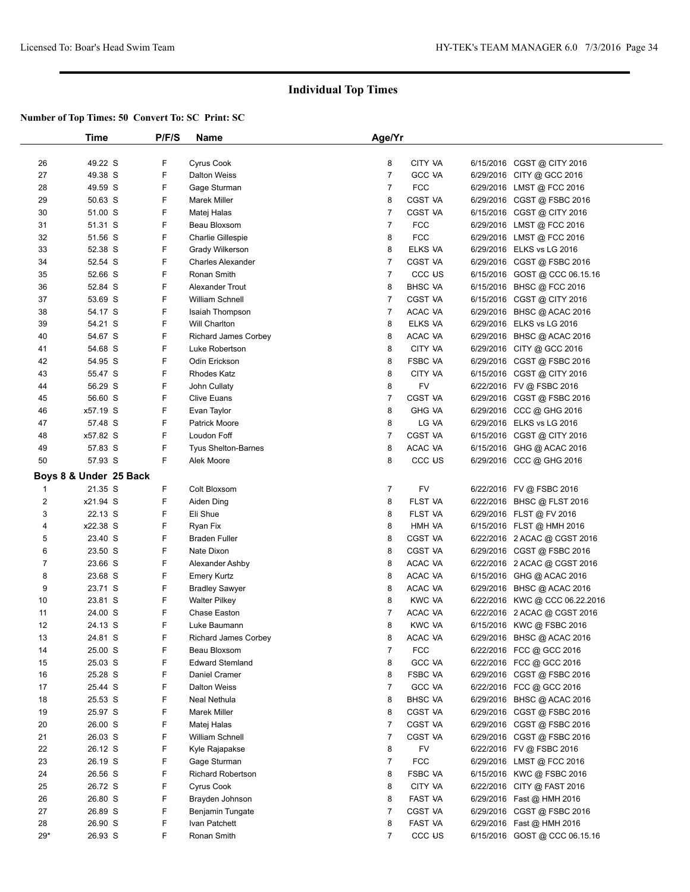|                | Time                   | P/F/S | Name                        | Age/Yr         |                    |           |                               |  |
|----------------|------------------------|-------|-----------------------------|----------------|--------------------|-----------|-------------------------------|--|
|                |                        |       |                             |                |                    |           |                               |  |
| 26             | 49.22 S                | F     | Cyrus Cook                  | 8              | CITY VA            |           | 6/15/2016 CGST @ CITY 2016    |  |
| 27             | 49.38 S                | F     | <b>Dalton Weiss</b>         | 7              | <b>GCC VA</b>      |           | 6/29/2016 CITY @ GCC 2016     |  |
| 28             | 49.59 S                | F     | Gage Sturman                | 7              | <b>FCC</b>         |           | 6/29/2016 LMST @ FCC 2016     |  |
| 29             | 50.63 S                | F     | Marek Miller                | 8              | CGST VA            |           | 6/29/2016 CGST @ FSBC 2016    |  |
| 30             | 51.00 S                | F     | Matej Halas                 | 7              | <b>CGST VA</b>     |           | 6/15/2016 CGST @ CITY 2016    |  |
| 31             | 51.31 S                | F     | Beau Bloxsom                | 7              | <b>FCC</b>         |           | 6/29/2016 LMST @ FCC 2016     |  |
| 32             | 51.56 S                | F     | <b>Charlie Gillespie</b>    | 8              | <b>FCC</b>         |           | 6/29/2016 LMST @ FCC 2016     |  |
| 33             | 52.38 S                | F     | Grady Wilkerson             | 8              | ELKS VA            | 6/29/2016 | ELKS vs LG 2016               |  |
| 34             | 52.54 S                | F     | <b>Charles Alexander</b>    | 7              | <b>CGST VA</b>     |           | 6/29/2016 CGST @ FSBC 2016    |  |
| 35             | 52.66 S                | F     | Ronan Smith                 | $\overline{7}$ | CCC US             |           | 6/15/2016 GOST @ CCC 06.15.16 |  |
| 36             | 52.84 S                | F     | Alexander Trout             | 8              | <b>BHSC VA</b>     |           | 6/15/2016 BHSC @ FCC 2016     |  |
| 37             | 53.69 S                | F     | William Schnell             | 7              | <b>CGST VA</b>     |           | 6/15/2016 CGST @ CITY 2016    |  |
| 38             | 54.17 S                | F     | Isaiah Thompson             | 7              | ACAC VA            | 6/29/2016 | BHSC @ ACAC 2016              |  |
| 39             | 54.21 S                | F     | Will Charlton               | 8              | ELKS VA            |           | 6/29/2016 ELKS vs LG 2016     |  |
| 40             | 54.67 S                | F     | <b>Richard James Corbey</b> | 8              | ACAC VA            | 6/29/2016 | BHSC @ ACAC 2016              |  |
| 41             | 54.68 S                | F     | Luke Robertson              | 8              | CITY VA            |           | 6/29/2016 CITY @ GCC 2016     |  |
| 42             | 54.95 S                | F     | Odin Erickson               | 8              | FSBC VA            |           | 6/29/2016 CGST @ FSBC 2016    |  |
| 43             | 55.47 S                | F     | <b>Rhodes Katz</b>          | 8              | CITY VA            |           | 6/15/2016 CGST @ CITY 2016    |  |
|                | 56.29 S                | F     |                             | 8              | FV                 |           |                               |  |
| 44             |                        | F     | John Cullaty                |                |                    |           | 6/22/2016 FV @ FSBC 2016      |  |
| 45             | 56.60 S                |       | <b>Clive Euans</b>          | 7              | CGST VA            |           | 6/29/2016 CGST @ FSBC 2016    |  |
| 46             | x57.19 S               | F     | Evan Taylor                 | 8              | <b>GHG VA</b>      |           | 6/29/2016 CCC @ GHG 2016      |  |
| 47             | 57.48 S                | F     | <b>Patrick Moore</b>        | 8              | LG VA              |           | 6/29/2016 ELKS vs LG 2016     |  |
| 48             | x57.82 S               | F     | Loudon Foff                 | $\overline{7}$ | CGST VA            |           | 6/15/2016 CGST @ CITY 2016    |  |
| 49             | 57.83 S                | F     | <b>Tyus Shelton-Barnes</b>  | 8              | ACAC VA            |           | 6/15/2016 GHG @ ACAC 2016     |  |
| 50             | 57.93 S                | F     | Alek Moore                  | 8              | CCC <sub>U</sub> S |           | 6/29/2016 CCC @ GHG 2016      |  |
|                | Boys 8 & Under 25 Back |       |                             |                |                    |           |                               |  |
| $\mathbf{1}$   | 21.35 S                | F     | Colt Bloxsom                | 7              | FV                 |           | 6/22/2016 FV @ FSBC 2016      |  |
| $\overline{c}$ | x21.94 S               | F     | Aiden Ding                  | 8              | FLST VA            |           | 6/22/2016 BHSC @ FLST 2016    |  |
| 3              | 22.13 S                | F     | Eli Shue                    | 8              | FLST VA            |           | 6/29/2016 FLST @ FV 2016      |  |
| 4              | x22.38 S               | F     | Ryan Fix                    | 8              | HMH VA             |           | 6/15/2016 FLST @ HMH 2016     |  |
| 5              | 23.40 S                | F     | <b>Braden Fuller</b>        | 8              | CGST VA            |           | 6/22/2016 2 ACAC @ CGST 2016  |  |
| 6              | 23.50 S                | F     | Nate Dixon                  | 8              | CGST VA            |           | 6/29/2016 CGST @ FSBC 2016    |  |
| 7              | 23.66 S                | F     | Alexander Ashby             | 8              | ACAC VA            |           | 6/22/2016 2 ACAC @ CGST 2016  |  |
| 8              | 23.68 S                | F     | <b>Emery Kurtz</b>          | 8              | ACAC VA            |           | 6/15/2016 GHG @ ACAC 2016     |  |
| 9              | 23.71 S                | F     | <b>Bradley Sawyer</b>       | 8              | ACAC VA            | 6/29/2016 | BHSC @ ACAC 2016              |  |
| 10             | 23.81 S                | F     | <b>Walter Pilkey</b>        | 8              | <b>KWC VA</b>      | 6/22/2016 | KWC @ CCC 06.22.2016          |  |
| 11             | 24.00 S                | F     | <b>Chase Easton</b>         | 7              | ACAC VA            |           | 6/22/2016 2 ACAC @ CGST 2016  |  |
| 12             | 24.13 S                | F     | Luke Baumann                | 8              | <b>KWC VA</b>      |           | 6/15/2016 KWC @ FSBC 2016     |  |
| 13             | 24.81 S                | F     | Richard James Corbey        | 8              | ACAC VA            |           | 6/29/2016 BHSC @ ACAC 2016    |  |
| 14             | 25.00 S                | F     | Beau Bloxsom                | 7              | <b>FCC</b>         |           | 6/22/2016 FCC @ GCC 2016      |  |
| 15             | 25.03 S                | F     | <b>Edward Stemland</b>      | 8              | <b>GCC VA</b>      |           | 6/22/2016 FCC @ GCC 2016      |  |
| 16             | 25.28 S                | F     | Daniel Cramer               | 8              | FSBC VA            |           | 6/29/2016 CGST @ FSBC 2016    |  |
| 17             | 25.44 S                | F     | <b>Dalton Weiss</b>         | 7              | <b>GCC VA</b>      |           | 6/22/2016 FCC @ GCC 2016      |  |
| 18             | 25.53 S                | F     | Neal Nethula                | 8              | <b>BHSC VA</b>     |           | 6/29/2016 BHSC @ ACAC 2016    |  |
| 19             | 25.97 S                | F     | Marek Miller                | 8              | <b>CGST VA</b>     |           | 6/29/2016 CGST @ FSBC 2016    |  |
| 20             | 26.00 S                | F     |                             | 7              | CGST VA            |           |                               |  |
|                |                        |       | Matej Halas                 |                |                    |           | 6/29/2016 CGST @ FSBC 2016    |  |
| 21             | 26.03 S                | F     | William Schnell             | 7              | CGST VA            |           | 6/29/2016 CGST @ FSBC 2016    |  |
| 22             | 26.12 S                | F     | Kyle Rajapakse              | 8              | FV                 |           | 6/22/2016 FV @ FSBC 2016      |  |
| 23             | 26.19 S                | F     | Gage Sturman                | 7              | <b>FCC</b>         |           | 6/29/2016 LMST @ FCC 2016     |  |
| 24             | 26.56 S                | F     | <b>Richard Robertson</b>    | 8              | FSBC VA            |           | 6/15/2016 KWC @ FSBC 2016     |  |
| 25             | 26.72 S                | F     | Cyrus Cook                  | 8              | CITY VA            |           | 6/22/2016 CITY @ FAST 2016    |  |
| 26             | 26.80 S                | F     | Brayden Johnson             | 8              | FAST VA            |           | 6/29/2016 Fast @ HMH 2016     |  |
| 27             | 26.89 S                | F     | Benjamin Tungate            | 7              | CGST VA            |           | 6/29/2016 CGST @ FSBC 2016    |  |
| 28             | 26.90 S                | F     | Ivan Patchett               | 8              | FAST VA            |           | 6/29/2016 Fast @ HMH 2016     |  |
| $29*$          | 26.93 S                | F     | Ronan Smith                 | 7              | CCC <sub>U</sub> S |           | 6/15/2016 GOST @ CCC 06.15.16 |  |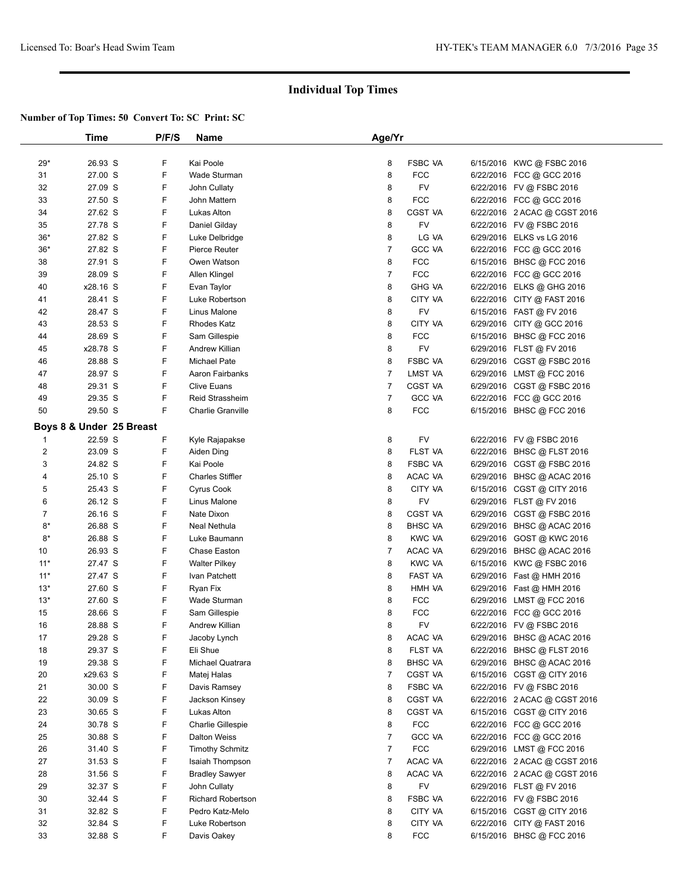|       | Time                     | P/F/S  | <b>Name</b>              | Age/Yr |                |                                                       |  |
|-------|--------------------------|--------|--------------------------|--------|----------------|-------------------------------------------------------|--|
|       |                          |        |                          |        |                |                                                       |  |
| 29*   | 26.93 S                  | F      | Kai Poole                | 8      | <b>FSBC VA</b> | 6/15/2016 KWC @ FSBC 2016                             |  |
| 31    | 27.00 S                  | F      | Wade Sturman             | 8      | <b>FCC</b>     | 6/22/2016 FCC @ GCC 2016                              |  |
| 32    | 27.09 S                  | F      | John Cullaty             | 8      | <b>FV</b>      | 6/22/2016 FV @ FSBC 2016                              |  |
| 33    | 27.50 S                  | F      | John Mattern             | 8      | <b>FCC</b>     | 6/22/2016 FCC @ GCC 2016                              |  |
| 34    | 27.62 S                  | F      | Lukas Alton              | 8      | <b>CGST VA</b> | 6/22/2016 2 ACAC @ CGST 2016                          |  |
| 35    | 27.78 S                  | F      | Daniel Gilday            | 8      | FV             | 6/22/2016 FV @ FSBC 2016                              |  |
| $36*$ | 27.82 S                  | F      | Luke Delbridge           | 8      | LG VA          | 6/29/2016 ELKS vs LG 2016                             |  |
| $36*$ | 27.82 S                  | F      | Pierce Reuter            | 7      | <b>GCC VA</b>  | 6/22/2016 FCC @ GCC 2016                              |  |
| 38    | 27.91 S                  | F      | Owen Watson              | 8      | <b>FCC</b>     | 6/15/2016 BHSC @ FCC 2016                             |  |
| 39    | 28.09 S                  | F      | Allen Klingel            | 7      | <b>FCC</b>     | 6/22/2016 FCC @ GCC 2016                              |  |
| 40    | x28.16 S                 | F      | Evan Taylor              | 8      | <b>GHG VA</b>  | 6/22/2016 ELKS @ GHG 2016                             |  |
| 41    | 28.41 S                  | F      | Luke Robertson           | 8      | CITY VA        | 6/22/2016 CITY @ FAST 2016                            |  |
| 42    | 28.47 S                  | F      | Linus Malone             | 8      | FV             | 6/15/2016 FAST @ FV 2016                              |  |
| 43    | 28.53 S                  | F      | <b>Rhodes Katz</b>       | 8      | CITY VA        | 6/29/2016 CITY @ GCC 2016                             |  |
| 44    | 28.69 S                  | F      | Sam Gillespie            | 8      | <b>FCC</b>     | 6/15/2016 BHSC @ FCC 2016                             |  |
| 45    | x28.78 S                 | F      | Andrew Killian           | 8      | FV             | 6/29/2016 FLST @ FV 2016                              |  |
| 46    | 28.88 S                  | F      | <b>Michael Pate</b>      | 8      | <b>FSBC VA</b> | 6/29/2016 CGST @ FSBC 2016                            |  |
| 47    | 28.97 S                  | F      | Aaron Fairbanks          | 7      | LMST VA        | 6/29/2016 LMST @ FCC 2016                             |  |
| 48    | 29.31 S                  | F      | <b>Clive Euans</b>       | 7      | <b>CGST VA</b> | 6/29/2016 CGST @ FSBC 2016                            |  |
| 49    | 29.35 S                  | F      | <b>Reid Strassheim</b>   | 7      | <b>GCC VA</b>  | 6/22/2016 FCC @ GCC 2016                              |  |
| 50    | 29.50 S                  | F      | <b>Charlie Granville</b> | 8      | <b>FCC</b>     | 6/15/2016 BHSC @ FCC 2016                             |  |
|       | Boys 8 & Under 25 Breast |        |                          |        |                |                                                       |  |
| 1     | 22.59 S                  | F      | Kyle Rajapakse           | 8      | <b>FV</b>      | 6/22/2016 FV @ FSBC 2016                              |  |
| 2     | 23.09 S                  | F      | Aiden Ding               | 8      | FLST VA        | 6/22/2016 BHSC @ FLST 2016                            |  |
| 3     | 24.82 S                  | F      | Kai Poole                | 8      | <b>FSBC VA</b> | 6/29/2016 CGST @ FSBC 2016                            |  |
| 4     | 25.10 S                  | F      | <b>Charles Stiffler</b>  | 8      | ACAC VA        | 6/29/2016 BHSC @ ACAC 2016                            |  |
| 5     | 25.43 S                  | F      | <b>Cyrus Cook</b>        | 8      | CITY VA        | 6/15/2016 CGST @ CITY 2016                            |  |
| 6     | 26.12 S                  | F      | Linus Malone             | 8      | <b>FV</b>      | 6/29/2016 FLST @ FV 2016                              |  |
| 7     | 26.16 S                  | F      | Nate Dixon               | 8      | CGST VA        | 6/29/2016 CGST @ FSBC 2016                            |  |
| 8*    | 26.88 S                  | F      | Neal Nethula             | 8      | <b>BHSC VA</b> | 6/29/2016 BHSC @ ACAC 2016                            |  |
| 8*    | 26.88 S                  | F      | Luke Baumann             | 8      | <b>KWC VA</b>  | 6/29/2016 GOST @ KWC 2016                             |  |
| 10    | 26.93 S                  | F      | Chase Easton             | 7      | ACAC VA        | 6/29/2016 BHSC @ ACAC 2016                            |  |
| $11*$ | 27.47 S                  | F      | <b>Walter Pilkey</b>     | 8      | KWC VA         | 6/15/2016 KWC @ FSBC 2016                             |  |
| $11*$ | 27.47 S                  | F      | Ivan Patchett            | 8      | FAST VA        |                                                       |  |
| $13*$ | 27.60 S                  | F      | Ryan Fix                 | 8      | HMH VA         | 6/29/2016 Fast @ HMH 2016                             |  |
| $13*$ | 27.60 S                  | F      | Wade Sturman             | 8      | <b>FCC</b>     | 6/29/2016 LMST @ FCC 2016                             |  |
| 15    | 28.66 S                  | F      | Sam Gillespie            | 8      | <b>FCC</b>     | 6/22/2016 FCC @ GCC 2016                              |  |
| 16    | 28.88 S                  | F      | Andrew Killian           | 8      | FV             | 6/22/2016 FV @ FSBC 2016                              |  |
| 17    | 29.28 S                  | F      | Jacoby Lynch             | 8      | ACAC VA        | 6/29/2016 BHSC @ ACAC 2016                            |  |
| 18    | 29.37 S                  | F      | Eli Shue                 | 8      | <b>FLST VA</b> | 6/22/2016 BHSC @ FLST 2016                            |  |
| 19    | 29.38 S                  | F      | Michael Quatrara         | 8      | <b>BHSC VA</b> | 6/29/2016 BHSC @ ACAC 2016                            |  |
| 20    | x29.63 S                 | F      | Matej Halas              | 7      | CGST VA        | 6/15/2016 CGST @ CITY 2016                            |  |
| 21    | 30.00 S                  | F      | Davis Ramsey             | 8      | FSBC VA        | 6/22/2016 FV @ FSBC 2016                              |  |
| 22    | 30.09 S                  | F      | Jackson Kinsey           | 8      | CGST VA        | 6/22/2016 2 ACAC @ CGST 2016                          |  |
| 23    | 30.65 S                  | F      | Lukas Alton              | 8      | <b>CGST VA</b> | 6/15/2016 CGST @ CITY 2016                            |  |
| 24    | 30.78 S                  | F      | Charlie Gillespie        | 8      | <b>FCC</b>     | 6/22/2016 FCC @ GCC 2016                              |  |
| 25    | 30.88 S                  | F      | Dalton Weiss             | 7      | GCC VA         |                                                       |  |
| 26    | 31.40 S                  | F      | <b>Timothy Schmitz</b>   | 7      | <b>FCC</b>     | 6/22/2016 FCC @ GCC 2016<br>6/29/2016 LMST @ FCC 2016 |  |
| 27    |                          | F      |                          |        | ACAC VA        |                                                       |  |
|       | 31.53 S                  |        | Isaiah Thompson          | 7      |                | 6/22/2016 2 ACAC @ CGST 2016                          |  |
| 28    | 31.56 S<br>32.37 S       | F<br>F | <b>Bradley Sawyer</b>    | 8      | ACAC VA        | 6/22/2016 2 ACAC @ CGST 2016                          |  |
| 29    |                          |        | John Cullaty             | 8      | FV             | 6/29/2016 FLST @ FV 2016                              |  |
| 30    | 32.44 S                  | F      | <b>Richard Robertson</b> | 8      | <b>FSBC VA</b> | 6/22/2016 FV @ FSBC 2016                              |  |
| 31    | 32.82 S                  | F      | Pedro Katz-Melo          | 8      | CITY VA        | 6/15/2016 CGST @ CITY 2016                            |  |
| 32    | 32.84 S                  | F      | Luke Robertson           | 8      | CITY VA        | 6/22/2016 CITY @ FAST 2016                            |  |
| 33    | 32.88 S                  | F      | Davis Oakey              | 8      | <b>FCC</b>     | 6/15/2016 BHSC @ FCC 2016                             |  |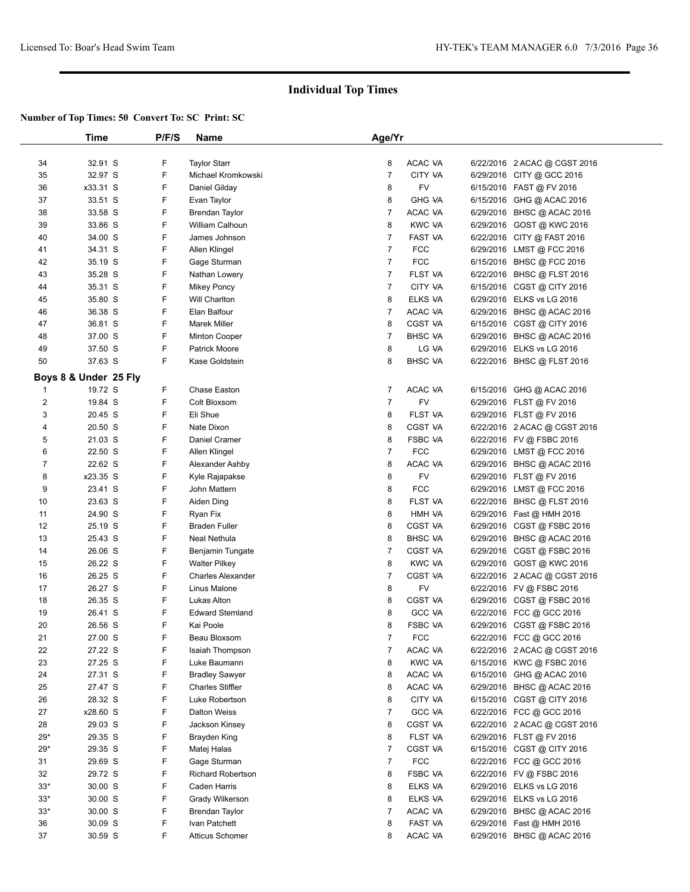|                | Time                  | P/F/S | <b>Name</b>              | Age/Yr         |                |                              |  |
|----------------|-----------------------|-------|--------------------------|----------------|----------------|------------------------------|--|
|                |                       |       |                          |                |                |                              |  |
| 34             | 32.91 S               | F     | <b>Taylor Starr</b>      | 8              | ACAC VA        | 6/22/2016 2 ACAC @ CGST 2016 |  |
| 35             | 32.97 S               | F     | Michael Kromkowski       | $\overline{7}$ | CITY VA        | 6/29/2016 CITY @ GCC 2016    |  |
| 36             | x33.31 S              | F     | Daniel Gilday            | 8              | FV             | 6/15/2016 FAST @ FV 2016     |  |
| 37             | 33.51 S               | F     | Evan Taylor              | 8              | <b>GHG VA</b>  | 6/15/2016 GHG @ ACAC 2016    |  |
| 38             | 33.58 S               | F     | <b>Brendan Taylor</b>    | $\overline{7}$ | ACAC VA        | 6/29/2016 BHSC @ ACAC 2016   |  |
| 39             | 33.86 S               | F     | William Calhoun          | 8              | <b>KWC VA</b>  | 6/29/2016 GOST @ KWC 2016    |  |
| 40             | 34.00 S               | F     | James Johnson            | 7              | FAST VA        | 6/22/2016 CITY @ FAST 2016   |  |
| 41             | 34.31 S               | F     | Allen Klingel            | $\overline{7}$ | <b>FCC</b>     | 6/29/2016 LMST @ FCC 2016    |  |
| 42             | 35.19 S               | F     | Gage Sturman             | $\overline{7}$ | <b>FCC</b>     | 6/15/2016 BHSC @ FCC 2016    |  |
| 43             | 35.28 S               | F     | Nathan Lowery            | 7              | FLST VA        | 6/22/2016 BHSC @ FLST 2016   |  |
| 44             | 35.31 S               | F     | <b>Mikey Poncy</b>       | 7              | CITY VA        | 6/15/2016 CGST @ CITY 2016   |  |
| 45             | 35.80 S               | F     | Will Charlton            | 8              | ELKS VA        | 6/29/2016 ELKS vs LG 2016    |  |
| 46             | 36.38 S               | F     | Elan Balfour             | 7              | ACAC VA        | 6/29/2016 BHSC @ ACAC 2016   |  |
| 47             | 36.81 S               | F     | <b>Marek Miller</b>      | 8              | <b>CGST VA</b> | 6/15/2016 CGST @ CITY 2016   |  |
| 48             | 37.00 S               | F     | <b>Minton Cooper</b>     | 7              | <b>BHSC VA</b> | 6/29/2016 BHSC @ ACAC 2016   |  |
| 49             | 37.50 S               | F     | <b>Patrick Moore</b>     | 8              | LG VA          | 6/29/2016 ELKS vs LG 2016    |  |
| 50             | 37.63 S               | F     | Kase Goldstein           | 8              | <b>BHSC VA</b> | 6/22/2016 BHSC @ FLST 2016   |  |
|                |                       |       |                          |                |                |                              |  |
|                | Boys 8 & Under 25 Fly |       |                          |                |                |                              |  |
| 1              | 19.72 S               | F     | Chase Easton             | 7              | ACAC VA        | 6/15/2016 GHG @ ACAC 2016    |  |
| $\overline{2}$ | 19.84 S               | F     | Colt Bloxsom             | $\overline{7}$ | <b>FV</b>      | 6/29/2016 FLST @ FV 2016     |  |
| 3              | 20.45 S               | F     | Eli Shue                 | 8              | FLST VA        | 6/29/2016 FLST @ FV 2016     |  |
| 4              | 20.50 S               | F     | Nate Dixon               | 8              | <b>CGST VA</b> | 6/22/2016 2 ACAC @ CGST 2016 |  |
| 5              | 21.03 S               | F     | Daniel Cramer            | 8              | FSBC VA        | 6/22/2016 FV @ FSBC 2016     |  |
| 6              | 22.50 S               | F     | Allen Klingel            | 7              | <b>FCC</b>     | 6/29/2016 LMST @ FCC 2016    |  |
| $\overline{7}$ | 22.62 S               | F     | Alexander Ashby          | 8              | ACAC VA        | 6/29/2016 BHSC @ ACAC 2016   |  |
| 8              | x23.35 S              | F     | Kyle Rajapakse           | 8              | <b>FV</b>      | 6/29/2016 FLST @ FV 2016     |  |
| 9              | 23.41 S               | F     | John Mattern             | 8              | <b>FCC</b>     | 6/29/2016 LMST @ FCC 2016    |  |
| 10             | 23.63 S               | F     | Aiden Ding               | 8              | FLST VA        | 6/22/2016 BHSC @ FLST 2016   |  |
| 11             | 24.90 S               | F     | Ryan Fix                 | 8              | HMH VA         | 6/29/2016 Fast @ HMH 2016    |  |
| 12             | 25.19 S               | F     | <b>Braden Fuller</b>     | 8              | <b>CGST VA</b> | 6/29/2016 CGST @ FSBC 2016   |  |
| 13             | 25.43 S               | F     | Neal Nethula             | 8              | <b>BHSC VA</b> | 6/29/2016 BHSC @ ACAC 2016   |  |
| 14             | 26.06 S               | F     | Benjamin Tungate         | 7              | <b>CGST VA</b> | 6/29/2016 CGST @ FSBC 2016   |  |
| 15             | 26.22 S               | F     | <b>Walter Pilkey</b>     | 8              | <b>KWC VA</b>  | 6/29/2016 GOST @ KWC 2016    |  |
| 16             | 26.25 S               | F     | <b>Charles Alexander</b> | 7              | CGST VA        | 6/22/2016 2 ACAC @ CGST 2016 |  |
| 17             | 26.27 S               | F     | Linus Malone             | 8              | FV             | 6/22/2016 FV @ FSBC 2016     |  |
| 18             | 26.35 S               | F     | Lukas Alton              | 8              | <b>CGST VA</b> | 6/29/2016 CGST @ FSBC 2016   |  |
| 19             | 26.41 S               | F     | <b>Edward Stemland</b>   | 8              | <b>GCC VA</b>  | 6/22/2016 FCC @ GCC 2016     |  |
| 20             | 26.56 S               | F     | Kai Poole                | 8              | <b>FSBC VA</b> | 6/29/2016 CGST @ FSBC 2016   |  |
| 21             | 27.00 S               | F     | Beau Bloxsom             | 7              | <b>FCC</b>     | 6/22/2016 FCC @ GCC 2016     |  |
| 22             | 27.22 S               | F     | Isaiah Thompson          | 7              | ACAC VA        | 6/22/2016 2 ACAC @ CGST 2016 |  |
| 23             | 27.25 S               | F     | Luke Baumann             | 8              | <b>KWC VA</b>  | 6/15/2016 KWC@FSBC 2016      |  |
| 24             | 27.31 S               | F     | <b>Bradley Sawyer</b>    | 8              | ACAC VA        | 6/15/2016 GHG @ ACAC 2016    |  |
| 25             | 27.47 S               | F     | <b>Charles Stiffler</b>  | 8              | ACAC VA        | 6/29/2016 BHSC @ ACAC 2016   |  |
| 26             | 28.32 S               | F     | Luke Robertson           | 8              | CITY VA        | 6/15/2016 CGST @ CITY 2016   |  |
| 27             | x28.60 S              | F     | Dalton Weiss             | 7              | <b>GCC VA</b>  | 6/22/2016 FCC @ GCC 2016     |  |
| 28             | 29.03 S               | F     | Jackson Kinsey           | 8              | CGST VA        | 6/22/2016 2 ACAC @ CGST 2016 |  |
| $29*$          | 29.35 S               | F     | Brayden King             | 8              | FLST VA        | 6/29/2016 FLST @ FV 2016     |  |
| $29*$          | 29.35 S               | F     | Matej Halas              | 7              | <b>CGST VA</b> | 6/15/2016 CGST @ CITY 2016   |  |
| 31             | 29.69 S               | F     | Gage Sturman             | 7              | <b>FCC</b>     | 6/22/2016 FCC @ GCC 2016     |  |
| 32             | 29.72 S               | F     | <b>Richard Robertson</b> | 8              | <b>FSBC VA</b> | 6/22/2016 FV @ FSBC 2016     |  |
| $33*$          | 30.00 S               | F     | Caden Harris             | 8              | ELKS VA        | 6/29/2016 ELKS vs LG 2016    |  |
| $33*$          | 30.00 S               | F     | Grady Wilkerson          | 8              | ELKS VA        | 6/29/2016 ELKS vs LG 2016    |  |
| $33*$          | 30.00 S               | F     | <b>Brendan Taylor</b>    | 7              | ACAC VA        | 6/29/2016 BHSC @ ACAC 2016   |  |
| 36             | 30.09 S               | F     | Ivan Patchett            | 8              | FAST VA        | 6/29/2016 Fast @ HMH 2016    |  |
| 37             | 30.59 S               | F     | <b>Atticus Schomer</b>   | 8              | ACAC VA        | 6/29/2016 BHSC @ ACAC 2016   |  |
|                |                       |       |                          |                |                |                              |  |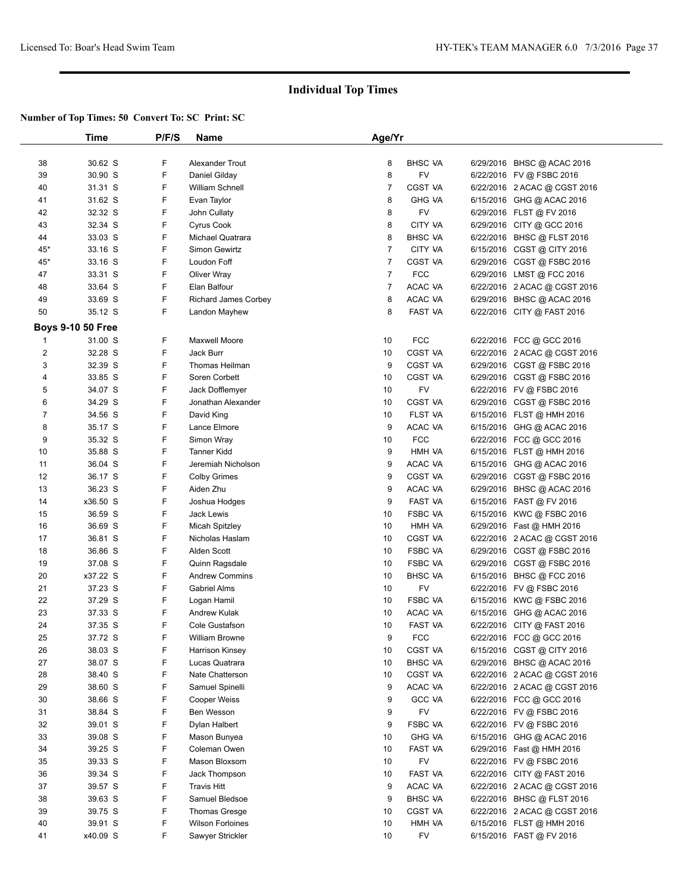|                | Time                     | P/F/S | <b>Name</b>                 | Age/Yr         |                |                                                           |  |
|----------------|--------------------------|-------|-----------------------------|----------------|----------------|-----------------------------------------------------------|--|
|                |                          |       |                             |                |                |                                                           |  |
| 38             | 30.62 S                  | F     | Alexander Trout             | 8              | <b>BHSC VA</b> | 6/29/2016 BHSC @ ACAC 2016                                |  |
| 39             | 30.90 S                  | F     | Daniel Gilday               | 8              | FV             | 6/22/2016 FV @ FSBC 2016                                  |  |
| 40             | 31.31 S                  | F     | <b>William Schnell</b>      | $\overline{7}$ | <b>CGST VA</b> | 6/22/2016 2 ACAC @ CGST 2016                              |  |
| 41             | 31.62 S                  | F     | Evan Taylor                 | 8              | <b>GHG VA</b>  | 6/15/2016 GHG @ ACAC 2016                                 |  |
| 42             | 32.32 S                  | F     | John Cullaty                | 8              | <b>FV</b>      | 6/29/2016 FLST @ FV 2016                                  |  |
| 43             | 32.34 S                  | F     | Cyrus Cook                  | 8              | CITY VA        | 6/29/2016 CITY @ GCC 2016                                 |  |
| 44             | 33.03 S                  | F     | Michael Quatrara            | 8              | <b>BHSC VA</b> | 6/22/2016 BHSC @ FLST 2016                                |  |
| $45*$          | 33.16 S                  | F     | Simon Gewirtz               | 7              | CITY VA        | 6/15/2016 CGST @ CITY 2016                                |  |
| $45*$          | 33.16 S                  | F     | Loudon Foff                 | 7              | <b>CGST VA</b> | 6/29/2016 CGST @ FSBC 2016                                |  |
| 47             | 33.31 S                  | F     | <b>Oliver Wray</b>          | $\overline{7}$ | <b>FCC</b>     | 6/29/2016 LMST @ FCC 2016                                 |  |
| 48             | 33.64 S                  | F     | Elan Balfour                | 7              | ACAC VA        | 6/22/2016 2 ACAC @ CGST 2016                              |  |
| 49             | 33.69 S                  | F     | <b>Richard James Corbey</b> | 8              | ACAC VA        | 6/29/2016 BHSC @ ACAC 2016                                |  |
| 50             | 35.12 S                  | F     | Landon Mayhew               | 8              | <b>FAST VA</b> | 6/22/2016 CITY @ FAST 2016                                |  |
|                | <b>Boys 9-10 50 Free</b> |       |                             |                |                |                                                           |  |
|                |                          |       |                             |                |                |                                                           |  |
| 1              | 31.00 S                  | F     | Maxwell Moore               | 10             | <b>FCC</b>     | 6/22/2016 FCC @ GCC 2016                                  |  |
| $\overline{c}$ | 32.28 S                  | F     | Jack Burr                   | 10             | <b>CGST VA</b> | 6/22/2016 2 ACAC @ CGST 2016                              |  |
| 3              | 32.39 S                  | F     | Thomas Heilman              | 9              | <b>CGST VA</b> | 6/29/2016 CGST @ FSBC 2016                                |  |
| 4              | 33.85 S                  | F     | Soren Corbett               | 10             | <b>CGST VA</b> | 6/29/2016 CGST @ FSBC 2016                                |  |
| 5              | 34.07 S                  | F     | Jack Dofflemyer             | 10             | <b>FV</b>      | 6/22/2016 FV @ FSBC 2016                                  |  |
| 6              | 34.29 S                  | F     | Jonathan Alexander          | 10             | <b>CGST VA</b> | 6/29/2016 CGST @ FSBC 2016                                |  |
| 7              | 34.56 S                  | F     | David King                  | 10             | <b>FLST VA</b> | 6/15/2016 FLST @ HMH 2016                                 |  |
| 8              | 35.17 S                  | F     | Lance Elmore                | 9              | ACAC VA        | 6/15/2016 GHG @ ACAC 2016                                 |  |
| 9              | 35.32 S                  | F     | Simon Wray                  | 10             | <b>FCC</b>     | 6/22/2016 FCC @ GCC 2016                                  |  |
| 10             | 35.88 S                  | F     | <b>Tanner Kidd</b>          | 9              | HMH VA         | 6/15/2016 FLST @ HMH 2016                                 |  |
| 11             | 36.04 S                  | F     | Jeremiah Nicholson          | 9              | ACAC VA        | 6/15/2016 GHG @ ACAC 2016                                 |  |
| 12             | 36.17 S                  | F     | <b>Colby Grimes</b>         | 9              | <b>CGST VA</b> | 6/29/2016 CGST @ FSBC 2016                                |  |
| 13             | 36.23 S                  | F     | Aiden Zhu                   | 9              | ACAC VA        | 6/29/2016 BHSC @ ACAC 2016                                |  |
| 14             | x36.50 S                 | F     | Joshua Hodges               | 9              | <b>FAST VA</b> | 6/15/2016 FAST @ FV 2016                                  |  |
| 15             | 36.59 S                  | F     | Jack Lewis                  | 10             | <b>FSBC VA</b> | 6/15/2016 KWC @ FSBC 2016                                 |  |
| 16             | 36.69 S                  | F     | Micah Spitzley              | 10             | HMH VA         | 6/29/2016 Fast @ HMH 2016                                 |  |
| 17             | 36.81 S                  | F     | Nicholas Haslam             | 10             | <b>CGST VA</b> | 6/22/2016 2 ACAC @ CGST 2016                              |  |
| 18             | 36.86 S                  | F     | Alden Scott                 | 10             | <b>FSBC VA</b> | 6/29/2016 CGST @ FSBC 2016                                |  |
| 19             | 37.08 S                  | F     | Quinn Ragsdale              | 10             | <b>FSBC VA</b> | 6/29/2016 CGST @ FSBC 2016                                |  |
| 20             | x37.22 S                 | F     | <b>Andrew Commins</b>       | 10             | <b>BHSC VA</b> | 6/15/2016 BHSC @ FCC 2016                                 |  |
| 21             | 37.23 S                  | F     | Gabriel Alms                | 10             | FV             | 6/22/2016 FV @ FSBC 2016                                  |  |
| 22             | 37.29 S                  | F     | Logan Hamil                 | 10             | <b>FSBC VA</b> | 6/15/2016 KWC @ FSBC 2016                                 |  |
| 23             | 37.33 S                  | F     | Andrew Kulak                | 10             | ACAC VA        | 6/15/2016 GHG @ ACAC 2016                                 |  |
| 24             | 37.35 S                  | F     | Cole Gustafson              | 10             | FAST VA        | 6/22/2016 CITY @ FAST 2016                                |  |
| 25             | 37.72 S                  | F     | William Browne              | 9              | <b>FCC</b>     | 6/22/2016 FCC @ GCC 2016                                  |  |
| 26             | 38.03 S                  | F     | Harrison Kinsey             | 10             | CGST VA        | 6/15/2016 CGST @ CITY 2016                                |  |
| 27             | 38.07 S                  | F     | Lucas Quatrara              | 10             | <b>BHSC VA</b> | 6/29/2016 BHSC @ ACAC 2016                                |  |
| 28             | 38.40 S                  | F     | Nate Chatterson             | 10             | CGST VA        | 6/22/2016 2 ACAC @ CGST 2016                              |  |
| 29             | 38.60 S                  | F     | Samuel Spinelli             | 9              | ACAC VA        | 6/22/2016 2 ACAC @ CGST 2016                              |  |
| 30             | 38.66 S                  | F     | Cooper Weiss                | 9              | <b>GCC VA</b>  | 6/22/2016 FCC @ GCC 2016                                  |  |
| 31             | 38.84 S                  | F     | Ben Wesson                  | 9              | <b>FV</b>      | 6/22/2016 FV @ FSBC 2016                                  |  |
| 32             | 39.01 S                  | F     | Dylan Halbert               | 9              | FSBC VA        | 6/22/2016 FV @ FSBC 2016                                  |  |
| 33             | 39.08 S                  | F     | Mason Bunyea                | 10             | <b>GHG VA</b>  | 6/15/2016 GHG @ ACAC 2016                                 |  |
| 34             | 39.25 S                  | F     | Coleman Owen                | 10             | <b>FAST VA</b> | 6/29/2016 Fast @ HMH 2016                                 |  |
| 35             | 39.33 S                  | F     | Mason Bloxsom               | 10             | FV             | 6/22/2016 FV @ FSBC 2016                                  |  |
| 36             | 39.34 S                  | F     | Jack Thompson               | 10             | FAST VA        | 6/22/2016 CITY @ FAST 2016                                |  |
| 37             | 39.57 S                  | F     | Travis Hitt                 | 9              | ACAC VA        | 6/22/2016 2 ACAC @ CGST 2016                              |  |
| 38             | 39.63 S                  | F     | Samuel Bledsoe              | 9              | <b>BHSC VA</b> | 6/22/2016 BHSC @ FLST 2016                                |  |
|                | 39.75 S                  | F     |                             |                |                |                                                           |  |
| 39             |                          | F     | <b>Thomas Gresge</b>        | 10             | <b>CGST VA</b> | 6/22/2016 2 ACAC @ CGST 2016<br>6/15/2016 FLST @ HMH 2016 |  |
| 40             | 39.91 S                  |       | <b>Wilson Forloines</b>     | 10             | HMH VA         |                                                           |  |
| 41             | x40.09 S                 | F     | Sawyer Strickler            | 10             | FV             | 6/15/2016 FAST @ FV 2016                                  |  |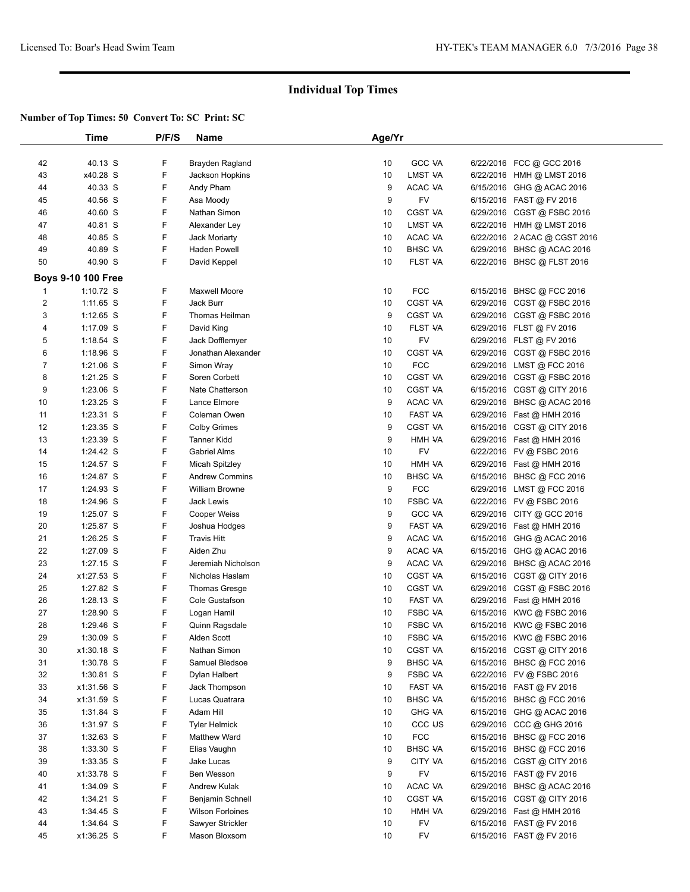|                | Time                       | P/F/S  | Name                                        | Age/Yr   |                     |                                                         |  |
|----------------|----------------------------|--------|---------------------------------------------|----------|---------------------|---------------------------------------------------------|--|
|                |                            |        |                                             |          |                     |                                                         |  |
| 42             | 40.13 S                    | F      | Brayden Ragland                             | 10       | <b>GCC VA</b>       | 6/22/2016 FCC @ GCC 2016                                |  |
| 43             | x40.28 S                   | F      | Jackson Hopkins                             | 10       | LMST VA             | 6/22/2016 HMH @ LMST 2016                               |  |
| 44             | 40.33 S                    | F      | Andy Pham                                   | 9        | ACAC VA             | 6/15/2016 GHG @ ACAC 2016                               |  |
| 45             | 40.56 S                    | F      | Asa Moody                                   | 9        | FV                  | 6/15/2016 FAST @ FV 2016                                |  |
| 46             | 40.60 S                    | F      | Nathan Simon                                | 10       | <b>CGST VA</b>      | 6/29/2016 CGST @ FSBC 2016                              |  |
| 47             | 40.81 S                    | F      | Alexander Ley                               | 10       | LMST VA             | 6/22/2016 HMH @ LMST 2016                               |  |
| 48             | 40.85 S                    | F      | <b>Jack Moriarty</b>                        | 10       | ACAC VA             | 6/22/2016 2 ACAC @ CGST 2016                            |  |
| 49             | 40.89 S                    | F      | Haden Powell                                | 10       | <b>BHSC VA</b>      | 6/29/2016 BHSC @ ACAC 2016                              |  |
| 50             | 40.90 S                    | F      | David Keppel                                | 10       | FLST VA             | 6/22/2016 BHSC @ FLST 2016                              |  |
|                | Boys 9-10 100 Free         |        |                                             |          |                     |                                                         |  |
| 1              | 1:10.72 $S$                | F      | <b>Maxwell Moore</b>                        | 10       | <b>FCC</b>          | 6/15/2016 BHSC @ FCC 2016                               |  |
| $\overline{2}$ | 1:11.65 S                  | F      | Jack Burr                                   | 10       | <b>CGST VA</b>      | 6/29/2016 CGST @ FSBC 2016                              |  |
| 3              | $1:12.65$ S                | F      | Thomas Heilman                              | 9        | CGST VA             | 6/29/2016 CGST @ FSBC 2016                              |  |
| 4              | $1:17.09$ S                | F      | David King                                  | 10       | FLST VA             | 6/29/2016 FLST @ FV 2016                                |  |
| 5              | $1:18.54$ S                | F      | Jack Dofflemyer                             | 10       | FV                  | 6/29/2016 FLST @ FV 2016                                |  |
| 6              | $1:18.96$ S                | F      | Jonathan Alexander                          | 10       | <b>CGST VA</b>      | 6/29/2016 CGST @ FSBC 2016                              |  |
| 7              | $1:21.06$ S                | F      | Simon Wray                                  | 10       | <b>FCC</b>          | 6/29/2016 LMST @ FCC 2016                               |  |
| 8              | $1:21.25$ S                | F      | Soren Corbett                               | 10       | <b>CGST VA</b>      | 6/29/2016 CGST @ FSBC 2016                              |  |
| 9              | $1:23.06$ S                | F      | Nate Chatterson                             | 10       | <b>CGST VA</b>      | 6/15/2016 CGST @ CITY 2016                              |  |
| 10             | $1:23.25$ S                | F      | Lance Elmore                                | 9        | ACAC VA             | 6/29/2016 BHSC @ ACAC 2016                              |  |
| 11             | $1:23.31$ S                | F      | Coleman Owen                                | 10       | FAST VA             | 6/29/2016 Fast @ HMH 2016                               |  |
| 12             | 1:23.35 S                  | F      | <b>Colby Grimes</b>                         | 9        | <b>CGST VA</b>      | 6/15/2016 CGST @ CITY 2016                              |  |
| 13             | 1:23.39 S                  | F      | <b>Tanner Kidd</b>                          | 9        | HMH VA              | 6/29/2016 Fast @ HMH 2016                               |  |
| 14             | 1:24.42 S                  | F      | <b>Gabriel Alms</b>                         | 10       | <b>FV</b>           | 6/22/2016 FV @ FSBC 2016                                |  |
| 15             | 1:24.57 S                  | F      | <b>Micah Spitzley</b>                       | 10       | HMH VA              | 6/29/2016 Fast @ HMH 2016                               |  |
| 16             | 1:24.87 S                  | F      | <b>Andrew Commins</b>                       | 10       | <b>BHSC VA</b>      | 6/15/2016 BHSC @ FCC 2016                               |  |
| 17             | 1:24.93 S                  | F      | <b>William Browne</b>                       | 9        | <b>FCC</b>          | 6/29/2016 LMST @ FCC 2016                               |  |
| 18             | 1:24.96 S                  | F      | <b>Jack Lewis</b>                           | 10       | <b>FSBC VA</b>      | 6/22/2016 FV @ FSBC 2016                                |  |
| 19             | $1:25.07$ S                | F      | Cooper Weiss                                | 9        | <b>GCC VA</b>       | 6/29/2016 CITY @ GCC 2016                               |  |
| 20             | 1:25.87 S                  | F      | Joshua Hodges                               | 9        | FAST VA             | 6/29/2016 Fast @ HMH 2016                               |  |
| 21             | $1:26.25$ S                | F      | <b>Travis Hitt</b>                          | 9        | ACAC VA             | 6/15/2016 GHG @ ACAC 2016                               |  |
| 22             | 1:27.09 S                  | F      | Aiden Zhu                                   | 9        | ACAC VA             | 6/15/2016 GHG @ ACAC 2016                               |  |
| 23             | $1:27.15$ S                | F      | Jeremiah Nicholson                          | 9        | ACAC VA             | 6/29/2016 BHSC @ ACAC 2016                              |  |
| 24             | x1:27.53 S                 | F      | Nicholas Haslam                             | 10       | <b>CGST VA</b>      | 6/15/2016 CGST @ CITY 2016                              |  |
| 25             | 1:27.82 S                  | F      | <b>Thomas Gresge</b>                        | 10       | <b>CGST VA</b>      | 6/29/2016 CGST @ FSBC 2016                              |  |
| 26             | $1:28.13$ S                | F      | Cole Gustafson                              | 10       | FAST VA             | 6/29/2016 Fast @ HMH 2016                               |  |
| 27             | 1:28.90 S                  | F      | Logan Hamil                                 | 10       | <b>FSBC VA</b>      | 6/15/2016 KWC @ FSBC 2016                               |  |
| 28             | 1:29.46 S                  | F      | Quinn Ragsdale                              | 10       | <b>FSBC VA</b>      | 6/15/2016 KWC @ FSBC 2016                               |  |
| 29             | 1:30.09 S                  | F      | Alden Scott                                 | 10       | FSBC VA             | 6/15/2016 KWC @ FSBC 2016                               |  |
| 30             | x1:30.18 S                 | F      | Nathan Simon                                | 10       | CGST VA             | 6/15/2016 CGST @ CITY 2016                              |  |
| 31             | 1:30.78 S                  | F      | Samuel Bledsoe                              | 9        | <b>BHSC VA</b>      | 6/15/2016 BHSC @ FCC 2016                               |  |
| 32             | 1:30.81 S                  | F      | Dylan Halbert                               | 9        | FSBC VA             | 6/22/2016 FV @ FSBC 2016                                |  |
| 33             | x1:31.56 S                 | F      | Jack Thompson                               | 10       | FAST VA             | 6/15/2016 FAST @ FV 2016                                |  |
| 34             | x1:31.59 S                 | F      | Lucas Quatrara                              | 10       | <b>BHSC VA</b>      | 6/15/2016 BHSC @ FCC 2016                               |  |
| 35             | 1:31.84 S                  | F      | Adam Hill                                   | 10       | <b>GHG VA</b>       | 6/15/2016 GHG @ ACAC 2016                               |  |
| 36             | 1:31.97 S                  | F      | <b>Tyler Helmick</b>                        | 10       | CCC <sub>U</sub> S  | 6/29/2016 CCC @ GHG 2016                                |  |
| 37             | $1:32.63$ S                | F      | <b>Matthew Ward</b>                         | 10       | <b>FCC</b>          | 6/15/2016 BHSC @ FCC 2016                               |  |
|                |                            | F      | Elias Vaughn                                | 10       | <b>BHSC VA</b>      |                                                         |  |
| 38<br>39       | $1:33.30$ S<br>$1:33.35$ S | F      | Jake Lucas                                  | 9        | CITY VA             | 6/15/2016 BHSC @ FCC 2016<br>6/15/2016 CGST @ CITY 2016 |  |
| 40             |                            | F      | Ben Wesson                                  | 9        | FV                  |                                                         |  |
|                | x1:33.78 S<br>1:34.09 S    | F      | <b>Andrew Kulak</b>                         | 10       | ACAC VA             | 6/15/2016 FAST @ FV 2016                                |  |
| 41             |                            | F      | Benjamin Schnell                            | 10       | CGST VA             | 6/29/2016 BHSC @ ACAC 2016                              |  |
| 42             | $1:34.21$ S                |        |                                             |          |                     | 6/15/2016 CGST @ CITY 2016                              |  |
| 43<br>44       | 1:34.45 S<br>1:34.64 S     | F<br>F | <b>Wilson Forloines</b><br>Sawyer Strickler | 10       | HMH VA<br><b>FV</b> | 6/29/2016 Fast @ HMH 2016<br>6/15/2016 FAST @ FV 2016   |  |
|                | x1:36.25 S                 | F      |                                             | 10<br>10 | FV                  | 6/15/2016 FAST @ FV 2016                                |  |
| 45             |                            |        | Mason Bloxsom                               |          |                     |                                                         |  |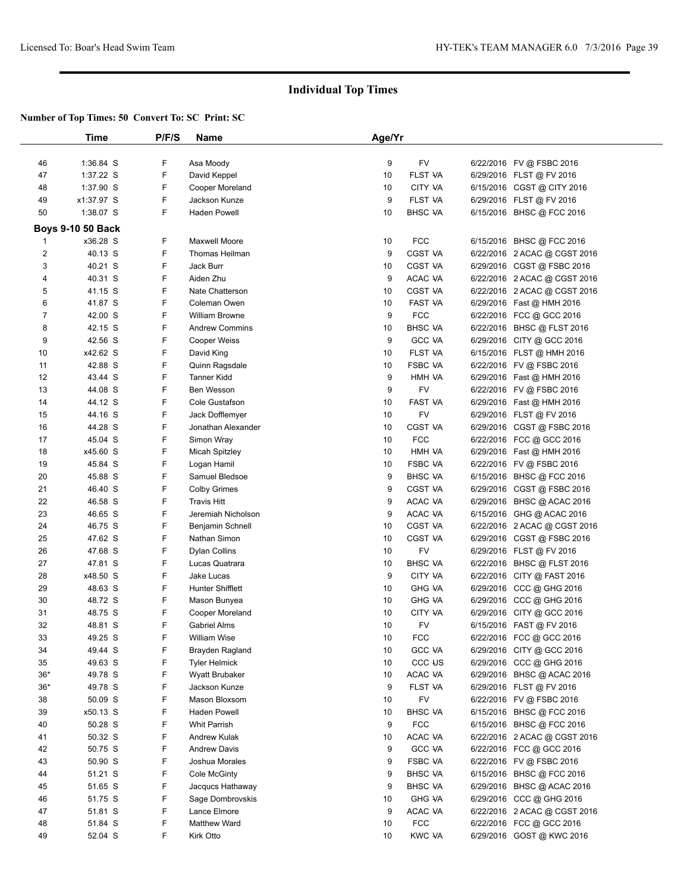|                | Time                     | P/F/S | Name                    | Age/Yr |                     |                              |  |
|----------------|--------------------------|-------|-------------------------|--------|---------------------|------------------------------|--|
|                |                          |       |                         |        |                     |                              |  |
| 46             | 1:36.84 S                | F     | Asa Moody               | 9      | FV                  | 6/22/2016 FV @ FSBC 2016     |  |
| 47             | 1:37.22 S                | F     | David Keppel            | 10     | <b>FLST VA</b>      | 6/29/2016 FLST @ FV 2016     |  |
| 48             | 1:37.90 S                | F     | Cooper Moreland         | 10     | CITY VA             | 6/15/2016 CGST @ CITY 2016   |  |
| 49             | x1:37.97 S               | F     | Jackson Kunze           | 9      | FLST VA             | 6/29/2016 FLST @ FV 2016     |  |
| 50             | 1:38.07 S                | F     | <b>Haden Powell</b>     | 10     | <b>BHSC VA</b>      | 6/15/2016 BHSC @ FCC 2016    |  |
|                | <b>Boys 9-10 50 Back</b> |       |                         |        |                     |                              |  |
| 1              | x36.28 S                 | F     | Maxwell Moore           | 10     | <b>FCC</b>          | 6/15/2016 BHSC @ FCC 2016    |  |
| $\overline{c}$ | 40.13 S                  | F     | Thomas Heilman          | 9      | <b>CGST VA</b>      | 6/22/2016 2 ACAC @ CGST 2016 |  |
| 3              | 40.21 S                  | F     | Jack Burr               | 10     | <b>CGST VA</b>      | 6/29/2016 CGST @ FSBC 2016   |  |
| 4              | 40.31 S                  | F     | Aiden Zhu               | 9      | ACAC VA             | 6/22/2016 2 ACAC @ CGST 2016 |  |
| 5              | 41.15 S                  | F     | Nate Chatterson         | 10     | <b>CGST VA</b>      | 6/22/2016 2 ACAC @ CGST 2016 |  |
| 6              | 41.87 S                  | F     | Coleman Owen            | 10     | FAST VA             | 6/29/2016 Fast @ HMH 2016    |  |
| $\overline{7}$ | 42.00 S                  | F     | William Browne          | 9      | <b>FCC</b>          | 6/22/2016 FCC @ GCC 2016     |  |
| 8              | 42.15 S                  | F     | <b>Andrew Commins</b>   | 10     | <b>BHSC VA</b>      | 6/22/2016 BHSC @ FLST 2016   |  |
| 9              | 42.56 S                  | F     | Cooper Weiss            | 9      | <b>GCC VA</b>       | 6/29/2016 CITY @ GCC 2016    |  |
| 10             | x42.62 S                 | F     | David King              | 10     | FLST VA             | 6/15/2016 FLST @ HMH 2016    |  |
| 11             | 42.88 S                  | F     | Quinn Ragsdale          | 10     | FSBC VA             | 6/22/2016 FV @ FSBC 2016     |  |
| 12             | 43.44 S                  | F     | <b>Tanner Kidd</b>      | 9      | HMH VA              | 6/29/2016 Fast @ HMH 2016    |  |
| 13             | 44.08 S                  | F     | <b>Ben Wesson</b>       | 9      | FV                  | 6/22/2016 FV @ FSBC 2016     |  |
| 14             | 44.12 S                  | F     | Cole Gustafson          | 10     | FAST VA             | 6/29/2016 Fast @ HMH 2016    |  |
| 15             | 44.16 S                  | F     | Jack Dofflemyer         | 10     | FV                  | 6/29/2016 FLST @ FV 2016     |  |
| 16             | 44.28 S                  | F     | Jonathan Alexander      | 10     | <b>CGST VA</b>      | 6/29/2016 CGST@FSBC 2016     |  |
| 17             | 45.04 S                  | F     | Simon Wray              | 10     | <b>FCC</b>          | 6/22/2016 FCC @ GCC 2016     |  |
| 18             | x45.60 S                 | F     | Micah Spitzley          | 10     | HMH VA              | 6/29/2016 Fast @ HMH 2016    |  |
| 19             | 45.84 S                  | F     | Logan Hamil             | 10     | <b>FSBC VA</b>      | 6/22/2016 FV @ FSBC 2016     |  |
| 20             | 45.88 S                  | F     | Samuel Bledsoe          | 9      | <b>BHSC VA</b>      | 6/15/2016 BHSC @ FCC 2016    |  |
| 21             | 46.40 S                  | F     | <b>Colby Grimes</b>     | 9      | <b>CGST VA</b>      | 6/29/2016 CGST @ FSBC 2016   |  |
| 22             | 46.58 S                  | F     | <b>Travis Hitt</b>      | 9      | ACAC VA             | 6/29/2016 BHSC @ ACAC 2016   |  |
| 23             | 46.65 S                  | F     | Jeremiah Nicholson      | 9      | ACAC VA             | 6/15/2016 GHG @ ACAC 2016    |  |
| 24             | 46.75 S                  | F     | Benjamin Schnell        | 10     | <b>CGST VA</b>      | 6/22/2016 2 ACAC @ CGST 2016 |  |
| 25             | 47.62 S                  | F     | Nathan Simon            | 10     | <b>CGST VA</b>      | 6/29/2016 CGST @ FSBC 2016   |  |
| 26             | 47.68 S                  | F     | <b>Dylan Collins</b>    | 10     | FV                  | 6/29/2016 FLST @ FV 2016     |  |
| 27             | 47.81 S                  | F     | Lucas Quatrara          | 10     | <b>BHSC VA</b>      | 6/22/2016 BHSC @ FLST 2016   |  |
| 28             | x48.50 S                 | F     | Jake Lucas              | 9      | CITY VA             | 6/22/2016 CITY @ FAST 2016   |  |
| 29             | 48.63 S                  | F     | <b>Hunter Shifflett</b> | 10     | <b>GHG VA</b>       | 6/29/2016 CCC @ GHG 2016     |  |
| 30             | 48.72 S                  | F     | Mason Bunyea            | 10     | <b>GHG VA</b>       | 6/29/2016 CCC @ GHG 2016     |  |
| 31             | 48.75 S                  | F     | Cooper Moreland         | 10     | CITY VA             | 6/29/2016 CITY @ GCC 2016    |  |
| 32             | 48.81 S                  | F     | <b>Gabriel Alms</b>     | 10     | FV                  | 6/15/2016 FAST @ FV 2016     |  |
| 33             | 49.25 S                  | F     | William Wise            | 10     | <b>FCC</b>          | 6/22/2016 FCC @ GCC 2016     |  |
| 34             | 49.44 S                  | F     | Brayden Ragland         | 10     | GCC VA              | 6/29/2016 CITY @ GCC 2016    |  |
| 35             | 49.63 S                  | F     | <b>Tyler Helmick</b>    | 10     | CCC <sub>fl</sub> 2 | 6/29/2016 CCC @ GHG 2016     |  |
| $36*$          | 49.78 S                  | F     | <b>Wyatt Brubaker</b>   | 10     | ACAC VA             | 6/29/2016 BHSC @ ACAC 2016   |  |
| $36*$          | 49.78 S                  | F     | Jackson Kunze           | 9      | FLST VA             | 6/29/2016 FLST @ FV 2016     |  |
| 38             | 50.09 S                  | F     | Mason Bloxsom           | 10     | FV                  | 6/22/2016 FV @ FSBC 2016     |  |
| 39             | x50.13 S                 | F     | Haden Powell            | 10     | <b>BHSC VA</b>      | 6/15/2016 BHSC @ FCC 2016    |  |
| 40             | 50.28 S                  | F     | <b>Whit Parrish</b>     | 9      | <b>FCC</b>          | 6/15/2016 BHSC @ FCC 2016    |  |
| 41             | 50.32 S                  | F     | Andrew Kulak            | 10     | ACAC VA             | 6/22/2016 2 ACAC @ CGST 2016 |  |
| 42             | 50.75 S                  | F     | <b>Andrew Davis</b>     | 9      | <b>GCC VA</b>       | 6/22/2016 FCC @ GCC 2016     |  |
| 43             | 50.90 S                  | F     | Joshua Morales          | 9      | FSBC VA             | 6/22/2016 FV @ FSBC 2016     |  |
| 44             | 51.21 S                  | F     | Cole McGinty            | 9      | BHSC VA             | 6/15/2016 BHSC @ FCC 2016    |  |
| 45             | 51.65 S                  | F     | Jacqucs Hathaway        | 9      | <b>BHSC VA</b>      | 6/29/2016 BHSC @ ACAC 2016   |  |
| 46             | 51.75 S                  | F     | Sage Dombrovskis        | 10     | <b>GHG VA</b>       | 6/29/2016 CCC @ GHG 2016     |  |
| 47             | 51.81 S                  | F     | Lance Elmore            | 9      | ACAC VA             | 6/22/2016 2 ACAC @ CGST 2016 |  |
| 48             | 51.84 S                  | F     | Matthew Ward            | 10     | <b>FCC</b>          | 6/22/2016 FCC @ GCC 2016     |  |
| 49             | 52.04 S                  | F     | Kirk Otto               | 10     | <b>KWC VA</b>       | 6/29/2016 GOST @ KWC 2016    |  |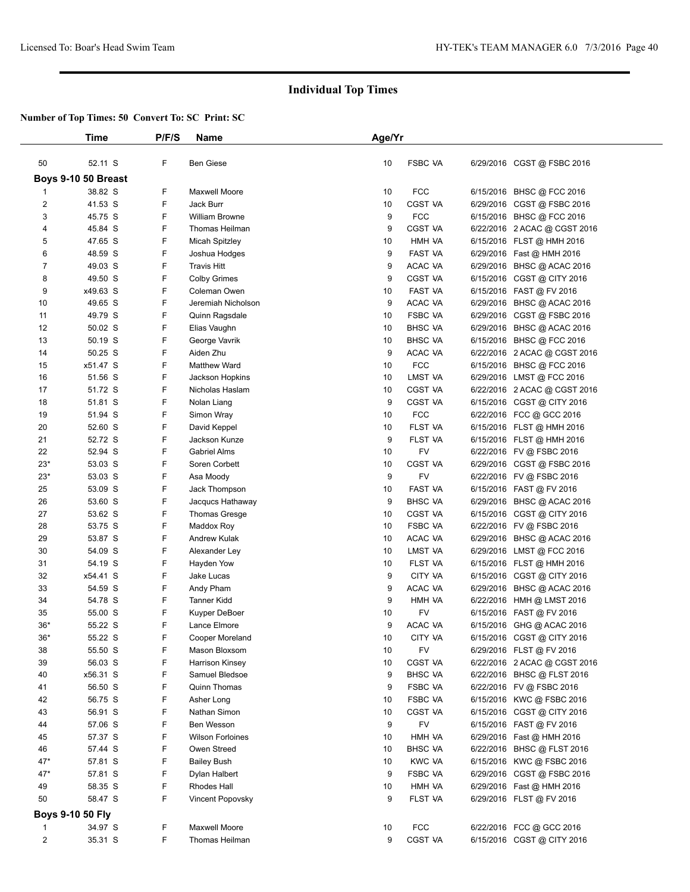|                | Time                | P/F/S | Name                    | Age/Yr |                |                              |
|----------------|---------------------|-------|-------------------------|--------|----------------|------------------------------|
| 50             | 52.11 S             | F     | <b>Ben Giese</b>        | 10     | <b>FSBC VA</b> | 6/29/2016 CGST @ FSBC 2016   |
|                | Boys 9-10 50 Breast |       |                         |        |                |                              |
| 1              | 38.82 S             | F     | <b>Maxwell Moore</b>    | 10     | <b>FCC</b>     | 6/15/2016 BHSC @ FCC 2016    |
| 2              | 41.53 S             | F     | Jack Burr               | 10     | CGST VA        | 6/29/2016 CGST @ FSBC 2016   |
| 3              | 45.75 S             | F     | William Browne          | 9      | <b>FCC</b>     | 6/15/2016 BHSC @ FCC 2016    |
| 4              | 45.84 S             | F     | Thomas Heilman          | 9      | CGST VA        | 6/22/2016 2 ACAC @ CGST 2016 |
| 5              | 47.65 S             | F     | <b>Micah Spitzley</b>   | 10     | HMH VA         | 6/15/2016 FLST @ HMH 2016    |
| 6              | 48.59 S             | F     | Joshua Hodges           | 9      | FAST VA        | 6/29/2016 Fast @ HMH 2016    |
| $\overline{7}$ | 49.03 S             | F     | <b>Travis Hitt</b>      | 9      | ACAC VA        | 6/29/2016 BHSC @ ACAC 2016   |
| 8              | 49.50 S             | F     | <b>Colby Grimes</b>     | 9      | CGST VA        | 6/15/2016 CGST @ CITY 2016   |
| 9              | x49.63 S            | F     | Coleman Owen            | 10     | FAST VA        | 6/15/2016 FAST @ FV 2016     |
| 10             | 49.65 S             | F     | Jeremiah Nicholson      | 9      | ACAC VA        | 6/29/2016 BHSC @ ACAC 2016   |
| 11             | 49.79 S             | F     |                         | 10     | FSBC VA        |                              |
|                |                     |       | Quinn Ragsdale          |        |                | 6/29/2016 CGST @ FSBC 2016   |
| 12             | 50.02 S             | F     | Elias Vaughn            | 10     | <b>BHSC VA</b> | 6/29/2016 BHSC @ ACAC 2016   |
| 13             | 50.19 S             | F     | George Vavrik           | 10     | <b>BHSC VA</b> | 6/15/2016 BHSC @ FCC 2016    |
| 14             | 50.25 S             | F     | Aiden Zhu               | 9      | ACAC VA        | 6/22/2016 2 ACAC @ CGST 2016 |
| 15             | x51.47 S            | F     | <b>Matthew Ward</b>     | 10     | <b>FCC</b>     | 6/15/2016 BHSC @ FCC 2016    |
| 16             | 51.56 S             | F     | Jackson Hopkins         | 10     | LMST VA        | 6/29/2016 LMST @ FCC 2016    |
| 17             | 51.72 S             | F     | Nicholas Haslam         | 10     | CGST VA        | 6/22/2016 2 ACAC @ CGST 2016 |
| 18             | 51.81 S             | F     | Nolan Liang             | 9      | <b>CGST VA</b> | 6/15/2016 CGST @ CITY 2016   |
| 19             | 51.94 S             | F     | Simon Wray              | 10     | <b>FCC</b>     | 6/22/2016 FCC @ GCC 2016     |
| 20             | 52.60 S             | F     | David Keppel            | 10     | FLST VA        | 6/15/2016 FLST @ HMH 2016    |
| 21             | 52.72 S             | F     | Jackson Kunze           | 9      | FLST VA        | 6/15/2016 FLST @ HMH 2016    |
| 22             | 52.94 S             | F     | <b>Gabriel Alms</b>     | 10     | FV             | 6/22/2016 FV @ FSBC 2016     |
| $23*$          | 53.03 S             | F     | Soren Corbett           | 10     | CGST VA        | 6/29/2016 CGST @ FSBC 2016   |
| $23*$          | 53.03 S             | F     | Asa Moody               | 9      | <b>FV</b>      | 6/22/2016 FV @ FSBC 2016     |
| 25             | 53.09 S             | F     | Jack Thompson           | 10     | FAST VA        | 6/15/2016 FAST @ FV 2016     |
| 26             | 53.60 S             | F     | Jacqucs Hathaway        | 9      | <b>BHSC VA</b> | 6/29/2016 BHSC @ ACAC 2016   |
| 27             | 53.62 S             | F     | <b>Thomas Gresge</b>    | 10     | CGST VA        | 6/15/2016 CGST @ CITY 2016   |
| 28             | 53.75 S             | F     | Maddox Roy              | 10     | <b>FSBC VA</b> | 6/22/2016 FV @ FSBC 2016     |
| 29             | 53.87 S             | F     | Andrew Kulak            | 10     | ACAC VA        | 6/29/2016 BHSC @ ACAC 2016   |
| 30             | 54.09 S             | F     | Alexander Ley           | 10     | LMST VA        | 6/29/2016 LMST @ FCC 2016    |
| 31             | 54.19 S             | F     | Hayden Yow              | 10     | FLST VA        | 6/15/2016 FLST @ HMH 2016    |
| 32             | x54.41 S            | F     | Jake Lucas              | 9      | CITY VA        | 6/15/2016 CGST @ CITY 2016   |
| 33             | 54.59 S             | F     | Andy Pham               | 9      | ACAC VA        |                              |
|                |                     | F     |                         |        |                | 6/29/2016 BHSC @ ACAC 2016   |
| 34             | 54.78 S             |       | <b>Tanner Kidd</b>      | 9      | HMH VA         | 6/22/2016 HMH @ LMST 2016    |
| 35             | 55.00 S             | F     | Kuyper DeBoer           | 10     | FV             | $6/15/2016$ FAST @ FV 2016   |
| $36*$          | 55.22 S             | F     | Lance Elmore            | 9      | ACAC VA        | 6/15/2016 GHG @ ACAC 2016    |
| $36*$          | 55.22 S             | F     | Cooper Moreland         | 10     | CITY VA        | 6/15/2016 CGST @ CITY 2016   |
| 38             | 55.50 S             | F     | Mason Bloxsom           | 10     | <b>FV</b>      | 6/29/2016 FLST @ FV 2016     |
| 39             | 56.03 S             | F     | Harrison Kinsey         | 10     | CGST VA        | 6/22/2016 2 ACAC @ CGST 2016 |
| 40             | x56.31 S            | F     | Samuel Bledsoe          | 9      | <b>BHSC VA</b> | 6/22/2016 BHSC @ FLST 2016   |
| 41             | 56.50 S             | F     | Quinn Thomas            | 9      | FSBC VA        | 6/22/2016 FV @ FSBC 2016     |
| 42             | 56.75 S             | F     | Asher Long              | 10     | <b>FSBC VA</b> | 6/15/2016 KWC @ FSBC 2016    |
| 43             | 56.91 S             | F     | Nathan Simon            | 10     | CGST VA        | 6/15/2016 CGST @ CITY 2016   |
| 44             | 57.06 S             | F     | <b>Ben Wesson</b>       | 9      | FV             | 6/15/2016 FAST @ FV 2016     |
| 45             | 57.37 S             | F     | <b>Wilson Forloines</b> | 10     | HMH VA         | 6/29/2016 Fast @ HMH 2016    |
| 46             | 57.44 S             | F     | Owen Streed             | 10     | <b>BHSC VA</b> | 6/22/2016 BHSC @ FLST 2016   |
| 47*            | 57.81 S             | F     | <b>Bailey Bush</b>      | 10     | KWC VA         | 6/15/2016 KWC @ FSBC 2016    |
| 47*            | 57.81 S             | F     | Dylan Halbert           | 9      | <b>FSBC VA</b> | 6/29/2016 CGST @ FSBC 2016   |
| 49             | 58.35 S             | F     | Rhodes Hall             | 10     | HMH VA         | 6/29/2016 Fast @ HMH 2016    |
| 50             | 58.47 S             | F     | Vincent Popovsky        | 9      | FLST VA        | 6/29/2016 FLST @ FV 2016     |
|                |                     |       |                         |        |                |                              |
|                | Boys 9-10 50 Fly    |       |                         |        |                |                              |
| 1              | 34.97 S             | F     | Maxwell Moore           | 10     | <b>FCC</b>     | 6/22/2016 FCC @ GCC 2016     |
| 2              | 35.31 S             | F     | Thomas Heilman          | 9      | CGST VA        | 6/15/2016 CGST @ CITY 2016   |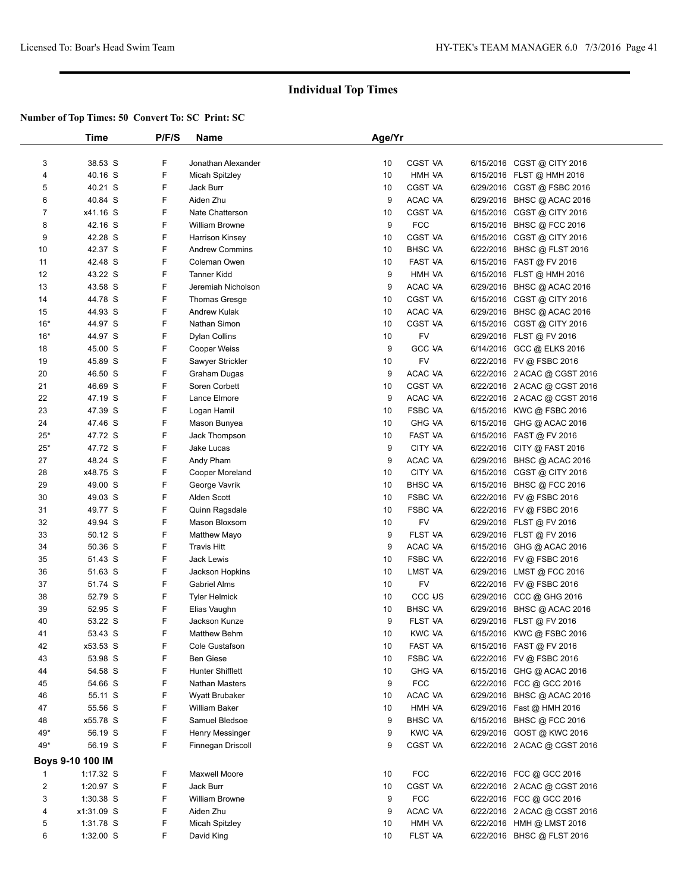|                | Time             | P/F/S | Name                    | Age/Yr |                |                              |  |
|----------------|------------------|-------|-------------------------|--------|----------------|------------------------------|--|
|                |                  |       |                         |        |                |                              |  |
| 3              | 38.53 S          | F     | Jonathan Alexander      | 10     | CGST VA        | 6/15/2016 CGST @ CITY 2016   |  |
| 4              | 40.16 S          | F     | <b>Micah Spitzley</b>   | 10     | HMH VA         | 6/15/2016 FLST @ HMH 2016    |  |
| 5              | 40.21 S          | F     | Jack Burr               | 10     | CGST VA        | 6/29/2016 CGST @ FSBC 2016   |  |
| 6              | 40.84 S          | F     | Aiden Zhu               | 9      | ACAC VA        | 6/29/2016 BHSC @ ACAC 2016   |  |
| $\overline{7}$ | x41.16 S         | F     | Nate Chatterson         | 10     | <b>CGST VA</b> | 6/15/2016 CGST @ CITY 2016   |  |
| 8              | 42.16 S          | F     | <b>William Browne</b>   | 9      | <b>FCC</b>     | 6/15/2016 BHSC @ FCC 2016    |  |
| 9              | 42.28 S          | F     | <b>Harrison Kinsey</b>  | 10     | CGST VA        | 6/15/2016 CGST @ CITY 2016   |  |
| 10             | 42.37 S          | F     | <b>Andrew Commins</b>   | 10     | <b>BHSC VA</b> | 6/22/2016 BHSC @ FLST 2016   |  |
| 11             | 42.48 S          | F     | Coleman Owen            | 10     | <b>FAST VA</b> | 6/15/2016 FAST @ FV 2016     |  |
| 12             | 43.22 S          | F     | <b>Tanner Kidd</b>      | 9      | HMH VA         | 6/15/2016 FLST @ HMH 2016    |  |
| 13             | 43.58 S          | F     | Jeremiah Nicholson      | 9      | ACAC VA        | 6/29/2016 BHSC @ ACAC 2016   |  |
| 14             | 44.78 S          | F     | Thomas Gresge           | 10     | <b>CGST VA</b> | 6/15/2016 CGST @ CITY 2016   |  |
| 15             | 44.93 S          | F     | <b>Andrew Kulak</b>     | 10     | ACAC VA        | 6/29/2016 BHSC @ ACAC 2016   |  |
| $16*$          | 44.97 S          | F     | Nathan Simon            | 10     | CGST VA        | 6/15/2016 CGST @ CITY 2016   |  |
| $16*$          | 44.97 S          | F     | <b>Dylan Collins</b>    | 10     | FV             | 6/29/2016 FLST @ FV 2016     |  |
| 18             | 45.00 S          | F     | <b>Cooper Weiss</b>     | 9      | <b>GCC VA</b>  | 6/14/2016 GCC @ ELKS 2016    |  |
| 19             | 45.89 S          | F     | Sawyer Strickler        | 10     | FV             | 6/22/2016 FV @ FSBC 2016     |  |
| 20             | 46.50 S          | F     | Graham Dugas            | 9      | ACAC VA        | 6/22/2016 2 ACAC @ CGST 2016 |  |
| 21             | 46.69 S          | F     | Soren Corbett           | 10     | CGST VA        | 6/22/2016 2 ACAC @ CGST 2016 |  |
| 22             | 47.19 S          | F     | Lance Elmore            | 9      | ACAC VA        | 6/22/2016 2 ACAC @ CGST 2016 |  |
| 23             | 47.39 S          | F     | Logan Hamil             | 10     | <b>FSBC VA</b> | 6/15/2016 KWC @ FSBC 2016    |  |
| 24             | 47.46 S          | F     | Mason Bunyea            | 10     | <b>GHG VA</b>  | 6/15/2016 GHG @ ACAC 2016    |  |
| $25*$          | 47.72 S          | F     | Jack Thompson           | 10     | <b>FAST VA</b> | 6/15/2016 FAST @ FV 2016     |  |
| $25*$          | 47.72 S          | F     | Jake Lucas              | 9      | CITY VA        | 6/22/2016 CITY @ FAST 2016   |  |
| 27             | 48.24 S          | F     | Andy Pham               | 9      | ACAC VA        | 6/29/2016 BHSC @ ACAC 2016   |  |
| 28             | x48.75 S         | F     | Cooper Moreland         | 10     | CITY VA        | 6/15/2016 CGST @ CITY 2016   |  |
| 29             | 49.00 S          | F     | George Vavrik           | 10     | <b>BHSC VA</b> | 6/15/2016 BHSC @ FCC 2016    |  |
| 30             | 49.03 S          | F     | Alden Scott             | 10     | <b>FSBC VA</b> | 6/22/2016 FV @ FSBC 2016     |  |
| 31             | 49.77 S          | F     | Quinn Ragsdale          | 10     | <b>FSBC VA</b> | 6/22/2016 FV @ FSBC 2016     |  |
| 32             | 49.94 S          | F     | Mason Bloxsom           | 10     | FV             | 6/29/2016 FLST @ FV 2016     |  |
| 33             | 50.12 S          | F     | <b>Matthew Mayo</b>     | 9      | FLST VA        | 6/29/2016 FLST @ FV 2016     |  |
| 34             | 50.36 S          | F     | <b>Travis Hitt</b>      | 9      | ACAC VA        | 6/15/2016 GHG @ ACAC 2016    |  |
| 35             | 51.43 S          | F     | Jack Lewis              | 10     | <b>FSBC VA</b> | 6/22/2016 FV @ FSBC 2016     |  |
| 36             | 51.63 S          | F     | Jackson Hopkins         | 10     | LMST VA        | 6/29/2016 LMST @ FCC 2016    |  |
| 37             | 51.74 S          | F     | <b>Gabriel Alms</b>     | 10     | <b>FV</b>      | 6/22/2016 FV @ FSBC 2016     |  |
| 38             | 52.79 S          | F     | <b>Tyler Helmick</b>    | 10     | CCC US         | 6/29/2016 CCC @ GHG 2016     |  |
| 39             | 52.95 S          | F     | Elias Vaughn            | 10     | <b>BHSC VA</b> | 6/29/2016 BHSC @ ACAC 2016   |  |
| 40             | 53.22 S          | F     | Jackson Kunze           | 9      | FLST VA        | 6/29/2016 FLST @ FV 2016     |  |
| 41             | 53.43 S          | F     | Matthew Behm            | 10     | <b>KWC VA</b>  | 6/15/2016 KWC @ FSBC 2016    |  |
| 42             | x53.53 S         | F     | Cole Gustafson          | 10     | FAST VA        | 6/15/2016 FAST @ FV 2016     |  |
| 43             | 53.98 S          | F     | <b>Ben Giese</b>        | 10     | <b>FSBC VA</b> | 6/22/2016 FV @ FSBC 2016     |  |
| 44             | 54.58 S          | F     | <b>Hunter Shifflett</b> | 10     | <b>GHG VA</b>  | 6/15/2016 GHG @ ACAC 2016    |  |
| 45             | 54.66 S          | F     | <b>Nathan Masters</b>   | 9      | <b>FCC</b>     | 6/22/2016 FCC @ GCC 2016     |  |
| 46             | 55.11 S          | F     | Wyatt Brubaker          | 10     | ACAC VA        | 6/29/2016 BHSC @ ACAC 2016   |  |
| 47             | 55.56 S          | F     | William Baker           | 10     | HMH VA         | 6/29/2016 Fast @ HMH 2016    |  |
| 48             | x55.78 S         | F     | Samuel Bledsoe          | 9      | <b>BHSC VA</b> | 6/15/2016 BHSC @ FCC 2016    |  |
| $49*$          | 56.19 S          | F     | Henry Messinger         | 9      | <b>KWC VA</b>  | 6/29/2016 GOST @ KWC 2016    |  |
| $49*$          | 56.19 S          | F     | Finnegan Driscoll       | 9      | <b>CGST VA</b> | 6/22/2016 2 ACAC @ CGST 2016 |  |
|                | Boys 9-10 100 IM |       |                         |        |                |                              |  |
| $\mathbf{1}$   | 1:17.32 S        | F     | Maxwell Moore           | 10     | <b>FCC</b>     | 6/22/2016 FCC @ GCC 2016     |  |
| $\overline{2}$ | 1:20.97 S        | F     | Jack Burr               | 10     | <b>CGST VA</b> | 6/22/2016 2 ACAC @ CGST 2016 |  |
| 3              | $1:30.38$ S      | F     | William Browne          | 9      | <b>FCC</b>     | 6/22/2016 FCC @ GCC 2016     |  |
| 4              | x1:31.09 S       | F     | Aiden Zhu               | 9      | ACAC VA        | 6/22/2016 2 ACAC @ CGST 2016 |  |
| 5              | 1:31.78 S        | F     | Micah Spitzley          | 10     | HMH VA         | 6/22/2016 HMH @ LMST 2016    |  |
| 6              | $1:32.00$ S      | F     | David King              | 10     | FLST VA        | 6/22/2016 BHSC @ FLST 2016   |  |
|                |                  |       |                         |        |                |                              |  |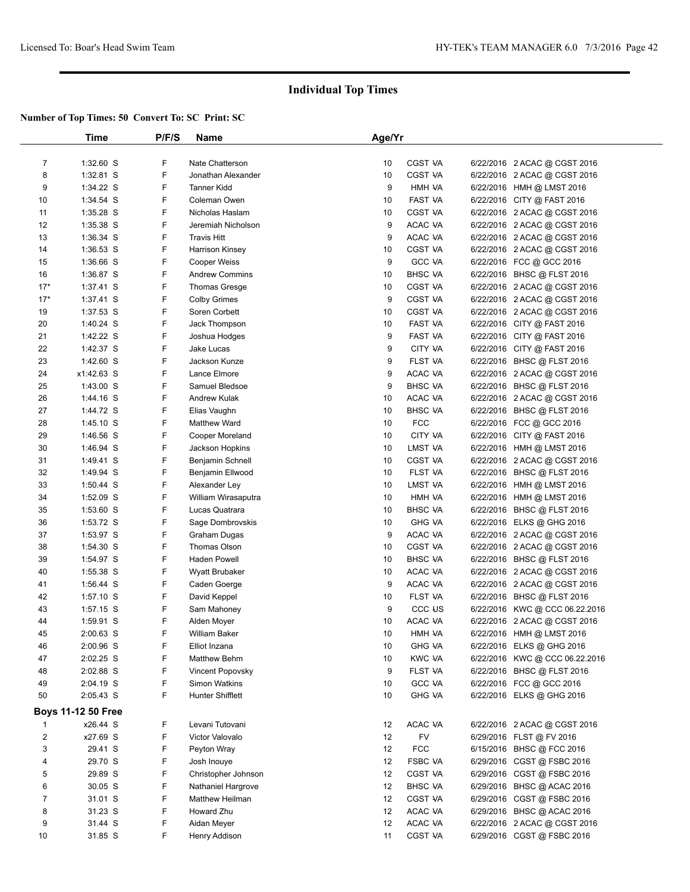|                | Time                      | P/F/S | Name                    | Age/Yr |                   |                                |
|----------------|---------------------------|-------|-------------------------|--------|-------------------|--------------------------------|
|                |                           |       |                         |        |                   |                                |
| $\overline{7}$ | 1:32.60 S                 | F     | Nate Chatterson         | 10     | CGST VA           | 6/22/2016 2 ACAC @ CGST 2016   |
| 8              | $1:32.81$ S               | F     | Jonathan Alexander      | 10     | CGST VA           | 6/22/2016 2 ACAC @ CGST 2016   |
| 9              | 1:34.22 S                 | F     | <b>Tanner Kidd</b>      | 9      | HMH VA            | 6/22/2016 HMH @ LMST 2016      |
| 10             | 1:34.54 S                 | F     | Coleman Owen            | 10     | FAST VA           | 6/22/2016 CITY @ FAST 2016     |
| 11             | 1:35.28 S                 | F     | Nicholas Haslam         | 10     | <b>CGST VA</b>    | 6/22/2016 2 ACAC @ CGST 2016   |
| 12             | $1:35.38$ S               | F     | Jeremiah Nicholson      | 9      | ACAC VA           | 6/22/2016 2 ACAC @ CGST 2016   |
| 13             | 1:36.34 S                 | F     | <b>Travis Hitt</b>      | 9      | ACAC VA           | 6/22/2016 2 ACAC @ CGST 2016   |
| 14             | $1:36.53$ S               | F     | <b>Harrison Kinsey</b>  | 10     | <b>CGST VA</b>    | 6/22/2016 2 ACAC @ CGST 2016   |
| 15             | 1:36.66 S                 | F     | <b>Cooper Weiss</b>     | 9      | <b>GCC VA</b>     | 6/22/2016 FCC @ GCC 2016       |
| 16             | 1:36.87 S                 | F     | <b>Andrew Commins</b>   | 10     | <b>BHSC VA</b>    | 6/22/2016 BHSC @ FLST 2016     |
| $17*$          | 1:37.41 S                 | F     | <b>Thomas Gresge</b>    | 10     | <b>CGST VA</b>    | 6/22/2016 2 ACAC @ CGST 2016   |
| $17*$          | $1:37.41$ S               | F     | <b>Colby Grimes</b>     | 9      | <b>CGST VA</b>    | 6/22/2016 2 ACAC @ CGST 2016   |
| 19             | 1:37.53 S                 | F     | Soren Corbett           | 10     | <b>CGST VA</b>    | 6/22/2016 2 ACAC @ CGST 2016   |
| 20             | 1:40.24 S                 | F     | Jack Thompson           | 10     | FAST VA           | 6/22/2016 CITY @ FAST 2016     |
| 21             | 1:42.22 S                 | F     | Joshua Hodges           | 9      | FAST VA           | 6/22/2016 CITY @ FAST 2016     |
| 22             | 1:42.37 S                 | F     | Jake Lucas              | 9      | CITY VA           | 6/22/2016 CITY @ FAST 2016     |
| 23             | 1:42.60 S                 | F     | Jackson Kunze           | 9      | FLST VA           | 6/22/2016 BHSC @ FLST 2016     |
| 24             | x1:42.63 S                | F     | Lance Elmore            | 9      | ACAC VA           | 6/22/2016 2 ACAC @ CGST 2016   |
| 25             | $1:43.00$ S               | F     | Samuel Bledsoe          | 9      | <b>BHSC VA</b>    | 6/22/2016 BHSC @ FLST 2016     |
| 26             | 1:44.16 S                 | F     | <b>Andrew Kulak</b>     | 10     | ACAC VA           | 6/22/2016 2 ACAC @ CGST 2016   |
| 27             | 1:44.72 S                 | F     | Elias Vaughn            | 10     | <b>BHSC VA</b>    | 6/22/2016 BHSC @ FLST 2016     |
| 28             | $1:45.10$ S               | F     | Matthew Ward            | 10     | <b>FCC</b>        | 6/22/2016 FCC @ GCC 2016       |
| 29             | 1:46.56 S                 | F     | Cooper Moreland         | 10     | CITY VA           | 6/22/2016 CITY @ FAST 2016     |
|                |                           | F     |                         |        | LMST VA           |                                |
| 30             | 1:46.94 S                 | F     | Jackson Hopkins         | 10     |                   | 6/22/2016 HMH @ LMST 2016      |
| 31             | 1:49.41 S                 |       | Benjamin Schnell        | 10     | CGST VA           | 6/22/2016 2 ACAC @ CGST 2016   |
| 32             | 1:49.94 S                 | F     | Benjamin Ellwood        | 10     | FLST VA           | 6/22/2016 BHSC @ FLST 2016     |
| 33             | $1:50.44$ S               | F     | Alexander Ley           | 10     | LMST VA           | 6/22/2016 HMH @ LMST 2016      |
| 34             | 1:52.09 S                 | F     | William Wirasaputra     | 10     | HMH VA            | 6/22/2016 HMH @ LMST 2016      |
| 35             | 1:53.60 S                 | F     | Lucas Quatrara          | 10     | <b>BHSC VA</b>    | 6/22/2016 BHSC @ FLST 2016     |
| 36             | 1:53.72 S                 | F     | Sage Dombrovskis        | 10     | <b>GHG VA</b>     | 6/22/2016 ELKS @ GHG 2016      |
| 37             | 1:53.97 S                 | F     | Graham Dugas            | 9      | ACAC VA           | 6/22/2016 2 ACAC @ CGST 2016   |
| 38             | 1:54.30 S                 | F     | Thomas Olson            | 10     | <b>CGST VA</b>    | 6/22/2016 2 ACAC @ CGST 2016   |
| 39             | 1:54.97 S                 | F     | Haden Powell            | 10     | <b>BHSC VA</b>    | 6/22/2016 BHSC @ FLST 2016     |
| 40             | 1:55.38 S                 | F     | <b>Wyatt Brubaker</b>   | 10     | ACAC VA           | 6/22/2016 2 ACAC @ CGST 2016   |
| 41             | 1:56.44 S                 | F     | Caden Goerge            | 9      | ACAC VA           | 6/22/2016 2 ACAC @ CGST 2016   |
| 42             | $1:57.10$ S               | F     | David Keppel            | 10     | FLST VA           | 6/22/2016 BHSC @ FLST 2016     |
| 43             | $1:57.15$ S               | F     | Sam Mahoney             | 9      | CCC <sub>US</sub> | 6/22/2016 KWC @ CCC 06.22.2016 |
| 44             | 1:59.91 S                 | F     | Alden Moyer             | 10     | ACAC VA           | 6/22/2016 2 ACAC @ CGST 2016   |
| 45             | 2:00.63 S                 | F     | <b>William Baker</b>    | 10     | HMH VA            | 6/22/2016 HMH @ LMST 2016      |
| 46             | 2:00.96 S                 | F     | Elliot Inzana           | 10     | <b>GHG VA</b>     | 6/22/2016 ELKS @ GHG 2016      |
| 47             | 2:02.25 S                 | F     | Matthew Behm            | 10     | <b>KWC VA</b>     | 6/22/2016 KWC @ CCC 06.22.2016 |
| 48             | 2:02.88 S                 | F     | <b>Vincent Popovsky</b> | 9      | FLST VA           | 6/22/2016 BHSC @ FLST 2016     |
| 49             | 2:04.19 S                 | F     | <b>Simon Watkins</b>    | 10     | <b>GCC VA</b>     | 6/22/2016 FCC @ GCC 2016       |
| 50             | 2:05.43 S                 | F     | <b>Hunter Shifflett</b> | 10     | <b>GHG VA</b>     | 6/22/2016 ELKS @ GHG 2016      |
|                | <b>Boys 11-12 50 Free</b> |       |                         |        |                   |                                |
| 1              | x26.44 S                  | F     | Levani Tutovani         | 12     | ACAC VA           | 6/22/2016 2 ACAC @ CGST 2016   |
| 2              | x27.69 S                  | F     | Victor Valovalo         | 12     | <b>FV</b>         | 6/29/2016 FLST @ FV 2016       |
| 3              | 29.41 S                   | F     | Peyton Wray             | 12     | <b>FCC</b>        | 6/15/2016 BHSC @ FCC 2016      |
| 4              | 29.70 S                   | F     | Josh Inouye             | 12     | <b>FSBC VA</b>    | 6/29/2016 CGST @ FSBC 2016     |
| 5              | 29.89 S                   | F     | Christopher Johnson     | 12     | <b>CGST VA</b>    | 6/29/2016 CGST @ FSBC 2016     |
| 6              | 30.05 S                   | F     | Nathaniel Hargrove      | 12     | <b>BHSC VA</b>    | 6/29/2016 BHSC @ ACAC 2016     |
| 7              | 31.01 S                   | F     | Matthew Heilman         | 12     | <b>CGST VA</b>    | 6/29/2016 CGST@FSBC 2016       |
| 8              | 31.23 S                   | F     | Howard Zhu              | 12     | ACAC VA           | 6/29/2016 BHSC @ ACAC 2016     |
| 9              | 31.44 S                   | F     | Aidan Meyer             | 12     | ACAC VA           | 6/22/2016 2 ACAC @ CGST 2016   |
| 10             | 31.85 S                   | F     | Henry Addison           | 11     | <b>CGST VA</b>    | 6/29/2016 CGST @ FSBC 2016     |
|                |                           |       |                         |        |                   |                                |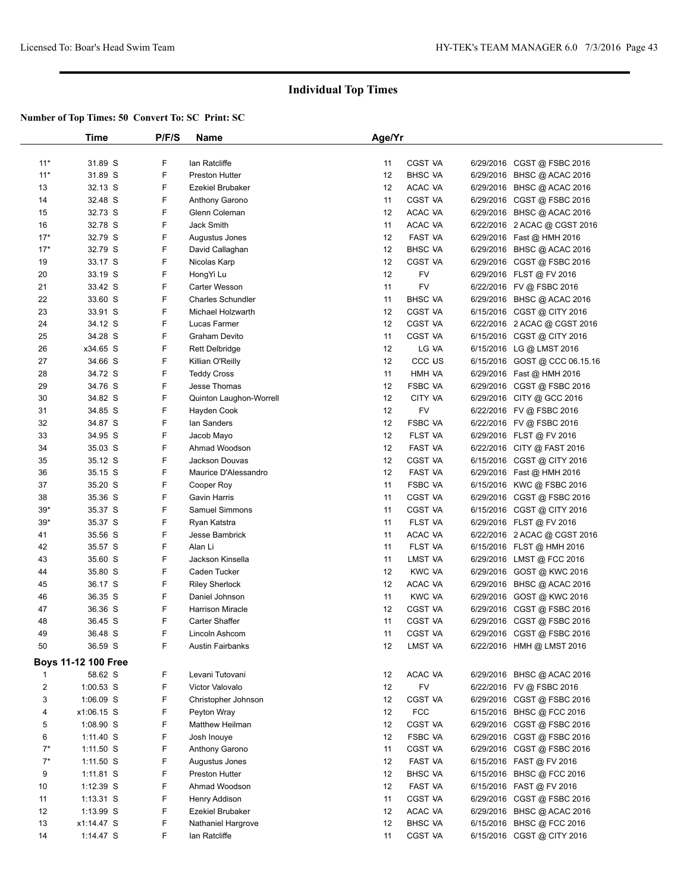|                         | Time                | P/F/S | Name                     | Age/Yr |                    |                               |  |
|-------------------------|---------------------|-------|--------------------------|--------|--------------------|-------------------------------|--|
|                         |                     |       |                          |        |                    |                               |  |
| $11*$                   | 31.89 S             | F     | lan Ratcliffe            | 11     | <b>CGST VA</b>     | 6/29/2016 CGST @ FSBC 2016    |  |
| $11*$                   | 31.89 S             | F     | <b>Preston Hutter</b>    | 12     | <b>BHSC VA</b>     | 6/29/2016 BHSC @ ACAC 2016    |  |
| 13                      | 32.13 S             | F     | <b>Ezekiel Brubaker</b>  | 12     | ACAC VA            | 6/29/2016 BHSC @ ACAC 2016    |  |
| 14                      | 32.48 S             | F     | Anthony Garono           | 11     | CGST VA            | 6/29/2016 CGST @ FSBC 2016    |  |
| 15                      | 32.73 S             | F     | Glenn Coleman            | 12     | ACAC VA            | 6/29/2016 BHSC @ ACAC 2016    |  |
| 16                      | 32.78 S             | F     | Jack Smith               | 11     | ACAC VA            | 6/22/2016 2 ACAC @ CGST 2016  |  |
| $17*$                   | 32.79 S             | F     | Augustus Jones           | 12     | FAST VA            | 6/29/2016 Fast @ HMH 2016     |  |
| $17*$                   | 32.79 S             | F     | David Callaghan          | 12     | <b>BHSC VA</b>     | 6/29/2016 BHSC @ ACAC 2016    |  |
| 19                      | 33.17 S             | F     | Nicolas Karp             | 12     | CGST VA            | 6/29/2016 CGST @ FSBC 2016    |  |
| 20                      | 33.19 S             | F     | HongYi Lu                | 12     | <b>FV</b>          | 6/29/2016 FLST @ FV 2016      |  |
| 21                      | 33.42 S             | F     | Carter Wesson            | 11     | <b>FV</b>          | 6/22/2016 FV @ FSBC 2016      |  |
| 22                      | 33.60 S             | F     | <b>Charles Schundler</b> | 11     | <b>BHSC VA</b>     | 6/29/2016 BHSC @ ACAC 2016    |  |
| 23                      | 33.91 S             | F     | Michael Holzwarth        | 12     | <b>CGST VA</b>     | 6/15/2016 CGST @ CITY 2016    |  |
| 24                      | 34.12 S             | F     | Lucas Farmer             | 12     | <b>CGST VA</b>     | 6/22/2016 2 ACAC @ CGST 2016  |  |
| 25                      | 34.28 S             | F     | <b>Graham Devito</b>     | 11     | CGST VA            | 6/15/2016 CGST @ CITY 2016    |  |
| 26                      | x34.65 S            | F     | <b>Rett Delbridge</b>    | 12     | LG VA              | 6/15/2016 LG @ LMST 2016      |  |
| 27                      | 34.66 S             | F     | Killian O'Reilly         | 12     | CCC <sub>U</sub> S | 6/15/2016 GOST @ CCC 06.15.16 |  |
| 28                      | 34.72 S             | F     | <b>Teddy Cross</b>       | 11     | HMH VA             | 6/29/2016  Fast @ HMH 2016    |  |
| 29                      | 34.76 S             | F     | Jesse Thomas             | 12     | <b>FSBC VA</b>     | 6/29/2016 CGST @ FSBC 2016    |  |
| 30                      | 34.82 S             | F     | Quinton Laughon-Worrell  | 12     | CITY VA            | 6/29/2016 CITY @ GCC 2016     |  |
| 31                      | 34.85 S             | F     | Hayden Cook              | 12     | FV                 | 6/22/2016 FV @ FSBC 2016      |  |
| 32                      | 34.87 S             | F     | lan Sanders              | 12     | <b>FSBC VA</b>     | 6/22/2016 FV @ FSBC 2016      |  |
| 33                      | 34.95 S             | F     | Jacob Mayo               | 12     | FLST VA            | 6/29/2016 FLST @ FV 2016      |  |
| 34                      | 35.03 S             | F     | Ahmad Woodson            | 12     | FAST VA            | 6/22/2016 CITY @ FAST 2016    |  |
| 35                      | 35.12 S             | F     | Jackson Douvas           | 12     | <b>CGST VA</b>     | 6/15/2016 CGST @ CITY 2016    |  |
| 36                      | 35.15 S             | F     | Maurice D'Alessandro     | 12     | FAST VA            | 6/29/2016 Fast @ HMH 2016     |  |
| 37                      | 35.20 S             | F     | Cooper Roy               | 11     | <b>FSBC VA</b>     | 6/15/2016 KWC @ FSBC 2016     |  |
| 38                      | 35.36 S             | F     | <b>Gavin Harris</b>      | 11     | CGST VA            | 6/29/2016 CGST @ FSBC 2016    |  |
| $39*$                   | 35.37 S             | F     | Samuel Simmons           | 11     | CGST VA            | 6/15/2016 CGST @ CITY 2016    |  |
| $39*$                   | 35.37 S             | F     | Ryan Katstra             | 11     | FLST VA            | 6/29/2016 FLST @ FV 2016      |  |
| 41                      | 35.56 S             | F     | Jesse Bambrick           | 11     | ACAC VA            | 6/22/2016 2 ACAC @ CGST 2016  |  |
| 42                      | 35.57 S             | F     | Alan Li                  | 11     | FLST VA            | 6/15/2016 FLST @ HMH 2016     |  |
| 43                      | 35.60 S             | F     | Jackson Kinsella         | 11     | LMST VA            | 6/29/2016 LMST @ FCC 2016     |  |
| 44                      | 35.80 S             | F     | Caden Tucker             | 12     | <b>KWC VA</b>      | 6/29/2016 GOST @ KWC 2016     |  |
| 45                      | 36.17 S             | F     | <b>Riley Sherlock</b>    | 12     | ACAC VA            | 6/29/2016 BHSC @ ACAC 2016    |  |
| 46                      | 36.35 S             | F     | Daniel Johnson           | 11     | <b>KWC VA</b>      | 6/29/2016 GOST @ KWC 2016     |  |
| 47                      | 36.36 S             | F     | <b>Harrison Miracle</b>  | 12     | CGST VA            | 6/29/2016 CGST @ FSBC 2016    |  |
| 48                      | 36.45 S             | F     | <b>Carter Shaffer</b>    | 11     | CGST VA            | 6/29/2016 CGST @ FSBC 2016    |  |
| 49                      | 36.48 S             | F     | Lincoln Ashcom           | 11     | <b>CGST VA</b>     | 6/29/2016 CGST @ FSBC 2016    |  |
| 50                      | 36.59 S             | F.    | <b>Austin Fairbanks</b>  | 12     | LMST VA            | 6/22/2016 HMH @ LMST 2016     |  |
|                         |                     |       |                          |        |                    |                               |  |
|                         | Boys 11-12 100 Free |       |                          |        |                    |                               |  |
| $\mathbf{1}$            | 58.62 S             | F     | Levani Tutovani          | 12     | ACAC VA            | 6/29/2016 BHSC @ ACAC 2016    |  |
| $\overline{\mathbf{c}}$ | $1:00.53$ S         | F     | Victor Valovalo          | 12     | <b>FV</b>          | 6/22/2016 FV @ FSBC 2016      |  |
| 3                       | 1:06.09 S           | F     | Christopher Johnson      | 12     | CGST VA            | 6/29/2016 CGST @ FSBC 2016    |  |
| 4                       | x1:06.15 S          | F     | Peyton Wray              | 12     | <b>FCC</b>         | 6/15/2016 BHSC @ FCC 2016     |  |
| 5                       | 1:08.90 S           | F     | Matthew Heilman          | 12     | CGST VA            | 6/29/2016 CGST @ FSBC 2016    |  |
| 6                       | $1:11.40$ S         | F     | Josh Inouye              | 12     | <b>FSBC VA</b>     | 6/29/2016 CGST @ FSBC 2016    |  |
| $7^*$                   | $1:11.50$ S         | F     | Anthony Garono           | 11     | CGST VA            | 6/29/2016 CGST @ FSBC 2016    |  |
| $7^*$                   | $1:11.50$ S         | F     | Augustus Jones           | 12     | FAST VA            | 6/15/2016 FAST @ FV 2016      |  |
| 9                       | $1:11.81$ S         | F     | <b>Preston Hutter</b>    | 12     | <b>BHSC VA</b>     | 6/15/2016 BHSC @ FCC 2016     |  |
| 10                      | 1:12.39 S           | F     | Ahmad Woodson            | 12     | FAST VA            | 6/15/2016 FAST @ FV 2016      |  |
| 11                      | $1:13.31$ S         | F     | Henry Addison            | 11     | CGST VA            | 6/29/2016 CGST @ FSBC 2016    |  |
| 12                      | $1:13.99$ S         | F     | Ezekiel Brubaker         | 12     | ACAC VA            | 6/29/2016 BHSC @ ACAC 2016    |  |
| 13                      | x1:14.47 S          | F     | Nathaniel Hargrove       | 12     | <b>BHSC VA</b>     | 6/15/2016 BHSC @ FCC 2016     |  |
| 14                      | $1:14.47$ S         | F     | lan Ratcliffe            | 11     | CGST VA            | 6/15/2016 CGST @ CITY 2016    |  |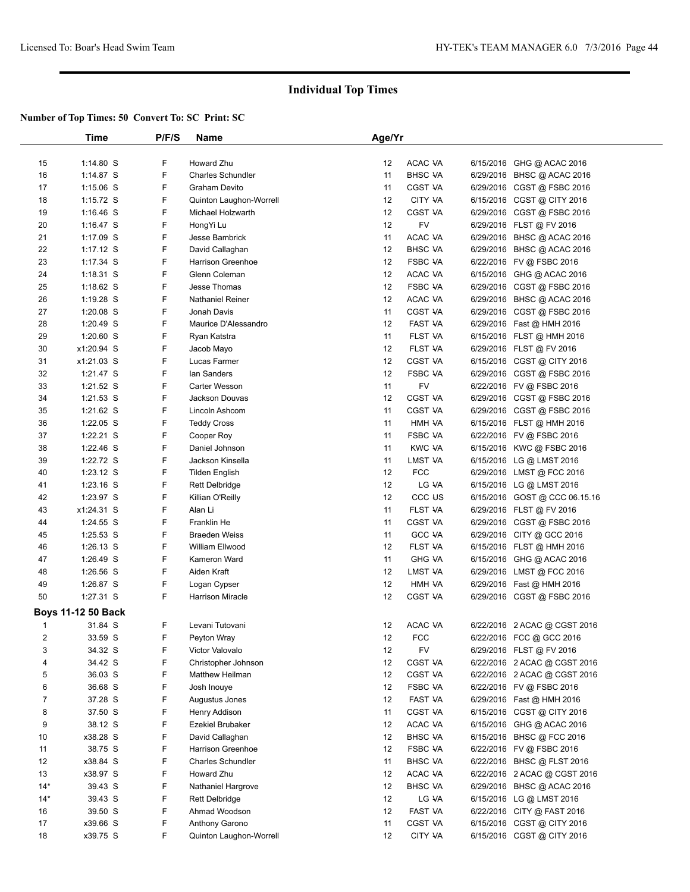|       | Time                      | P/F/S | Name                     | Age/Yr |                    |           |                               |  |
|-------|---------------------------|-------|--------------------------|--------|--------------------|-----------|-------------------------------|--|
|       |                           |       |                          |        |                    |           |                               |  |
| 15    | 1:14.80 S                 | F     | Howard Zhu               | 12     | ACAC VA            |           | 6/15/2016 GHG @ ACAC 2016     |  |
| 16    | 1:14.87 S                 | F     | <b>Charles Schundler</b> | 11     | <b>BHSC VA</b>     |           | 6/29/2016 BHSC @ ACAC 2016    |  |
| 17    | $1:15.06$ S               | F     | Graham Devito            | 11     | <b>CGST VA</b>     |           | 6/29/2016 CGST @ FSBC 2016    |  |
| 18    | $1:15.72$ S               | F     | Quinton Laughon-Worrell  | 12     | CITY VA            |           | 6/15/2016 CGST @ CITY 2016    |  |
| 19    | $1:16.46$ S               | F     | <b>Michael Holzwarth</b> | 12     | <b>CGST VA</b>     |           | 6/29/2016 CGST @ FSBC 2016    |  |
| 20    | 1:16.47 $S$               | F     | HongYi Lu                | 12     | FV                 |           | 6/29/2016 FLST @ FV 2016      |  |
| 21    | 1:17.09 S                 | F     | Jesse Bambrick           | 11     | ACAC VA            |           | 6/29/2016 BHSC @ ACAC 2016    |  |
| 22    | $1:17.12$ S               | F     | David Callaghan          | 12     | <b>BHSC VA</b>     | 6/29/2016 | BHSC @ ACAC 2016              |  |
| 23    | 1:17.34 S                 | F     | Harrison Greenhoe        | 12     | <b>FSBC VA</b>     |           | 6/22/2016 FV @ FSBC 2016      |  |
| 24    | 1:18.31 S                 | F     | Glenn Coleman            | 12     | ACAC VA            |           | 6/15/2016 GHG @ ACAC 2016     |  |
| 25    | 1:18.62 S                 | F     | Jesse Thomas             | 12     | <b>FSBC VA</b>     |           | 6/29/2016 CGST @ FSBC 2016    |  |
| 26    | 1:19.28 S                 | F     | Nathaniel Reiner         | 12     | ACAC VA            |           | 6/29/2016 BHSC @ ACAC 2016    |  |
| 27    | 1:20.08 S                 | F     | Jonah Davis              | 11     | <b>CGST VA</b>     |           | 6/29/2016 CGST @ FSBC 2016    |  |
| 28    | 1:20.49 S                 | F     | Maurice D'Alessandro     | 12     | FAST VA            |           | 6/29/2016 Fast @ HMH 2016     |  |
| 29    | $1:20.60$ S               | F     | Ryan Katstra             | 11     | FLST VA            |           | 6/15/2016 FLST @ HMH 2016     |  |
| 30    | x1:20.94 S                | F     | Jacob Mayo               | 12     | FLST VA            |           | 6/29/2016 FLST @ FV 2016      |  |
| 31    | x1:21.03 S                | F     | Lucas Farmer             | 12     | CGST VA            |           | 6/15/2016 CGST @ CITY 2016    |  |
| 32    | 1:21.47 S                 | F     | lan Sanders              | 12     | <b>FSBC VA</b>     |           | 6/29/2016 CGST @ FSBC 2016    |  |
| 33    | 1:21.52 S                 | F     | Carter Wesson            | 11     | FV                 |           | 6/22/2016 FV @ FSBC 2016      |  |
| 34    | $1:21.53$ S               | F     | Jackson Douvas           | 12     | <b>CGST VA</b>     |           | 6/29/2016 CGST @ FSBC 2016    |  |
| 35    | 1:21.62 S                 | F     | Lincoln Ashcom           | 11     | CGST VA            |           | 6/29/2016 CGST @ FSBC 2016    |  |
| 36    | 1:22.05 S                 | F     | <b>Teddy Cross</b>       | 11     | HMH VA             |           | 6/15/2016 FLST @ HMH 2016     |  |
| 37    | 1:22.21 S                 | F     | Cooper Roy               | 11     | <b>FSBC VA</b>     |           | 6/22/2016 FV @ FSBC 2016      |  |
| 38    | 1:22.46 S                 | F     | Daniel Johnson           | 11     | <b>KWC VA</b>      |           | 6/15/2016 KWC @ FSBC 2016     |  |
| 39    | 1:22.72 S                 | F     | Jackson Kinsella         | 11     | LMST VA            |           | 6/15/2016 LG @ LMST 2016      |  |
| 40    | 1:23.12 S                 | F     | <b>Tilden English</b>    | 12     | <b>FCC</b>         |           | 6/29/2016 LMST @ FCC 2016     |  |
| 41    | $1:23.16$ S               | F     | <b>Rett Delbridge</b>    | 12     | LG VA              |           | 6/15/2016 LG @ LMST 2016      |  |
| 42    | 1:23.97 S                 | F     | Killian O'Reilly         | 12     | CCC <sub>U</sub> S |           | 6/15/2016 GOST @ CCC 06.15.16 |  |
| 43    | x1:24.31 S                | F     | Alan Li                  | 11     | FLST VA            |           | 6/29/2016 FLST @ FV 2016      |  |
| 44    | 1:24.55 S                 | F     | Franklin He              | 11     | CGST VA            |           | 6/29/2016 CGST @ FSBC 2016    |  |
| 45    | 1:25.53 S                 | F     | <b>Braeden Weiss</b>     | 11     | <b>GCC VA</b>      |           | 6/29/2016 CITY @ GCC 2016     |  |
| 46    | 1:26.13 S                 | F     | William Ellwood          | 12     | FLST VA            |           | 6/15/2016 FLST @ HMH 2016     |  |
| 47    | 1:26.49 S                 | F     | Kameron Ward             | 11     | <b>GHG VA</b>      |           | 6/15/2016 GHG @ ACAC 2016     |  |
| 48    | 1:26.56 S                 | F     | Aiden Kraft              | 12     | LMST VA            | 6/29/2016 | LMST @ FCC 2016               |  |
| 49    | 1:26.87 S                 | F     | Logan Cypser             | 12     | HMH VA             |           | 6/29/2016 Fast @ HMH 2016     |  |
| 50    | 1:27.31 S                 | F     | <b>Harrison Miracle</b>  | 12     | CGST VA            |           | 6/29/2016 CGST @ FSBC 2016    |  |
|       | <b>Boys 11-12 50 Back</b> |       |                          |        |                    |           |                               |  |
| 1     | 31.84 S                   | F     | Levani Tutovani          | 12     | ACAC VA            |           | 6/22/2016 2 ACAC @ CGST 2016  |  |
| 2     | 33.59 S                   | F     | Peyton Wray              | 12     | FCC                |           | 6/22/2016 FCC @ GCC 2016      |  |
| 3     | 34.32 S                   | F     | Victor Valovalo          | 12     | FV                 |           | 6/29/2016 FLST @ FV 2016      |  |
| 4     | 34.42 S                   | F     | Christopher Johnson      | 12     | CGST VA            |           | 6/22/2016 2 ACAC @ CGST 2016  |  |
| 5     | 36.03 S                   | F     | Matthew Heilman          | 12     | CGST VA            |           | 6/22/2016 2 ACAC @ CGST 2016  |  |
| 6     | 36.68 S                   | F     | Josh Inouye              | 12     | FSBC VA            |           | 6/22/2016 FV @ FSBC 2016      |  |
| 7     | 37.28 S                   | F     | Augustus Jones           | 12     | FAST VA            |           | 6/29/2016 Fast @ HMH 2016     |  |
| 8     | 37.50 S                   | F     | Henry Addison            | 11     | CGST VA            |           | 6/15/2016 CGST @ CITY 2016    |  |
| 9     | 38.12 S                   | F     | Ezekiel Brubaker         | 12     | ACAC VA            |           | 6/15/2016 GHG @ ACAC 2016     |  |
| 10    | x38.28 S                  | F     | David Callaghan          | 12     | <b>BHSC VA</b>     |           | 6/15/2016 BHSC @ FCC 2016     |  |
| 11    | 38.75 S                   | F     | Harrison Greenhoe        | 12     | <b>FSBC VA</b>     |           | 6/22/2016 FV @ FSBC 2016      |  |
| 12    | x38.84 S                  | F     | <b>Charles Schundler</b> | 11     | <b>BHSC VA</b>     |           | 6/22/2016 BHSC @ FLST 2016    |  |
| 13    | x38.97 S                  | F     | Howard Zhu               | 12     | ACAC VA            |           | 6/22/2016 2 ACAC @ CGST 2016  |  |
| $14*$ | 39.43 S                   | F     | Nathaniel Hargrove       | 12     | <b>BHSC VA</b>     |           | 6/29/2016 BHSC @ ACAC 2016    |  |
| $14*$ | 39.43 S                   | F     | <b>Rett Delbridge</b>    | 12     | LG VA              |           | 6/15/2016 LG @ LMST 2016      |  |
| 16    | 39.50 S                   | F     | Ahmad Woodson            | 12     | FAST VA            |           | 6/22/2016 CITY @ FAST 2016    |  |
| 17    | x39.66 S                  | F     | Anthony Garono           | 11     | CGST VA            |           | 6/15/2016 CGST @ CITY 2016    |  |
| 18    | x39.75 S                  | F     | Quinton Laughon-Worrell  | 12     | CITY VA            |           | 6/15/2016 CGST @ CITY 2016    |  |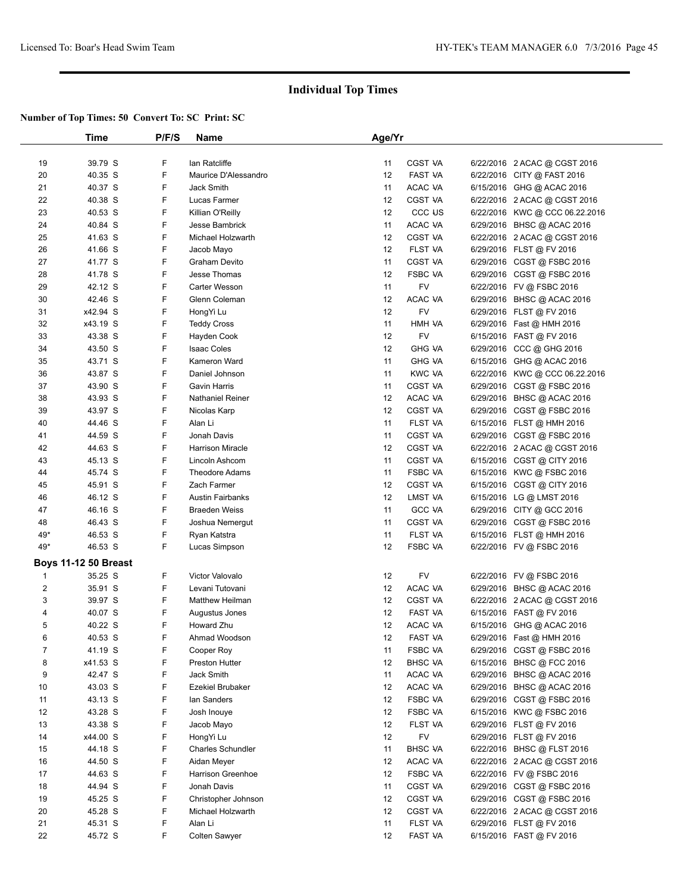|                | Time                        | P/F/S | <b>Name</b>              | Age/Yr |                    |                                |  |
|----------------|-----------------------------|-------|--------------------------|--------|--------------------|--------------------------------|--|
|                |                             |       |                          |        |                    |                                |  |
| 19             | 39.79 S                     | F     | lan Ratcliffe            | 11     | CGST VA            | 6/22/2016 2 ACAC @ CGST 2016   |  |
| 20             | 40.35 S                     | F     | Maurice D'Alessandro     | 12     | FAST VA            | 6/22/2016 CITY @ FAST 2016     |  |
| 21             | 40.37 S                     | F     | Jack Smith               | 11     | ACAC VA            | 6/15/2016 GHG @ ACAC 2016      |  |
| 22             | 40.38 S                     | F     | Lucas Farmer             | 12     | <b>CGST VA</b>     | 6/22/2016 2 ACAC @ CGST 2016   |  |
| 23             | 40.53 S                     | F     | Killian O'Reilly         | 12     | CCC <sub>U</sub> S | 6/22/2016 KWC @ CCC 06.22.2016 |  |
| 24             | 40.84 S                     | F     | <b>Jesse Bambrick</b>    | 11     | ACAC VA            | 6/29/2016 BHSC @ ACAC 2016     |  |
| 25             | 41.63 S                     | F     | Michael Holzwarth        | 12     | <b>CGST VA</b>     | 6/22/2016 2 ACAC @ CGST 2016   |  |
| 26             | 41.66 S                     | F     | Jacob Mayo               | 12     | FLST VA            | 6/29/2016 FLST @ FV 2016       |  |
| 27             | 41.77 S                     | F     | Graham Devito            | 11     | <b>CGST VA</b>     | 6/29/2016 CGST @ FSBC 2016     |  |
| 28             | 41.78 S                     | F     | Jesse Thomas             | 12     | <b>FSBC VA</b>     | 6/29/2016 CGST @ FSBC 2016     |  |
| 29             | 42.12 S                     | F     | Carter Wesson            | 11     | <b>FV</b>          | 6/22/2016 FV @ FSBC 2016       |  |
| 30             | 42.46 S                     | F     | Glenn Coleman            | 12     | ACAC VA            | 6/29/2016 BHSC @ ACAC 2016     |  |
| 31             | x42.94 S                    | F     | HongYi Lu                | 12     | FV                 | 6/29/2016 FLST @ FV 2016       |  |
| 32             | x43.19 S                    | F     | <b>Teddy Cross</b>       | 11     | HMH VA             | 6/29/2016 Fast @ HMH 2016      |  |
| 33             | 43.38 S                     | F     | Hayden Cook              | 12     | FV                 | 6/15/2016 FAST @ FV 2016       |  |
| 34             | 43.50 S                     | F     | <b>Isaac Coles</b>       | 12     | <b>GHG VA</b>      | 6/29/2016 CCC @ GHG 2016       |  |
| 35             | 43.71 S                     | F     | Kameron Ward             | 11     | <b>GHG VA</b>      | 6/15/2016 GHG @ ACAC 2016      |  |
|                |                             | F     |                          |        |                    |                                |  |
| 36             | 43.87 S                     |       | Daniel Johnson           | 11     | <b>KWC VA</b>      | 6/22/2016 KWC @ CCC 06.22.2016 |  |
| 37             | 43.90 S                     | F     | <b>Gavin Harris</b>      | 11     | <b>CGST VA</b>     | 6/29/2016 CGST @ FSBC 2016     |  |
| 38             | 43.93 S                     | F     | Nathaniel Reiner         | 12     | ACAC VA            | 6/29/2016 BHSC @ ACAC 2016     |  |
| 39             | 43.97 S                     | F     | Nicolas Karp             | 12     | <b>CGST VA</b>     | 6/29/2016 CGST @ FSBC 2016     |  |
| 40             | 44.46 S                     | F     | Alan Li                  | 11     | FLST VA            | 6/15/2016 FLST @ HMH 2016      |  |
| 41             | 44.59 S                     | F     | <b>Jonah Davis</b>       | 11     | <b>CGST VA</b>     | 6/29/2016 CGST @ FSBC 2016     |  |
| 42             | 44.63 S                     | F     | <b>Harrison Miracle</b>  | 12     | <b>CGST VA</b>     | 6/22/2016 2 ACAC @ CGST 2016   |  |
| 43             | 45.13 S                     | F     | Lincoln Ashcom           | 11     | <b>CGST VA</b>     | 6/15/2016 CGST @ CITY 2016     |  |
| 44             | 45.74 S                     | F     | <b>Theodore Adams</b>    | 11     | <b>FSBC VA</b>     | 6/15/2016 KWC @ FSBC 2016      |  |
| 45             | 45.91 S                     | F     | Zach Farmer              | 12     | <b>CGST VA</b>     | 6/15/2016 CGST @ CITY 2016     |  |
| 46             | 46.12 S                     | F     | <b>Austin Fairbanks</b>  | 12     | LMST VA            | 6/15/2016 LG @ LMST 2016       |  |
| 47             | 46.16 S                     | F     | <b>Braeden Weiss</b>     | 11     | <b>GCC VA</b>      | 6/29/2016 CITY @ GCC 2016      |  |
| 48             | 46.43 S                     | F     | Joshua Nemergut          | 11     | <b>CGST VA</b>     | 6/29/2016 CGST @ FSBC 2016     |  |
| 49*            | 46.53 S                     | F     | Ryan Katstra             | 11     | FLST VA            | 6/15/2016 FLST @ HMH 2016      |  |
| 49*            | 46.53 S                     | F     | Lucas Simpson            | 12     | <b>FSBC VA</b>     | 6/22/2016 FV @ FSBC 2016       |  |
|                | <b>Boys 11-12 50 Breast</b> |       |                          |        |                    |                                |  |
| $\mathbf{1}$   | 35.25 S                     | F     | Victor Valovalo          | 12     | FV                 | 6/22/2016 FV @ FSBC 2016       |  |
| $\overline{c}$ | 35.91 S                     | F     | Levani Tutovani          | 12     | ACAC VA            | 6/29/2016 BHSC @ ACAC 2016     |  |
| 3              | 39.97 S                     | F     | Matthew Heilman          | 12     | <b>CGST VA</b>     | 6/22/2016 2 ACAC @ CGST 2016   |  |
| 4              | 40.07 S                     | F     | Augustus Jones           | 12     | FAST VA            | 6/15/2016 FAST @ FV 2016       |  |
| 5              | 40.22 S                     | F     | Howard Zhu               | 12     | ACAC VA            | 6/15/2016 GHG @ ACAC 2016      |  |
| 6              | 40.53 S                     | F     | Ahmad Woodson            | 12     | FAST VA            | 6/29/2016 Fast @ HMH 2016      |  |
| $\overline{7}$ | 41.19 S                     | F     | Cooper Roy               | 11     | <b>FSBC VA</b>     | 6/29/2016 CGST @ FSBC 2016     |  |
| 8              | x41.53 S                    | F     | Preston Hutter           | 12     | <b>BHSC VA</b>     | 6/15/2016 BHSC @ FCC 2016      |  |
| 9              | 42.47 S                     | F     | Jack Smith               | 11     | ACAC VA            | 6/29/2016 BHSC @ ACAC 2016     |  |
| 10             | 43.03 S                     | F     | Ezekiel Brubaker         | 12     | ACAC VA            | 6/29/2016 BHSC @ ACAC 2016     |  |
| 11             | 43.13 S                     | F     | lan Sanders              | 12     | <b>FSBC VA</b>     | 6/29/2016 CGST @ FSBC 2016     |  |
| 12             | 43.28 S                     | F     | Josh Inouye              | 12     | <b>FSBC VA</b>     | 6/15/2016 KWC @ FSBC 2016      |  |
| 13             | 43.38 S                     | F     | Jacob Mayo               | 12     | FLST VA            | 6/29/2016 FLST @ FV 2016       |  |
| 14             | x44.00 S                    | F     | HongYi Lu                | 12     | <b>FV</b>          | 6/29/2016 FLST @ FV 2016       |  |
| 15             | 44.18 S                     | F     | <b>Charles Schundler</b> | 11     | <b>BHSC VA</b>     | 6/22/2016 BHSC @ FLST 2016     |  |
| 16             | 44.50 S                     | F     | Aidan Meyer              | 12     | ACAC VA            | 6/22/2016 2 ACAC @ CGST 2016   |  |
| 17             | 44.63 S                     | F     |                          |        |                    | 6/22/2016 FV @ FSBC 2016       |  |
|                |                             |       | Harrison Greenhoe        | 12     | FSBC VA            |                                |  |
| 18             | 44.94 S                     | F     | Jonah Davis              | 11     | CGST VA            | 6/29/2016 CGST @ FSBC 2016     |  |
| 19             | 45.25 S                     | F     | Christopher Johnson      | 12     | CGST VA            | 6/29/2016 CGST @ FSBC 2016     |  |
| 20             | 45.28 S                     | F     | Michael Holzwarth        | 12     | CGST VA            | 6/22/2016 2 ACAC @ CGST 2016   |  |
| 21             | 45.31 S                     | F     | Alan Li                  | 11     | FLST VA            | 6/29/2016 FLST @ FV 2016       |  |
| 22             | 45.72 S                     | F     | Colten Sawyer            | 12     | FAST VA            | 6/15/2016 FAST @ FV 2016       |  |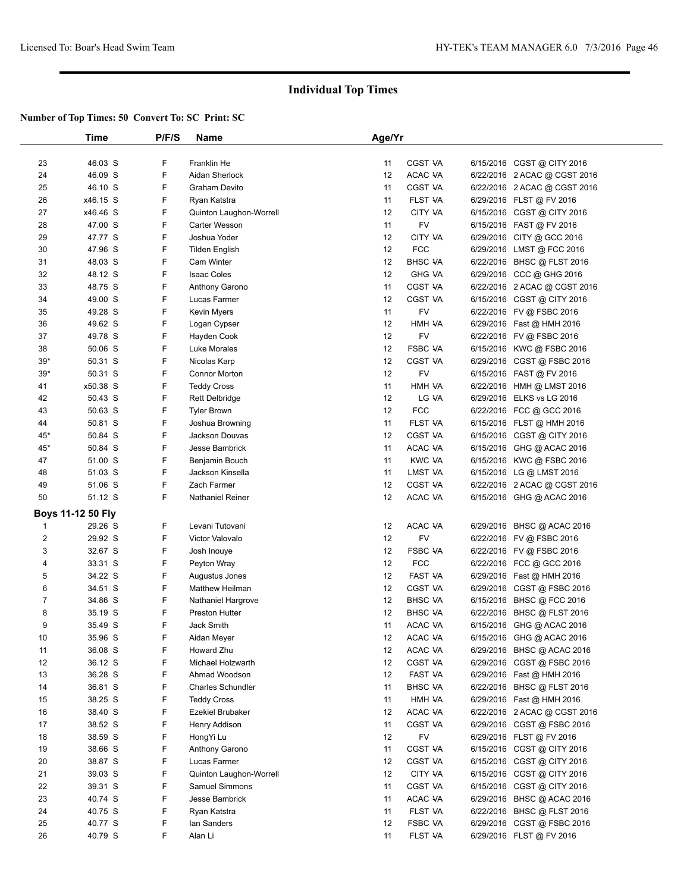|                         | Time                     | P/F/S | <b>Name</b>              | Age/Yr |                |                              |  |
|-------------------------|--------------------------|-------|--------------------------|--------|----------------|------------------------------|--|
|                         |                          |       |                          |        |                |                              |  |
| 23                      | 46.03 S                  | F     | Franklin He              | 11     | CGST VA        | 6/15/2016 CGST @ CITY 2016   |  |
| 24                      | 46.09 S                  | F     | Aidan Sherlock           | 12     | ACAC VA        | 6/22/2016 2 ACAC @ CGST 2016 |  |
| 25                      | 46.10 S                  | F     | Graham Devito            | 11     | CGST VA        | 6/22/2016 2 ACAC @ CGST 2016 |  |
| 26                      | x46.15 S                 | F     | Ryan Katstra             | 11     | FLST VA        | 6/29/2016 FLST @ FV 2016     |  |
| 27                      | x46.46 S                 | F     | Quinton Laughon-Worrell  | 12     | CITY VA        | 6/15/2016 CGST @ CITY 2016   |  |
| 28                      | 47.00 S                  | F     | <b>Carter Wesson</b>     | 11     | FV             | 6/15/2016 FAST @ FV 2016     |  |
| 29                      | 47.77 S                  | F     | Joshua Yoder             | 12     | CITY VA        | 6/29/2016 CITY @ GCC 2016    |  |
| 30                      | 47.96 S                  | F     | <b>Tilden English</b>    | 12     | <b>FCC</b>     | 6/29/2016 LMST @ FCC 2016    |  |
| 31                      | 48.03 S                  | F     | Cam Winter               | 12     | <b>BHSC VA</b> | 6/22/2016 BHSC @ FLST 2016   |  |
| 32                      | 48.12 S                  | F     | <b>Isaac Coles</b>       | 12     | <b>GHG VA</b>  | 6/29/2016 CCC @ GHG 2016     |  |
| 33                      | 48.75 S                  | F     | Anthony Garono           | 11     | <b>CGST VA</b> | 6/22/2016 2 ACAC @ CGST 2016 |  |
| 34                      | 49.00 S                  | F     | Lucas Farmer             | 12     | <b>CGST VA</b> | 6/15/2016 CGST @ CITY 2016   |  |
| 35                      | 49.28 S                  | F     | Kevin Myers              | 11     | FV             | 6/22/2016 FV @ FSBC 2016     |  |
| 36                      | 49.62 S                  | F     | Logan Cypser             | 12     | HMH VA         | 6/29/2016 Fast @ HMH 2016    |  |
| 37                      | 49.78 S                  | F     | Hayden Cook              | 12     | FV             | 6/22/2016 FV @ FSBC 2016     |  |
| 38                      | 50.06 S                  | F     | Luke Morales             | 12     | <b>FSBC VA</b> | 6/15/2016 KWC @ FSBC 2016    |  |
| $39*$                   | 50.31 S                  | F     | Nicolas Karp             | 12     | <b>CGST VA</b> | 6/29/2016 CGST @ FSBC 2016   |  |
| $39*$                   | 50.31 S                  | F     | <b>Connor Morton</b>     | 12     | FV             | 6/15/2016 FAST @ FV 2016     |  |
| 41                      | x50.38 S                 | F     | <b>Teddy Cross</b>       | 11     | HMH VA         | 6/22/2016 HMH @ LMST 2016    |  |
| 42                      | 50.43 S                  | F     | <b>Rett Delbridge</b>    | 12     | LG VA          | 6/29/2016 ELKS vs LG 2016    |  |
| 43                      | 50.63 S                  | F     | <b>Tyler Brown</b>       | 12     | <b>FCC</b>     | 6/22/2016 FCC @ GCC 2016     |  |
| 44                      | 50.81 S                  | F     | Joshua Browning          | 11     | FLST VA        | 6/15/2016 FLST @ HMH 2016    |  |
| 45*                     | 50.84 S                  | F     | Jackson Douvas           | 12     | <b>CGST VA</b> | 6/15/2016 CGST @ CITY 2016   |  |
| 45*                     | 50.84 S                  | F     | Jesse Bambrick           | 11     | ACAC VA        | 6/15/2016 GHG @ ACAC 2016    |  |
| 47                      | 51.00 S                  | F     | Benjamin Bouch           | 11     | <b>KWC VA</b>  | 6/15/2016 KWC @ FSBC 2016    |  |
| 48                      | 51.03 S                  | F     | Jackson Kinsella         | 11     | LMST VA        | 6/15/2016 LG @ LMST 2016     |  |
| 49                      | 51.06 S                  | F     | Zach Farmer              | 12     | <b>CGST VA</b> | 6/22/2016 2 ACAC @ CGST 2016 |  |
| 50                      | 51.12 S                  | F     | <b>Nathaniel Reiner</b>  | 12     | ACAC VA        | 6/15/2016 GHG @ ACAC 2016    |  |
|                         |                          |       |                          |        |                |                              |  |
|                         | <b>Boys 11-12 50 Fly</b> |       |                          |        |                |                              |  |
| $\mathbf{1}$            | 29.26 S                  | F     | Levani Tutovani          | 12     | ACAC VA        | 6/29/2016 BHSC @ ACAC 2016   |  |
| $\overline{\mathbf{c}}$ | 29.92 S                  | F     | Victor Valovalo          | 12     | <b>FV</b>      | 6/22/2016 FV @ FSBC 2016     |  |
| 3                       | 32.67 S                  | F     | Josh Inouye              | 12     | <b>FSBC VA</b> | 6/22/2016 FV @ FSBC 2016     |  |
| 4                       | 33.31 S                  | F     | Peyton Wray              | 12     | <b>FCC</b>     | 6/22/2016 FCC @ GCC 2016     |  |
| 5                       | 34.22 S                  | F     | Augustus Jones           | 12     | FAST VA        | 6/29/2016 Fast @ HMH 2016    |  |
| 6                       | 34.51 S                  | F     | Matthew Heilman          | 12     | CGST VA        | 6/29/2016 CGST @ FSBC 2016   |  |
| $\overline{7}$          | 34.86 S                  | F     | Nathaniel Hargrove       | 12     | <b>BHSC VA</b> | 6/15/2016 BHSC @ FCC 2016    |  |
| 8                       | 35.19 S                  | F     | Preston Hutter           | 12     | <b>BHSC VA</b> | 6/22/2016 BHSC @ FLST 2016   |  |
| 9                       | 35.49 S                  | F     | Jack Smith               | 11     | ACAC VA        | 6/15/2016 GHG @ ACAC 2016    |  |
| 10                      | 35.96 S                  | F     | Aidan Meyer              | 12     | ACAC VA        | 6/15/2016 GHG @ ACAC 2016    |  |
| 11                      | 36.08 S                  | F     | Howard Zhu               | 12     | ACAC VA        | 6/29/2016 BHSC @ ACAC 2016   |  |
| 12                      | 36.12 S                  | F     | Michael Holzwarth        | 12     | CGST VA        | 6/29/2016 CGST @ FSBC 2016   |  |
| 13                      | 36.28 S                  | F     | Ahmad Woodson            | 12     | FAST VA        | 6/29/2016 Fast @ HMH 2016    |  |
| 14                      | 36.81 S                  | F     | <b>Charles Schundler</b> | 11     | <b>BHSC VA</b> | 6/22/2016 BHSC @ FLST 2016   |  |
| 15                      | 38.25 S                  | F     | <b>Teddy Cross</b>       | 11     | HMH VA         | 6/29/2016 Fast @ HMH 2016    |  |
| 16                      | 38.40 S                  | F     | <b>Ezekiel Brubaker</b>  | 12     | ACAC VA        | 6/22/2016 2 ACAC @ CGST 2016 |  |
| 17                      | 38.52 S                  | F     | Henry Addison            | 11     | CGST VA        | 6/29/2016 CGST@FSBC 2016     |  |
| 18                      | 38.59 S                  | F     | HongYi Lu                | 12     | FV             | 6/29/2016 FLST @ FV 2016     |  |
| 19                      | 38.66 S                  | F     | Anthony Garono           | 11     | CGST VA        | 6/15/2016 CGST @ CITY 2016   |  |
| 20                      | 38.87 S                  | F     | Lucas Farmer             | 12     | CGST VA        | 6/15/2016 CGST @ CITY 2016   |  |
| 21                      | 39.03 S                  | F     | Quinton Laughon-Worrell  | 12     | CITY VA        | 6/15/2016 CGST @ CITY 2016   |  |
| 22                      | 39.31 S                  | F     | Samuel Simmons           | 11     | <b>CGST VA</b> | 6/15/2016 CGST @ CITY 2016   |  |
| 23                      | 40.74 S                  | F     | Jesse Bambrick           | 11     | ACAC VA        | 6/29/2016 BHSC @ ACAC 2016   |  |
| 24                      | 40.75 S                  | F     | Ryan Katstra             | 11     | FLST VA        | 6/22/2016 BHSC @ FLST 2016   |  |
| 25                      | 40.77 S                  | F     | lan Sanders              | 12     | FSBC VA        | 6/29/2016 CGST @ FSBC 2016   |  |
| 26                      | 40.79 S                  | F     | Alan Li                  | 11     | FLST VA        | 6/29/2016 FLST @ FV 2016     |  |
|                         |                          |       |                          |        |                |                              |  |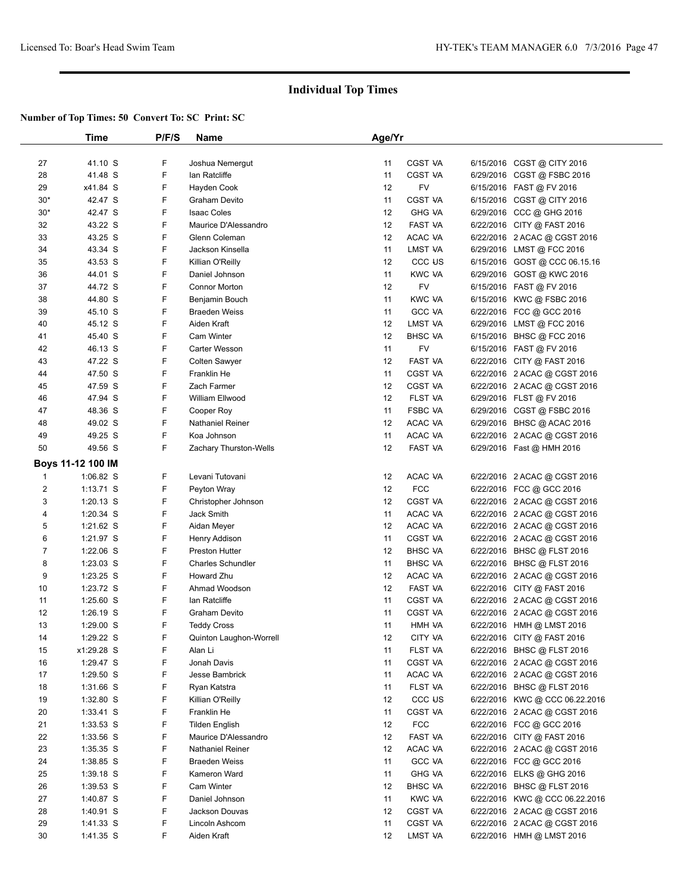|                | Time              | P/F/S | <b>Name</b>              | Age/Yr |                    |                                |  |
|----------------|-------------------|-------|--------------------------|--------|--------------------|--------------------------------|--|
|                |                   |       |                          |        |                    |                                |  |
| 27             | 41.10 S           | F     | Joshua Nemergut          | 11     | CGST VA            | 6/15/2016 CGST @ CITY 2016     |  |
| 28             | 41.48 S           | F     | lan Ratcliffe            | 11     | <b>CGST VA</b>     | 6/29/2016 CGST @ FSBC 2016     |  |
| 29             | x41.84 S          | F     | Hayden Cook              | 12     | FV                 | 6/15/2016 FAST @ FV 2016       |  |
| $30*$          | 42.47 S           | F     | Graham Devito            | 11     | <b>CGST VA</b>     | 6/15/2016 CGST @ CITY 2016     |  |
| $30*$          | 42.47 S           | F     | <b>Isaac Coles</b>       | 12     | <b>GHG VA</b>      | 6/29/2016 CCC @ GHG 2016       |  |
| 32             | 43.22 S           | F     | Maurice D'Alessandro     | 12     | FAST VA            | 6/22/2016 CITY @ FAST 2016     |  |
| 33             | 43.25 S           | F     | Glenn Coleman            | 12     | ACAC VA            | 6/22/2016 2 ACAC @ CGST 2016   |  |
| 34             | 43.34 S           | F     | Jackson Kinsella         | 11     | LMST VA            | 6/29/2016 LMST @ FCC 2016      |  |
| 35             | 43.53 S           | F     | Killian O'Reilly         | 12     | CCC <sub>U</sub> S | 6/15/2016 GOST @ CCC 06.15.16  |  |
| 36             | 44.01 S           | F     | Daniel Johnson           | 11     | <b>KWC VA</b>      | 6/29/2016 GOST @ KWC 2016      |  |
| 37             | 44.72 S           | F     | <b>Connor Morton</b>     | 12     | <b>FV</b>          | 6/15/2016 FAST @ FV 2016       |  |
| 38             | 44.80 S           | F     | Benjamin Bouch           | 11     | <b>KWC VA</b>      | 6/15/2016 KWC @ FSBC 2016      |  |
| 39             | 45.10 S           | F     | <b>Braeden Weiss</b>     | 11     | <b>GCC VA</b>      | 6/22/2016 FCC @ GCC 2016       |  |
| 40             | 45.12 S           | F     | Aiden Kraft              | 12     | LMST VA            | 6/29/2016 LMST @ FCC 2016      |  |
| 41             | 45.40 S           | F     | <b>Cam Winter</b>        | 12     | <b>BHSC VA</b>     | 6/15/2016 BHSC @ FCC 2016      |  |
| 42             | 46.13 S           | F     | <b>Carter Wesson</b>     | 11     | FV                 | 6/15/2016 FAST @ FV 2016       |  |
| 43             | 47.22 S           | F     | <b>Colten Sawyer</b>     | 12     | FAST VA            | 6/22/2016 CITY @ FAST 2016     |  |
| 44             | 47.50 S           | F     | Franklin He              | 11     | CGST VA            | 6/22/2016 2 ACAC @ CGST 2016   |  |
| 45             | 47.59 S           | F     | Zach Farmer              | 12     | <b>CGST VA</b>     | 6/22/2016 2 ACAC @ CGST 2016   |  |
| 46             | 47.94 S           | F     | William Ellwood          | 12     | FLST VA            | 6/29/2016 FLST @ FV 2016       |  |
| 47             | 48.36 S           | F     | Cooper Roy               | 11     | <b>FSBC VA</b>     | 6/29/2016 CGST @ FSBC 2016     |  |
| 48             | 49.02 S           | F     | <b>Nathaniel Reiner</b>  | 12     | ACAC VA            | 6/29/2016 BHSC @ ACAC 2016     |  |
| 49             | 49.25 S           | F     | Koa Johnson              | 11     | ACAC VA            | 6/22/2016 2 ACAC @ CGST 2016   |  |
| 50             | 49.56 S           | F     | Zachary Thurston-Wells   | 12     | FAST VA            | 6/29/2016 Fast @ HMH 2016      |  |
|                | Boys 11-12 100 IM |       |                          |        |                    |                                |  |
| 1              | 1:06.82 S         | F     | Levani Tutovani          | 12     | ACAC VA            | 6/22/2016 2 ACAC @ CGST 2016   |  |
| $\overline{2}$ | $1:13.71$ S       | F     | Peyton Wray              | 12     | <b>FCC</b>         | 6/22/2016 FCC @ GCC 2016       |  |
| 3              | 1:20.13 S         | F     | Christopher Johnson      | 12     | <b>CGST VA</b>     | 6/22/2016 2 ACAC @ CGST 2016   |  |
| 4              | $1:20.34$ S       | F     | Jack Smith               | 11     | ACAC VA            | 6/22/2016 2 ACAC @ CGST 2016   |  |
| 5              | $1:21.62$ S       | F     | Aidan Meyer              | 12     | ACAC VA            | 6/22/2016 2 ACAC @ CGST 2016   |  |
| 6              | 1:21.97 S         | F     | Henry Addison            | 11     | CGST VA            | 6/22/2016 2 ACAC @ CGST 2016   |  |
| $\overline{7}$ | $1:22.06$ S       | F     | <b>Preston Hutter</b>    | 12     | <b>BHSC VA</b>     | 6/22/2016 BHSC @ FLST 2016     |  |
| 8              | $1:23.03$ S       | F     | <b>Charles Schundler</b> | 11     | <b>BHSC VA</b>     | 6/22/2016 BHSC @ FLST 2016     |  |
| 9              | $1:23.25$ S       | F     | Howard Zhu               | 12     | ACAC VA            | 6/22/2016 2 ACAC @ CGST 2016   |  |
| 10             | 1:23.72 S         | F     | Ahmad Woodson            | 12     | FAST VA            | 6/22/2016 CITY @ FAST 2016     |  |
| 11             | $1:25.60$ S       | F     | lan Ratcliffe            | 11     | <b>CGST VA</b>     | 6/22/2016 2 ACAC @ CGST 2016   |  |
| 12             | $1:26.19$ S       | F     | Graham Devito            | 11     | <b>CGST VA</b>     | 6/22/2016 2 ACAC @ CGST 2016   |  |
| 13             | 1:29.00 S         | F     | <b>Teddy Cross</b>       | 11     | HMH VA             | 6/22/2016 HMH @ LMST 2016      |  |
| 14             | 1:29.22 S         | F     | Quinton Laughon-Worrell  | 12     | CITY VA            | 6/22/2016 CITY @ FAST 2016     |  |
| 15             | x1:29.28 S        | F     | Alan Li                  | 11     | FLST VA            | 6/22/2016 BHSC @ FLST 2016     |  |
| 16             | 1:29.47 S         | F     | Jonah Davis              | 11     | CGST VA            | 6/22/2016 2 ACAC @ CGST 2016   |  |
| 17             | $1:29.50$ S       | F     | Jesse Bambrick           | 11     | ACAC VA            | 6/22/2016 2 ACAC @ CGST 2016   |  |
| 18             | 1:31.66 S         | F     | Ryan Katstra             | 11     | FLST VA            | 6/22/2016 BHSC @ FLST 2016     |  |
| 19             | 1:32.80 S         | F     | Killian O'Reilly         | 12     | CCC <sub>U</sub> S | 6/22/2016 KWC @ CCC 06.22.2016 |  |
| 20             | $1:33.41$ S       | F     | Franklin He              | 11     | CGST VA            | 6/22/2016 2 ACAC @ CGST 2016   |  |
| 21             | $1:33.53$ S       | F     | <b>Tilden English</b>    | 12     | <b>FCC</b>         | 6/22/2016 FCC @ GCC 2016       |  |
| 22             | 1:33.56 S         | F     | Maurice D'Alessandro     | 12     | <b>FAST VA</b>     | 6/22/2016 CITY @ FAST 2016     |  |
| 23             | $1:35.35$ S       | F     | <b>Nathaniel Reiner</b>  | 12     | ACAC VA            | 6/22/2016 2 ACAC @ CGST 2016   |  |
| 24             | 1:38.85 S         | F     | <b>Braeden Weiss</b>     | 11     | <b>GCC VA</b>      | 6/22/2016 FCC @ GCC 2016       |  |
| 25             | $1:39.18$ S       | F     | Kameron Ward             | 11     | <b>GHG VA</b>      | 6/22/2016 ELKS @ GHG 2016      |  |
| 26             | $1:39.53$ S       | F     | Cam Winter               | 12     | <b>BHSC VA</b>     | 6/22/2016 BHSC @ FLST 2016     |  |
| 27             | 1:40.87 S         | F     | Daniel Johnson           | 11     | <b>KWC VA</b>      | 6/22/2016 KWC @ CCC 06.22.2016 |  |
| 28             | 1:40.91 S         | F     | Jackson Douvas           | 12     | CGST VA            | 6/22/2016 2 ACAC @ CGST 2016   |  |
| 29             | $1:41.33$ S       | F     | Lincoln Ashcom           | 11     | CGST VA            | 6/22/2016 2 ACAC @ CGST 2016   |  |
| 30             | 1:41.35 S         | F     | Aiden Kraft              | 12     | LMST VA            | 6/22/2016 HMH @ LMST 2016      |  |
|                |                   |       |                          |        |                    |                                |  |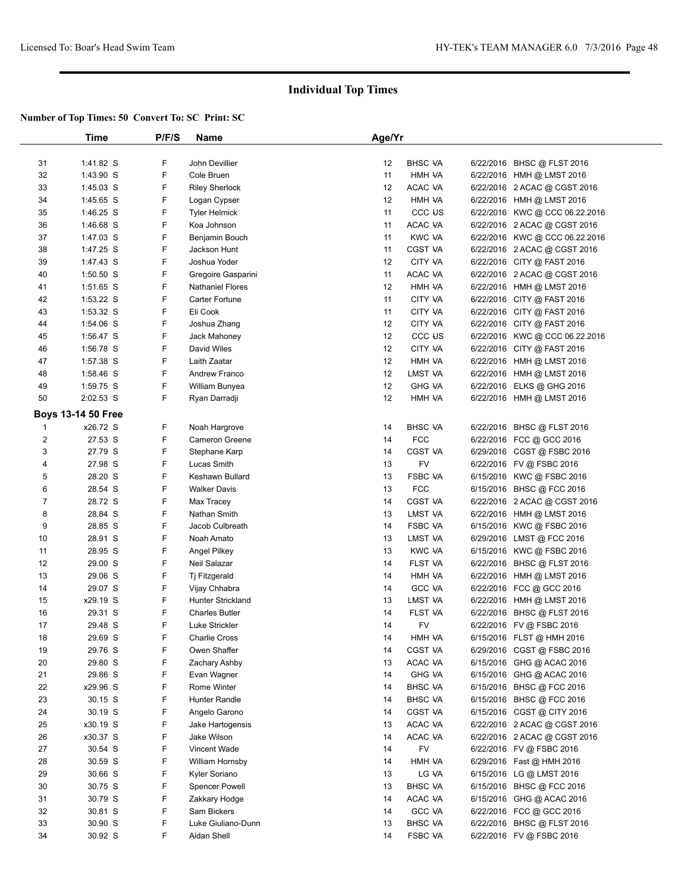|                | Time               | P/F/S  | <b>Name</b>           | Age/Yr |                    |                                |  |
|----------------|--------------------|--------|-----------------------|--------|--------------------|--------------------------------|--|
|                |                    |        |                       |        |                    |                                |  |
| 31             | 1:41.82 S          | F      | John Devillier        | 12     | <b>BHSC VA</b>     | 6/22/2016 BHSC @ FLST 2016     |  |
| 32             | 1:43.90 S          | F      | Cole Bruen            | 11     | HMH VA             | 6/22/2016 HMH @ LMST 2016      |  |
| 33             | $1:45.03$ S        | F      | <b>Riley Sherlock</b> | 12     | ACAC VA            | 6/22/2016 2 ACAC @ CGST 2016   |  |
| 34             | 1:45.65 S          | F      | Logan Cypser          | 12     | HMH VA             | 6/22/2016 HMH @ LMST 2016      |  |
| 35             | $1:46.25$ S        | F      | <b>Tyler Helmick</b>  | 11     | CCC <sub>U</sub> S | 6/22/2016 KWC @ CCC 06.22.2016 |  |
| 36             | 1:46.68 S          | F      | Koa Johnson           | 11     | ACAC VA            | 6/22/2016 2 ACAC @ CGST 2016   |  |
| 37             | 1:47.03 S          | F      | Benjamin Bouch        | 11     | <b>KWC VA</b>      | 6/22/2016 KWC @ CCC 06.22.2016 |  |
| 38             | 1:47.25 S          | F      | Jackson Hunt          | 11     | <b>CGST VA</b>     | 6/22/2016 2 ACAC @ CGST 2016   |  |
| 39             | 1:47.43 S          | F      | Joshua Yoder          | 12     | <b>CITY VA</b>     | 6/22/2016 CITY @ FAST 2016     |  |
| 40             | 1:50.50 S          | F      | Gregoire Gasparini    | 11     | ACAC VA            | 6/22/2016 2 ACAC @ CGST 2016   |  |
| 41             | 1:51.65 S          | F      | Nathaniel Flores      | 12     | HMH VA             | 6/22/2016 HMH @ LMST 2016      |  |
| 42             | 1:53.22 S          | F      | Carter Fortune        | 11     | CITY VA            | 6/22/2016 CITY @ FAST 2016     |  |
| 43             | 1:53.32 S          | F      | Eli Cook              | 11     | CITY VA            | 6/22/2016 CITY @ FAST 2016     |  |
| 44             | 1:54.06 S          | F      | Joshua Zhang          | 12     | CITY VA            | 6/22/2016 CITY @ FAST 2016     |  |
| 45             | 1:56.47 S          | F      | Jack Mahoney          | 12     | CCC <sub>U</sub> S | 6/22/2016 KWC @ CCC 06.22.2016 |  |
| 46             | 1:56.78 S          | F      | David Wiles           | 12     | CITY VA            | 6/22/2016 CITY @ FAST 2016     |  |
| 47             | 1:57.38 S          | F      | Laith Zaatar          | 12     | HMH VA             | 6/22/2016 HMH @ LMST 2016      |  |
| 48             | 1:58.46 S          | F      | Andrew Franco         | 12     | LMST VA            | 6/22/2016 HMH @ LMST 2016      |  |
| 49             | 1:59.75 S          | F      | William Bunyea        | 12     | <b>GHG VA</b>      | 6/22/2016 ELKS @ GHG 2016      |  |
| 50             | 2:02.53 S          | F      | Ryan Darradji         | 12     | HMH VA             | 6/22/2016 HMH @ LMST 2016      |  |
|                | Boys 13-14 50 Free |        |                       |        |                    |                                |  |
| 1              | x26.72 S           | F      | Noah Hargrove         | 14     | <b>BHSC VA</b>     | 6/22/2016 BHSC @ FLST 2016     |  |
| $\overline{c}$ | 27.53 S            | F      | Cameron Greene        | 14     | <b>FCC</b>         | 6/22/2016 FCC @ GCC 2016       |  |
| 3              | 27.79 S            | F      | Stephane Karp         | 14     | CGST VA            | 6/29/2016 CGST @ FSBC 2016     |  |
| 4              | 27.98 S            | F      | Lucas Smith           | 13     | <b>FV</b>          | 6/22/2016 FV @ FSBC 2016       |  |
| 5              | 28.20 S            | F      | Keshawn Bullard       | 13     | <b>FSBC VA</b>     | 6/15/2016 KWC @ FSBC 2016      |  |
| 6              | 28.54 S            | F      | <b>Walker Davis</b>   | 13     | <b>FCC</b>         | 6/15/2016 BHSC @ FCC 2016      |  |
| $\overline{7}$ | 28.72 S            | F      | Max Tracey            | 14     | CGST VA            | 6/22/2016 2 ACAC @ CGST 2016   |  |
| 8              | 28.84 S            | F      | Nathan Smith          | 13     | LMST VA            | 6/22/2016 HMH @ LMST 2016      |  |
| 9              | 28.85 S            | F      | Jacob Culbreath       | 14     | <b>FSBC VA</b>     | 6/15/2016 KWC @ FSBC 2016      |  |
| 10             | 28.91 S            | F      | Noah Amato            | 13     | LMST VA            | 6/29/2016 LMST @ FCC 2016      |  |
| 11             | 28.95 S            | F      | Angel Pilkey          | 13     | KWC VA             | 6/15/2016 KWC @ FSBC 2016      |  |
| 12             | 29.00 S            | F      | Neil Salazar          | 14     | FLST VA            | 6/22/2016 BHSC @ FLST 2016     |  |
| 13             | 29.06 S            | F      | Tj Fitzgerald         | 14     | HMH VA             | 6/22/2016 HMH @ LMST 2016      |  |
| 14             | 29.07 S            | F      | Vijay Chhabra         | 14     | <b>GCC VA</b>      | 6/22/2016 FCC @ GCC 2016       |  |
| 15             | x29.19 S           | F      | Hunter Strickland     | 13     | LMST VA            | 6/22/2016 HMH @ LMST 2016      |  |
| 16             | 29.31 S            | F      | <b>Charles Butler</b> | 14     | FLST VA            | 6/22/2016 BHSC @ FLST 2016     |  |
| 17             | 29.48 S            | F      | Luke Strickler        | 14     | FV                 | 6/22/2016 FV @ FSBC 2016       |  |
| 18             | 29.69 S            | F      | <b>Charlie Cross</b>  | 14     | HMH VA             | 6/15/2016 FLST @ HMH 2016      |  |
| 19             | 29.76 S            | F      | Owen Shaffer          | 14     | CGST VA            | 6/29/2016 CGST @ FSBC 2016     |  |
| 20             | 29.80 S            | F      | Zachary Ashby         | 13     | ACAC VA            | 6/15/2016 GHG @ ACAC 2016      |  |
| 21             | 29.86 S            | F      | Evan Wagner           | 14     | <b>GHG VA</b>      | 6/15/2016 GHG @ ACAC 2016      |  |
| 22             | x29.96 S           | F      | Rome Winter           | 14     | <b>BHSC VA</b>     | 6/15/2016 BHSC @ FCC 2016      |  |
| 23             | 30.15 S            | F      | Hunter Randle         | 14     | <b>BHSC VA</b>     | 6/15/2016 BHSC @ FCC 2016      |  |
| 24             | 30.19 S            | F      | Angelo Garono         | 14     | CGST VA            | 6/15/2016 CGST @ CITY 2016     |  |
| 25             | x30.19 S           | F      | Jake Hartogensis      | 13     | ACAC VA            | 6/22/2016 2 ACAC @ CGST 2016   |  |
| 26             | x30.37 S           | F      | Jake Wilson           | 14     | ACAC VA            | 6/22/2016 2 ACAC @ CGST 2016   |  |
| 27             | 30.54 S            | F      | Vincent Wade          | 14     | FV                 | 6/22/2016 FV @ FSBC 2016       |  |
| 28             | 30.59 S            | F      | William Hornsby       | 14     | HMH VA             | 6/29/2016 Fast @ HMH 2016      |  |
|                | 30.66 S            |        |                       |        |                    |                                |  |
| 29<br>30       |                    | F<br>F | Kyler Soriano         | 13     | LG VA              | 6/15/2016 LG @ LMST 2016       |  |
|                | 30.75 S            |        | <b>Spencer Powell</b> | 13     | <b>BHSC VA</b>     | 6/15/2016 BHSC @ FCC 2016      |  |
| 31             | 30.79 S            | F      | Zakkary Hodge         | 14     | ACAC VA            | 6/15/2016 GHG @ ACAC 2016      |  |
| 32             | 30.81 S            | F      | Sam Bickers           | 14     | <b>GCC VA</b>      | 6/22/2016 FCC @ GCC 2016       |  |
| 33             | 30.90 S            | F      | Luke Giuliano-Dunn    | 13     | <b>BHSC VA</b>     | 6/22/2016 BHSC @ FLST 2016     |  |
| 34             | 30.92 S            | F      | Aidan Shell           | 14     | <b>FSBC VA</b>     | 6/22/2016 FV @ FSBC 2016       |  |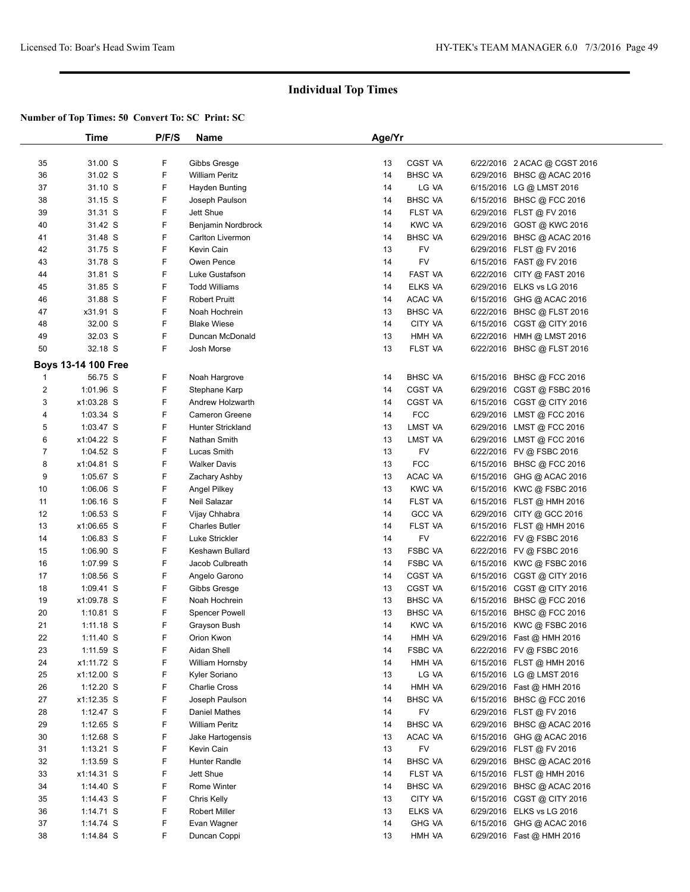|                | Time                       | P/F/S | <b>Name</b>              | Age/Yr |                |                              |
|----------------|----------------------------|-------|--------------------------|--------|----------------|------------------------------|
|                |                            |       |                          |        |                |                              |
| 35             | 31.00 S                    | F     | Gibbs Gresge             | 13     | CGST VA        | 6/22/2016 2 ACAC @ CGST 2016 |
| 36             | 31.02 S                    | F     | <b>William Peritz</b>    | 14     | <b>BHSC VA</b> | 6/29/2016 BHSC @ ACAC 2016   |
| 37             | 31.10 S                    | F     | Hayden Bunting           | 14     | LG VA          | 6/15/2016 LG @ LMST 2016     |
| 38             | 31.15 S                    | F     | Joseph Paulson           | 14     | <b>BHSC VA</b> | 6/15/2016 BHSC @ FCC 2016    |
| 39             | 31.31 S                    | F     | Jett Shue                | 14     | FLST VA        | 6/29/2016 FLST @ FV 2016     |
| 40             | 31.42 S                    | F     | Benjamin Nordbrock       | 14     | <b>KWC VA</b>  | 6/29/2016 GOST @ KWC 2016    |
| 41             | 31.48 S                    | F     | Carlton Livermon         | 14     | <b>BHSC VA</b> | 6/29/2016 BHSC @ ACAC 2016   |
| 42             | 31.75 S                    | F     | Kevin Cain               | 13     | <b>FV</b>      | 6/29/2016 FLST @ FV 2016     |
| 43             | 31.78 S                    | F     | Owen Pence               | 14     | FV             | 6/15/2016 FAST @ FV 2016     |
| 44             | 31.81 S                    | F     | Luke Gustafson           | 14     | FAST VA        | 6/22/2016 CITY @ FAST 2016   |
| 45             | 31.85 S                    | F     | <b>Todd Williams</b>     | 14     | ELKS VA        | 6/29/2016 ELKS vs LG 2016    |
| 46             | 31.88 S                    | F     | <b>Robert Pruitt</b>     | 14     | ACAC VA        | 6/15/2016 GHG @ ACAC 2016    |
| 47             | x31.91 S                   | F     | Noah Hochrein            | 13     | <b>BHSC VA</b> | 6/22/2016 BHSC @ FLST 2016   |
| 48             | 32.00 S                    | F     | <b>Blake Wiese</b>       | 14     | CITY VA        | 6/15/2016 CGST @ CITY 2016   |
| 49             | 32.03 S                    | F     | Duncan McDonald          | 13     | HMH VA         | 6/22/2016 HMH @ LMST 2016    |
| 50             | 32.18 S                    | F     | Josh Morse               | 13     | FLST VA        | 6/22/2016 BHSC @ FLST 2016   |
|                |                            |       |                          |        |                |                              |
|                | <b>Boys 13-14 100 Free</b> |       |                          |        |                |                              |
| $\mathbf{1}$   | 56.75 S                    | F     | Noah Hargrove            | 14     | <b>BHSC VA</b> | 6/15/2016 BHSC @ FCC 2016    |
| $\overline{c}$ | 1:01.96 S                  | F     | Stephane Karp            | 14     | <b>CGST VA</b> | 6/29/2016 CGST @ FSBC 2016   |
| 3              | x1:03.28 S                 | F     | Andrew Holzwarth         | 14     | <b>CGST VA</b> | 6/15/2016 CGST @ CITY 2016   |
| 4              | 1:03.34 S                  | F     | Cameron Greene           | 14     | <b>FCC</b>     | 6/29/2016 LMST @ FCC 2016    |
| 5              | 1:03.47 S                  | F     | <b>Hunter Strickland</b> | 13     | LMST VA        | 6/29/2016 LMST @ FCC 2016    |
| 6              | x1:04.22 S                 | F     | Nathan Smith             | 13     | LMST VA        | 6/29/2016 LMST @ FCC 2016    |
| 7              | 1:04.52 S                  | F     | Lucas Smith              | 13     | FV             | 6/22/2016 FV @ FSBC 2016     |
| 8              | x1:04.81 S                 | F     | <b>Walker Davis</b>      | 13     | <b>FCC</b>     | 6/15/2016 BHSC @ FCC 2016    |
| 9              | 1:05.67 S                  | F     | Zachary Ashby            | 13     | ACAC VA        | 6/15/2016 GHG @ ACAC 2016    |
| 10             | $1:06.06$ S                | F     | <b>Angel Pilkey</b>      | 13     | <b>KWC VA</b>  | 6/15/2016 KWC @ FSBC 2016    |
| 11             | $1:06.16$ S                | F     | Neil Salazar             | 14     | FLST VA        | 6/15/2016 FLST @ HMH 2016    |
| 12             | $1:06.53$ S                | F     | Vijay Chhabra            | 14     | <b>GCC VA</b>  | 6/29/2016 CITY @ GCC 2016    |
| 13             | x1:06.65 S                 | F     | <b>Charles Butler</b>    | 14     | FLST VA        | 6/15/2016 FLST @ HMH 2016    |
| 14             | $1:06.83$ S                | F     | Luke Strickler           | 14     | <b>FV</b>      | 6/22/2016 FV @ FSBC 2016     |
| 15             | $1:06.90$ S                | F     | Keshawn Bullard          | 13     | <b>FSBC VA</b> | 6/22/2016 FV @ FSBC 2016     |
| 16             | 1:07.99 S                  | F     | Jacob Culbreath          | 14     | <b>FSBC VA</b> | 6/15/2016 KWC @ FSBC 2016    |
| 17             | $1:08.56$ S                | F     | Angelo Garono            | 14     | CGST VA        | 6/15/2016 CGST @ CITY 2016   |
| 18             | $1:09.41$ S                | F     | Gibbs Gresge             | 13     | CGST VA        | 6/15/2016 CGST @ CITY 2016   |
| 19             | x1:09.78 S                 | F     | Noah Hochrein            | 13     | <b>BHSC VA</b> | 6/15/2016 BHSC @ FCC 2016    |
| 20             | $1:10.81$ S                | F     | <b>Spencer Powell</b>    | 13     | <b>BHSC VA</b> | 6/15/2016 BHSC @ FCC 2016    |
| 21             | $1:11.18$ S                | F     | Grayson Bush             | 14     | <b>KWC VA</b>  | 6/15/2016 KWC @ FSBC 2016    |
| 22             | 1:11.40 S                  | F     | Orion Kwon               | 14     | HMH VA         | 6/29/2016 Fast @ HMH 2016    |
| 23             | $1:11.59$ S                | F     | Aidan Shell              | 14     | <b>FSBC VA</b> | 6/22/2016 FV @ FSBC 2016     |
| 24             | x1:11.72 S                 | F     | William Hornsby          | 14     | HMH VA         | 6/15/2016 FLST @ HMH 2016    |
| 25             | x1:12.00 S                 | F     | Kyler Soriano            | 13     | LG VA          | 6/15/2016 LG @ LMST 2016     |
| 26             | $1:12.20$ S                | F     | <b>Charlie Cross</b>     | 14     | HMH VA         | 6/29/2016 Fast @ HMH 2016    |
| 27             | x1:12.35 S                 | F     | Joseph Paulson           | 14     | <b>BHSC VA</b> | 6/15/2016 BHSC @ FCC 2016    |
| 28             | $1:12.47$ S                | F     | Daniel Mathes            | 14     | <b>FV</b>      | 6/29/2016 FLST @ FV 2016     |
|                | 1:12.65 S                  | F     | <b>William Peritz</b>    | 14     | <b>BHSC VA</b> |                              |
| 29             |                            |       |                          |        |                | 6/29/2016 BHSC @ ACAC 2016   |
| 30             | $1:12.68$ S                | F     | Jake Hartogensis         | 13     | ACAC VA        | 6/15/2016 GHG @ ACAC 2016    |
| 31             | $1:13.21$ S                | F     | Kevin Cain               | 13     | FV             | 6/29/2016 FLST @ FV 2016     |
| 32             | $1:13.59$ S                | F     | Hunter Randle            | 14     | <b>BHSC VA</b> | 6/29/2016 BHSC @ ACAC 2016   |
| 33             | x1:14.31 S                 | F     | Jett Shue                | 14     | FLST VA        | 6/15/2016 FLST @ HMH 2016    |
| 34             | 1:14.40 S                  | F     | Rome Winter              | 14     | <b>BHSC VA</b> | 6/29/2016 BHSC @ ACAC 2016   |
| 35             | $1:14.43$ S                | F     | Chris Kelly              | 13     | CITY VA        | 6/15/2016 CGST @ CITY 2016   |
| 36             | $1:14.71$ S                | F     | <b>Robert Miller</b>     | 13     | ELKS VA        | 6/29/2016 ELKS vs LG 2016    |
| 37             | $1:14.74$ S                | F     | Evan Wagner              | 14     | <b>GHG VA</b>  | 6/15/2016 GHG @ ACAC 2016    |
| 38             | 1:14.84 S                  | F     | Duncan Coppi             | 13     | HMH VA         | 6/29/2016 Fast @ HMH 2016    |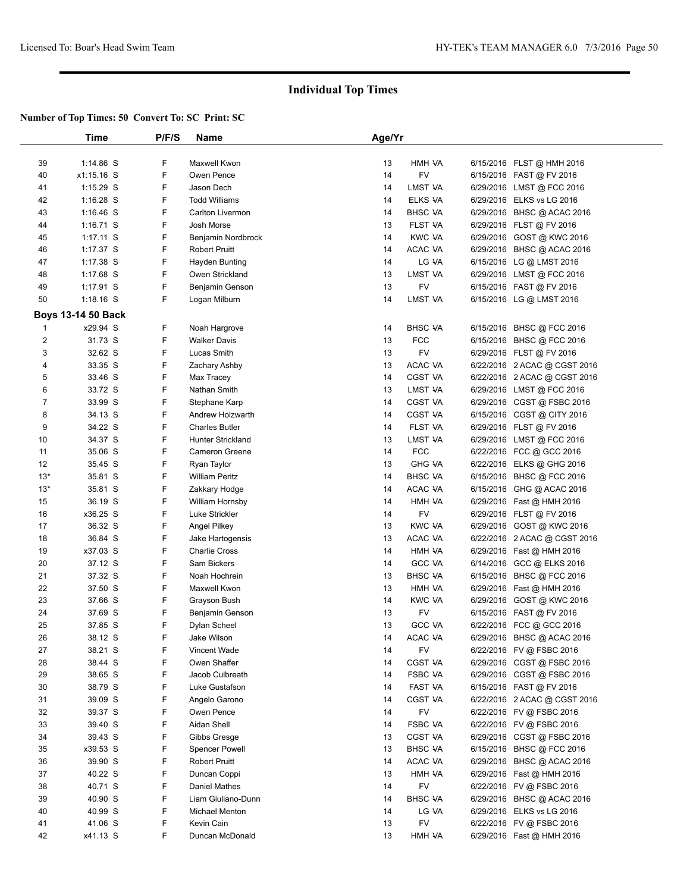| 39<br>1:14.86 S<br>F<br>Maxwell Kwon<br>13<br>HMH VA<br>6/15/2016 FLST @ HMH 2016<br>F<br><b>FV</b><br>40<br>x1:15.16 S<br>Owen Pence<br>14<br>6/15/2016 FAST @ FV 2016<br>F<br>Jason Dech<br>LMST VA<br>41<br>$1:15.29$ S<br>14<br>6/29/2016 LMST @ FCC 2016<br>F<br>42<br>$1:16.28$ S<br><b>Todd Williams</b><br>ELKS VA<br>14<br>6/29/2016 ELKS vs LG 2016<br>F<br>43<br>14<br><b>BHSC VA</b><br>$1:16.46$ S<br>Carlton Livermon<br>6/29/2016 BHSC @ ACAC 2016<br>F<br>FLST VA<br>44<br>$1:16.71$ S<br>Josh Morse<br>13<br>6/29/2016 FLST @ FV 2016<br>F<br><b>KWC VA</b><br>45<br>$1:17.11$ S<br>Benjamin Nordbrock<br>14<br>6/29/2016 GOST @ KWC 2016<br>F<br>46<br>ACAC VA<br>1:17.37 S<br><b>Robert Pruitt</b><br>14<br>6/29/2016 BHSC @ ACAC 2016<br>F<br>47<br>14<br>LG VA<br>$1:17.38$ S<br>Hayden Bunting<br>6/15/2016 LG @ LMST 2016<br>F<br>1:17.68 S<br>13<br>LMST VA<br>48<br>Owen Strickland<br>6/29/2016 LMST @ FCC 2016<br>F<br>49<br>1:17.91 S<br>13<br>FV<br>6/15/2016 FAST @ FV 2016<br>Benjamin Genson<br>F<br>LMST VA<br>50<br>$1:18.16$ S<br>Logan Milburn<br>14<br>6/15/2016 LG @ LMST 2016<br><b>Boys 13-14 50 Back</b><br>F<br>x29.94 S<br><b>BHSC VA</b><br>Noah Hargrove<br>14<br>6/15/2016 BHSC @ FCC 2016<br>$\mathbf{1}$<br>F<br>$\overline{2}$<br>31.73 S<br><b>Walker Davis</b><br>13<br><b>FCC</b><br>6/15/2016 BHSC @ FCC 2016<br>F<br><b>FV</b><br>3<br>32.62 S<br>Lucas Smith<br>13<br>6/29/2016 FLST @ FV 2016<br>F<br>33.35 S<br>ACAC VA<br>4<br>Zachary Ashby<br>13<br>6/22/2016 2 ACAC @ CGST 2016<br>F<br>5<br>33.46 S<br>14<br><b>CGST VA</b><br>Max Tracey<br>6/22/2016 2 ACAC @ CGST 2016<br>F<br>6<br>33.72 S<br>13<br>LMST VA<br>Nathan Smith<br>6/29/2016 LMST @ FCC 2016<br>F<br>7<br><b>CGST VA</b><br>33.99 S<br>Stephane Karp<br>14<br>6/29/2016 CGST @ FSBC 2016<br>F<br>8<br>34.13 S<br>CGST VA<br>Andrew Holzwarth<br>14<br>6/15/2016 CGST @ CITY 2016<br>9<br>34.22 S<br>F<br>FLST VA<br><b>Charles Butler</b><br>14<br>6/29/2016 FLST @ FV 2016<br>F<br>10<br>34.37 S<br>LMST VA<br><b>Hunter Strickland</b><br>13<br>6/29/2016 LMST @ FCC 2016<br>F<br><b>FCC</b><br>11<br>35.06 S<br>14<br>Cameron Greene<br>6/22/2016 FCC @ GCC 2016<br>F<br>12<br>35.45 S<br>13<br><b>GHG VA</b><br>Ryan Taylor<br>6/22/2016 ELKS @ GHG 2016<br>F<br>$13*$<br><b>BHSC VA</b><br>35.81 S<br><b>William Peritz</b><br>14<br>6/15/2016 BHSC @ FCC 2016<br>F<br>$13*$<br>35.81 S<br>14<br>ACAC VA<br>Zakkary Hodge<br>6/15/2016 GHG @ ACAC 2016<br>F<br>15<br>36.19 S<br>14<br>HMH VA<br>William Hornsby<br>6/29/2016 Fast @ HMH 2016<br>F<br>x36.25 S<br>FV<br>16<br>Luke Strickler<br>14<br>6/29/2016 FLST @ FV 2016<br>F<br>17<br>36.32 S<br>13<br><b>KWC VA</b><br>Angel Pilkey<br>6/29/2016 GOST @ KWC 2016<br>F<br>18<br>36.84 S<br>13<br>ACAC VA<br>6/22/2016 2 ACAC @ CGST 2016<br>Jake Hartogensis<br>F<br>HMH VA<br>19<br>x37.03 S<br><b>Charlie Cross</b><br>14<br>6/29/2016 Fast @ HMH 2016<br>F<br>20<br>37.12 S<br>Sam Bickers<br>14<br><b>GCC VA</b><br>6/14/2016 GCC @ ELKS 2016<br>21<br>37.32 S<br>F<br>Noah Hochrein<br><b>BHSC VA</b><br>13<br>6/15/2016 BHSC @ FCC 2016<br>F<br>22<br>37.50 S<br>Maxwell Kwon<br>13<br>HMH VA<br>6/29/2016 Fast @ HMH 2016<br>F<br>23<br>37.66 S<br>14<br><b>KWC VA</b><br>Grayson Bush<br>6/29/2016 GOST @ KWC 2016<br>F<br><b>FV</b><br>24<br>37.69 S<br>13<br>Benjamin Genson<br>6/15/2016 FAST @ FV 2016<br>F<br>25<br>13<br><b>GCC VA</b><br>37.85 S<br>Dylan Scheel<br>6/22/2016 FCC @ GCC 2016<br>ACAC VA<br>26<br>38.12 S<br>F<br>Jake Wilson<br>14<br>6/29/2016 BHSC @ ACAC 2016<br>27<br>F<br>FV<br>38.21 S<br>Vincent Wade<br>14<br>6/22/2016 FV @ FSBC 2016<br>38.44 S<br>F<br>CGST VA<br>28<br>Owen Shaffer<br>14<br>6/29/2016 CGST @ FSBC 2016<br>F<br>29<br>38.65 S<br>FSBC VA<br>Jacob Culbreath<br>14<br>6/29/2016 CGST @ FSBC 2016<br>30<br>F<br>FAST VA<br>38.79 S<br>Luke Gustafson<br>14<br>6/15/2016 FAST @ FV 2016<br>31<br>F<br>CGST VA<br>39.09 S<br>Angelo Garono<br>14<br>6/22/2016 2 ACAC @ CGST 2016<br>32<br>F<br>FV<br>39.37 S<br>Owen Pence<br>14<br>6/22/2016 FV @ FSBC 2016<br>33<br>F<br>Aidan Shell<br>FSBC VA<br>39.40 S<br>6/22/2016 FV @ FSBC 2016<br>14<br>F<br>CGST VA<br>34<br>39.43 S<br>Gibbs Gresge<br>6/29/2016 CGST @ FSBC 2016<br>13<br>F<br><b>Spencer Powell</b><br><b>BHSC VA</b><br>35<br>x39.53 S<br>13<br>6/15/2016 BHSC @ FCC 2016<br>39.90 S<br>F<br>ACAC VA<br>36<br><b>Robert Pruitt</b><br>14<br>6/29/2016 BHSC @ ACAC 2016<br>37<br>F<br>40.22 S<br>Duncan Coppi<br>13<br>HMH VA<br>6/29/2016 Fast @ HMH 2016<br>F<br><b>FV</b><br>40.71 S<br>Daniel Mathes<br>38<br>14<br>6/22/2016 FV @ FSBC 2016<br>F<br><b>BHSC VA</b><br>39<br>40.90 S<br>Liam Giuliano-Dunn<br>6/29/2016 BHSC @ ACAC 2016<br>14<br>F<br>40<br>40.99 S<br>Michael Menton<br>LG VA<br>6/29/2016 ELKS vs LG 2016<br>14<br>F<br><b>FV</b><br>41<br>41.06 S<br>Kevin Cain<br>13<br>6/22/2016 FV @ FSBC 2016<br>42<br>F<br>HMH VA<br>x41.13 S<br>Duncan McDonald<br>13<br>6/29/2016 Fast @ HMH 2016 | Time | P/F/S | <b>Name</b> | Age/Yr |  |  |
|--------------------------------------------------------------------------------------------------------------------------------------------------------------------------------------------------------------------------------------------------------------------------------------------------------------------------------------------------------------------------------------------------------------------------------------------------------------------------------------------------------------------------------------------------------------------------------------------------------------------------------------------------------------------------------------------------------------------------------------------------------------------------------------------------------------------------------------------------------------------------------------------------------------------------------------------------------------------------------------------------------------------------------------------------------------------------------------------------------------------------------------------------------------------------------------------------------------------------------------------------------------------------------------------------------------------------------------------------------------------------------------------------------------------------------------------------------------------------------------------------------------------------------------------------------------------------------------------------------------------------------------------------------------------------------------------------------------------------------------------------------------------------------------------------------------------------------------------------------------------------------------------------------------------------------------------------------------------------------------------------------------------------------------------------------------------------------------------------------------------------------------------------------------------------------------------------------------------------------------------------------------------------------------------------------------------------------------------------------------------------------------------------------------------------------------------------------------------------------------------------------------------------------------------------------------------------------------------------------------------------------------------------------------------------------------------------------------------------------------------------------------------------------------------------------------------------------------------------------------------------------------------------------------------------------------------------------------------------------------------------------------------------------------------------------------------------------------------------------------------------------------------------------------------------------------------------------------------------------------------------------------------------------------------------------------------------------------------------------------------------------------------------------------------------------------------------------------------------------------------------------------------------------------------------------------------------------------------------------------------------------------------------------------------------------------------------------------------------------------------------------------------------------------------------------------------------------------------------------------------------------------------------------------------------------------------------------------------------------------------------------------------------------------------------------------------------------------------------------------------------------------------------------------------------------------------------------------------------------------------------------------------------------------------------------------------------------------------------------------------------------------------------------------------------------------------------------------------------------------------------------------------------------------------------------------------------------------------------------------------------------------------------------------------------------------------------------------------------------------------------------------------------------------------------------------------------------------------------------------------------------------------------------------------------------------------------------------------------------------------------------------------------------|------|-------|-------------|--------|--|--|
|                                                                                                                                                                                                                                                                                                                                                                                                                                                                                                                                                                                                                                                                                                                                                                                                                                                                                                                                                                                                                                                                                                                                                                                                                                                                                                                                                                                                                                                                                                                                                                                                                                                                                                                                                                                                                                                                                                                                                                                                                                                                                                                                                                                                                                                                                                                                                                                                                                                                                                                                                                                                                                                                                                                                                                                                                                                                                                                                                                                                                                                                                                                                                                                                                                                                                                                                                                                                                                                                                                                                                                                                                                                                                                                                                                                                                                                                                                                                                                                                                                                                                                                                                                                                                                                                                                                                                                                                                                                                                                                                                                                                                                                                                                                                                                                                                                                                                                                                                                                                                                |      |       |             |        |  |  |
|                                                                                                                                                                                                                                                                                                                                                                                                                                                                                                                                                                                                                                                                                                                                                                                                                                                                                                                                                                                                                                                                                                                                                                                                                                                                                                                                                                                                                                                                                                                                                                                                                                                                                                                                                                                                                                                                                                                                                                                                                                                                                                                                                                                                                                                                                                                                                                                                                                                                                                                                                                                                                                                                                                                                                                                                                                                                                                                                                                                                                                                                                                                                                                                                                                                                                                                                                                                                                                                                                                                                                                                                                                                                                                                                                                                                                                                                                                                                                                                                                                                                                                                                                                                                                                                                                                                                                                                                                                                                                                                                                                                                                                                                                                                                                                                                                                                                                                                                                                                                                                |      |       |             |        |  |  |
|                                                                                                                                                                                                                                                                                                                                                                                                                                                                                                                                                                                                                                                                                                                                                                                                                                                                                                                                                                                                                                                                                                                                                                                                                                                                                                                                                                                                                                                                                                                                                                                                                                                                                                                                                                                                                                                                                                                                                                                                                                                                                                                                                                                                                                                                                                                                                                                                                                                                                                                                                                                                                                                                                                                                                                                                                                                                                                                                                                                                                                                                                                                                                                                                                                                                                                                                                                                                                                                                                                                                                                                                                                                                                                                                                                                                                                                                                                                                                                                                                                                                                                                                                                                                                                                                                                                                                                                                                                                                                                                                                                                                                                                                                                                                                                                                                                                                                                                                                                                                                                |      |       |             |        |  |  |
|                                                                                                                                                                                                                                                                                                                                                                                                                                                                                                                                                                                                                                                                                                                                                                                                                                                                                                                                                                                                                                                                                                                                                                                                                                                                                                                                                                                                                                                                                                                                                                                                                                                                                                                                                                                                                                                                                                                                                                                                                                                                                                                                                                                                                                                                                                                                                                                                                                                                                                                                                                                                                                                                                                                                                                                                                                                                                                                                                                                                                                                                                                                                                                                                                                                                                                                                                                                                                                                                                                                                                                                                                                                                                                                                                                                                                                                                                                                                                                                                                                                                                                                                                                                                                                                                                                                                                                                                                                                                                                                                                                                                                                                                                                                                                                                                                                                                                                                                                                                                                                |      |       |             |        |  |  |
|                                                                                                                                                                                                                                                                                                                                                                                                                                                                                                                                                                                                                                                                                                                                                                                                                                                                                                                                                                                                                                                                                                                                                                                                                                                                                                                                                                                                                                                                                                                                                                                                                                                                                                                                                                                                                                                                                                                                                                                                                                                                                                                                                                                                                                                                                                                                                                                                                                                                                                                                                                                                                                                                                                                                                                                                                                                                                                                                                                                                                                                                                                                                                                                                                                                                                                                                                                                                                                                                                                                                                                                                                                                                                                                                                                                                                                                                                                                                                                                                                                                                                                                                                                                                                                                                                                                                                                                                                                                                                                                                                                                                                                                                                                                                                                                                                                                                                                                                                                                                                                |      |       |             |        |  |  |
|                                                                                                                                                                                                                                                                                                                                                                                                                                                                                                                                                                                                                                                                                                                                                                                                                                                                                                                                                                                                                                                                                                                                                                                                                                                                                                                                                                                                                                                                                                                                                                                                                                                                                                                                                                                                                                                                                                                                                                                                                                                                                                                                                                                                                                                                                                                                                                                                                                                                                                                                                                                                                                                                                                                                                                                                                                                                                                                                                                                                                                                                                                                                                                                                                                                                                                                                                                                                                                                                                                                                                                                                                                                                                                                                                                                                                                                                                                                                                                                                                                                                                                                                                                                                                                                                                                                                                                                                                                                                                                                                                                                                                                                                                                                                                                                                                                                                                                                                                                                                                                |      |       |             |        |  |  |
|                                                                                                                                                                                                                                                                                                                                                                                                                                                                                                                                                                                                                                                                                                                                                                                                                                                                                                                                                                                                                                                                                                                                                                                                                                                                                                                                                                                                                                                                                                                                                                                                                                                                                                                                                                                                                                                                                                                                                                                                                                                                                                                                                                                                                                                                                                                                                                                                                                                                                                                                                                                                                                                                                                                                                                                                                                                                                                                                                                                                                                                                                                                                                                                                                                                                                                                                                                                                                                                                                                                                                                                                                                                                                                                                                                                                                                                                                                                                                                                                                                                                                                                                                                                                                                                                                                                                                                                                                                                                                                                                                                                                                                                                                                                                                                                                                                                                                                                                                                                                                                |      |       |             |        |  |  |
|                                                                                                                                                                                                                                                                                                                                                                                                                                                                                                                                                                                                                                                                                                                                                                                                                                                                                                                                                                                                                                                                                                                                                                                                                                                                                                                                                                                                                                                                                                                                                                                                                                                                                                                                                                                                                                                                                                                                                                                                                                                                                                                                                                                                                                                                                                                                                                                                                                                                                                                                                                                                                                                                                                                                                                                                                                                                                                                                                                                                                                                                                                                                                                                                                                                                                                                                                                                                                                                                                                                                                                                                                                                                                                                                                                                                                                                                                                                                                                                                                                                                                                                                                                                                                                                                                                                                                                                                                                                                                                                                                                                                                                                                                                                                                                                                                                                                                                                                                                                                                                |      |       |             |        |  |  |
|                                                                                                                                                                                                                                                                                                                                                                                                                                                                                                                                                                                                                                                                                                                                                                                                                                                                                                                                                                                                                                                                                                                                                                                                                                                                                                                                                                                                                                                                                                                                                                                                                                                                                                                                                                                                                                                                                                                                                                                                                                                                                                                                                                                                                                                                                                                                                                                                                                                                                                                                                                                                                                                                                                                                                                                                                                                                                                                                                                                                                                                                                                                                                                                                                                                                                                                                                                                                                                                                                                                                                                                                                                                                                                                                                                                                                                                                                                                                                                                                                                                                                                                                                                                                                                                                                                                                                                                                                                                                                                                                                                                                                                                                                                                                                                                                                                                                                                                                                                                                                                |      |       |             |        |  |  |
|                                                                                                                                                                                                                                                                                                                                                                                                                                                                                                                                                                                                                                                                                                                                                                                                                                                                                                                                                                                                                                                                                                                                                                                                                                                                                                                                                                                                                                                                                                                                                                                                                                                                                                                                                                                                                                                                                                                                                                                                                                                                                                                                                                                                                                                                                                                                                                                                                                                                                                                                                                                                                                                                                                                                                                                                                                                                                                                                                                                                                                                                                                                                                                                                                                                                                                                                                                                                                                                                                                                                                                                                                                                                                                                                                                                                                                                                                                                                                                                                                                                                                                                                                                                                                                                                                                                                                                                                                                                                                                                                                                                                                                                                                                                                                                                                                                                                                                                                                                                                                                |      |       |             |        |  |  |
|                                                                                                                                                                                                                                                                                                                                                                                                                                                                                                                                                                                                                                                                                                                                                                                                                                                                                                                                                                                                                                                                                                                                                                                                                                                                                                                                                                                                                                                                                                                                                                                                                                                                                                                                                                                                                                                                                                                                                                                                                                                                                                                                                                                                                                                                                                                                                                                                                                                                                                                                                                                                                                                                                                                                                                                                                                                                                                                                                                                                                                                                                                                                                                                                                                                                                                                                                                                                                                                                                                                                                                                                                                                                                                                                                                                                                                                                                                                                                                                                                                                                                                                                                                                                                                                                                                                                                                                                                                                                                                                                                                                                                                                                                                                                                                                                                                                                                                                                                                                                                                |      |       |             |        |  |  |
|                                                                                                                                                                                                                                                                                                                                                                                                                                                                                                                                                                                                                                                                                                                                                                                                                                                                                                                                                                                                                                                                                                                                                                                                                                                                                                                                                                                                                                                                                                                                                                                                                                                                                                                                                                                                                                                                                                                                                                                                                                                                                                                                                                                                                                                                                                                                                                                                                                                                                                                                                                                                                                                                                                                                                                                                                                                                                                                                                                                                                                                                                                                                                                                                                                                                                                                                                                                                                                                                                                                                                                                                                                                                                                                                                                                                                                                                                                                                                                                                                                                                                                                                                                                                                                                                                                                                                                                                                                                                                                                                                                                                                                                                                                                                                                                                                                                                                                                                                                                                                                |      |       |             |        |  |  |
|                                                                                                                                                                                                                                                                                                                                                                                                                                                                                                                                                                                                                                                                                                                                                                                                                                                                                                                                                                                                                                                                                                                                                                                                                                                                                                                                                                                                                                                                                                                                                                                                                                                                                                                                                                                                                                                                                                                                                                                                                                                                                                                                                                                                                                                                                                                                                                                                                                                                                                                                                                                                                                                                                                                                                                                                                                                                                                                                                                                                                                                                                                                                                                                                                                                                                                                                                                                                                                                                                                                                                                                                                                                                                                                                                                                                                                                                                                                                                                                                                                                                                                                                                                                                                                                                                                                                                                                                                                                                                                                                                                                                                                                                                                                                                                                                                                                                                                                                                                                                                                |      |       |             |        |  |  |
|                                                                                                                                                                                                                                                                                                                                                                                                                                                                                                                                                                                                                                                                                                                                                                                                                                                                                                                                                                                                                                                                                                                                                                                                                                                                                                                                                                                                                                                                                                                                                                                                                                                                                                                                                                                                                                                                                                                                                                                                                                                                                                                                                                                                                                                                                                                                                                                                                                                                                                                                                                                                                                                                                                                                                                                                                                                                                                                                                                                                                                                                                                                                                                                                                                                                                                                                                                                                                                                                                                                                                                                                                                                                                                                                                                                                                                                                                                                                                                                                                                                                                                                                                                                                                                                                                                                                                                                                                                                                                                                                                                                                                                                                                                                                                                                                                                                                                                                                                                                                                                |      |       |             |        |  |  |
|                                                                                                                                                                                                                                                                                                                                                                                                                                                                                                                                                                                                                                                                                                                                                                                                                                                                                                                                                                                                                                                                                                                                                                                                                                                                                                                                                                                                                                                                                                                                                                                                                                                                                                                                                                                                                                                                                                                                                                                                                                                                                                                                                                                                                                                                                                                                                                                                                                                                                                                                                                                                                                                                                                                                                                                                                                                                                                                                                                                                                                                                                                                                                                                                                                                                                                                                                                                                                                                                                                                                                                                                                                                                                                                                                                                                                                                                                                                                                                                                                                                                                                                                                                                                                                                                                                                                                                                                                                                                                                                                                                                                                                                                                                                                                                                                                                                                                                                                                                                                                                |      |       |             |        |  |  |
|                                                                                                                                                                                                                                                                                                                                                                                                                                                                                                                                                                                                                                                                                                                                                                                                                                                                                                                                                                                                                                                                                                                                                                                                                                                                                                                                                                                                                                                                                                                                                                                                                                                                                                                                                                                                                                                                                                                                                                                                                                                                                                                                                                                                                                                                                                                                                                                                                                                                                                                                                                                                                                                                                                                                                                                                                                                                                                                                                                                                                                                                                                                                                                                                                                                                                                                                                                                                                                                                                                                                                                                                                                                                                                                                                                                                                                                                                                                                                                                                                                                                                                                                                                                                                                                                                                                                                                                                                                                                                                                                                                                                                                                                                                                                                                                                                                                                                                                                                                                                                                |      |       |             |        |  |  |
|                                                                                                                                                                                                                                                                                                                                                                                                                                                                                                                                                                                                                                                                                                                                                                                                                                                                                                                                                                                                                                                                                                                                                                                                                                                                                                                                                                                                                                                                                                                                                                                                                                                                                                                                                                                                                                                                                                                                                                                                                                                                                                                                                                                                                                                                                                                                                                                                                                                                                                                                                                                                                                                                                                                                                                                                                                                                                                                                                                                                                                                                                                                                                                                                                                                                                                                                                                                                                                                                                                                                                                                                                                                                                                                                                                                                                                                                                                                                                                                                                                                                                                                                                                                                                                                                                                                                                                                                                                                                                                                                                                                                                                                                                                                                                                                                                                                                                                                                                                                                                                |      |       |             |        |  |  |
|                                                                                                                                                                                                                                                                                                                                                                                                                                                                                                                                                                                                                                                                                                                                                                                                                                                                                                                                                                                                                                                                                                                                                                                                                                                                                                                                                                                                                                                                                                                                                                                                                                                                                                                                                                                                                                                                                                                                                                                                                                                                                                                                                                                                                                                                                                                                                                                                                                                                                                                                                                                                                                                                                                                                                                                                                                                                                                                                                                                                                                                                                                                                                                                                                                                                                                                                                                                                                                                                                                                                                                                                                                                                                                                                                                                                                                                                                                                                                                                                                                                                                                                                                                                                                                                                                                                                                                                                                                                                                                                                                                                                                                                                                                                                                                                                                                                                                                                                                                                                                                |      |       |             |        |  |  |
|                                                                                                                                                                                                                                                                                                                                                                                                                                                                                                                                                                                                                                                                                                                                                                                                                                                                                                                                                                                                                                                                                                                                                                                                                                                                                                                                                                                                                                                                                                                                                                                                                                                                                                                                                                                                                                                                                                                                                                                                                                                                                                                                                                                                                                                                                                                                                                                                                                                                                                                                                                                                                                                                                                                                                                                                                                                                                                                                                                                                                                                                                                                                                                                                                                                                                                                                                                                                                                                                                                                                                                                                                                                                                                                                                                                                                                                                                                                                                                                                                                                                                                                                                                                                                                                                                                                                                                                                                                                                                                                                                                                                                                                                                                                                                                                                                                                                                                                                                                                                                                |      |       |             |        |  |  |
|                                                                                                                                                                                                                                                                                                                                                                                                                                                                                                                                                                                                                                                                                                                                                                                                                                                                                                                                                                                                                                                                                                                                                                                                                                                                                                                                                                                                                                                                                                                                                                                                                                                                                                                                                                                                                                                                                                                                                                                                                                                                                                                                                                                                                                                                                                                                                                                                                                                                                                                                                                                                                                                                                                                                                                                                                                                                                                                                                                                                                                                                                                                                                                                                                                                                                                                                                                                                                                                                                                                                                                                                                                                                                                                                                                                                                                                                                                                                                                                                                                                                                                                                                                                                                                                                                                                                                                                                                                                                                                                                                                                                                                                                                                                                                                                                                                                                                                                                                                                                                                |      |       |             |        |  |  |
|                                                                                                                                                                                                                                                                                                                                                                                                                                                                                                                                                                                                                                                                                                                                                                                                                                                                                                                                                                                                                                                                                                                                                                                                                                                                                                                                                                                                                                                                                                                                                                                                                                                                                                                                                                                                                                                                                                                                                                                                                                                                                                                                                                                                                                                                                                                                                                                                                                                                                                                                                                                                                                                                                                                                                                                                                                                                                                                                                                                                                                                                                                                                                                                                                                                                                                                                                                                                                                                                                                                                                                                                                                                                                                                                                                                                                                                                                                                                                                                                                                                                                                                                                                                                                                                                                                                                                                                                                                                                                                                                                                                                                                                                                                                                                                                                                                                                                                                                                                                                                                |      |       |             |        |  |  |
|                                                                                                                                                                                                                                                                                                                                                                                                                                                                                                                                                                                                                                                                                                                                                                                                                                                                                                                                                                                                                                                                                                                                                                                                                                                                                                                                                                                                                                                                                                                                                                                                                                                                                                                                                                                                                                                                                                                                                                                                                                                                                                                                                                                                                                                                                                                                                                                                                                                                                                                                                                                                                                                                                                                                                                                                                                                                                                                                                                                                                                                                                                                                                                                                                                                                                                                                                                                                                                                                                                                                                                                                                                                                                                                                                                                                                                                                                                                                                                                                                                                                                                                                                                                                                                                                                                                                                                                                                                                                                                                                                                                                                                                                                                                                                                                                                                                                                                                                                                                                                                |      |       |             |        |  |  |
|                                                                                                                                                                                                                                                                                                                                                                                                                                                                                                                                                                                                                                                                                                                                                                                                                                                                                                                                                                                                                                                                                                                                                                                                                                                                                                                                                                                                                                                                                                                                                                                                                                                                                                                                                                                                                                                                                                                                                                                                                                                                                                                                                                                                                                                                                                                                                                                                                                                                                                                                                                                                                                                                                                                                                                                                                                                                                                                                                                                                                                                                                                                                                                                                                                                                                                                                                                                                                                                                                                                                                                                                                                                                                                                                                                                                                                                                                                                                                                                                                                                                                                                                                                                                                                                                                                                                                                                                                                                                                                                                                                                                                                                                                                                                                                                                                                                                                                                                                                                                                                |      |       |             |        |  |  |
|                                                                                                                                                                                                                                                                                                                                                                                                                                                                                                                                                                                                                                                                                                                                                                                                                                                                                                                                                                                                                                                                                                                                                                                                                                                                                                                                                                                                                                                                                                                                                                                                                                                                                                                                                                                                                                                                                                                                                                                                                                                                                                                                                                                                                                                                                                                                                                                                                                                                                                                                                                                                                                                                                                                                                                                                                                                                                                                                                                                                                                                                                                                                                                                                                                                                                                                                                                                                                                                                                                                                                                                                                                                                                                                                                                                                                                                                                                                                                                                                                                                                                                                                                                                                                                                                                                                                                                                                                                                                                                                                                                                                                                                                                                                                                                                                                                                                                                                                                                                                                                |      |       |             |        |  |  |
|                                                                                                                                                                                                                                                                                                                                                                                                                                                                                                                                                                                                                                                                                                                                                                                                                                                                                                                                                                                                                                                                                                                                                                                                                                                                                                                                                                                                                                                                                                                                                                                                                                                                                                                                                                                                                                                                                                                                                                                                                                                                                                                                                                                                                                                                                                                                                                                                                                                                                                                                                                                                                                                                                                                                                                                                                                                                                                                                                                                                                                                                                                                                                                                                                                                                                                                                                                                                                                                                                                                                                                                                                                                                                                                                                                                                                                                                                                                                                                                                                                                                                                                                                                                                                                                                                                                                                                                                                                                                                                                                                                                                                                                                                                                                                                                                                                                                                                                                                                                                                                |      |       |             |        |  |  |
|                                                                                                                                                                                                                                                                                                                                                                                                                                                                                                                                                                                                                                                                                                                                                                                                                                                                                                                                                                                                                                                                                                                                                                                                                                                                                                                                                                                                                                                                                                                                                                                                                                                                                                                                                                                                                                                                                                                                                                                                                                                                                                                                                                                                                                                                                                                                                                                                                                                                                                                                                                                                                                                                                                                                                                                                                                                                                                                                                                                                                                                                                                                                                                                                                                                                                                                                                                                                                                                                                                                                                                                                                                                                                                                                                                                                                                                                                                                                                                                                                                                                                                                                                                                                                                                                                                                                                                                                                                                                                                                                                                                                                                                                                                                                                                                                                                                                                                                                                                                                                                |      |       |             |        |  |  |
|                                                                                                                                                                                                                                                                                                                                                                                                                                                                                                                                                                                                                                                                                                                                                                                                                                                                                                                                                                                                                                                                                                                                                                                                                                                                                                                                                                                                                                                                                                                                                                                                                                                                                                                                                                                                                                                                                                                                                                                                                                                                                                                                                                                                                                                                                                                                                                                                                                                                                                                                                                                                                                                                                                                                                                                                                                                                                                                                                                                                                                                                                                                                                                                                                                                                                                                                                                                                                                                                                                                                                                                                                                                                                                                                                                                                                                                                                                                                                                                                                                                                                                                                                                                                                                                                                                                                                                                                                                                                                                                                                                                                                                                                                                                                                                                                                                                                                                                                                                                                                                |      |       |             |        |  |  |
|                                                                                                                                                                                                                                                                                                                                                                                                                                                                                                                                                                                                                                                                                                                                                                                                                                                                                                                                                                                                                                                                                                                                                                                                                                                                                                                                                                                                                                                                                                                                                                                                                                                                                                                                                                                                                                                                                                                                                                                                                                                                                                                                                                                                                                                                                                                                                                                                                                                                                                                                                                                                                                                                                                                                                                                                                                                                                                                                                                                                                                                                                                                                                                                                                                                                                                                                                                                                                                                                                                                                                                                                                                                                                                                                                                                                                                                                                                                                                                                                                                                                                                                                                                                                                                                                                                                                                                                                                                                                                                                                                                                                                                                                                                                                                                                                                                                                                                                                                                                                                                |      |       |             |        |  |  |
|                                                                                                                                                                                                                                                                                                                                                                                                                                                                                                                                                                                                                                                                                                                                                                                                                                                                                                                                                                                                                                                                                                                                                                                                                                                                                                                                                                                                                                                                                                                                                                                                                                                                                                                                                                                                                                                                                                                                                                                                                                                                                                                                                                                                                                                                                                                                                                                                                                                                                                                                                                                                                                                                                                                                                                                                                                                                                                                                                                                                                                                                                                                                                                                                                                                                                                                                                                                                                                                                                                                                                                                                                                                                                                                                                                                                                                                                                                                                                                                                                                                                                                                                                                                                                                                                                                                                                                                                                                                                                                                                                                                                                                                                                                                                                                                                                                                                                                                                                                                                                                |      |       |             |        |  |  |
|                                                                                                                                                                                                                                                                                                                                                                                                                                                                                                                                                                                                                                                                                                                                                                                                                                                                                                                                                                                                                                                                                                                                                                                                                                                                                                                                                                                                                                                                                                                                                                                                                                                                                                                                                                                                                                                                                                                                                                                                                                                                                                                                                                                                                                                                                                                                                                                                                                                                                                                                                                                                                                                                                                                                                                                                                                                                                                                                                                                                                                                                                                                                                                                                                                                                                                                                                                                                                                                                                                                                                                                                                                                                                                                                                                                                                                                                                                                                                                                                                                                                                                                                                                                                                                                                                                                                                                                                                                                                                                                                                                                                                                                                                                                                                                                                                                                                                                                                                                                                                                |      |       |             |        |  |  |
|                                                                                                                                                                                                                                                                                                                                                                                                                                                                                                                                                                                                                                                                                                                                                                                                                                                                                                                                                                                                                                                                                                                                                                                                                                                                                                                                                                                                                                                                                                                                                                                                                                                                                                                                                                                                                                                                                                                                                                                                                                                                                                                                                                                                                                                                                                                                                                                                                                                                                                                                                                                                                                                                                                                                                                                                                                                                                                                                                                                                                                                                                                                                                                                                                                                                                                                                                                                                                                                                                                                                                                                                                                                                                                                                                                                                                                                                                                                                                                                                                                                                                                                                                                                                                                                                                                                                                                                                                                                                                                                                                                                                                                                                                                                                                                                                                                                                                                                                                                                                                                |      |       |             |        |  |  |
|                                                                                                                                                                                                                                                                                                                                                                                                                                                                                                                                                                                                                                                                                                                                                                                                                                                                                                                                                                                                                                                                                                                                                                                                                                                                                                                                                                                                                                                                                                                                                                                                                                                                                                                                                                                                                                                                                                                                                                                                                                                                                                                                                                                                                                                                                                                                                                                                                                                                                                                                                                                                                                                                                                                                                                                                                                                                                                                                                                                                                                                                                                                                                                                                                                                                                                                                                                                                                                                                                                                                                                                                                                                                                                                                                                                                                                                                                                                                                                                                                                                                                                                                                                                                                                                                                                                                                                                                                                                                                                                                                                                                                                                                                                                                                                                                                                                                                                                                                                                                                                |      |       |             |        |  |  |
|                                                                                                                                                                                                                                                                                                                                                                                                                                                                                                                                                                                                                                                                                                                                                                                                                                                                                                                                                                                                                                                                                                                                                                                                                                                                                                                                                                                                                                                                                                                                                                                                                                                                                                                                                                                                                                                                                                                                                                                                                                                                                                                                                                                                                                                                                                                                                                                                                                                                                                                                                                                                                                                                                                                                                                                                                                                                                                                                                                                                                                                                                                                                                                                                                                                                                                                                                                                                                                                                                                                                                                                                                                                                                                                                                                                                                                                                                                                                                                                                                                                                                                                                                                                                                                                                                                                                                                                                                                                                                                                                                                                                                                                                                                                                                                                                                                                                                                                                                                                                                                |      |       |             |        |  |  |
|                                                                                                                                                                                                                                                                                                                                                                                                                                                                                                                                                                                                                                                                                                                                                                                                                                                                                                                                                                                                                                                                                                                                                                                                                                                                                                                                                                                                                                                                                                                                                                                                                                                                                                                                                                                                                                                                                                                                                                                                                                                                                                                                                                                                                                                                                                                                                                                                                                                                                                                                                                                                                                                                                                                                                                                                                                                                                                                                                                                                                                                                                                                                                                                                                                                                                                                                                                                                                                                                                                                                                                                                                                                                                                                                                                                                                                                                                                                                                                                                                                                                                                                                                                                                                                                                                                                                                                                                                                                                                                                                                                                                                                                                                                                                                                                                                                                                                                                                                                                                                                |      |       |             |        |  |  |
|                                                                                                                                                                                                                                                                                                                                                                                                                                                                                                                                                                                                                                                                                                                                                                                                                                                                                                                                                                                                                                                                                                                                                                                                                                                                                                                                                                                                                                                                                                                                                                                                                                                                                                                                                                                                                                                                                                                                                                                                                                                                                                                                                                                                                                                                                                                                                                                                                                                                                                                                                                                                                                                                                                                                                                                                                                                                                                                                                                                                                                                                                                                                                                                                                                                                                                                                                                                                                                                                                                                                                                                                                                                                                                                                                                                                                                                                                                                                                                                                                                                                                                                                                                                                                                                                                                                                                                                                                                                                                                                                                                                                                                                                                                                                                                                                                                                                                                                                                                                                                                |      |       |             |        |  |  |
|                                                                                                                                                                                                                                                                                                                                                                                                                                                                                                                                                                                                                                                                                                                                                                                                                                                                                                                                                                                                                                                                                                                                                                                                                                                                                                                                                                                                                                                                                                                                                                                                                                                                                                                                                                                                                                                                                                                                                                                                                                                                                                                                                                                                                                                                                                                                                                                                                                                                                                                                                                                                                                                                                                                                                                                                                                                                                                                                                                                                                                                                                                                                                                                                                                                                                                                                                                                                                                                                                                                                                                                                                                                                                                                                                                                                                                                                                                                                                                                                                                                                                                                                                                                                                                                                                                                                                                                                                                                                                                                                                                                                                                                                                                                                                                                                                                                                                                                                                                                                                                |      |       |             |        |  |  |
|                                                                                                                                                                                                                                                                                                                                                                                                                                                                                                                                                                                                                                                                                                                                                                                                                                                                                                                                                                                                                                                                                                                                                                                                                                                                                                                                                                                                                                                                                                                                                                                                                                                                                                                                                                                                                                                                                                                                                                                                                                                                                                                                                                                                                                                                                                                                                                                                                                                                                                                                                                                                                                                                                                                                                                                                                                                                                                                                                                                                                                                                                                                                                                                                                                                                                                                                                                                                                                                                                                                                                                                                                                                                                                                                                                                                                                                                                                                                                                                                                                                                                                                                                                                                                                                                                                                                                                                                                                                                                                                                                                                                                                                                                                                                                                                                                                                                                                                                                                                                                                |      |       |             |        |  |  |
|                                                                                                                                                                                                                                                                                                                                                                                                                                                                                                                                                                                                                                                                                                                                                                                                                                                                                                                                                                                                                                                                                                                                                                                                                                                                                                                                                                                                                                                                                                                                                                                                                                                                                                                                                                                                                                                                                                                                                                                                                                                                                                                                                                                                                                                                                                                                                                                                                                                                                                                                                                                                                                                                                                                                                                                                                                                                                                                                                                                                                                                                                                                                                                                                                                                                                                                                                                                                                                                                                                                                                                                                                                                                                                                                                                                                                                                                                                                                                                                                                                                                                                                                                                                                                                                                                                                                                                                                                                                                                                                                                                                                                                                                                                                                                                                                                                                                                                                                                                                                                                |      |       |             |        |  |  |
|                                                                                                                                                                                                                                                                                                                                                                                                                                                                                                                                                                                                                                                                                                                                                                                                                                                                                                                                                                                                                                                                                                                                                                                                                                                                                                                                                                                                                                                                                                                                                                                                                                                                                                                                                                                                                                                                                                                                                                                                                                                                                                                                                                                                                                                                                                                                                                                                                                                                                                                                                                                                                                                                                                                                                                                                                                                                                                                                                                                                                                                                                                                                                                                                                                                                                                                                                                                                                                                                                                                                                                                                                                                                                                                                                                                                                                                                                                                                                                                                                                                                                                                                                                                                                                                                                                                                                                                                                                                                                                                                                                                                                                                                                                                                                                                                                                                                                                                                                                                                                                |      |       |             |        |  |  |
|                                                                                                                                                                                                                                                                                                                                                                                                                                                                                                                                                                                                                                                                                                                                                                                                                                                                                                                                                                                                                                                                                                                                                                                                                                                                                                                                                                                                                                                                                                                                                                                                                                                                                                                                                                                                                                                                                                                                                                                                                                                                                                                                                                                                                                                                                                                                                                                                                                                                                                                                                                                                                                                                                                                                                                                                                                                                                                                                                                                                                                                                                                                                                                                                                                                                                                                                                                                                                                                                                                                                                                                                                                                                                                                                                                                                                                                                                                                                                                                                                                                                                                                                                                                                                                                                                                                                                                                                                                                                                                                                                                                                                                                                                                                                                                                                                                                                                                                                                                                                                                |      |       |             |        |  |  |
|                                                                                                                                                                                                                                                                                                                                                                                                                                                                                                                                                                                                                                                                                                                                                                                                                                                                                                                                                                                                                                                                                                                                                                                                                                                                                                                                                                                                                                                                                                                                                                                                                                                                                                                                                                                                                                                                                                                                                                                                                                                                                                                                                                                                                                                                                                                                                                                                                                                                                                                                                                                                                                                                                                                                                                                                                                                                                                                                                                                                                                                                                                                                                                                                                                                                                                                                                                                                                                                                                                                                                                                                                                                                                                                                                                                                                                                                                                                                                                                                                                                                                                                                                                                                                                                                                                                                                                                                                                                                                                                                                                                                                                                                                                                                                                                                                                                                                                                                                                                                                                |      |       |             |        |  |  |
|                                                                                                                                                                                                                                                                                                                                                                                                                                                                                                                                                                                                                                                                                                                                                                                                                                                                                                                                                                                                                                                                                                                                                                                                                                                                                                                                                                                                                                                                                                                                                                                                                                                                                                                                                                                                                                                                                                                                                                                                                                                                                                                                                                                                                                                                                                                                                                                                                                                                                                                                                                                                                                                                                                                                                                                                                                                                                                                                                                                                                                                                                                                                                                                                                                                                                                                                                                                                                                                                                                                                                                                                                                                                                                                                                                                                                                                                                                                                                                                                                                                                                                                                                                                                                                                                                                                                                                                                                                                                                                                                                                                                                                                                                                                                                                                                                                                                                                                                                                                                                                |      |       |             |        |  |  |
|                                                                                                                                                                                                                                                                                                                                                                                                                                                                                                                                                                                                                                                                                                                                                                                                                                                                                                                                                                                                                                                                                                                                                                                                                                                                                                                                                                                                                                                                                                                                                                                                                                                                                                                                                                                                                                                                                                                                                                                                                                                                                                                                                                                                                                                                                                                                                                                                                                                                                                                                                                                                                                                                                                                                                                                                                                                                                                                                                                                                                                                                                                                                                                                                                                                                                                                                                                                                                                                                                                                                                                                                                                                                                                                                                                                                                                                                                                                                                                                                                                                                                                                                                                                                                                                                                                                                                                                                                                                                                                                                                                                                                                                                                                                                                                                                                                                                                                                                                                                                                                |      |       |             |        |  |  |
|                                                                                                                                                                                                                                                                                                                                                                                                                                                                                                                                                                                                                                                                                                                                                                                                                                                                                                                                                                                                                                                                                                                                                                                                                                                                                                                                                                                                                                                                                                                                                                                                                                                                                                                                                                                                                                                                                                                                                                                                                                                                                                                                                                                                                                                                                                                                                                                                                                                                                                                                                                                                                                                                                                                                                                                                                                                                                                                                                                                                                                                                                                                                                                                                                                                                                                                                                                                                                                                                                                                                                                                                                                                                                                                                                                                                                                                                                                                                                                                                                                                                                                                                                                                                                                                                                                                                                                                                                                                                                                                                                                                                                                                                                                                                                                                                                                                                                                                                                                                                                                |      |       |             |        |  |  |
|                                                                                                                                                                                                                                                                                                                                                                                                                                                                                                                                                                                                                                                                                                                                                                                                                                                                                                                                                                                                                                                                                                                                                                                                                                                                                                                                                                                                                                                                                                                                                                                                                                                                                                                                                                                                                                                                                                                                                                                                                                                                                                                                                                                                                                                                                                                                                                                                                                                                                                                                                                                                                                                                                                                                                                                                                                                                                                                                                                                                                                                                                                                                                                                                                                                                                                                                                                                                                                                                                                                                                                                                                                                                                                                                                                                                                                                                                                                                                                                                                                                                                                                                                                                                                                                                                                                                                                                                                                                                                                                                                                                                                                                                                                                                                                                                                                                                                                                                                                                                                                |      |       |             |        |  |  |
|                                                                                                                                                                                                                                                                                                                                                                                                                                                                                                                                                                                                                                                                                                                                                                                                                                                                                                                                                                                                                                                                                                                                                                                                                                                                                                                                                                                                                                                                                                                                                                                                                                                                                                                                                                                                                                                                                                                                                                                                                                                                                                                                                                                                                                                                                                                                                                                                                                                                                                                                                                                                                                                                                                                                                                                                                                                                                                                                                                                                                                                                                                                                                                                                                                                                                                                                                                                                                                                                                                                                                                                                                                                                                                                                                                                                                                                                                                                                                                                                                                                                                                                                                                                                                                                                                                                                                                                                                                                                                                                                                                                                                                                                                                                                                                                                                                                                                                                                                                                                                                |      |       |             |        |  |  |
|                                                                                                                                                                                                                                                                                                                                                                                                                                                                                                                                                                                                                                                                                                                                                                                                                                                                                                                                                                                                                                                                                                                                                                                                                                                                                                                                                                                                                                                                                                                                                                                                                                                                                                                                                                                                                                                                                                                                                                                                                                                                                                                                                                                                                                                                                                                                                                                                                                                                                                                                                                                                                                                                                                                                                                                                                                                                                                                                                                                                                                                                                                                                                                                                                                                                                                                                                                                                                                                                                                                                                                                                                                                                                                                                                                                                                                                                                                                                                                                                                                                                                                                                                                                                                                                                                                                                                                                                                                                                                                                                                                                                                                                                                                                                                                                                                                                                                                                                                                                                                                |      |       |             |        |  |  |
|                                                                                                                                                                                                                                                                                                                                                                                                                                                                                                                                                                                                                                                                                                                                                                                                                                                                                                                                                                                                                                                                                                                                                                                                                                                                                                                                                                                                                                                                                                                                                                                                                                                                                                                                                                                                                                                                                                                                                                                                                                                                                                                                                                                                                                                                                                                                                                                                                                                                                                                                                                                                                                                                                                                                                                                                                                                                                                                                                                                                                                                                                                                                                                                                                                                                                                                                                                                                                                                                                                                                                                                                                                                                                                                                                                                                                                                                                                                                                                                                                                                                                                                                                                                                                                                                                                                                                                                                                                                                                                                                                                                                                                                                                                                                                                                                                                                                                                                                                                                                                                |      |       |             |        |  |  |
|                                                                                                                                                                                                                                                                                                                                                                                                                                                                                                                                                                                                                                                                                                                                                                                                                                                                                                                                                                                                                                                                                                                                                                                                                                                                                                                                                                                                                                                                                                                                                                                                                                                                                                                                                                                                                                                                                                                                                                                                                                                                                                                                                                                                                                                                                                                                                                                                                                                                                                                                                                                                                                                                                                                                                                                                                                                                                                                                                                                                                                                                                                                                                                                                                                                                                                                                                                                                                                                                                                                                                                                                                                                                                                                                                                                                                                                                                                                                                                                                                                                                                                                                                                                                                                                                                                                                                                                                                                                                                                                                                                                                                                                                                                                                                                                                                                                                                                                                                                                                                                |      |       |             |        |  |  |
|                                                                                                                                                                                                                                                                                                                                                                                                                                                                                                                                                                                                                                                                                                                                                                                                                                                                                                                                                                                                                                                                                                                                                                                                                                                                                                                                                                                                                                                                                                                                                                                                                                                                                                                                                                                                                                                                                                                                                                                                                                                                                                                                                                                                                                                                                                                                                                                                                                                                                                                                                                                                                                                                                                                                                                                                                                                                                                                                                                                                                                                                                                                                                                                                                                                                                                                                                                                                                                                                                                                                                                                                                                                                                                                                                                                                                                                                                                                                                                                                                                                                                                                                                                                                                                                                                                                                                                                                                                                                                                                                                                                                                                                                                                                                                                                                                                                                                                                                                                                                                                |      |       |             |        |  |  |
|                                                                                                                                                                                                                                                                                                                                                                                                                                                                                                                                                                                                                                                                                                                                                                                                                                                                                                                                                                                                                                                                                                                                                                                                                                                                                                                                                                                                                                                                                                                                                                                                                                                                                                                                                                                                                                                                                                                                                                                                                                                                                                                                                                                                                                                                                                                                                                                                                                                                                                                                                                                                                                                                                                                                                                                                                                                                                                                                                                                                                                                                                                                                                                                                                                                                                                                                                                                                                                                                                                                                                                                                                                                                                                                                                                                                                                                                                                                                                                                                                                                                                                                                                                                                                                                                                                                                                                                                                                                                                                                                                                                                                                                                                                                                                                                                                                                                                                                                                                                                                                |      |       |             |        |  |  |
|                                                                                                                                                                                                                                                                                                                                                                                                                                                                                                                                                                                                                                                                                                                                                                                                                                                                                                                                                                                                                                                                                                                                                                                                                                                                                                                                                                                                                                                                                                                                                                                                                                                                                                                                                                                                                                                                                                                                                                                                                                                                                                                                                                                                                                                                                                                                                                                                                                                                                                                                                                                                                                                                                                                                                                                                                                                                                                                                                                                                                                                                                                                                                                                                                                                                                                                                                                                                                                                                                                                                                                                                                                                                                                                                                                                                                                                                                                                                                                                                                                                                                                                                                                                                                                                                                                                                                                                                                                                                                                                                                                                                                                                                                                                                                                                                                                                                                                                                                                                                                                |      |       |             |        |  |  |
|                                                                                                                                                                                                                                                                                                                                                                                                                                                                                                                                                                                                                                                                                                                                                                                                                                                                                                                                                                                                                                                                                                                                                                                                                                                                                                                                                                                                                                                                                                                                                                                                                                                                                                                                                                                                                                                                                                                                                                                                                                                                                                                                                                                                                                                                                                                                                                                                                                                                                                                                                                                                                                                                                                                                                                                                                                                                                                                                                                                                                                                                                                                                                                                                                                                                                                                                                                                                                                                                                                                                                                                                                                                                                                                                                                                                                                                                                                                                                                                                                                                                                                                                                                                                                                                                                                                                                                                                                                                                                                                                                                                                                                                                                                                                                                                                                                                                                                                                                                                                                                |      |       |             |        |  |  |
|                                                                                                                                                                                                                                                                                                                                                                                                                                                                                                                                                                                                                                                                                                                                                                                                                                                                                                                                                                                                                                                                                                                                                                                                                                                                                                                                                                                                                                                                                                                                                                                                                                                                                                                                                                                                                                                                                                                                                                                                                                                                                                                                                                                                                                                                                                                                                                                                                                                                                                                                                                                                                                                                                                                                                                                                                                                                                                                                                                                                                                                                                                                                                                                                                                                                                                                                                                                                                                                                                                                                                                                                                                                                                                                                                                                                                                                                                                                                                                                                                                                                                                                                                                                                                                                                                                                                                                                                                                                                                                                                                                                                                                                                                                                                                                                                                                                                                                                                                                                                                                |      |       |             |        |  |  |
|                                                                                                                                                                                                                                                                                                                                                                                                                                                                                                                                                                                                                                                                                                                                                                                                                                                                                                                                                                                                                                                                                                                                                                                                                                                                                                                                                                                                                                                                                                                                                                                                                                                                                                                                                                                                                                                                                                                                                                                                                                                                                                                                                                                                                                                                                                                                                                                                                                                                                                                                                                                                                                                                                                                                                                                                                                                                                                                                                                                                                                                                                                                                                                                                                                                                                                                                                                                                                                                                                                                                                                                                                                                                                                                                                                                                                                                                                                                                                                                                                                                                                                                                                                                                                                                                                                                                                                                                                                                                                                                                                                                                                                                                                                                                                                                                                                                                                                                                                                                                                                |      |       |             |        |  |  |
|                                                                                                                                                                                                                                                                                                                                                                                                                                                                                                                                                                                                                                                                                                                                                                                                                                                                                                                                                                                                                                                                                                                                                                                                                                                                                                                                                                                                                                                                                                                                                                                                                                                                                                                                                                                                                                                                                                                                                                                                                                                                                                                                                                                                                                                                                                                                                                                                                                                                                                                                                                                                                                                                                                                                                                                                                                                                                                                                                                                                                                                                                                                                                                                                                                                                                                                                                                                                                                                                                                                                                                                                                                                                                                                                                                                                                                                                                                                                                                                                                                                                                                                                                                                                                                                                                                                                                                                                                                                                                                                                                                                                                                                                                                                                                                                                                                                                                                                                                                                                                                |      |       |             |        |  |  |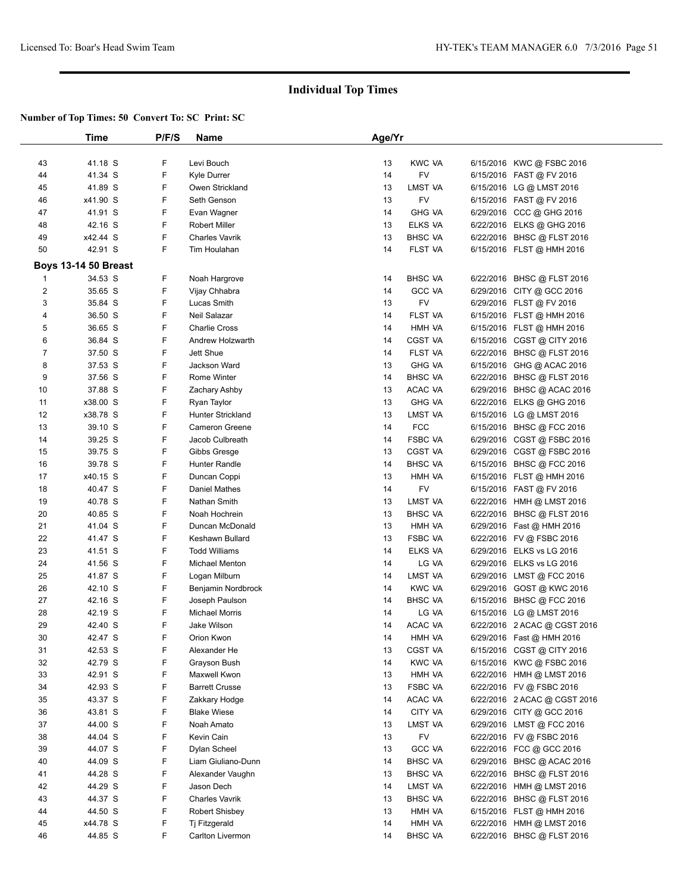|                     | Time                        | P/F/S  | <b>Name</b>              | Age/Yr |                |                                                         |  |
|---------------------|-----------------------------|--------|--------------------------|--------|----------------|---------------------------------------------------------|--|
|                     |                             |        |                          |        |                |                                                         |  |
| 43                  | 41.18 S                     | F      | Levi Bouch               | 13     | <b>KWC VA</b>  | 6/15/2016 KWC @ FSBC 2016                               |  |
| 44                  | 41.34 S                     | F      | Kyle Durrer              | 14     | FV             | 6/15/2016 FAST @ FV 2016                                |  |
| 45                  | 41.89 S                     | F      | Owen Strickland          | 13     | LMST VA        | 6/15/2016 LG @ LMST 2016                                |  |
| 46                  | x41.90 S                    | F      | Seth Genson              | 13     | FV             | 6/15/2016 FAST @ FV 2016                                |  |
| 47                  | 41.91 S                     | F      | Evan Wagner              | 14     | <b>GHG VA</b>  | 6/29/2016 CCC @ GHG 2016                                |  |
| 48                  | 42.16 S                     | F      | <b>Robert Miller</b>     | 13     | ELKS VA        | 6/22/2016 ELKS @ GHG 2016                               |  |
| 49                  | x42.44 S                    | F      | <b>Charles Vavrik</b>    | 13     | <b>BHSC VA</b> | 6/22/2016 BHSC @ FLST 2016                              |  |
| 50                  | 42.91 S                     | F      | Tim Houlahan             | 14     | FLST VA        | 6/15/2016 FLST @ HMH 2016                               |  |
|                     | <b>Boys 13-14 50 Breast</b> |        |                          |        |                |                                                         |  |
| $\mathbf 1$         | 34.53 S                     | F      | Noah Hargrove            | 14     | <b>BHSC VA</b> | 6/22/2016 BHSC @ FLST 2016                              |  |
| $\overline{c}$      | 35.65 S                     | F      | Vijay Chhabra            | 14     | <b>GCC VA</b>  | 6/29/2016 CITY @ GCC 2016                               |  |
| 3                   | 35.84 S                     | F      | Lucas Smith              | 13     | FV             | 6/29/2016 FLST @ FV 2016                                |  |
| 4                   | 36.50 S                     | F      | Neil Salazar             | 14     | FLST VA        | 6/15/2016 FLST @ HMH 2016                               |  |
| 5                   | 36.65 S                     | F      | <b>Charlie Cross</b>     | 14     | HMH VA         |                                                         |  |
|                     | 36.84 S                     | F      | Andrew Holzwarth         | 14     | <b>CGST VA</b> | 6/15/2016 FLST @ HMH 2016<br>6/15/2016 CGST @ CITY 2016 |  |
| 6<br>$\overline{7}$ |                             | F      | Jett Shue                |        |                |                                                         |  |
|                     | 37.50 S                     |        |                          | 14     | FLST VA        | 6/22/2016 BHSC @ FLST 2016                              |  |
| 8                   | 37.53 S                     | F<br>F | Jackson Ward             | 13     | <b>GHG VA</b>  | 6/15/2016 GHG @ ACAC 2016                               |  |
| 9                   | 37.56 S                     |        | Rome Winter              | 14     | <b>BHSC VA</b> | 6/22/2016 BHSC @ FLST 2016                              |  |
| 10                  | 37.88 S                     | F      | Zachary Ashby            | 13     | ACAC VA        | 6/29/2016 BHSC @ ACAC 2016                              |  |
| 11                  | x38.00 S                    | F      | Ryan Taylor              | 13     | <b>GHG VA</b>  | 6/22/2016 ELKS @ GHG 2016                               |  |
| 12                  | x38.78 S                    | F      | <b>Hunter Strickland</b> | 13     | LMST VA        | 6/15/2016 LG @ LMST 2016                                |  |
| 13                  | 39.10 S                     | F      | <b>Cameron Greene</b>    | 14     | <b>FCC</b>     | 6/15/2016 BHSC @ FCC 2016                               |  |
| 14                  | 39.25 S                     | F      | Jacob Culbreath          | 14     | <b>FSBC VA</b> | 6/29/2016 CGST @ FSBC 2016                              |  |
| 15                  | 39.75 S                     | F      | Gibbs Gresge             | 13     | <b>CGST VA</b> | 6/29/2016 CGST @ FSBC 2016                              |  |
| 16                  | 39.78 S                     | F      | Hunter Randle            | 14     | <b>BHSC VA</b> | 6/15/2016 BHSC @ FCC 2016                               |  |
| 17                  | x40.15 S                    | F      | Duncan Coppi             | 13     | HMH VA         | 6/15/2016 FLST @ HMH 2016                               |  |
| 18                  | 40.47 S                     | F      | <b>Daniel Mathes</b>     | 14     | FV             | 6/15/2016 FAST @ FV 2016                                |  |
| 19                  | 40.78 S                     | F      | Nathan Smith             | 13     | LMST VA        | 6/22/2016 HMH @ LMST 2016                               |  |
| 20                  | 40.85 S                     | F      | Noah Hochrein            | 13     | <b>BHSC VA</b> | 6/22/2016 BHSC @ FLST 2016                              |  |
| 21                  | 41.04 S                     | F      | Duncan McDonald          | 13     | HMH VA         | 6/29/2016 Fast @ HMH 2016                               |  |
| 22                  | 41.47 S                     | F      | Keshawn Bullard          | 13     | <b>FSBC VA</b> | 6/22/2016 FV @ FSBC 2016                                |  |
| 23                  | 41.51 S                     | F      | <b>Todd Williams</b>     | 14     | ELKS VA        | 6/29/2016 ELKS vs LG 2016                               |  |
| 24                  | 41.56 S                     | F      | Michael Menton           | 14     | LG VA          | 6/29/2016 ELKS vs LG 2016                               |  |
| 25                  | 41.87 S                     | F      | Logan Milburn            | 14     | LMST VA        | 6/29/2016 LMST @ FCC 2016                               |  |
| 26                  | 42.10 S                     | F      | Benjamin Nordbrock       | 14     | <b>KWC VA</b>  | 6/29/2016 GOST @ KWC 2016                               |  |
| 27                  | 42.16 S                     | F      | Joseph Paulson           | 14     | <b>BHSC VA</b> | 6/15/2016 BHSC @ FCC 2016                               |  |
| 28                  | 42.19 S                     | F      | <b>Michael Morris</b>    | 14     | LG VA          | 6/15/2016 LG @ LMST 2016                                |  |
| 29                  | 42.40 S                     | F      | Jake Wilson              | 14     | ACAC VA        | 6/22/2016 2 ACAC @ CGST 2016                            |  |
| 30                  | 42.47 S                     | F      | Orion Kwon               | 14     | HMH VA         | 6/29/2016 Fast @ HMH 2016                               |  |
| 31                  | 42.53 S                     | F      | Alexander He             | 13     | <b>CGST VA</b> | 6/15/2016 CGST @ CITY 2016                              |  |
| 32                  | 42.79 S                     | F      | Grayson Bush             | 14     | <b>KWC VA</b>  | 6/15/2016 KWC @ FSBC 2016                               |  |
| 33                  | 42.91 S                     | F      | Maxwell Kwon             | 13     | HMH VA         | 6/22/2016 HMH @ LMST 2016                               |  |
| 34                  | 42.93 S                     | F      | <b>Barrett Crusse</b>    | 13     | FSBC VA        | 6/22/2016 FV @ FSBC 2016                                |  |
| 35                  | 43.37 S                     | F      | Zakkary Hodge            | 14     | ACAC VA        | 6/22/2016 2 ACAC @ CGST 2016                            |  |
| 36                  | 43.81 S                     | F      | <b>Blake Wiese</b>       | 14     | CITY VA        | 6/29/2016 CITY @ GCC 2016                               |  |
| 37                  | 44.00 S                     | F      | Noah Amato               | 13     | LMST VA        | 6/29/2016 LMST @ FCC 2016                               |  |
| 38                  | 44.04 S                     | F      | Kevin Cain               | 13     | <b>FV</b>      | 6/22/2016 FV @ FSBC 2016                                |  |
| 39                  | 44.07 S                     | F      | Dylan Scheel             | 13     | <b>GCC VA</b>  | 6/22/2016 FCC @ GCC 2016                                |  |
| 40                  | 44.09 S                     | F      | Liam Giuliano-Dunn       | 14     | <b>BHSC VA</b> | 6/29/2016 BHSC @ ACAC 2016                              |  |
| 41                  | 44.28 S                     | F      | Alexander Vaughn         | 13     | <b>BHSC VA</b> | 6/22/2016 BHSC @ FLST 2016                              |  |
| 42                  | 44.29 S                     | F      | Jason Dech               | 14     | LMST VA        | 6/22/2016 HMH @ LMST 2016                               |  |
| 43                  | 44.37 S                     | F      | <b>Charles Vavrik</b>    | 13     | <b>BHSC VA</b> | 6/22/2016 BHSC @ FLST 2016                              |  |
| 44                  | 44.50 S                     | F      | <b>Robert Shisbey</b>    | 13     | HMH VA         | 6/15/2016 FLST @ HMH 2016                               |  |
| 45                  | x44.78 S                    | F      | Tj Fitzgerald            | 14     | HMH VA         | 6/22/2016 HMH @ LMST 2016                               |  |
| 46                  | 44.85 S                     | F      | Carlton Livermon         | 14     | <b>BHSC VA</b> | 6/22/2016 BHSC @ FLST 2016                              |  |
|                     |                             |        |                          |        |                |                                                         |  |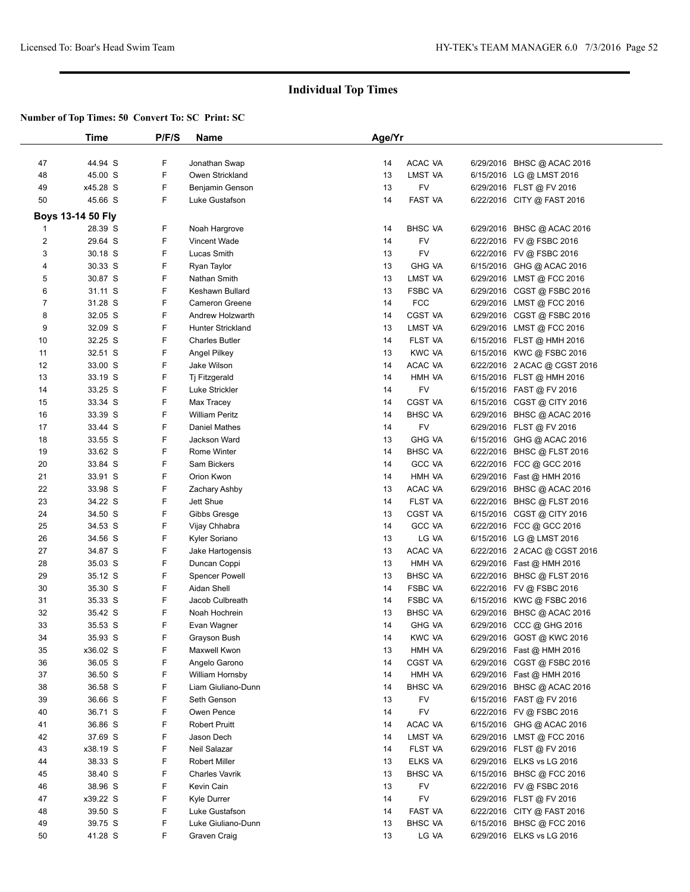|                | Time                     | P/F/S | Name                     | Age/Yr |                |           |                              |  |
|----------------|--------------------------|-------|--------------------------|--------|----------------|-----------|------------------------------|--|
|                |                          |       |                          |        |                |           |                              |  |
| 47             | 44.94 S                  | F     | Jonathan Swap            | 14     | ACAC VA        |           | 6/29/2016 BHSC @ ACAC 2016   |  |
| 48             | 45.00 S                  | F     | Owen Strickland          | 13     | LMST VA        |           | 6/15/2016 LG @ LMST 2016     |  |
| 49             | x45.28 S                 | F     | Benjamin Genson          | 13     | FV             |           | 6/29/2016 FLST @ FV 2016     |  |
| 50             | 45.66 S                  | F.    | Luke Gustafson           | 14     | <b>FAST VA</b> |           | 6/22/2016 CITY @ FAST 2016   |  |
|                |                          |       |                          |        |                |           |                              |  |
|                | <b>Boys 13-14 50 Fly</b> |       |                          |        |                |           |                              |  |
| 1              | 28.39 S                  | F     | Noah Hargrove            | 14     | <b>BHSC VA</b> |           | 6/29/2016 BHSC @ ACAC 2016   |  |
| 2              | 29.64 S                  | F     | Vincent Wade             | 14     | FV             |           | 6/22/2016 FV @ FSBC 2016     |  |
| 3              | 30.18 S                  | F     | Lucas Smith              | 13     | FV             |           | 6/22/2016 FV @ FSBC 2016     |  |
| 4              | 30.33 S                  | F     | Ryan Taylor              | 13     | <b>GHG VA</b>  |           | 6/15/2016 GHG @ ACAC 2016    |  |
| 5              | 30.87 S                  | F     | Nathan Smith             | 13     | LMST VA        |           | 6/29/2016 LMST @ FCC 2016    |  |
| 6              | 31.11 S                  | F     | Keshawn Bullard          | 13     | FSBC VA        |           | 6/29/2016 CGST @ FSBC 2016   |  |
| $\overline{7}$ | 31.28 S                  | F     | Cameron Greene           | 14     | <b>FCC</b>     |           | 6/29/2016 LMST @ FCC 2016    |  |
| 8              | 32.05 S                  | F     | Andrew Holzwarth         | 14     | CGST VA        |           | 6/29/2016 CGST @ FSBC 2016   |  |
| 9              | 32.09 S                  | F     | <b>Hunter Strickland</b> | 13     | LMST VA        |           | 6/29/2016 LMST @ FCC 2016    |  |
| 10             | 32.25 S                  | F     | <b>Charles Butler</b>    | 14     | FLST VA        |           | 6/15/2016 FLST @ HMH 2016    |  |
| 11             | 32.51 S                  | F     | Angel Pilkey             | 13     | <b>KWC VA</b>  |           | 6/15/2016 KWC @ FSBC 2016    |  |
| 12             | 33.00 S                  | F     | Jake Wilson              | 14     | ACAC VA        |           | 6/22/2016 2 ACAC @ CGST 2016 |  |
| 13             | 33.19 S                  | F     | Tj Fitzgerald            | 14     | HMH VA         |           | 6/15/2016 FLST @ HMH 2016    |  |
| 14             | 33.25 S                  | F     | Luke Strickler           | 14     | FV             |           | 6/15/2016 FAST @ FV 2016     |  |
| 15             | 33.34 S                  | F     | Max Tracey               | 14     | <b>CGST VA</b> |           | 6/15/2016 CGST @ CITY 2016   |  |
| 16             | 33.39 S                  | F     | <b>William Peritz</b>    | 14     | <b>BHSC VA</b> |           | 6/29/2016 BHSC @ ACAC 2016   |  |
| 17             | 33.44 S                  | F     | Daniel Mathes            | 14     | FV             |           | 6/29/2016 FLST @ FV 2016     |  |
| 18             | 33.55 S                  | F     | Jackson Ward             | 13     | <b>GHG VA</b>  |           | 6/15/2016 GHG @ ACAC 2016    |  |
| 19             | 33.62 S                  | F     | Rome Winter              | 14     | <b>BHSC VA</b> |           | 6/22/2016 BHSC @ FLST 2016   |  |
| 20             | 33.84 S                  | F     | Sam Bickers              | 14     | <b>GCC VA</b>  |           | 6/22/2016 FCC @ GCC 2016     |  |
| 21             | 33.91 S                  | F     | Orion Kwon               | 14     | HMH VA         |           | 6/29/2016 Fast @ HMH 2016    |  |
| 22             | 33.98 S                  | F     | Zachary Ashby            | 13     | ACAC VA        |           | 6/29/2016 BHSC @ ACAC 2016   |  |
| 23             | 34.22 S                  | F     | Jett Shue                | 14     | FLST VA        |           | 6/22/2016 BHSC @ FLST 2016   |  |
| 24             | 34.50 S                  | F     | Gibbs Gresge             | 13     | <b>CGST VA</b> |           | 6/15/2016 CGST @ CITY 2016   |  |
| 25             | 34.53 S                  | F     | Vijay Chhabra            | 14     | <b>GCC VA</b>  |           | 6/22/2016 FCC @ GCC 2016     |  |
| 26             | 34.56 S                  | F     | Kyler Soriano            | 13     | LG VA          |           | 6/15/2016 LG @ LMST 2016     |  |
| 27             | 34.87 S                  | F     | Jake Hartogensis         | 13     | ACAC VA        |           | 6/22/2016 2 ACAC @ CGST 2016 |  |
| 28             | 35.03 S                  | F     | Duncan Coppi             | 13     | HMH VA         |           | 6/29/2016 Fast @ HMH 2016    |  |
| 29             | 35.12 S                  | F     | <b>Spencer Powell</b>    | 13     | <b>BHSC VA</b> |           | 6/22/2016 BHSC @ FLST 2016   |  |
| 30             | 35.30 S                  | F     | Aidan Shell              | 14     | <b>FSBC VA</b> |           | 6/22/2016 FV @ FSBC 2016     |  |
| 31             | 35.33 S                  | F     | Jacob Culbreath          | 14     | <b>FSBC VA</b> |           | 6/15/2016 KWC @ FSBC 2016    |  |
| 32             | 35.42 S                  | F     | Noah Hochrein            | 13     | <b>BHSC VA</b> | 6/29/2016 | BHSC @ ACAC 2016             |  |
| 33             | 35.53 S                  | F     | Evan Wagner              | 14     | <b>GHG VA</b>  |           | 6/29/2016 CCC @ GHG 2016     |  |
| 34             | 35.93 S                  | F     | Grayson Bush             | 14     | <b>KWC VA</b>  |           | 6/29/2016 GOST @ KWC 2016    |  |
| 35             | x36.02 S                 | F     | Maxwell Kwon             | 13     | HMH VA         |           | 6/29/2016 Fast @ HMH 2016    |  |
| 36             | 36.05 S                  | F     | Angelo Garono            | 14     | CGST VA        |           | 6/29/2016 CGST @ FSBC 2016   |  |
| 37             | 36.50 S                  | F     | William Hornsby          | 14     | HMH VA         |           | 6/29/2016 Fast @ HMH 2016    |  |
| 38             | 36.58 S                  | F     | Liam Giuliano-Dunn       | 14     | <b>BHSC VA</b> |           | 6/29/2016 BHSC @ ACAC 2016   |  |
| 39             | 36.66 S                  | F     | Seth Genson              | 13     | <b>FV</b>      |           | 6/15/2016 FAST @ FV 2016     |  |
| 40             | 36.71 S                  | F     | Owen Pence               | 14     | FV             |           | 6/22/2016 FV @ FSBC 2016     |  |
| 41             | 36.86 S                  | F     | <b>Robert Pruitt</b>     | 14     | ACAC VA        |           | 6/15/2016 GHG @ ACAC 2016    |  |
| 42             | 37.69 S                  | F     | Jason Dech               | 14     | LMST VA        |           | 6/29/2016 LMST @ FCC 2016    |  |
| 43             | x38.19 S                 | F     | Neil Salazar             | 14     | FLST VA        |           | 6/29/2016 FLST @ FV 2016     |  |
| 44             | 38.33 S                  | F     | <b>Robert Miller</b>     | 13     | ELKS VA        |           | 6/29/2016 ELKS vs LG 2016    |  |
|                |                          | F     |                          |        |                |           |                              |  |
| 45             | 38.40 S                  |       | <b>Charles Vavrik</b>    | 13     | <b>BHSC VA</b> |           | 6/15/2016 BHSC @ FCC 2016    |  |
| 46             | 38.96 S                  | F     | Kevin Cain               | 13     | <b>FV</b>      |           | 6/22/2016 FV @ FSBC 2016     |  |
| 47             | x39.22 S                 | F     | Kyle Durrer              | 14     | FV             |           | 6/29/2016 FLST @ FV 2016     |  |
| 48             | 39.50 S                  | F     | Luke Gustafson           | 14     | FAST VA        |           | 6/22/2016 CITY @ FAST 2016   |  |
| 49             | 39.75 S                  | F     | Luke Giuliano-Dunn       | 13     | <b>BHSC VA</b> |           | 6/15/2016 BHSC @ FCC 2016    |  |
| 50             | 41.28 S                  | F     | Graven Craig             | 13     | LG VA          |           | 6/29/2016 ELKS vs LG 2016    |  |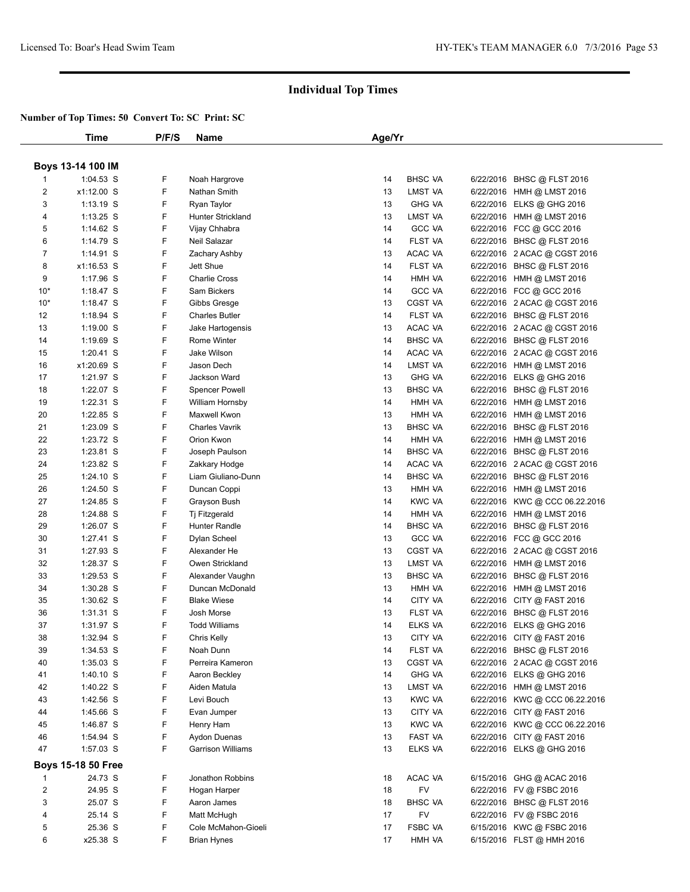|                | Time                       | P/F/S  | Name                              | Age/Yr   |                          |                                                            |  |
|----------------|----------------------------|--------|-----------------------------------|----------|--------------------------|------------------------------------------------------------|--|
|                |                            |        |                                   |          |                          |                                                            |  |
|                | <b>Boys 13-14 100 IM</b>   |        |                                   |          |                          |                                                            |  |
| 1              | $1:04.53$ S                | F      | Noah Hargrove                     | 14       | <b>BHSC VA</b>           | 6/22/2016 BHSC @ FLST 2016                                 |  |
| $\overline{2}$ | x1:12.00 S                 | F      | Nathan Smith                      | 13       | LMST VA                  | 6/22/2016 HMH @ LMST 2016                                  |  |
| 3              | $1:13.19$ S                | F      | Ryan Taylor                       | 13       | <b>GHG VA</b>            | 6/22/2016 ELKS @ GHG 2016                                  |  |
| 4              | 1:13.25 S                  | F      | Hunter Strickland                 | 13       | LMST VA                  | 6/22/2016 HMH @ LMST 2016                                  |  |
| 5              | 1:14.62 S                  | F      | Vijay Chhabra                     | 14       | GCC VA                   | 6/22/2016 FCC @ GCC 2016                                   |  |
| 6              | $1:14.79$ S                | F      | Neil Salazar                      | 14       | <b>FLST VA</b>           | 6/22/2016 BHSC @ FLST 2016                                 |  |
| 7              | $1:14.91$ S                | F      | Zachary Ashby                     | 13       | ACAC VA                  | 6/22/2016 2 ACAC @ CGST 2016                               |  |
| 8              | x1:16.53 S                 | F      | Jett Shue                         | 14       | FLST VA                  | 6/22/2016 BHSC @ FLST 2016                                 |  |
| 9              | 1:17.96 S                  | F      | <b>Charlie Cross</b>              | 14       | HMH VA                   | 6/22/2016 HMH @ LMST 2016                                  |  |
| $10*$          | 1:18.47 $S$                | F      | Sam Bickers                       | 14       | <b>GCC VA</b>            | 6/22/2016 FCC @ GCC 2016                                   |  |
| $10*$          | 1:18.47 $S$                | F      | Gibbs Gresge                      | 13       | <b>CGST VA</b>           | 6/22/2016 2 ACAC @ CGST 2016                               |  |
| 12             | $1:18.94$ S                | F      | <b>Charles Butler</b>             | 14       | FLST VA                  | 6/22/2016 BHSC @ FLST 2016                                 |  |
| 13             | $1:19.00$ S                | F      | Jake Hartogensis                  | 13       | ACAC VA                  | 6/22/2016 2 ACAC @ CGST 2016                               |  |
| 14             | $1:19.69$ S                | F      | Rome Winter                       | 14       | <b>BHSC VA</b>           | 6/22/2016 BHSC @ FLST 2016                                 |  |
| 15             | $1:20.41$ S                | F      | Jake Wilson                       | 14       | ACAC VA                  | 6/22/2016 2 ACAC @ CGST 2016                               |  |
| 16             | x1:20.69 S                 | F      | Jason Dech                        | 14       | LMST VA                  | 6/22/2016 HMH @ LMST 2016                                  |  |
| 17             | 1:21.97 S                  | F      | Jackson Ward                      | 13       | <b>GHG VA</b>            | 6/22/2016 ELKS @ GHG 2016                                  |  |
| 18             | $1:22.07$ S                | F      | <b>Spencer Powell</b>             | 13       | <b>BHSC VA</b>           | 6/22/2016 BHSC @ FLST 2016                                 |  |
| 19             | 1:22.31 S                  | F      | William Hornsby                   | 14       | HMH VA                   | 6/22/2016 HMH @ LMST 2016                                  |  |
| 20             | $1:22.85$ S                | F      | Maxwell Kwon                      | 13       | HMH VA                   | 6/22/2016 HMH @ LMST 2016                                  |  |
| 21             | $1:23.09$ S                | F      | <b>Charles Vavrik</b>             | 13       | <b>BHSC VA</b>           | 6/22/2016 BHSC @ FLST 2016                                 |  |
| 22             | 1:23.72 S                  | F      | Orion Kwon                        | 14       | HMH VA                   | 6/22/2016 HMH @ LMST 2016                                  |  |
| 23             | 1:23.81 S                  | F      | Joseph Paulson                    | 14       | <b>BHSC VA</b>           | 6/22/2016 BHSC @ FLST 2016                                 |  |
| 24             | $1:23.82$ S                | F      | Zakkary Hodge                     | 14       | ACAC VA                  | 6/22/2016 2 ACAC @ CGST 2016                               |  |
| 25             | 1:24.10 S                  | F      | Liam Giuliano-Dunn                | 14       | <b>BHSC VA</b>           | 6/22/2016 BHSC @ FLST 2016                                 |  |
| 26             | 1:24.50 S                  | F      | Duncan Coppi                      | 13       | HMH VA                   | 6/22/2016 HMH @ LMST 2016                                  |  |
| 27             | $1:24.85$ S                | F      | Grayson Bush                      | 14       | <b>KWC VA</b>            | 6/22/2016 KWC @ CCC 06.22.2016                             |  |
| 28             | 1:24.88 S                  | F      | Tj Fitzgerald                     | 14       | HMH VA                   | 6/22/2016 HMH @ LMST 2016                                  |  |
| 29             | 1:26.07 $S$                | F      | Hunter Randle                     | 14       | <b>BHSC VA</b>           | 6/22/2016 BHSC @ FLST 2016                                 |  |
| 30             | $1:27.41$ S                | F      | Dylan Scheel                      | 13       | GCC VA                   | 6/22/2016 FCC @ GCC 2016                                   |  |
| 31             | 1:27.93 S                  | F      | Alexander He                      | 13       | <b>CGST VA</b>           | 6/22/2016 2 ACAC @ CGST 2016                               |  |
| 32             | 1:28.37 S                  | F      | Owen Strickland                   | 13       | LMST VA                  | 6/22/2016 HMH @ LMST 2016                                  |  |
| 33             | $1:29.53$ S                | F      | Alexander Vaughn                  | 13       | <b>BHSC VA</b>           | 6/22/2016 BHSC @ FLST 2016                                 |  |
| 34             | $1:30.28$ S                | F      | Duncan McDonald                   | 13       | HMH VA                   | 6/22/2016 HMH @ LMST 2016                                  |  |
| 35             | $1:30.62$ S                | F      | <b>Blake Wiese</b>                | 14       | CITY VA                  | 6/22/2016 CITY @ FAST 2016                                 |  |
| 36             | $1:31.31$ S                | F      | Josh Morse                        | 13       | <b>FLST VA</b>           | 6/22/2016 BHSC @ FLST 2016                                 |  |
| 37             | 1:31.97 S                  | F<br>F | <b>Todd Williams</b>              | 14       | ELKS VA                  | 6/22/2016 ELKS @ GHG 2016                                  |  |
| 38             | 1:32.94 S                  |        | Chris Kelly                       | 13       | CITY VA                  | 6/22/2016 CITY @ FAST 2016                                 |  |
| 39             | $1:34.53$ S<br>$1:35.03$ S | F      | Noah Dunn                         | 14       | <b>FLST VA</b>           | 6/22/2016 BHSC @ FLST 2016<br>6/22/2016 2 ACAC @ CGST 2016 |  |
| 40<br>41       | $1:40.10$ S                | F<br>F | Perreira Kameron<br>Aaron Beckley | 13<br>14 | CGST VA<br><b>GHG VA</b> | 6/22/2016 ELKS @ GHG 2016                                  |  |
| 42             | 1:40.22 $S$                | F      | Aiden Matula                      | 13       | LMST VA                  | 6/22/2016 HMH @ LMST 2016                                  |  |
| 43             | 1:42.56 S                  | F      | Levi Bouch                        | 13       | <b>KWC VA</b>            | 6/22/2016 KWC @ CCC 06.22.2016                             |  |
| 44             | 1:45.66 S                  | F      | Evan Jumper                       | 13       | CITY VA                  | 6/22/2016 CITY @ FAST 2016                                 |  |
| 45             | 1:46.87 S                  | F      | Henry Ham                         | 13       | <b>KWC VA</b>            | 6/22/2016 KWC @ CCC 06.22.2016                             |  |
| 46             | 1:54.94 S                  | F      | Aydon Duenas                      | 13       | FAST VA                  | 6/22/2016 CITY @ FAST 2016                                 |  |
| 47             | $1:57.03$ S                | F      | <b>Garrison Williams</b>          | 13       | ELKS VA                  | 6/22/2016 ELKS @ GHG 2016                                  |  |
|                |                            |        |                                   |          |                          |                                                            |  |
|                | <b>Boys 15-18 50 Free</b>  |        |                                   |          |                          |                                                            |  |
| 1              | 24.73 S                    | F      | Jonathon Robbins                  | 18       | ACAC VA                  | 6/15/2016 GHG @ ACAC 2016                                  |  |
| 2              | 24.95 S                    | F      | Hogan Harper                      | 18       | FV                       | 6/22/2016 FV @ FSBC 2016                                   |  |
| 3              | 25.07 S                    | F      | Aaron James                       | 18       | <b>BHSC VA</b>           | 6/22/2016 BHSC @ FLST 2016                                 |  |
| 4              | 25.14 S                    | F      | Matt McHugh                       | 17       | FV                       | 6/22/2016 FV @ FSBC 2016                                   |  |
| 5              | 25.36 S                    | F      | Cole McMahon-Gioeli               | 17       | <b>FSBC VA</b>           | 6/15/2016 KWC @ FSBC 2016                                  |  |
| 6              | x25.38 S                   | F      | Brian Hynes                       | 17       | HMH VA                   | 6/15/2016 FLST @ HMH 2016                                  |  |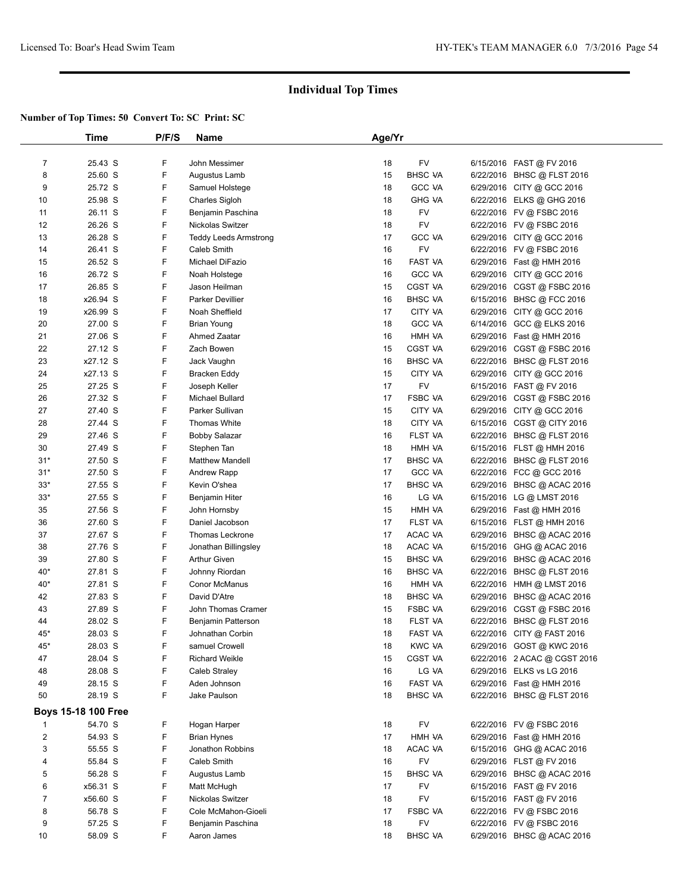|                | Time                | P/F/S | Name                         | Age/Yr   |                    |           |                              |  |
|----------------|---------------------|-------|------------------------------|----------|--------------------|-----------|------------------------------|--|
|                |                     |       |                              |          |                    |           |                              |  |
| $\overline{7}$ | 25.43 S             | F     | John Messimer                | 18       | FV                 |           | 6/15/2016 FAST @ FV 2016     |  |
| 8              | 25.60 S             | F     | Augustus Lamb                | 15       | <b>BHSC VA</b>     |           | 6/22/2016 BHSC @ FLST 2016   |  |
| 9              | 25.72 S             | F     | Samuel Holstege              | 18       | <b>GCC VA</b>      |           | 6/29/2016 CITY @ GCC 2016    |  |
| 10             | 25.98 S             | F     | Charles Sigloh               | 18       | <b>GHG VA</b>      |           | 6/22/2016 ELKS @ GHG 2016    |  |
| 11             | 26.11 S             | F     | Benjamin Paschina            | 18       | FV                 |           | 6/22/2016 FV @ FSBC 2016     |  |
| 12             | 26.26 S             | F     | Nickolas Switzer             | 18       | FV                 |           | 6/22/2016 FV @ FSBC 2016     |  |
| 13             | 26.28 S             | F     | <b>Teddy Leeds Armstrong</b> | 17       | <b>GCC VA</b>      |           | 6/29/2016 CITY @ GCC 2016    |  |
| 14             | 26.41 S             | F     | Caleb Smith                  | 16       | <b>FV</b>          |           | 6/22/2016 FV @ FSBC 2016     |  |
| 15             | 26.52 S             | F     | Michael DiFazio              | 16       | <b>FAST VA</b>     |           | 6/29/2016 Fast @ HMH 2016    |  |
| 16             | 26.72 S             | F     | Noah Holstege                | 16       | <b>GCC VA</b>      |           | 6/29/2016 CITY @ GCC 2016    |  |
| 17             | 26.85 S             | F     | Jason Heilman                | 15       | <b>CGST VA</b>     |           | 6/29/2016 CGST @ FSBC 2016   |  |
| 18             | x26.94 S            | F     | <b>Parker Devillier</b>      | 16       | <b>BHSC VA</b>     |           | 6/15/2016 BHSC @ FCC 2016    |  |
| 19             | x26.99 S            | F     | Noah Sheffield               | 17       | CITY VA            |           | 6/29/2016 CITY @ GCC 2016    |  |
| 20             | 27.00 S             | F     | Brian Young                  | 18       | <b>GCC VA</b>      | 6/14/2016 | GCC @ ELKS 2016              |  |
| 21             | 27.06 S             | F     | Ahmed Zaatar                 | 16       | HMH VA             |           | 6/29/2016 Fast @ HMH 2016    |  |
| 22             | 27.12 S             | F     | Zach Bowen                   | 15       | CGST VA            |           | 6/29/2016 CGST @ FSBC 2016   |  |
| 23             | x27.12 S            | F     | Jack Vaughn                  | 16       | <b>BHSC VA</b>     |           | 6/22/2016 BHSC @ FLST 2016   |  |
| 24             | x27.13 S            | F     | Bracken Eddy                 | 15       | CITY VA            |           | 6/29/2016 CITY @ GCC 2016    |  |
| 25             | 27.25 S             | F     | Joseph Keller                | 17       | FV                 |           | 6/15/2016 FAST @ FV 2016     |  |
| 26             | 27.32 S             | F     | <b>Michael Bullard</b>       | 17       | <b>FSBC VA</b>     |           | 6/29/2016 CGST @ FSBC 2016   |  |
|                |                     | F     |                              |          |                    |           |                              |  |
| 27             | 27.40 S<br>27.44 S  | F     | Parker Sullivan              | 15<br>18 | CITY VA<br>CITY VA |           | 6/29/2016 CITY @ GCC 2016    |  |
| 28             |                     |       | Thomas White                 |          |                    |           | 6/15/2016 CGST @ CITY 2016   |  |
| 29             | 27.46 S             | F     | <b>Bobby Salazar</b>         | 16       | FLST VA            |           | 6/22/2016 BHSC @ FLST 2016   |  |
| 30             | 27.49 S             | F     | Stephen Tan                  | 18       | HMH VA             |           | 6/15/2016 FLST @ HMH 2016    |  |
| $31*$          | 27.50 S             | F     | <b>Matthew Mandell</b>       | 17       | <b>BHSC VA</b>     |           | 6/22/2016 BHSC @ FLST 2016   |  |
| $31*$          | 27.50 S             | F     | <b>Andrew Rapp</b>           | 17       | <b>GCC VA</b>      |           | 6/22/2016 FCC @ GCC 2016     |  |
| $33*$          | 27.55 S             | F     | Kevin O'shea                 | 17       | <b>BHSC VA</b>     |           | 6/29/2016 BHSC @ ACAC 2016   |  |
| $33*$          | 27.55 S             | F     | Benjamin Hiter               | 16       | LG VA              |           | 6/15/2016 LG @ LMST 2016     |  |
| 35             | 27.56 S             | F     | John Hornsby                 | 15       | HMH VA             |           | 6/29/2016 Fast @ HMH 2016    |  |
| 36             | 27.60 S             | F     | Daniel Jacobson              | 17       | FLST VA            |           | 6/15/2016 FLST @ HMH 2016    |  |
| 37             | 27.67 S             | F     | Thomas Leckrone              | 17       | ACAC VA            |           | 6/29/2016 BHSC @ ACAC 2016   |  |
| 38             | 27.76 S             | F     | Jonathan Billingsley         | 18       | ACAC VA            | 6/15/2016 | GHG @ ACAC 2016              |  |
| 39             | 27.80 S             | F     | <b>Arthur Given</b>          | 15       | <b>BHSC VA</b>     | 6/29/2016 | BHSC @ ACAC 2016             |  |
| $40*$          | 27.81 S             | F     | Johnny Riordan               | 16       | <b>BHSC VA</b>     |           | 6/22/2016 BHSC @ FLST 2016   |  |
| 40*            | 27.81 S             | F     | <b>Conor McManus</b>         | 16       | HMH VA             |           | 6/22/2016 HMH @ LMST 2016    |  |
| 42             | 27.83 S             | F     | David D'Atre                 | 18       | <b>BHSC VA</b>     |           | 6/29/2016 BHSC @ ACAC 2016   |  |
| 43             | 27.89 S             | F     | John Thomas Cramer           | 15       | FSBC VA            |           | 6/29/2016 CGST @ FSBC 2016   |  |
| 44             | 28.02 S             | F     | Benjamin Patterson           | 18       | FLST VA            |           | 6/22/2016 BHSC @ FLST 2016   |  |
| 45*            | 28.03 S             | F     | Johnathan Corbin             | 18       | <b>FAST VA</b>     |           | 6/22/2016 CITY @ FAST 2016   |  |
| 45*            | 28.03 S             | F     | samuel Crowell               | 18       | <b>KWC VA</b>      |           | 6/29/2016 GOST @ KWC 2016    |  |
| 47             | 28.04 S             | F     | <b>Richard Weikle</b>        | 15       | CGST VA            |           | 6/22/2016 2 ACAC @ CGST 2016 |  |
| 48             | 28.08 S             | F     | Caleb Straley                | 16       | LG VA              |           | 6/29/2016 ELKS vs LG 2016    |  |
| 49             | 28.15 S             | F     | Aden Johnson                 | 16       | FAST VA            |           | 6/29/2016 Fast @ HMH 2016    |  |
| 50             | 28.19 S             | F     | Jake Paulson                 | 18       | <b>BHSC VA</b>     |           | 6/22/2016 BHSC @ FLST 2016   |  |
|                | Boys 15-18 100 Free |       |                              |          |                    |           |                              |  |
| 1              | 54.70 S             | F     | Hogan Harper                 | 18       | FV                 |           | 6/22/2016 FV @ FSBC 2016     |  |
| 2              | 54.93 S             | F     | <b>Brian Hynes</b>           | 17       | HMH VA             |           | 6/29/2016 Fast @ HMH 2016    |  |
| 3              | 55.55 S             | F     | Jonathon Robbins             | 18       | ACAC VA            |           | 6/15/2016 GHG @ ACAC 2016    |  |
| 4              | 55.84 S             | F     | Caleb Smith                  | 16       | FV                 |           | 6/29/2016 FLST @ FV 2016     |  |
| 5              | 56.28 S             | F     | Augustus Lamb                | 15       | <b>BHSC VA</b>     |           | 6/29/2016 BHSC @ ACAC 2016   |  |
| 6              | x56.31 S            | F     | Matt McHugh                  | 17       | FV                 |           | 6/15/2016 FAST @ FV 2016     |  |
| 7              | x56.60 S            | F     | Nickolas Switzer             | 18       | FV                 |           | 6/15/2016 FAST @ FV 2016     |  |
| 8              | 56.78 S             | F     | Cole McMahon-Gioeli          | 17       | <b>FSBC VA</b>     |           | 6/22/2016 FV @ FSBC 2016     |  |
| 9              | 57.25 S             | F     | Benjamin Paschina            | 18       | <b>FV</b>          |           | 6/22/2016 FV @ FSBC 2016     |  |
| 10             | 58.09 S             | F     | Aaron James                  | 18       | <b>BHSC VA</b>     |           | 6/29/2016 BHSC @ ACAC 2016   |  |
|                |                     |       |                              |          |                    |           |                              |  |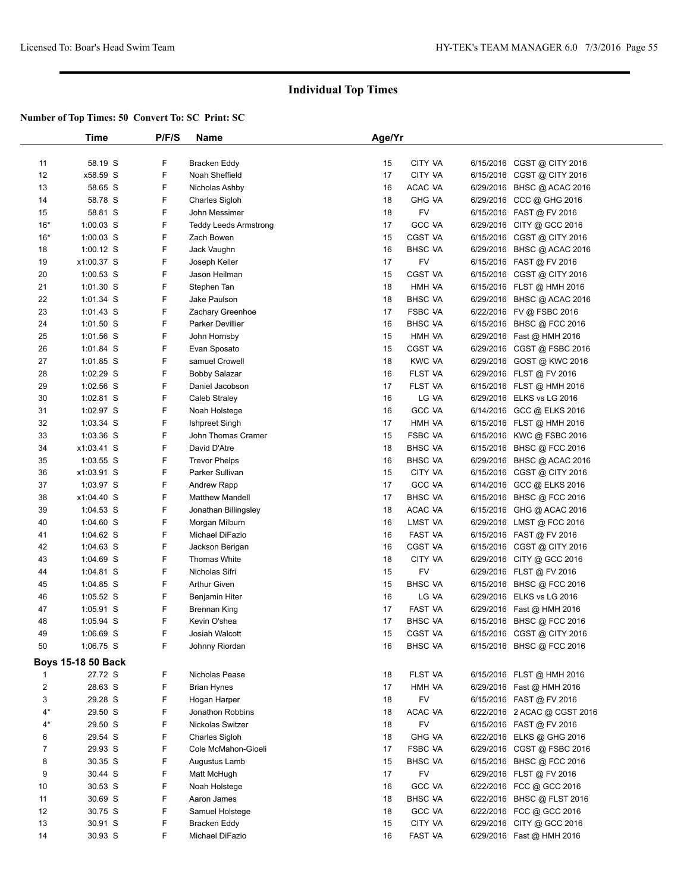|                | Time               | P/F/S | Name                         | Age/Yr |                                 |           |                              |  |
|----------------|--------------------|-------|------------------------------|--------|---------------------------------|-----------|------------------------------|--|
|                |                    |       |                              |        |                                 |           |                              |  |
| 11             | 58.19 S            | F     | Bracken Eddy                 | 15     | CITY VA                         |           | 6/15/2016 CGST @ CITY 2016   |  |
| 12             | x58.59 S           | F     | Noah Sheffield               | 17     | CITY VA                         |           | 6/15/2016 CGST @ CITY 2016   |  |
| 13             | 58.65 S            | F     | Nicholas Ashby               | 16     | ACAC VA                         |           | 6/29/2016 BHSC @ ACAC 2016   |  |
| 14             | 58.78 S            | F     | Charles Sigloh               | 18     | <b>GHG VA</b>                   |           | 6/29/2016 CCC @ GHG 2016     |  |
| 15             | 58.81 S            | F     | John Messimer                | 18     | <b>FV</b>                       |           | 6/15/2016 FAST @ FV 2016     |  |
| $16*$          | $1:00.03$ S        | F     | <b>Teddy Leeds Armstrong</b> | 17     | <b>GCC VA</b>                   |           | 6/29/2016 CITY @ GCC 2016    |  |
| $16*$          | $1:00.03$ S        | F     | Zach Bowen                   | 15     | CGST VA                         |           | 6/15/2016 CGST @ CITY 2016   |  |
| 18             | $1:00.12$ S        | F     | Jack Vaughn                  | 16     | <b>BHSC VA</b>                  |           | 6/29/2016 BHSC @ ACAC 2016   |  |
| 19             | x1:00.37 S         | F     | Joseph Keller                | 17     | <b>FV</b>                       |           | 6/15/2016 FAST @ FV 2016     |  |
| 20             | $1:00.53$ S        | F     | Jason Heilman                | 15     | <b>CGST VA</b>                  |           | 6/15/2016 CGST @ CITY 2016   |  |
| 21             | $1:01.30$ S        | F     | Stephen Tan                  | 18     | HMH VA                          |           | 6/15/2016 FLST @ HMH 2016    |  |
| 22             | $1:01.34$ S        | F     | Jake Paulson                 | 18     | <b>BHSC VA</b>                  |           | 6/29/2016 BHSC @ ACAC 2016   |  |
| 23             | $1:01.43$ S        | F     | Zachary Greenhoe             | 17     | <b>FSBC VA</b>                  |           | 6/22/2016 FV @ FSBC 2016     |  |
| 24             | $1:01.50$ S        | F     | <b>Parker Devillier</b>      | 16     | <b>BHSC VA</b>                  |           | 6/15/2016 BHSC @ FCC 2016    |  |
| 25             | $1:01.56$ S        | F     | John Hornsby                 | 15     | HMH VA                          |           | 6/29/2016 Fast @ HMH 2016    |  |
| 26             | $1:01.84$ S        | F     | Evan Sposato                 | 15     | CGST VA                         |           | 6/29/2016 CGST @ FSBC 2016   |  |
| 27             | $1:01.85$ S        | F     | samuel Crowell               | 18     | <b>KWC VA</b>                   |           | 6/29/2016 GOST @ KWC 2016    |  |
| 28             | 1:02.29 S          | F     | Bobby Salazar                | 16     | FLST VA                         |           | 6/29/2016 FLST @ FV 2016     |  |
| 29             | $1:02.56$ S        | F     | Daniel Jacobson              | 17     | <b>FLST VA</b>                  |           | 6/15/2016 FLST @ HMH 2016    |  |
| 30             | 1:02.81 S          | F     | <b>Caleb Straley</b>         | 16     | LG VA                           |           | 6/29/2016 ELKS vs LG 2016    |  |
| 31             | 1:02.97 S          | F     | Noah Holstege                | 16     | GCC VA                          |           | 6/14/2016 GCC @ ELKS 2016    |  |
| 32             | 1:03.34 S          | F     | Ishpreet Singh               | 17     | HMH VA                          |           | 6/15/2016 FLST @ HMH 2016    |  |
| 33             | 1:03.36 S          | F     | John Thomas Cramer           | 15     | <b>FSBC VA</b>                  |           | 6/15/2016 KWC @ FSBC 2016    |  |
| 34             | x1:03.41 S         | F     | David D'Atre                 | 18     | <b>BHSC VA</b>                  |           | 6/15/2016 BHSC @ FCC 2016    |  |
| 35             | $1:03.55$ S        | F     | <b>Trevor Phelps</b>         | 16     | <b>BHSC VA</b>                  |           | 6/29/2016 BHSC @ ACAC 2016   |  |
| 36             | x1:03.91 S         | F     | Parker Sullivan              | 15     | CITY VA                         |           | 6/15/2016 CGST @ CITY 2016   |  |
|                |                    | F     |                              | 17     |                                 |           |                              |  |
| 37             | 1:03.97 S          | F     | <b>Andrew Rapp</b>           | 17     | <b>GCC VA</b><br><b>BHSC VA</b> |           | 6/14/2016 GCC @ ELKS 2016    |  |
| 38             | x1:04.40 S         | F     | <b>Matthew Mandell</b>       |        |                                 |           | 6/15/2016 BHSC @ FCC 2016    |  |
| 39             | $1:04.53$ S        | F     | Jonathan Billingsley         | 18     | ACAC VA                         |           | 6/15/2016 GHG @ ACAC 2016    |  |
| 40             | $1:04.60$ S        | F     | Morgan Milburn               | 16     | LMST VA                         |           | 6/29/2016 LMST @ FCC 2016    |  |
| 41             | $1:04.62$ S        |       | Michael DiFazio              | 16     | FAST VA                         |           | 6/15/2016 FAST @ FV 2016     |  |
| 42             | $1:04.63$ S        | F     | Jackson Berigan              | 16     | CGST VA                         | 6/15/2016 | CGST @ CITY 2016             |  |
| 43             | $1:04.69$ S        | F     | Thomas White                 | 18     | CITY VA                         | 6/29/2016 | CITY @ GCC 2016              |  |
| 44             | $1:04.81$ S        | F     | Nicholas Sifri               | 15     | FV                              |           | 6/29/2016 FLST @ FV 2016     |  |
| 45             | $1:04.85$ S        | F     | <b>Arthur Given</b>          | 15     | <b>BHSC VA</b>                  |           | 6/15/2016 BHSC @ FCC 2016    |  |
| 46             | 1:05.52 S          | F     | Benjamin Hiter               | 16     | LG VA                           |           | 6/29/2016 ELKS vs LG 2016    |  |
| 47             | $1:05.91$ S        | F     | Brennan King                 | 17     | <b>FAST VA</b>                  |           | 6/29/2016 Fast @ HMH 2016    |  |
| 48             | 1:05.94 S          | F     | Kevin O'shea                 | 17     | <b>BHSC VA</b>                  |           | 6/15/2016 BHSC @ FCC 2016    |  |
| 49             | $1:06.69$ S        | F     | <b>Josiah Walcott</b>        | 15     | CGST VA                         |           | 6/15/2016 CGST @ CITY 2016   |  |
| 50             | 1:06.75 S          | F.    | Johnny Riordan               | 16     | <b>BHSC VA</b>                  |           | 6/15/2016 BHSC @ FCC 2016    |  |
|                | Boys 15-18 50 Back |       |                              |        |                                 |           |                              |  |
| -1             | 27.72 S            | F     | Nicholas Pease               | 18     | FLST VA                         |           | 6/15/2016 FLST @ HMH 2016    |  |
| $\overline{2}$ | 28.63 S            | F     | <b>Brian Hynes</b>           | 17     | HMH VA                          |           | 6/29/2016 Fast @ HMH 2016    |  |
| 3              | 29.28 S            | F     | Hogan Harper                 | 18     | <b>FV</b>                       |           | 6/15/2016 FAST @ FV 2016     |  |
| $4^*$          | 29.50 S            | F     | Jonathon Robbins             | 18     | ACAC VA                         |           | 6/22/2016 2 ACAC @ CGST 2016 |  |
| $4^*$          | 29.50 S            | F     | Nickolas Switzer             | 18     | FV                              |           | 6/15/2016 FAST @ FV 2016     |  |
| 6              | 29.54 S            | F     | Charles Sigloh               | 18     | <b>GHG VA</b>                   |           | 6/22/2016 ELKS @ GHG 2016    |  |
| $\overline{7}$ | 29.93 S            | F     | Cole McMahon-Gioeli          | 17     | <b>FSBC VA</b>                  |           | 6/29/2016 CGST @ FSBC 2016   |  |
| 8              | 30.35 S            | F     | Augustus Lamb                | 15     | <b>BHSC VA</b>                  |           | 6/15/2016 BHSC @ FCC 2016    |  |
| 9              | 30.44 S            | F     | Matt McHugh                  | 17     | <b>FV</b>                       |           | 6/29/2016 FLST @ FV 2016     |  |
| 10             | 30.53 S            | F     | Noah Holstege                | 16     | <b>GCC VA</b>                   |           | 6/22/2016 FCC @ GCC 2016     |  |
| 11             | 30.69 S            | F     | Aaron James                  | 18     | <b>BHSC VA</b>                  |           | 6/22/2016 BHSC @ FLST 2016   |  |
| 12             | 30.75 S            | F     | Samuel Holstege              | 18     | <b>GCC VA</b>                   |           | 6/22/2016 FCC @ GCC 2016     |  |
| 13             | 30.91 S            | F     | <b>Bracken Eddy</b>          | 15     | CITY VA                         |           | 6/29/2016 CITY @ GCC 2016    |  |
| 14             | 30.93 S            | F.    | Michael DiFazio              | 16     | FAST VA                         |           | 6/29/2016 Fast @ HMH 2016    |  |
|                |                    |       |                              |        |                                 |           |                              |  |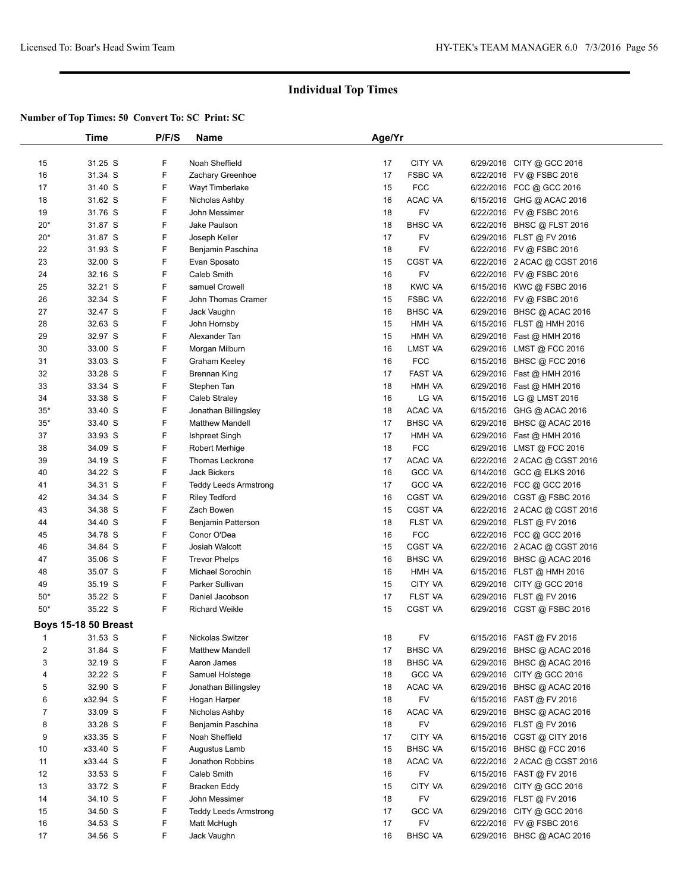|                | Time                        | P/F/S | Name                         | Age/Yr |                |                              |  |
|----------------|-----------------------------|-------|------------------------------|--------|----------------|------------------------------|--|
|                |                             |       |                              |        |                |                              |  |
| 15             | 31.25 S                     | F     | Noah Sheffield               | 17     | CITY VA        | 6/29/2016 CITY @ GCC 2016    |  |
| 16             | 31.34 S                     | F     | Zachary Greenhoe             | 17     | <b>FSBC VA</b> | 6/22/2016 FV @ FSBC 2016     |  |
| 17             | 31.40 S                     | F     | Wayt Timberlake              | 15     | <b>FCC</b>     | 6/22/2016 FCC @ GCC 2016     |  |
| 18             | 31.62 S                     | F     | Nicholas Ashby               | 16     | ACAC VA        | 6/15/2016 GHG @ ACAC 2016    |  |
| 19             | 31.76 S                     | F     | John Messimer                | 18     | FV             | 6/22/2016 FV @ FSBC 2016     |  |
| $20*$          | 31.87 S                     | F     | Jake Paulson                 | 18     | <b>BHSC VA</b> | 6/22/2016 BHSC @ FLST 2016   |  |
| $20*$          | 31.87 S                     | F     | Joseph Keller                | 17     | FV             | 6/29/2016 FLST @ FV 2016     |  |
| 22             | 31.93 S                     | F     | Benjamin Paschina            | 18     | FV             | 6/22/2016 FV @ FSBC 2016     |  |
| 23             | 32.00 S                     | F     | Evan Sposato                 | 15     | <b>CGST VA</b> | 6/22/2016 2 ACAC @ CGST 2016 |  |
| 24             | 32.16 S                     | F     | <b>Caleb Smith</b>           | 16     | FV             | 6/22/2016 FV @ FSBC 2016     |  |
| 25             | 32.21 S                     | F     | samuel Crowell               | 18     | <b>KWC VA</b>  | 6/15/2016 KWC @ FSBC 2016    |  |
| 26             | 32.34 S                     | F     | John Thomas Cramer           | 15     | <b>FSBC VA</b> | 6/22/2016 FV @ FSBC 2016     |  |
| 27             | 32.47 S                     | F     | Jack Vaughn                  | 16     | <b>BHSC VA</b> | 6/29/2016 BHSC @ ACAC 2016   |  |
| 28             | 32.63 S                     | F     | John Hornsby                 | 15     | HMH VA         | 6/15/2016 FLST @ HMH 2016    |  |
| 29             | 32.97 S                     | F     | Alexander Tan                | 15     | HMH VA         | 6/29/2016 Fast @ HMH 2016    |  |
| 30             | 33.00 S                     | F     | Morgan Milburn               | 16     | LMST VA        | 6/29/2016 LMST @ FCC 2016    |  |
| 31             | 33.03 S                     | F     | Graham Keeley                | 16     | <b>FCC</b>     | 6/15/2016 BHSC @ FCC 2016    |  |
| 32             | 33.28 S                     | F     | <b>Brennan King</b>          | 17     | FAST VA        | 6/29/2016 Fast @ HMH 2016    |  |
| 33             | 33.34 S                     | F     | Stephen Tan                  | 18     | HMH VA         | 6/29/2016 Fast @ HMH 2016    |  |
| 34             | 33.38 S                     | F     | Caleb Straley                | 16     | LG VA          | 6/15/2016 LG @ LMST 2016     |  |
| $35*$          | 33.40 S                     | F     | Jonathan Billingsley         | 18     | ACAC VA        | 6/15/2016 GHG @ ACAC 2016    |  |
| $35*$          | 33.40 S                     | F     | <b>Matthew Mandell</b>       | 17     | <b>BHSC VA</b> | 6/29/2016 BHSC @ ACAC 2016   |  |
| 37             | 33.93 S                     | F     | Ishpreet Singh               | 17     | HMH VA         | 6/29/2016 Fast @ HMH 2016    |  |
| 38             | 34.09 S                     | F     | <b>Robert Merhige</b>        | 18     | <b>FCC</b>     | 6/29/2016 LMST @ FCC 2016    |  |
| 39             | 34.19 S                     | F     | Thomas Leckrone              | 17     | ACAC VA        | 6/22/2016 2 ACAC @ CGST 2016 |  |
| 40             | 34.22 S                     | F     | <b>Jack Bickers</b>          | 16     | <b>GCC VA</b>  | 6/14/2016 GCC @ ELKS 2016    |  |
| 41             | 34.31 S                     | F     | <b>Teddy Leeds Armstrong</b> | 17     | <b>GCC VA</b>  | 6/22/2016 FCC @ GCC 2016     |  |
| 42             | 34.34 S                     | F     | <b>Riley Tedford</b>         | 16     | <b>CGST VA</b> | 6/29/2016 CGST @ FSBC 2016   |  |
| 43             | 34.38 S                     | F     | Zach Bowen                   | 15     | CGST VA        | 6/22/2016 2 ACAC @ CGST 2016 |  |
| 44             | 34.40 S                     | F     | Benjamin Patterson           | 18     | FLST VA        | 6/29/2016 FLST @ FV 2016     |  |
| 45             | 34.78 S                     | F     | Conor O'Dea                  | 16     | <b>FCC</b>     | 6/22/2016 FCC @ GCC 2016     |  |
| 46             | 34.84 S                     | F     | Josiah Walcott               | 15     | CGST VA        | 6/22/2016 2 ACAC @ CGST 2016 |  |
| 47             | 35.06 S                     | F     | <b>Trevor Phelps</b>         | 16     | <b>BHSC VA</b> | 6/29/2016 BHSC @ ACAC 2016   |  |
| 48             | 35.07 S                     | F     | Michael Sorochin             | 16     | HMH VA         | 6/15/2016 FLST @ HMH 2016    |  |
| 49             | 35.19 S                     | F     | Parker Sullivan              | 15     | CITY VA        | 6/29/2016 CITY @ GCC 2016    |  |
| $50*$          | 35.22 S                     | F     | Daniel Jacobson              | 17     | FLST VA        | 6/29/2016 FLST @ FV 2016     |  |
| $50*$          | 35.22 S                     | F     | <b>Richard Weikle</b>        | 15     | CGST VA        | 6/29/2016 CGST @ FSBC 2016   |  |
|                | <b>Boys 15-18 50 Breast</b> |       |                              |        |                |                              |  |
| -1             | 31.53 S                     | F     | Nickolas Switzer             | 18     | <b>FV</b>      | 6/15/2016 FAST @ FV 2016     |  |
| $\overline{c}$ | 31.84 S                     | F     | <b>Matthew Mandell</b>       | 17     | <b>BHSC VA</b> | 6/29/2016 BHSC @ ACAC 2016   |  |
| 3              | 32.19 S                     | F     | Aaron James                  | 18     | <b>BHSC VA</b> | 6/29/2016 BHSC @ ACAC 2016   |  |
| 4              | 32.22 S                     | F     | Samuel Holstege              | 18     | <b>GCC VA</b>  | 6/29/2016 CITY @ GCC 2016    |  |
| 5              | 32.90 S                     | F     | Jonathan Billingsley         | 18     | ACAC VA        | 6/29/2016 BHSC @ ACAC 2016   |  |
| 6              | x32.94 S                    | F     | Hogan Harper                 | 18     | FV             | 6/15/2016 FAST @ FV 2016     |  |
| 7              | 33.09 S                     | F     | Nicholas Ashby               | 16     | ACAC VA        | 6/29/2016 BHSC @ ACAC 2016   |  |
| 8              | 33.28 S                     | F     | Benjamin Paschina            | 18     | FV             | 6/29/2016 FLST @ FV 2016     |  |
| 9              | x33.35 S                    | F     | Noah Sheffield               | 17     | CITY VA        | 6/15/2016 CGST @ CITY 2016   |  |
| 10             | x33.40 S                    | F     | Augustus Lamb                | 15     | <b>BHSC VA</b> | 6/15/2016 BHSC @ FCC 2016    |  |
| 11             | x33.44 S                    | F     | Jonathon Robbins             | 18     | ACAC VA        | 6/22/2016 2 ACAC @ CGST 2016 |  |
| 12             | 33.53 S                     | F     | Caleb Smith                  | 16     | FV             | 6/15/2016 FAST @ FV 2016     |  |
| 13             | 33.72 S                     | F     | Bracken Eddy                 | 15     | CITY VA        | 6/29/2016 CITY @ GCC 2016    |  |
| 14             | 34.10 S                     | F     | John Messimer                | 18     | FV             | 6/29/2016 FLST @ FV 2016     |  |
| 15             | 34.50 S                     | F     | <b>Teddy Leeds Armstrong</b> | 17     | <b>GCC VA</b>  | 6/29/2016 CITY @ GCC 2016    |  |
| 16             | 34.53 S                     | F     | Matt McHugh                  | 17     | <b>FV</b>      | 6/22/2016 FV @ FSBC 2016     |  |
| 17             | 34.56 S                     | F     | Jack Vaughn                  | 16     | <b>BHSC VA</b> | 6/29/2016 BHSC @ ACAC 2016   |  |
|                |                             |       |                              |        |                |                              |  |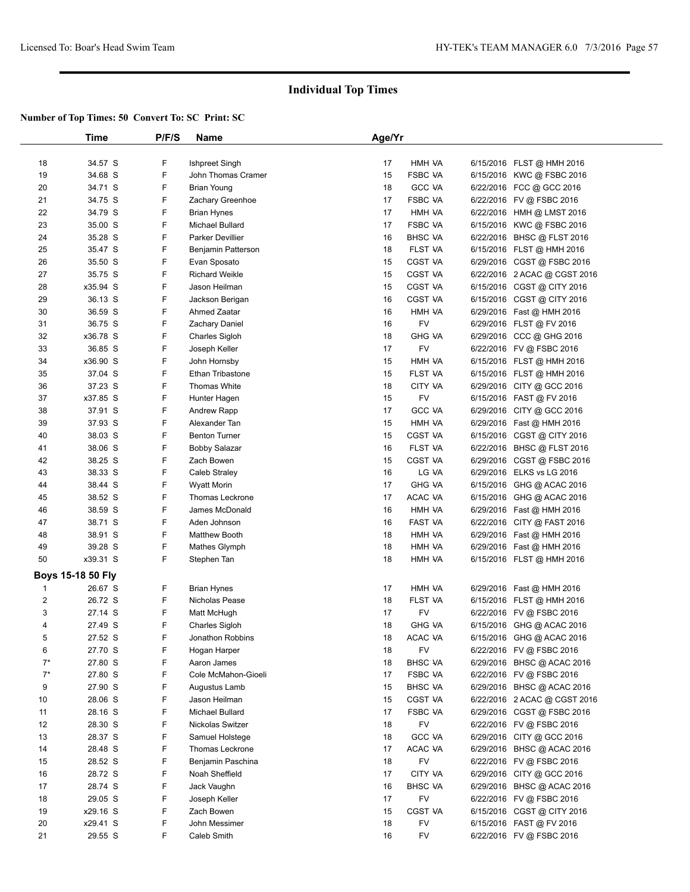|                | Time              | P/F/S | <b>Name</b>             | Age/Yr   |                  |                              |  |
|----------------|-------------------|-------|-------------------------|----------|------------------|------------------------------|--|
|                |                   |       |                         |          |                  |                              |  |
| 18             | 34.57 S           | F     | Ishpreet Singh          | 17       | HMH VA           | 6/15/2016 FLST @ HMH 2016    |  |
| 19             | 34.68 S           | F     | John Thomas Cramer      | 15       | <b>FSBC VA</b>   | 6/15/2016 KWC @ FSBC 2016    |  |
| 20             | 34.71 S           | F     | <b>Brian Young</b>      | 18       | <b>GCC VA</b>    | 6/22/2016 FCC @ GCC 2016     |  |
| 21             | 34.75 S           | F     | Zachary Greenhoe        | 17       | <b>FSBC VA</b>   | 6/22/2016 FV @ FSBC 2016     |  |
| 22             | 34.79 S           | F     | <b>Brian Hynes</b>      | 17       | HMH VA           | 6/22/2016 HMH @ LMST 2016    |  |
| 23             | 35.00 S           | F     | Michael Bullard         | 17       | <b>FSBC VA</b>   | 6/15/2016 KWC @ FSBC 2016    |  |
| 24             | 35.28 S           | F     | Parker Devillier        | 16       | <b>BHSC VA</b>   | 6/22/2016 BHSC @ FLST 2016   |  |
| 25             | 35.47 S           | F     | Benjamin Patterson      | 18       | FLST VA          | 6/15/2016 FLST @ HMH 2016    |  |
| 26             | 35.50 S           | F     | Evan Sposato            | 15       | <b>CGST VA</b>   | 6/29/2016 CGST @ FSBC 2016   |  |
| 27             | 35.75 S           | F     | <b>Richard Weikle</b>   | 15       | CGST VA          | 6/22/2016 2 ACAC @ CGST 2016 |  |
| 28             | x35.94 S          | F     | Jason Heilman           | 15       | CGST VA          | 6/15/2016 CGST @ CITY 2016   |  |
| 29             | 36.13 S           | F     | Jackson Berigan         | 16       | CGST VA          | 6/15/2016 CGST @ CITY 2016   |  |
| 30             | 36.59 S           | F     | Ahmed Zaatar            | 16       | HMH VA           | 6/29/2016 Fast @ HMH 2016    |  |
| 31             | 36.75 S           | F     | <b>Zachary Daniel</b>   | 16       | <b>FV</b>        | 6/29/2016 FLST @ FV 2016     |  |
| 32             | x36.78 S          | F     | Charles Sigloh          | 18       | <b>GHG VA</b>    | 6/29/2016 CCC @ GHG 2016     |  |
| 33             | 36.85 S           | F     | Joseph Keller           | 17       | FV               | 6/22/2016 FV @ FSBC 2016     |  |
| 34             | x36.90 S          | F     | John Hornsby            | 15       | HMH VA           | 6/15/2016 FLST @ HMH 2016    |  |
| 35             | 37.04 S           | F     | <b>Ethan Tribastone</b> | 15       | FLST VA          | 6/15/2016 FLST @ HMH 2016    |  |
| 36             | 37.23 S           | F     | <b>Thomas White</b>     | 18       | CITY VA          | 6/29/2016 CITY @ GCC 2016    |  |
| 37             | x37.85 S          | F     | Hunter Hagen            | 15       | <b>FV</b>        | 6/15/2016 FAST @ FV 2016     |  |
| 38             | 37.91 S           | F     | Andrew Rapp             | 17       | <b>GCC VA</b>    | 6/29/2016 CITY @ GCC 2016    |  |
| 39             | 37.93 S           | F     | Alexander Tan           | 15       | HMH VA           | 6/29/2016 Fast @ HMH 2016    |  |
| 40             | 38.03 S           | F     | <b>Benton Turner</b>    | 15       | <b>CGST VA</b>   | 6/15/2016 CGST @ CITY 2016   |  |
| 41             | 38.06 S           | F     | <b>Bobby Salazar</b>    | 16       | FLST VA          | 6/22/2016 BHSC @ FLST 2016   |  |
| 42             | 38.25 S           | F     | Zach Bowen              | 15       | <b>CGST VA</b>   | 6/29/2016 CGST @ FSBC 2016   |  |
| 43             | 38.33 S           | F     | Caleb Straley           | 16       | LG VA            | 6/29/2016 ELKS vs LG 2016    |  |
| 44             | 38.44 S           | F     | <b>Wyatt Morin</b>      | 17       | <b>GHG VA</b>    | 6/15/2016 GHG @ ACAC 2016    |  |
| 45             | 38.52 S           | F     | Thomas Leckrone         | 17       | ACAC VA          | 6/15/2016 GHG @ ACAC 2016    |  |
| 46             | 38.59 S           | F     | James McDonald          | 16       | HMH VA           | 6/29/2016 Fast @ HMH 2016    |  |
|                | 38.71 S           | F     | Aden Johnson            |          | FAST VA          |                              |  |
| 47             | 38.91 S           | F     |                         | 16<br>18 |                  | 6/22/2016 CITY @ FAST 2016   |  |
| 48<br>49       | 39.28 S           | F     | <b>Matthew Booth</b>    | 18       | HMH VA<br>HMH VA | 6/29/2016 Fast @ HMH 2016    |  |
|                | x39.31 S          | F     | Mathes Glymph           |          |                  | 6/29/2016 Fast @ HMH 2016    |  |
| 50             |                   |       | Stephen Tan             | 18       | HMH VA           | 6/15/2016 FLST @ HMH 2016    |  |
|                | Boys 15-18 50 Fly |       |                         |          |                  |                              |  |
| $\mathbf{1}$   | 26.67 S           | F     | <b>Brian Hynes</b>      | 17       | HMH VA           | 6/29/2016 Fast @ HMH 2016    |  |
| $\overline{c}$ | 26.72 S           | F     | Nicholas Pease          | 18       | FLST VA          | 6/15/2016 FLST @ HMH 2016    |  |
| 3              | 27.14 S           | F     | Matt McHugh             | 17       | FV               | 6/22/2016 FV @ FSBC 2016     |  |
| 4              | 27.49 S           | F     | Charles Sigloh          | 18       | <b>GHG VA</b>    | 6/15/2016 GHG @ ACAC 2016    |  |
| 5              | 27.52 S           | F     | Jonathon Robbins        | 18       | ACAC VA          | 6/15/2016 GHG @ ACAC 2016    |  |
| 6              | 27.70 S           | F     | Hogan Harper            | 18       | FV               | 6/22/2016 FV @ FSBC 2016     |  |
| $7^*$          | 27.80 S           | F     | Aaron James             | 18       | <b>BHSC VA</b>   | 6/29/2016 BHSC @ ACAC 2016   |  |
| $7^*$          | 27.80 S           | F     | Cole McMahon-Gioeli     | 17       | FSBC VA          | 6/22/2016 FV @ FSBC 2016     |  |
| 9              | 27.90 S           | F     | Augustus Lamb           | 15       | <b>BHSC VA</b>   | 6/29/2016 BHSC @ ACAC 2016   |  |
| 10             | 28.06 S           | F     | Jason Heilman           | 15       | <b>CGST VA</b>   | 6/22/2016 2 ACAC @ CGST 2016 |  |
| 11             | 28.16 S           | F     | Michael Bullard         | 17       | <b>FSBC VA</b>   | 6/29/2016 CGST @ FSBC 2016   |  |
| 12             | 28.30 S           | F     | Nickolas Switzer        | 18       | FV               | 6/22/2016 FV @ FSBC 2016     |  |
| 13             | 28.37 S           | F     | Samuel Holstege         | 18       | <b>GCC VA</b>    | 6/29/2016 CITY @ GCC 2016    |  |
| 14             | 28.48 S           | F     | Thomas Leckrone         | 17       | ACAC VA          | 6/29/2016 BHSC @ ACAC 2016   |  |
| 15             | 28.52 S           | F     | Benjamin Paschina       | 18       | FV               | 6/22/2016 FV @ FSBC 2016     |  |
| 16             | 28.72 S           | F     | Noah Sheffield          | 17       | CITY VA          | 6/29/2016 CITY @ GCC 2016    |  |
| 17             | 28.74 S           | F     | Jack Vaughn             | 16       | <b>BHSC VA</b>   | 6/29/2016 BHSC @ ACAC 2016   |  |
| 18             | 29.05 S           | F     | Joseph Keller           | 17       | FV               | 6/22/2016 FV @ FSBC 2016     |  |
| 19             | x29.16 S          | F     | Zach Bowen              | 15       | <b>CGST VA</b>   | 6/15/2016 CGST @ CITY 2016   |  |
| 20             | x29.41 S          | F     | John Messimer           | 18       | FV               | 6/15/2016 FAST @ FV 2016     |  |
| 21             | 29.55 S           | F     | Caleb Smith             | 16       | FV               | 6/22/2016 FV @ FSBC 2016     |  |
|                |                   |       |                         |          |                  |                              |  |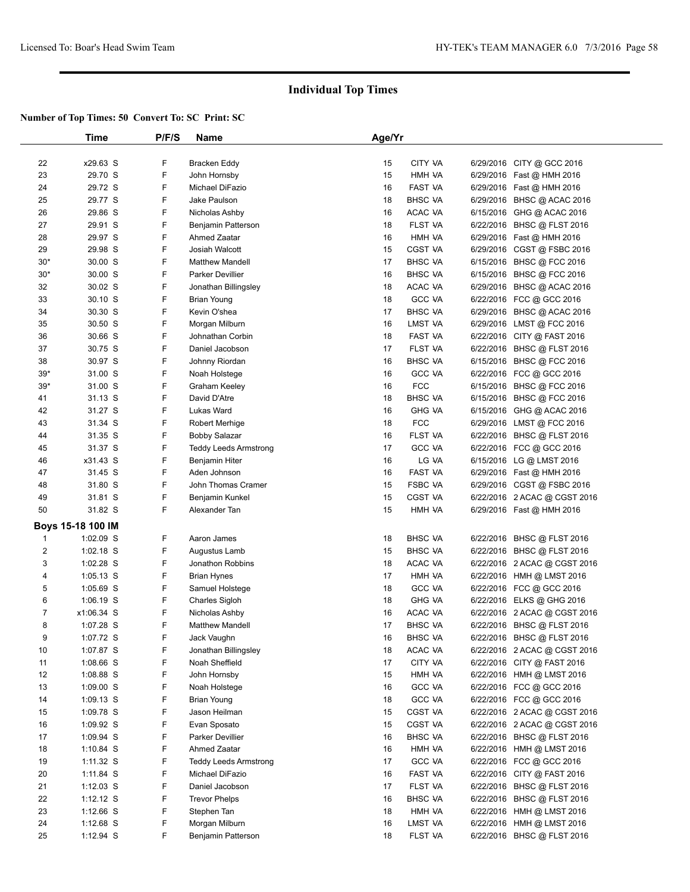|                | Time              | P/F/S | Name                         | Age/Yr |                |                              |  |
|----------------|-------------------|-------|------------------------------|--------|----------------|------------------------------|--|
|                |                   |       |                              |        |                |                              |  |
| 22             | x29.63 S          | F     | Bracken Eddy                 | 15     | CITY VA        | 6/29/2016 CITY @ GCC 2016    |  |
| 23             | 29.70 S           | F     | John Hornsby                 | 15     | HMH VA         | 6/29/2016 Fast @ HMH 2016    |  |
| 24             | 29.72 S           | F     | Michael DiFazio              | 16     | FAST VA        | 6/29/2016 Fast @ HMH 2016    |  |
| 25             | 29.77 S           | F     | Jake Paulson                 | 18     | <b>BHSC VA</b> | 6/29/2016 BHSC @ ACAC 2016   |  |
| 26             | 29.86 S           | F     | Nicholas Ashby               | 16     | ACAC VA        | 6/15/2016 GHG @ ACAC 2016    |  |
| 27             | 29.91 S           | F     | Benjamin Patterson           | 18     | FLST VA        | 6/22/2016 BHSC @ FLST 2016   |  |
| 28             | 29.97 S           | F     | Ahmed Zaatar                 | 16     | HMH VA         | 6/29/2016 Fast @ HMH 2016    |  |
| 29             | 29.98 S           | F     | Josiah Walcott               | 15     | CGST VA        | 6/29/2016 CGST @ FSBC 2016   |  |
| $30*$          | 30.00 S           | F     | <b>Matthew Mandell</b>       | 17     | <b>BHSC VA</b> | 6/15/2016 BHSC @ FCC 2016    |  |
| $30*$          | 30.00 S           | F     | <b>Parker Devillier</b>      | 16     | <b>BHSC VA</b> | 6/15/2016 BHSC @ FCC 2016    |  |
| 32             | 30.02 S           | F     | Jonathan Billingsley         | 18     | ACAC VA        | 6/29/2016 BHSC @ ACAC 2016   |  |
| 33             | 30.10 S           | F     | <b>Brian Young</b>           | 18     | <b>GCC VA</b>  | 6/22/2016 FCC @ GCC 2016     |  |
| 34             | 30.30 S           | F     | Kevin O'shea                 | 17     | <b>BHSC VA</b> | 6/29/2016 BHSC @ ACAC 2016   |  |
| 35             | 30.50 S           | F     | Morgan Milburn               | 16     | LMST VA        | 6/29/2016 LMST @ FCC 2016    |  |
| 36             | 30.66 S           | F     | Johnathan Corbin             | 18     | FAST VA        | 6/22/2016 CITY @ FAST 2016   |  |
| 37             | 30.75 S           | F     | Daniel Jacobson              | 17     | FLST VA        | 6/22/2016 BHSC @ FLST 2016   |  |
| 38             | 30.97 S           | F     | Johnny Riordan               | 16     | <b>BHSC VA</b> | 6/15/2016 BHSC @ FCC 2016    |  |
| $39*$          | 31.00 S           | F     | Noah Holstege                | 16     | <b>GCC VA</b>  | 6/22/2016 FCC @ GCC 2016     |  |
| $39*$          | 31.00 S           | F     | Graham Keeley                | 16     | <b>FCC</b>     | 6/15/2016 BHSC @ FCC 2016    |  |
| 41             | 31.13 S           | F     | David D'Atre                 | 18     | <b>BHSC VA</b> | 6/15/2016 BHSC @ FCC 2016    |  |
| 42             | 31.27 S           | F     | Lukas Ward                   | 16     | <b>GHG VA</b>  | 6/15/2016 GHG @ ACAC 2016    |  |
| 43             | 31.34 S           | F     | Robert Merhige               | 18     | <b>FCC</b>     | 6/29/2016 LMST @ FCC 2016    |  |
| 44             | 31.35 S           | F     | <b>Bobby Salazar</b>         | 16     | FLST VA        | 6/22/2016 BHSC @ FLST 2016   |  |
| 45             | 31.37 S           | F     | <b>Teddy Leeds Armstrong</b> | 17     | <b>GCC VA</b>  | 6/22/2016 FCC @ GCC 2016     |  |
| 46             | x31.43 S          | F     | Benjamin Hiter               | 16     | LG VA          | 6/15/2016 LG @ LMST 2016     |  |
| 47             | 31.45 S           | F     | Aden Johnson                 | 16     | FAST VA        | 6/29/2016 Fast @ HMH 2016    |  |
| 48             | 31.80 S           | F     | John Thomas Cramer           | 15     | <b>FSBC VA</b> | 6/29/2016 CGST @ FSBC 2016   |  |
| 49             | 31.81 S           | F     | Benjamin Kunkel              | 15     | CGST VA        | 6/22/2016 2 ACAC @ CGST 2016 |  |
| 50             | 31.82 S           | F     | Alexander Tan                | 15     | HMH VA         | 6/29/2016 Fast @ HMH 2016    |  |
|                |                   |       |                              |        |                |                              |  |
|                | Boys 15-18 100 IM |       |                              |        |                |                              |  |
| 1              | 1:02.09 S         | F     | Aaron James                  | 18     | <b>BHSC VA</b> | 6/22/2016 BHSC @ FLST 2016   |  |
| $\overline{c}$ | $1:02.18$ S       | F     | Augustus Lamb                | 15     | <b>BHSC VA</b> | 6/22/2016 BHSC @ FLST 2016   |  |
| 3              | 1:02.28 S         | F     | Jonathon Robbins             | 18     | ACAC VA        | 6/22/2016 2 ACAC @ CGST 2016 |  |
| 4              | $1:05.13$ S       | F     | Brian Hynes                  | 17     | HMH VA         | 6/22/2016 HMH @ LMST 2016    |  |
| 5              | $1:05.69$ S       | F     | Samuel Holstege              | 18     | <b>GCC VA</b>  | 6/22/2016 FCC @ GCC 2016     |  |
| 6              | 1:06.19 S         | F     | Charles Sigloh               | 18     | <b>GHG VA</b>  | 6/22/2016 ELKS @ GHG 2016    |  |
| $\overline{7}$ | x1:06.34 S        | F     | Nicholas Ashby               | 16     | ACAC VA        | 6/22/2016 2 ACAC @ CGST 2016 |  |
| 8              | 1:07.28 S         | F     | <b>Matthew Mandell</b>       | 17     | <b>BHSC VA</b> | 6/22/2016 BHSC @ FLST 2016   |  |
| 9              | 1:07.72 S         | F     | Jack Vaughn                  | 16     | <b>BHSC VA</b> | 6/22/2016 BHSC @ FLST 2016   |  |
| 10             | 1:07.87 S         | F     | Jonathan Billingsley         | 18     | ACAC VA        | 6/22/2016 2 ACAC @ CGST 2016 |  |
| 11             | 1:08.66 S         | F     | Noah Sheffield               | 17     | CITY VA        | 6/22/2016 CITY @ FAST 2016   |  |
| 12             | 1:08.88 S         | F     | John Hornsby                 | 15     | HMH VA         | 6/22/2016 HMH @ LMST 2016    |  |
| 13             | $1:09.00$ S       | F     | Noah Holstege                | 16     | <b>GCC VA</b>  | 6/22/2016 FCC @ GCC 2016     |  |
| 14             | $1:09.13$ S       | F     | <b>Brian Young</b>           | 18     | <b>GCC VA</b>  | 6/22/2016 FCC @ GCC 2016     |  |
| 15             | 1:09.78 S         | F     | Jason Heilman                | 15     | CGST VA        | 6/22/2016 2 ACAC @ CGST 2016 |  |
| 16             | 1:09.92 S         | F     | Evan Sposato                 | 15     | CGST VA        | 6/22/2016 2 ACAC @ CGST 2016 |  |
| 17             | 1:09.94 S         | F     | Parker Devillier             | 16     | <b>BHSC VA</b> | 6/22/2016 BHSC @ FLST 2016   |  |
| 18             | $1:10.84$ S       | F     | Ahmed Zaatar                 | 16     | HMH VA         | 6/22/2016 HMH @ LMST 2016    |  |
| 19             | $1:11.32$ S       | F     | <b>Teddy Leeds Armstrong</b> | 17     | <b>GCC VA</b>  | 6/22/2016 FCC @ GCC 2016     |  |
| 20             | $1:11.84$ S       | F     | Michael DiFazio              | 16     | FAST VA        | 6/22/2016 CITY @ FAST 2016   |  |
| 21             | $1:12.03$ S       | F     | Daniel Jacobson              | 17     | FLST VA        | 6/22/2016 BHSC @ FLST 2016   |  |
| 22             | $1:12.12$ S       | F     | <b>Trevor Phelps</b>         | 16     | <b>BHSC VA</b> | 6/22/2016 BHSC @ FLST 2016   |  |
| 23             | $1:12.66$ S       | F     | Stephen Tan                  | 18     | HMH VA         | 6/22/2016 HMH @ LMST 2016    |  |
| 24             | 1:12.68 S         | F     | Morgan Milburn               | 16     | LMST VA        | 6/22/2016 HMH @ LMST 2016    |  |
| 25             | 1:12.94 S         | F     | Benjamin Patterson           | 18     | FLST VA        | 6/22/2016 BHSC @ FLST 2016   |  |